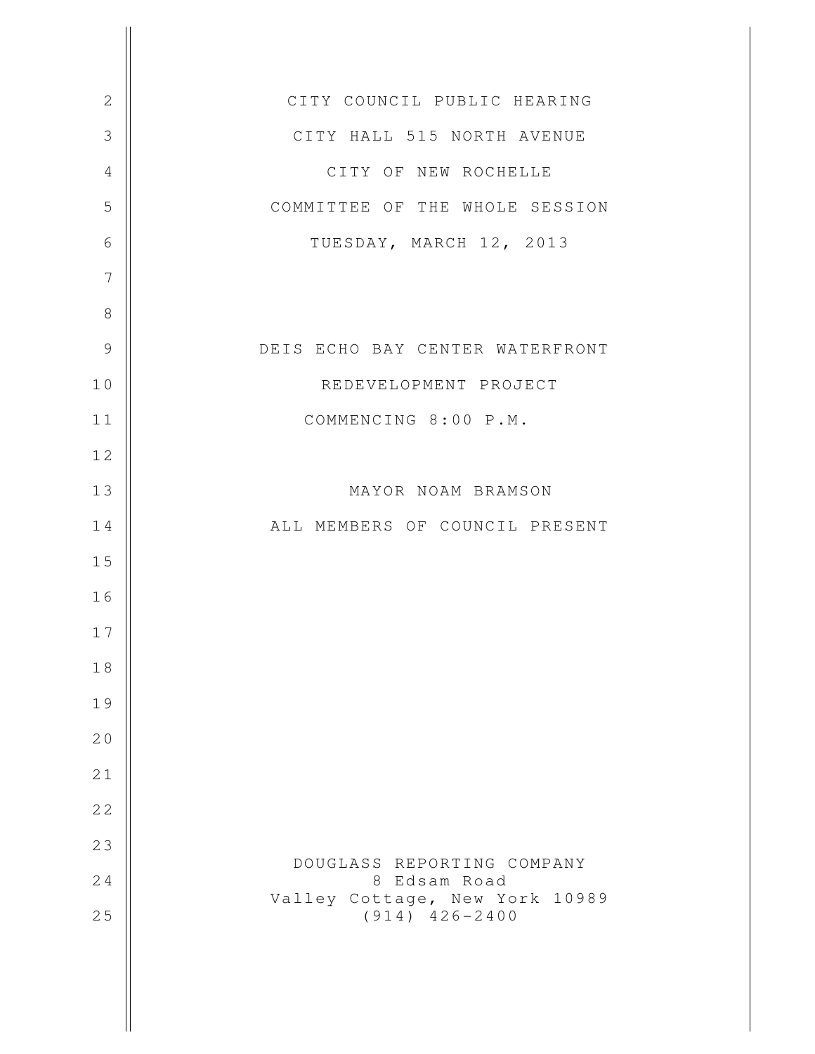| $\mathbf{2}$   | CITY COUNCIL PUBLIC HEARING                            |
|----------------|--------------------------------------------------------|
| $\mathfrak{Z}$ | CITY HALL 515 NORTH AVENUE                             |
| $\overline{4}$ | CITY OF NEW ROCHELLE                                   |
| 5              | COMMITTEE OF THE WHOLE SESSION                         |
| 6              | TUESDAY, MARCH 12, 2013                                |
| 7              |                                                        |
| 8              |                                                        |
| $\mathcal{G}$  | DEIS ECHO BAY CENTER WATERFRONT                        |
| 10             | REDEVELOPMENT PROJECT                                  |
| 11             | COMMENCING 8:00 P.M.                                   |
| 12             |                                                        |
| 13             | MAYOR NOAM BRAMSON                                     |
| 14             | ALL MEMBERS OF COUNCIL PRESENT                         |
| 15             |                                                        |
| 16             |                                                        |
| 17             |                                                        |
| 18             |                                                        |
| 19             |                                                        |
| 20             |                                                        |
| 21             |                                                        |
| 22             |                                                        |
| 23             |                                                        |
| 24             | DOUGLASS REPORTING COMPANY<br>8 Edsam Road             |
| 25             | Valley Cottage, New York 10989<br>$(914)$ $426 - 2400$ |
|                |                                                        |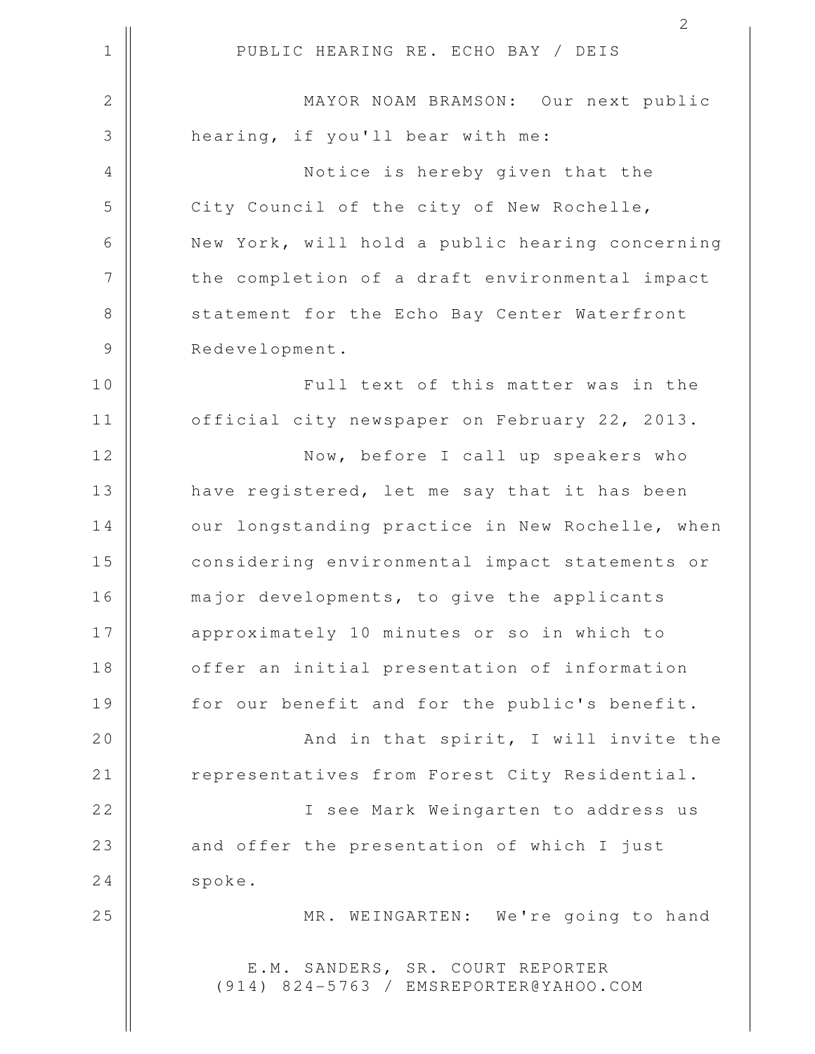1 || PUBLIC HEARING RE. ECHO BAY / DEIS 2 || MAYOR NOAM BRAMSON: Our next public 3 || hearing, if you'll bear with me: 4 Notice is hereby given that the 5 City Council of the city of New Rochelle, 6 | New York, will hold a public hearing concerning 7 || the completion of a draft environmental impact 8 Statement for the Echo Bay Center Waterfront 9 | Redevelopment. 10 || Full text of this matter was in the 11 | official city newspaper on February 22, 2013. 12 || Now, before I call up speakers who 13 || have registered, let me say that it has been 14 | our longstanding practice in New Rochelle, when 15 considering environmental impact statements or 16 || major developments, to give the applicants 17 || approximately 10 minutes or so in which to 18 | offer an initial presentation of information 19 || for our benefit and for the public's benefit. 20 || And in that spirit, I will invite the 21 | Prepresentatives from Forest City Residential. 22 I see Mark Weingarten to address us 23 || and offer the presentation of which I just 24 spoke. 25 || MR. WEINGARTEN: We're going to hand E.M. SANDERS, SR. COURT REPORTER (914) 824-5763 / EMSREPORTER@YAHOO.COM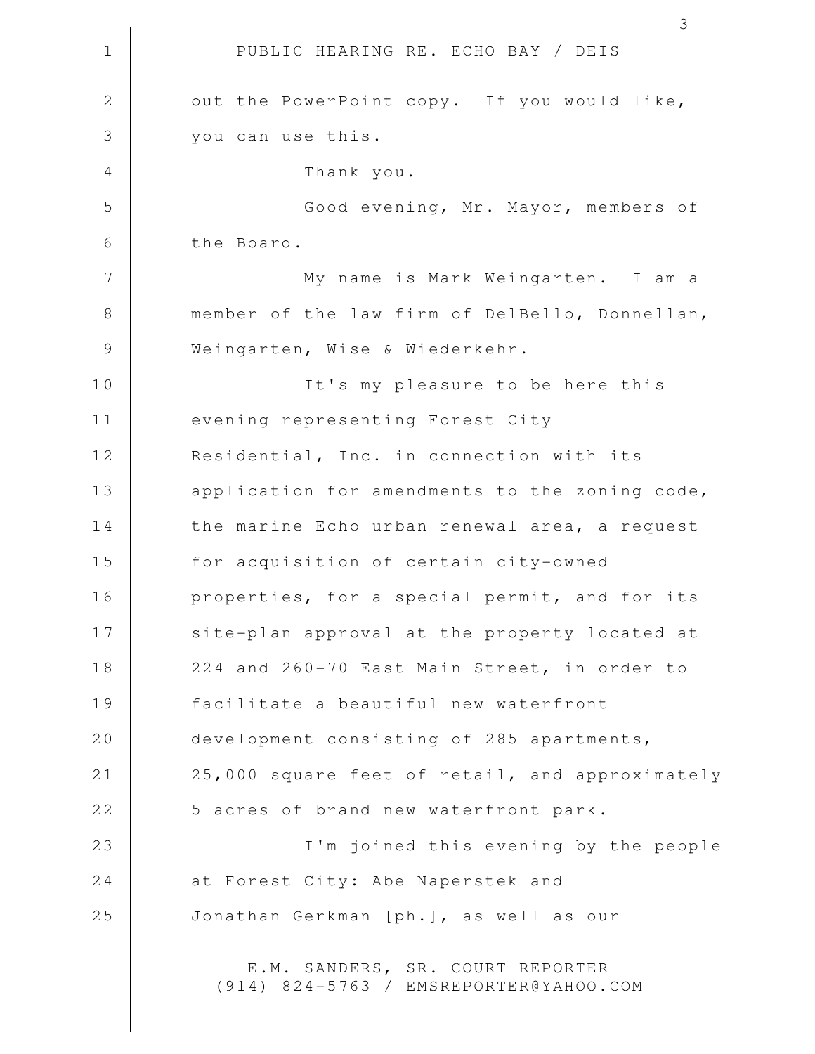1 || PUBLIC HEARING RE. ECHO BAY / DEIS 2 || out the PowerPoint copy. If you would like, 3 you can use this. 4 Thank you. 5 Good evening, Mr. Mayor, members of 6 **b** the Board. 7 My name is Mark Weingarten. I am a 8 member of the law firm of DelBello, Donnellan, 9 || Weingarten, Wise & Wiederkehr. 10 || It's my pleasure to be here this 11 | evening representing Forest City 12 Residential, Inc. in connection with its 13 || application for amendments to the zoning code,  $14$   $\parallel$  the marine Echo urban renewal area, a request 15 || for acquisition of certain city-owned 16 || properties, for a special permit, and for its 17 || site-plan approval at the property located at 18 || 224 and 260-70 East Main Street, in order to 19 facilitate a beautiful new waterfront 20 development consisting of 285 apartments, 21 | 25,000 square feet of retail, and approximately 22 || 5 acres of brand new waterfront park. 23 I'm joined this evening by the people 24 | at Forest City: Abe Naperstek and 25 Jonathan Gerkman [ph.], as well as our E.M. SANDERS, SR. COURT REPORTER (914) 824-5763 / EMSREPORTER@YAHOO.COM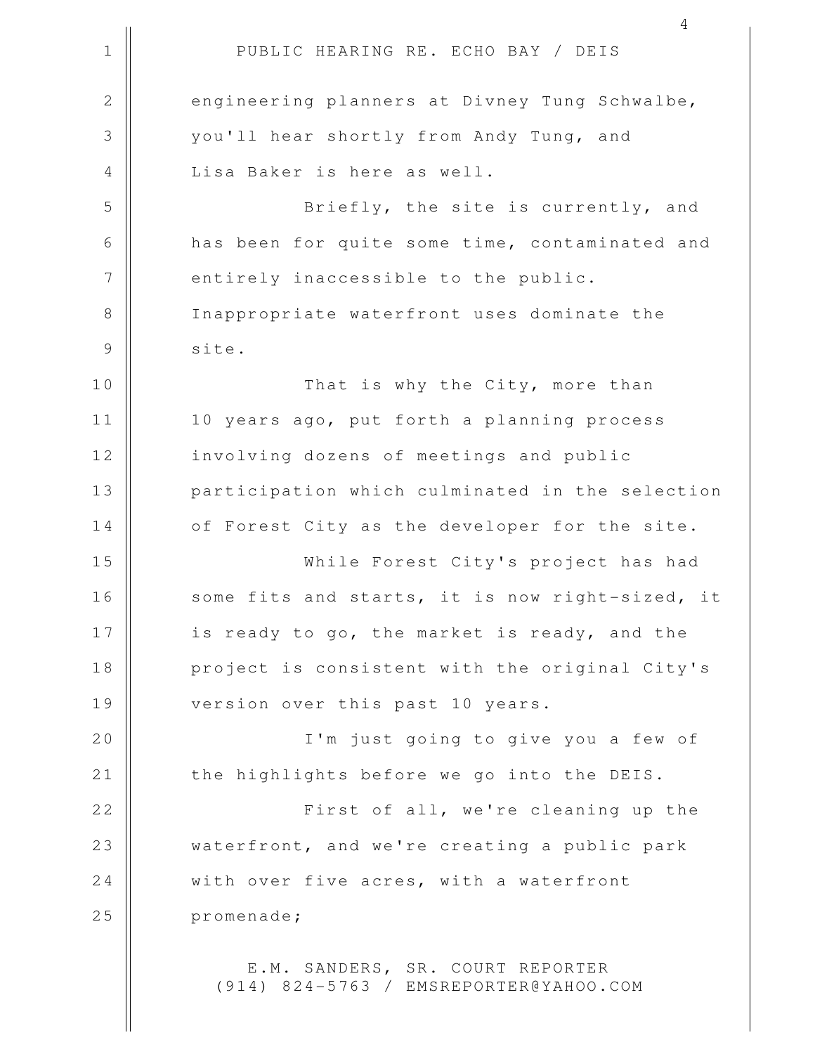1 || PUBLIC HEARING RE. ECHO BAY / DEIS 4 2 engineering planners at Divney Tung Schwalbe, 3 || vou'll hear shortly from Andy Tung, and 4 || Lisa Baker is here as well. 5 || Briefly, the site is currently, and 6 | has been for quite some time, contaminated and 7 | entirely inaccessible to the public. 8 || Inappropriate waterfront uses dominate the 9 | site. 10 || That is why the City, more than 11 || 10 years ago, put forth a planning process 12 | involving dozens of meetings and public 13 || participation which culminated in the selection 14 | of Forest City as the developer for the site. 15 While Forest City's project has had 16 || some fits and starts, it is now right-sized, it 17 || is ready to go, the market is ready, and the 18 || project is consistent with the original City's 19 || version over this past 10 years. 20 || I'm just going to give you a few of  $21$   $\parallel$  the highlights before we go into the DEIS. 22 || First of all, we're cleaning up the 23 || waterfront, and we're creating a public park 24 With over five acres, with a waterfront 25 | promenade; E.M. SANDERS, SR. COURT REPORTER

(914) 824-5763 / EMSREPORTER@YAHOO.COM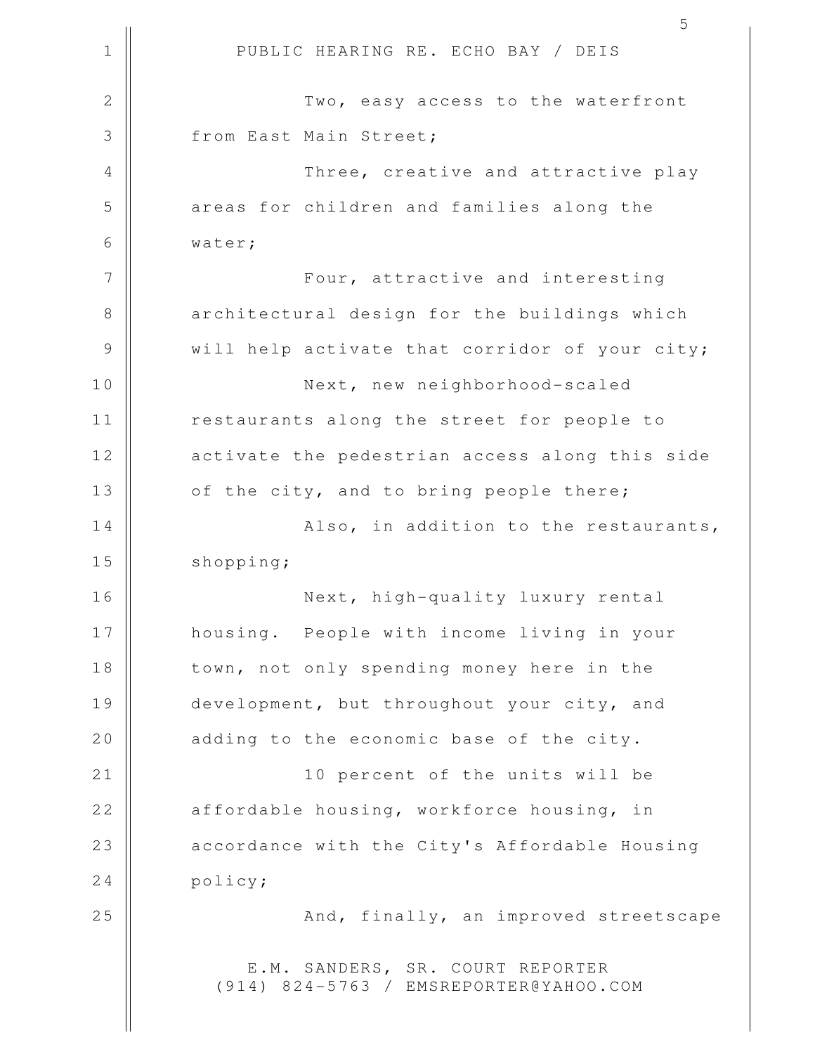|               | 5                                                                          |
|---------------|----------------------------------------------------------------------------|
| $\mathbf 1$   | PUBLIC HEARING RE. ECHO BAY / DEIS                                         |
| $\mathbf{2}$  | Two, easy access to the waterfront                                         |
| 3             | from East Main Street;                                                     |
| 4             | Three, creative and attractive play                                        |
| 5             | areas for children and families along the                                  |
| 6             | water;                                                                     |
| 7             | Four, attractive and interesting                                           |
| $8\,$         | architectural design for the buildings which                               |
| $\mathcal{G}$ | will help activate that corridor of your city;                             |
| 10            | Next, new neighborhood-scaled                                              |
| 11            | restaurants along the street for people to                                 |
| 12            | activate the pedestrian access along this side                             |
| 13            | of the city, and to bring people there;                                    |
| 14            | Also, in addition to the restaurants,                                      |
| 15            | shopping;                                                                  |
| 16            | Next, high-quality luxury rental                                           |
| 17            | housing. People with income living in your                                 |
| 18            | town, not only spending money here in the                                  |
| 19            | development, but throughout your city, and                                 |
| 20            | adding to the economic base of the city.                                   |
| 21            | 10 percent of the units will be                                            |
| 22            | affordable housing, workforce housing, in                                  |
| 23            | accordance with the City's Affordable Housing                              |
| 24            | policy;                                                                    |
| 25            | And, finally, an improved streetscape                                      |
|               | E.M. SANDERS, SR. COURT REPORTER<br>(914) 824-5763 / EMSREPORTER@YAHOO.COM |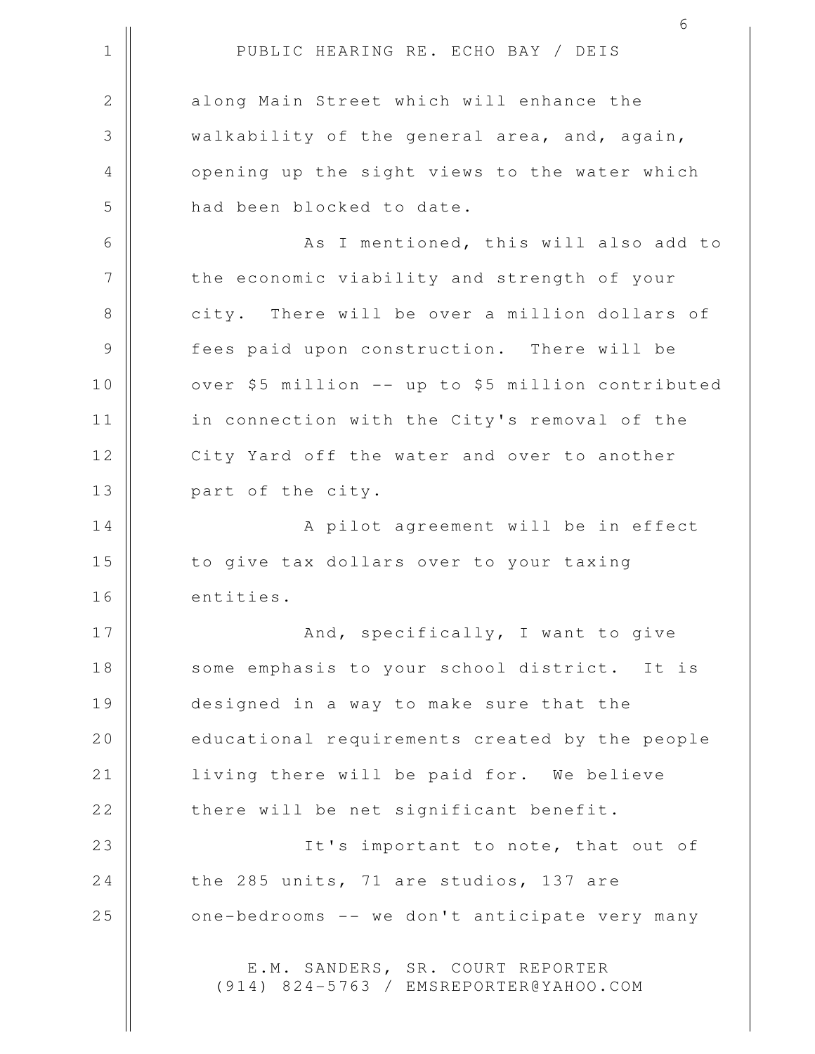|               | 6                                                                          |
|---------------|----------------------------------------------------------------------------|
| $\mathbf 1$   | PUBLIC HEARING RE. ECHO BAY / DEIS                                         |
| $\mathbf{2}$  | along Main Street which will enhance the                                   |
| 3             | walkability of the general area, and, again,                               |
| 4             | opening up the sight views to the water which                              |
| 5             | had been blocked to date.                                                  |
| 6             | As I mentioned, this will also add to                                      |
| 7             | the economic viability and strength of your                                |
| 8             | city. There will be over a million dollars of                              |
| $\mathcal{G}$ | fees paid upon construction. There will be                                 |
| 10            | over \$5 million -- up to \$5 million contributed                          |
| 11            | in connection with the City's removal of the                               |
| 12            | City Yard off the water and over to another                                |
| 13            | part of the city.                                                          |
| 14            | A pilot agreement will be in effect                                        |
| 15            | to give tax dollars over to your taxing                                    |
| 16            | entities.                                                                  |
| 17            | And, specifically, I want to give                                          |
| 18            | some emphasis to your school district. It is                               |
| 19            | designed in a way to make sure that the                                    |
| 20            | educational requirements created by the people                             |
| 21            | living there will be paid for. We believe                                  |
| 22            | there will be net significant benefit.                                     |
| 23            | It's important to note, that out of                                        |
| 24            | the 285 units, 71 are studios, 137 are                                     |
| 25            | one-bedrooms -- we don't anticipate very many                              |
|               | E.M. SANDERS, SR. COURT REPORTER<br>(914) 824-5763 / EMSREPORTER@YAHOO.COM |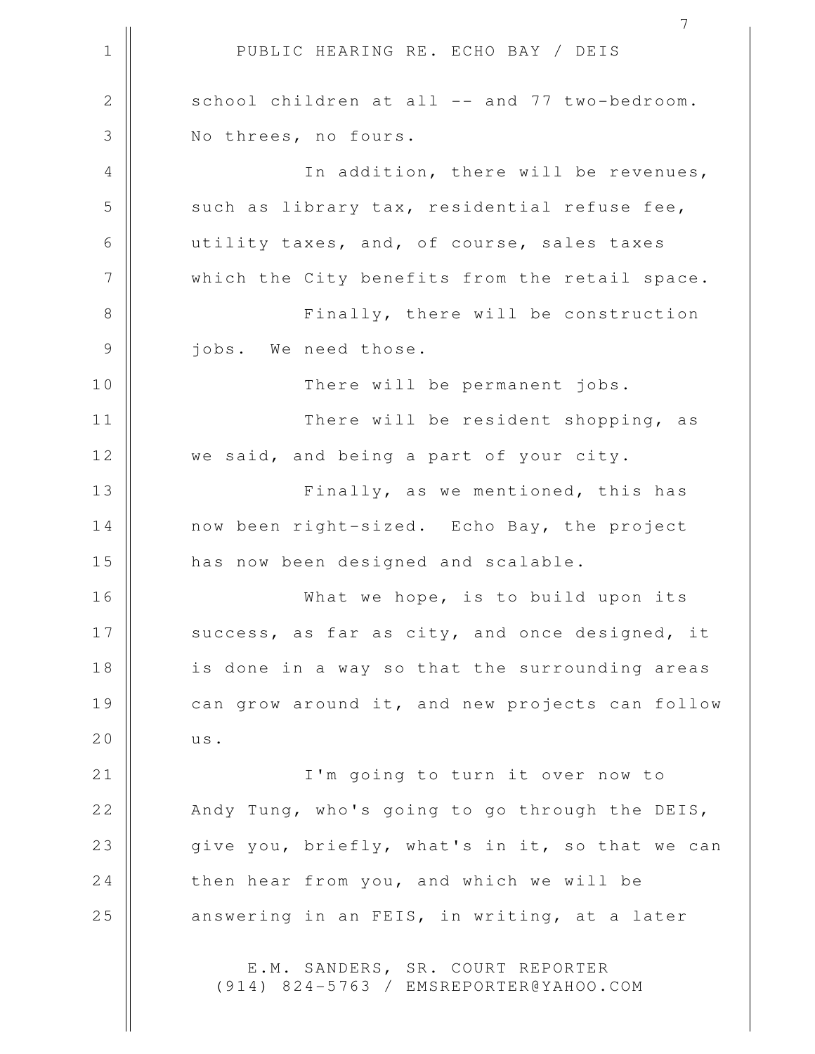1 || PUBLIC HEARING RE. ECHO BAY / DEIS 7 2 || school children at all -- and 77 two-bedroom. 3 || Nothrees, no fours. 4 || In addition, there will be revenues,  $5$  such as library tax, residential refuse fee, 6 utility taxes, and, of course, sales taxes 7 || which the City benefits from the retail space. 8 || Finally, there will be construction 9 || jobs. We need those. 10 || There will be permanent jobs. 11 There will be resident shopping, as 12 || we said, and being a part of your city. 13 || Finally, as we mentioned, this has 14 | now been right-sized. Echo Bay, the project 15 || has now been designed and scalable. 16 || What we hope, is to build upon its 17  $\parallel$  success, as far as city, and once designed, it 18 || is done in a way so that the surrounding areas 19 can grow around it, and new projects can follow 20 | us. 21 || I'm going to turn it over now to 22 || Andy Tung, who's going to go through the DEIS, 23 || qive you, briefly, what's in it, so that we can 24 then hear from you, and which we will be 25 || answering in an FEIS, in writing, at a later E.M. SANDERS, SR. COURT REPORTER (914) 824-5763 / EMSREPORTER@YAHOO.COM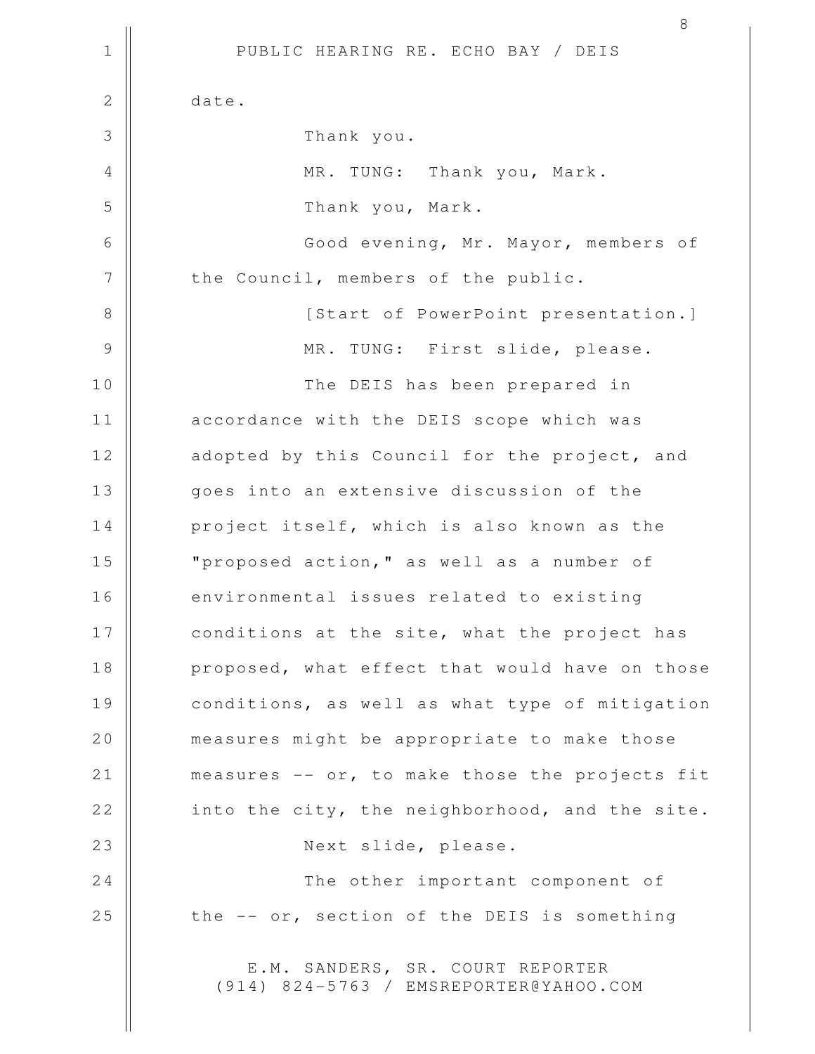|              | 8                                                                          |
|--------------|----------------------------------------------------------------------------|
| $\mathbf 1$  | PUBLIC HEARING RE. ECHO BAY / DEIS                                         |
| $\mathbf{2}$ | date.                                                                      |
| 3            | Thank you.                                                                 |
| $\sqrt{4}$   | MR. TUNG: Thank you, Mark.                                                 |
| 5            | Thank you, Mark.                                                           |
| $\sqrt{6}$   | Good evening, Mr. Mayor, members of                                        |
| 7            | the Council, members of the public.                                        |
| 8            | [Start of PowerPoint presentation.]                                        |
| 9            | MR. TUNG: First slide, please.                                             |
| 10           | The DEIS has been prepared in                                              |
| 11           | accordance with the DEIS scope which was                                   |
| 12           | adopted by this Council for the project, and                               |
| 13           | goes into an extensive discussion of the                                   |
| 14           | project itself, which is also known as the                                 |
| 15           | "proposed action, " as well as a number of                                 |
| 16           | environmental issues related to existing                                   |
| 17           | conditions at the site, what the project has                               |
| 18           | proposed, what effect that would have on those                             |
| 19           | conditions, as well as what type of mitigation                             |
| 20           | measures might be appropriate to make those                                |
| 21           | measures -- or, to make those the projects fit                             |
| 22           | into the city, the neighborhood, and the site.                             |
| 23           | Next slide, please.                                                        |
| 24           | The other important component of                                           |
| 25           | the -- or, section of the DEIS is something                                |
|              | E.M. SANDERS, SR. COURT REPORTER<br>(914) 824-5763 / EMSREPORTER@YAHOO.COM |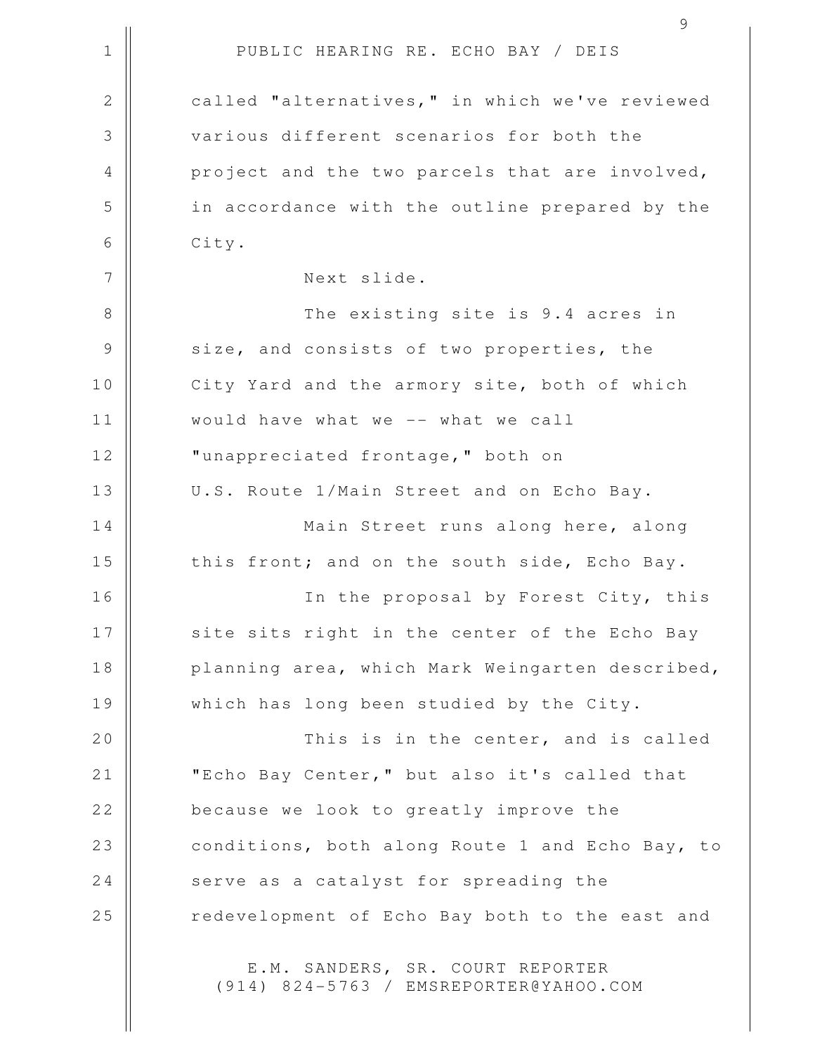1 || PUBLIC HEARING RE. ECHO BAY / DEIS 2 | called "alternatives," in which we've reviewed 3 various different scenarios for both the 4 || project and the two parcels that are involved, 5 || in accordance with the outline prepared by the  $6 \parallel$  City. 7 || Next slide. 8 The existing site is 9.4 acres in 9 Size, and consists of two properties, the 10 || City Yard and the armory site, both of which 11 would have what we -- what we call 12 || "unappreciated frontage," both on 13 || U.S. Route 1/Main Street and on Echo Bay. 14 | Main Street runs along here, along 15  $\parallel$  this front; and on the south side, Echo Bay. 16 In the proposal by Forest City, this 17 || site sits right in the center of the Echo Bay 18 || planning area, which Mark Weingarten described, 19 || which has long been studied by the City. 20 || This is in the center, and is called 21 | TEcho Bay Center," but also it's called that 22 **because we look to greatly improve the** 23 | conditions, both along Route 1 and Echo Bay, to 24 serve as a catalyst for spreading the 25 || redevelopment of Echo Bay both to the east and E.M. SANDERS, SR. COURT REPORTER (914) 824-5763 / EMSREPORTER@YAHOO.COM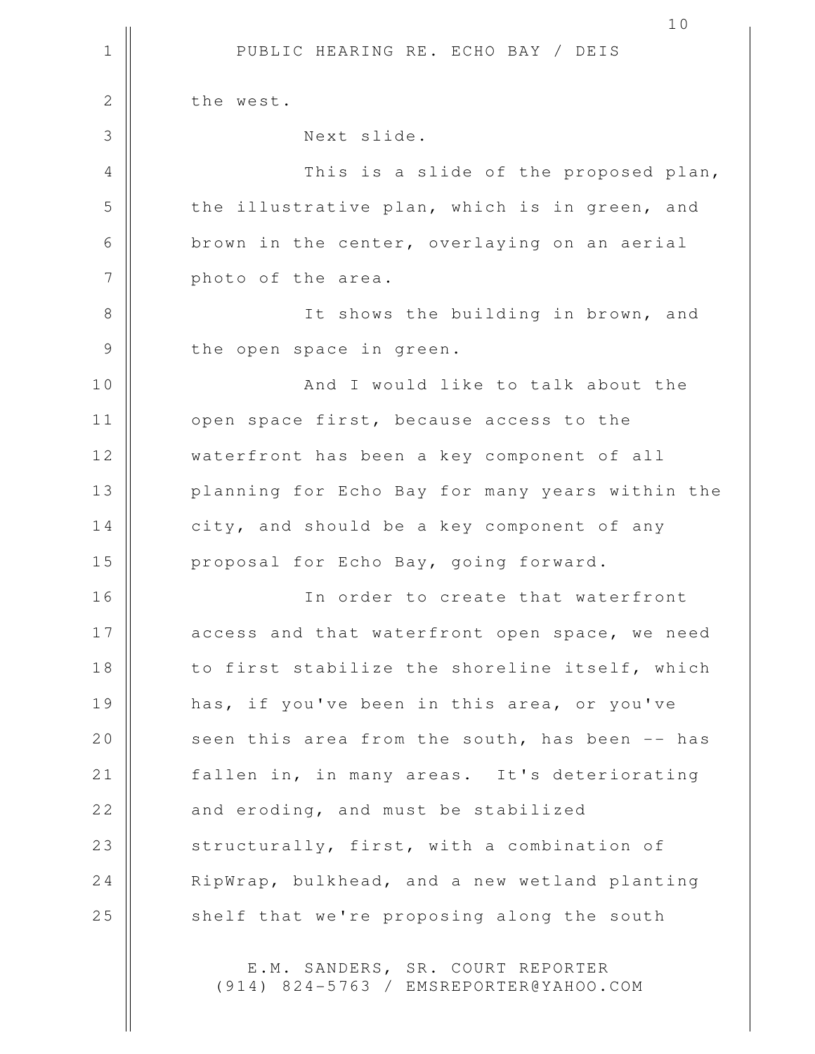1 || PUBLIC HEARING RE. ECHO BAY / DEIS 10 2 | the west. 3 Next slide. 4 This is a slide of the proposed plan, 5 the illustrative plan, which is in green, and 6 | brown in the center, overlaying on an aerial 7 | photo of the area. 8 || It shows the building in brown, and 9 || the open space in green. 10 And I would like to talk about the 11 | open space first, because access to the 12 || waterfront has been a key component of all 13 || planning for Echo Bay for many years within the 14 | city, and should be a key component of any 15 || proposal for Echo Bay, going forward. 16 || **In order to create that waterfront** 17 || access and that waterfront open space, we need 18 || to first stabilize the shoreline itself, which 19 has, if you've been in this area, or you've 20 || seen this area from the south, has been -- has 21 | fallen in, in many areas. It's deteriorating  $22$  || and eroding, and must be stabilized 23 || structurally, first, with a combination of 24 | RipWrap, bulkhead, and a new wetland planting 25 || shelf that we're proposing along the south

> E.M. SANDERS, SR. COURT REPORTER (914) 824-5763 / EMSREPORTER@YAHOO.COM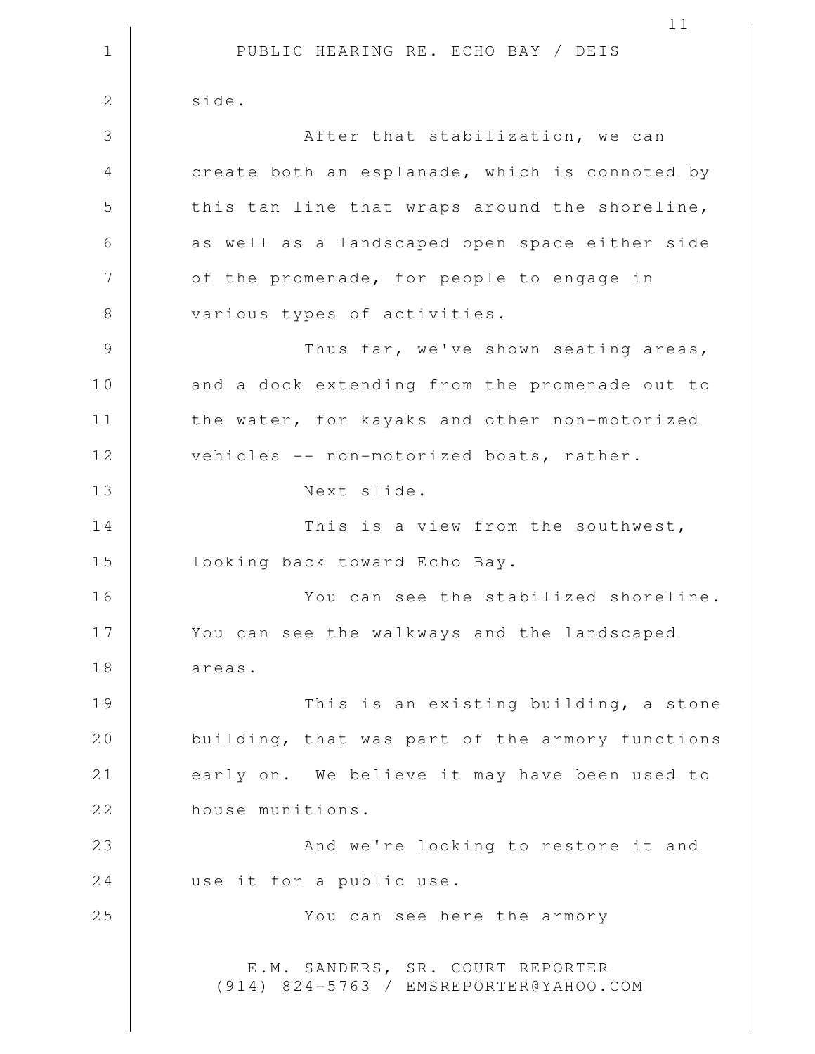1 || PUBLIC HEARING RE. ECHO BAY / DEIS 11 2 | side. 3 || After that stabilization, we can 4 | create both an esplanade, which is connoted by  $5$   $\parallel$  this tan line that wraps around the shoreline, 6 || as well as a landscaped open space either side 7 | of the promenade, for people to engage in 8 || various types of activities. 9 Thus far, we've shown seating areas, 10 || and a dock extending from the promenade out to 11 | the water, for kayaks and other non-motorized 12 | vehicles -- non-motorized boats, rather. 13 || Next slide. 14 This is a view from the southwest, 15 || looking back toward Echo Bay. 16 || You can see the stabilized shoreline. 17 || You can see the walkways and the landscaped 18 areas. 19 This is an existing building, a stone 20 | building, that was part of the armory functions 21 | early on. We believe it may have been used to 22 **house munitions.** 23 || And we're looking to restore it and 24 use it for a public use. 25 You can see here the armory E.M. SANDERS, SR. COURT REPORTER (914) 824-5763 / EMSREPORTER@YAHOO.COM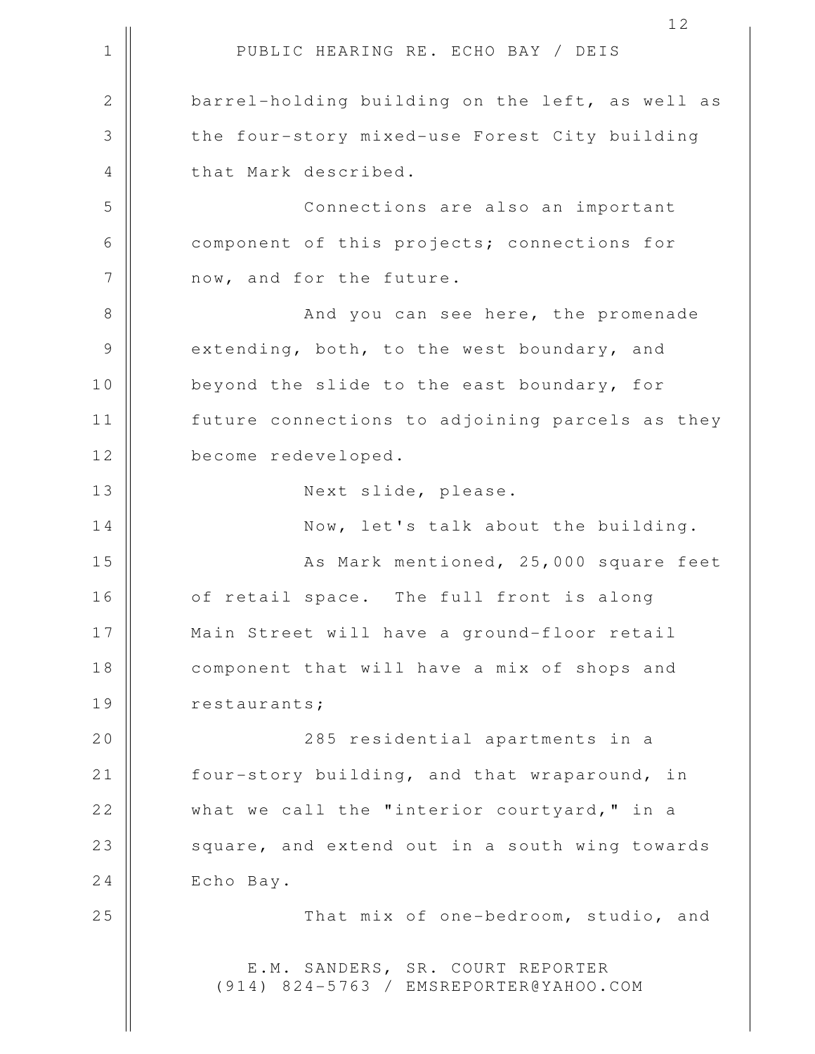1 || PUBLIC HEARING RE. ECHO BAY / DEIS 2 barrel-holding building on the left, as well as 3 the four-story mixed-use Forest City building 4 || that Mark described. 5 Connections are also an important 6 component of this projects; connections for 7 || now, and for the future. 8 || And you can see here, the promenade 9 extending, both, to the west boundary, and 10 || beyond the slide to the east boundary, for 11 | future connections to adjoining parcels as they 12 | become redeveloped. 13 || Next slide, please. 14 || Now, let's talk about the building. 15 || As Mark mentioned, 25,000 square feet 16 || of retail space. The full front is along 17 Main Street will have a ground-floor retail 18 || component that will have a mix of shops and 19 | restaurants; 20 285 residential apartments in a 21 | four-story building, and that wraparound, in 22 || what we call the "interior courtyard," in a 23 || square, and extend out in a south wing towards 24 Echo Bay. 25 || That mix of one-bedroom, studio, and E.M. SANDERS, SR. COURT REPORTER (914) 824-5763 / EMSREPORTER@YAHOO.COM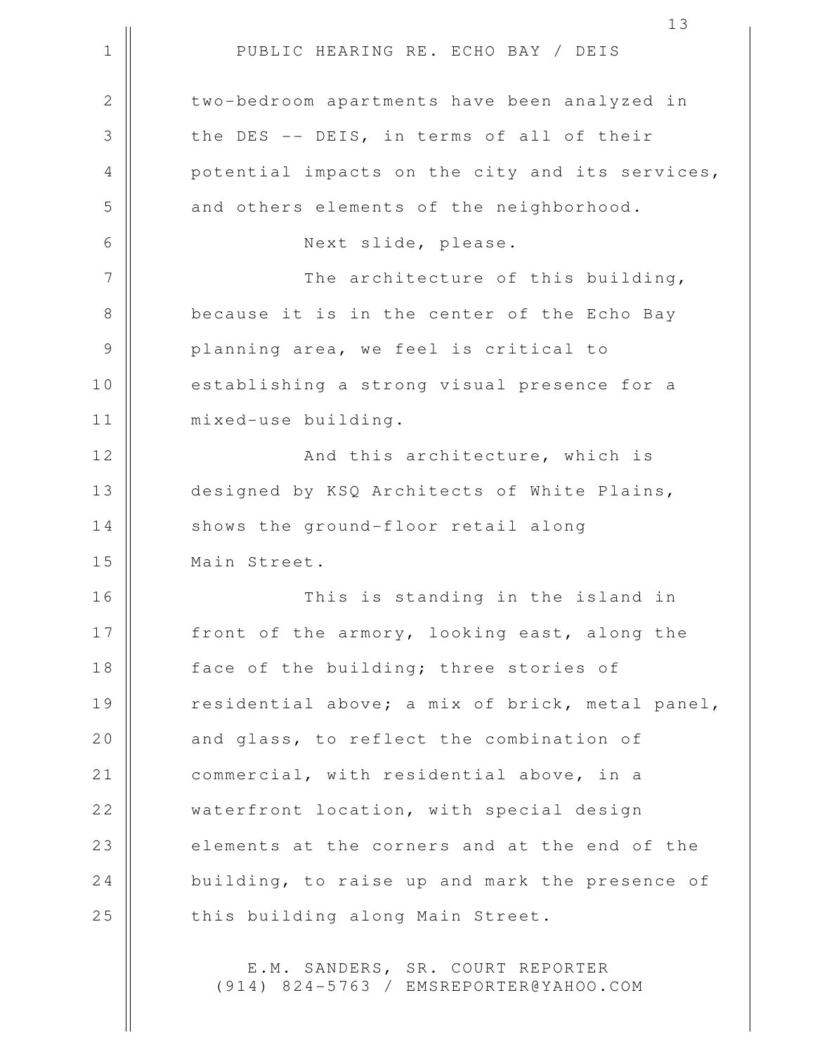|                | 13                                              |
|----------------|-------------------------------------------------|
| $\mathbf 1$    | PUBLIC HEARING RE. ECHO BAY / DEIS              |
| $\overline{2}$ | two-bedroom apartments have been analyzed in    |
| 3              | the DES -- DEIS, in terms of all of their       |
| $\overline{4}$ | potential impacts on the city and its services, |
| 5              | and others elements of the neighborhood.        |
| 6              | Next slide, please.                             |
| 7              | The architecture of this building,              |
| 8              | because it is in the center of the Echo Bay     |
| $\mathcal{G}$  | planning area, we feel is critical to           |
| $10$           | establishing a strong visual presence for a     |
| 11             | mixed-use building.                             |
| 12             | And this architecture, which is                 |
| 13             | designed by KSQ Architects of White Plains,     |
| 14             | shows the ground-floor retail along             |
| 15             | Main Street.                                    |
| 16             | This is standing in the island in               |
| 17             | front of the armory, looking east, along the    |
| 18             | face of the building; three stories of          |
| 19             | residential above; a mix of brick, metal panel, |
| 20             | and glass, to reflect the combination of        |
| 21             | commercial, with residential above, in a        |
| 22             | waterfront location, with special design        |
| 23             | elements at the corners and at the end of the   |
| 24             | building, to raise up and mark the presence of  |
| 25             | this building along Main Street.                |
|                |                                                 |

E.M. SANDERS, SR. COURT REPORTER (914) 824-5763 / EMSREPORTER@YAHOO.COM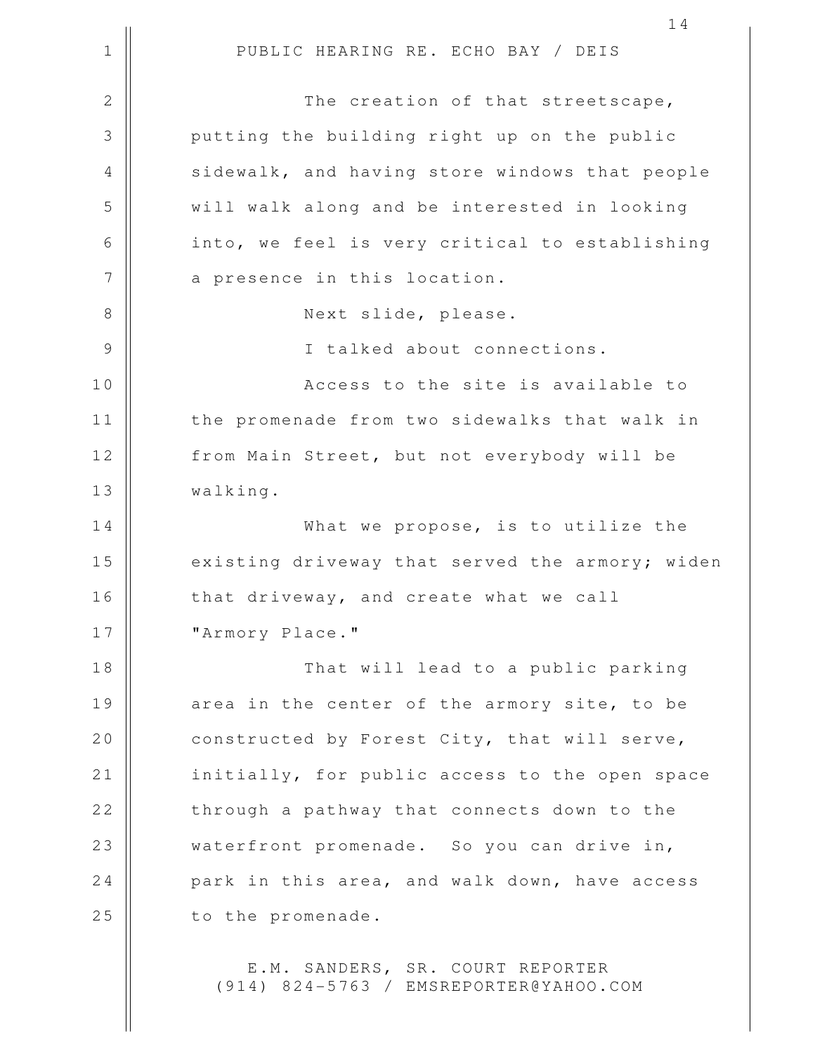1 || PUBLIC HEARING RE. ECHO BAY / DEIS 14 2 || The creation of that streetscape, 3 || putting the building right up on the public 4 || sidewalk, and having store windows that people 5 will walk along and be interested in looking 6 || into, we feel is very critical to establishing 7 || a presence in this location. 8 || Next slide, please. 9 || I talked about connections. 10 || Access to the site is available to 11 || the promenade from two sidewalks that walk in 12 | from Main Street, but not everybody will be 13 walking. 14 What we propose, is to utilize the 15 | existing driveway that served the armory; widen 16 | that driveway, and create what we call 17 || "Armory Place." 18 That will lead to a public parking 19 || area in the center of the armory site, to be 20 | constructed by Forest City, that will serve, 21 | initially, for public access to the open space  $22$   $\parallel$  through a pathway that connects down to the 23 || waterfront promenade. So you can drive in, 24 park in this area, and walk down, have access 25 | to the promenade.

> E.M. SANDERS, SR. COURT REPORTER (914) 824-5763 / EMSREPORTER@YAHOO.COM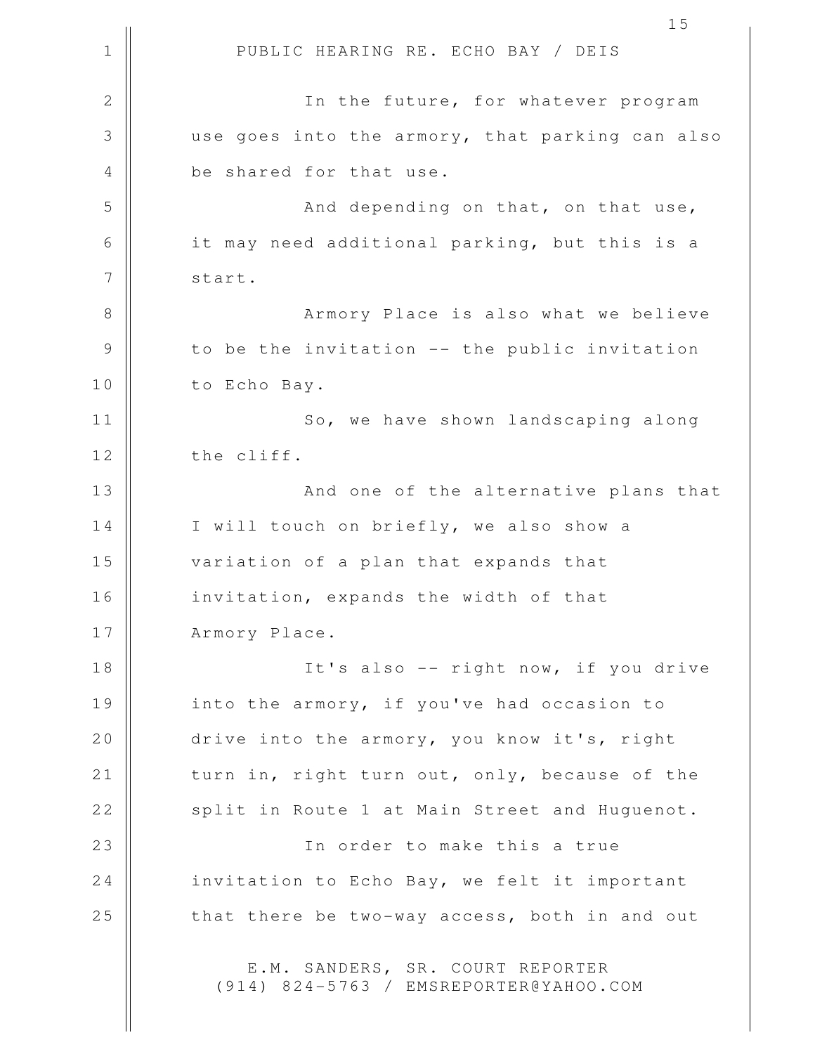1 || PUBLIC HEARING RE. ECHO BAY / DEIS 15 2 || In the future, for whatever program 3 use goes into the armory, that parking can also 4 || be shared for that use. 5 || And depending on that, on that use, 6 || it may need additional parking, but this is a 7 | start. 8 || Armory Place is also what we believe  $9 \parallel$  to be the invitation -- the public invitation 10 | to Echo Bay. 11 || So, we have shown landscaping along 12 | the cliff. 13 || And one of the alternative plans that 14 | I will touch on briefly, we also show a 15 variation of a plan that expands that 16 | invitation, expands the width of that 17 | Armory Place. 18 || It's also -- right now, if you drive 19 || into the armory, if you've had occasion to 20 drive into the armory, you know it's, right 21 | turn in, right turn out, only, because of the 22 | split in Route 1 at Main Street and Huguenot. 23 In order to make this a true 24 | invitation to Echo Bay, we felt it important 25 || that there be two-way access, both in and out E.M. SANDERS, SR. COURT REPORTER (914) 824-5763 / EMSREPORTER@YAHOO.COM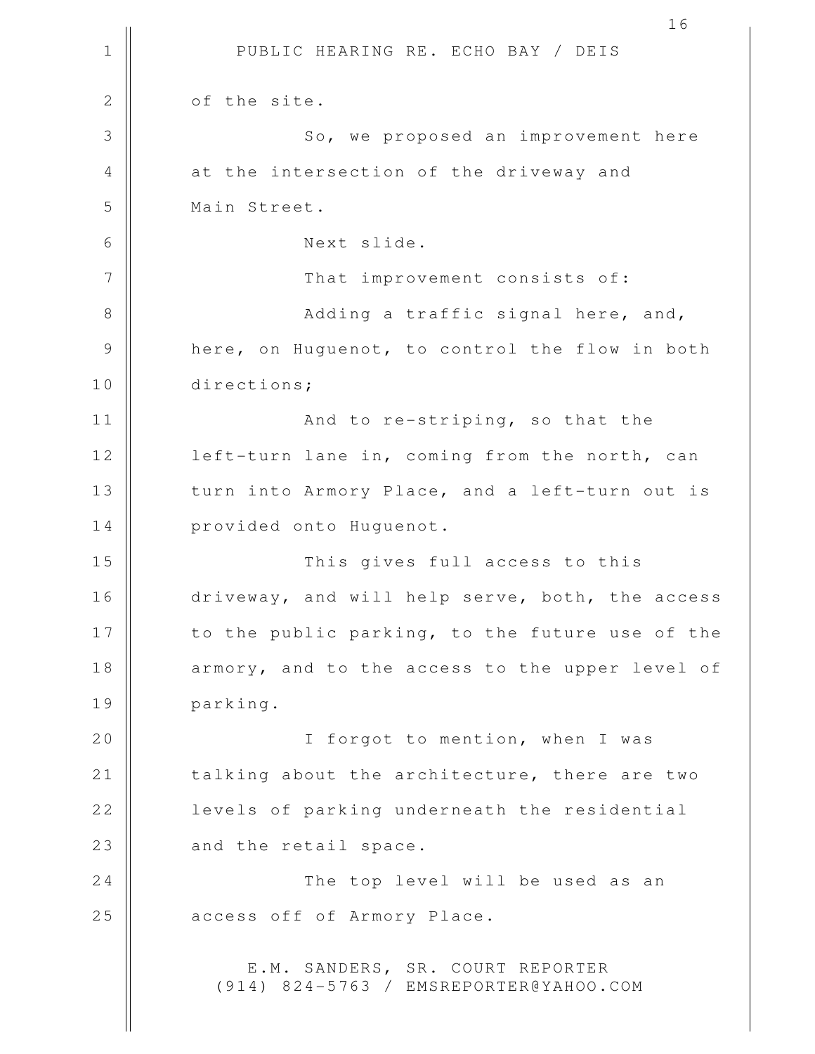1 || PUBLIC HEARING RE. ECHO BAY / DEIS 16 2 | of the site. 3 || So, we proposed an improvement here 4 || at the intersection of the driveway and 5 Main Street. 6 Next slide. 7 || That improvement consists of: 8 || Adding a traffic signal here, and, 9 **h** here, on Huguenot, to control the flow in both 10 directions; 11 || And to re-striping, so that the 12 | left-turn lane in, coming from the north, can 13 || turn into Armory Place, and a left-turn out is 14 | provided onto Huguenot. 15 This gives full access to this 16 | driveway, and will help serve, both, the access 17 || to the public parking, to the future use of the 18 || armory, and to the access to the upper level of 19 parking. 20 || I forgot to mention, when I was 21 | talking about the architecture, there are two 22 | levels of parking underneath the residential  $23$  || and the retail space. 24 || The top level will be used as an 25 | access off of Armory Place. E.M. SANDERS, SR. COURT REPORTER (914) 824-5763 / EMSREPORTER@YAHOO.COM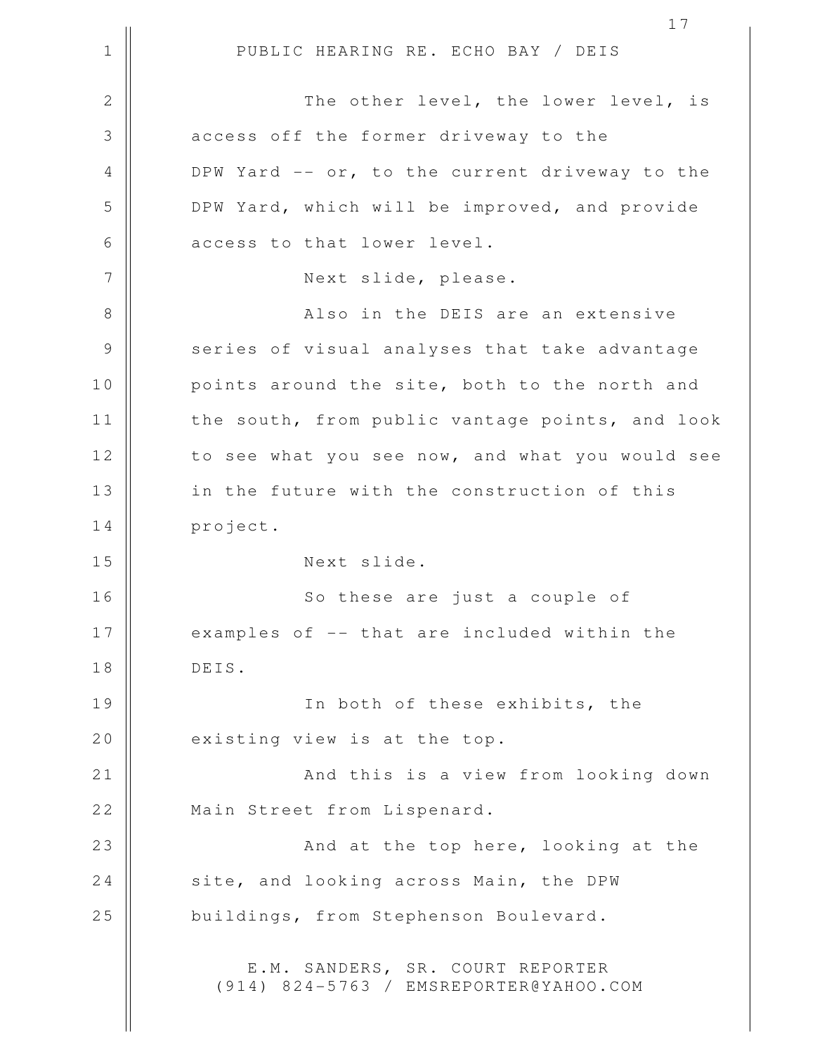1 || PUBLIC HEARING RE. ECHO BAY / DEIS 2 || The other level, the lower level, is 3 **access** off the former driveway to the 4 DPW Yard -- or, to the current driveway to the 5 DPW Yard, which will be improved, and provide 6 || access to that lower level. 7 || Next slide, please. 8 Also in the DEIS are an extensive 9 || series of visual analyses that take advantage 10 || points around the site, both to the north and 11 | the south, from public vantage points, and look 12 | to see what you see now, and what you would see 13 || in the future with the construction of this 14 project. 15 Next slide. 16 || So these are just a couple of 17 || examples of -- that are included within the 18 DEIS. 19 || In both of these exhibits, the 20  $\parallel$  existing view is at the top. 21 || And this is a view from looking down 22 || Main Street from Lispenard. 23 || **And at the top here, looking at the** 24 Site, and looking across Main, the DPW 25 | buildings, from Stephenson Boulevard. E.M. SANDERS, SR. COURT REPORTER (914) 824-5763 / EMSREPORTER@YAHOO.COM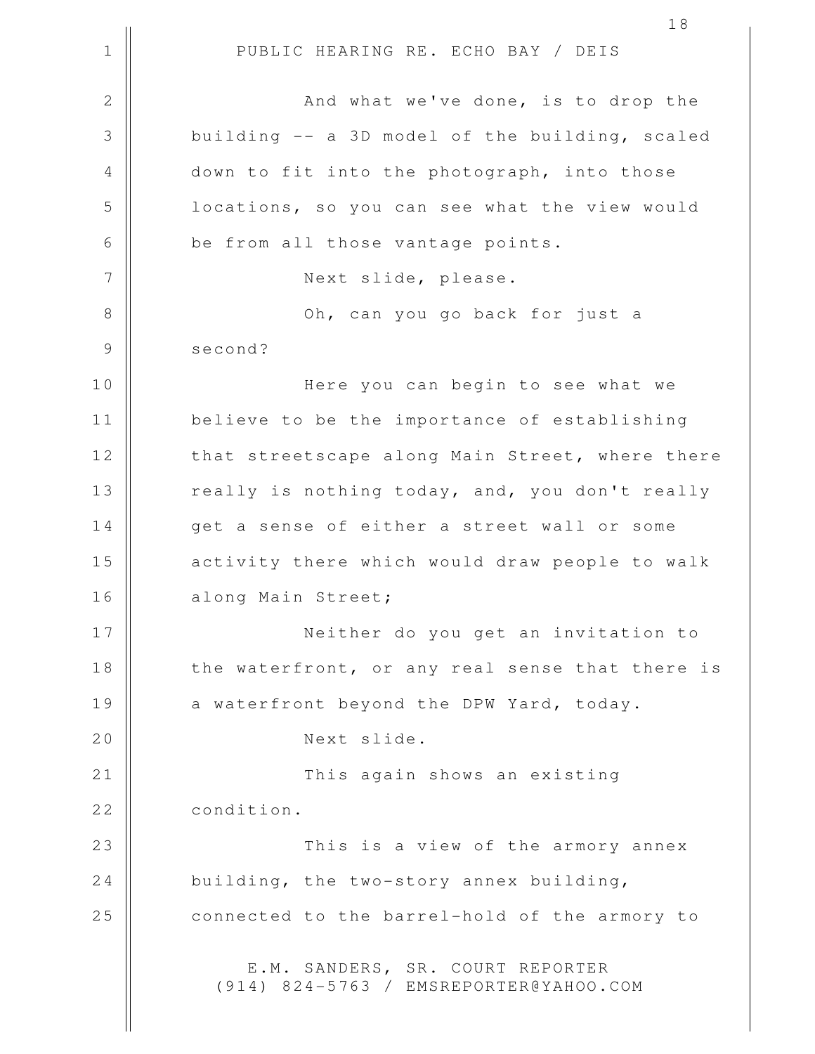1 || PUBLIC HEARING RE. ECHO BAY / DEIS 2 And what we've done, is to drop the  $3 \parallel$  building  $-$  a 3D model of the building, scaled 4 || down to fit into the photograph, into those 5 | locations, so you can see what the view would  $6 \parallel$  be from all those vantage points. 7 || Next slide, please. 8 Oh, can you go back for just a 9 || second? 10 || Here you can begin to see what we 11 believe to be the importance of establishing 12 || that streetscape along Main Street, where there 13 || really is nothing today, and, you don't really 14 || qet a sense of either a street wall or some 15 || activity there which would draw people to walk 16 along Main Street; 17 Neither do you get an invitation to 18 || the waterfront, or any real sense that there is 19 a waterfront beyond the DPW Yard, today. 20 || Next slide. 21 This again shows an existing 22 | condition. 23 This is a view of the armory annex 24 building, the two-story annex building, 25 | connected to the barrel-hold of the armory to E.M. SANDERS, SR. COURT REPORTER (914) 824-5763 / EMSREPORTER@YAHOO.COM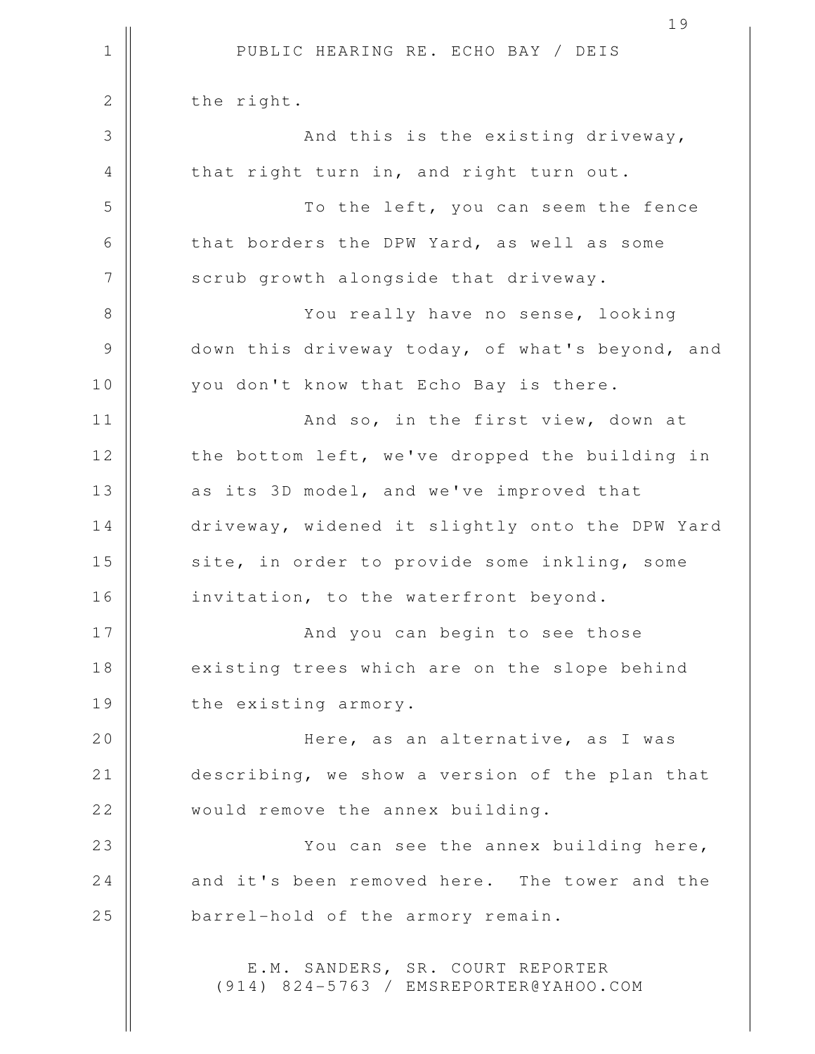1 || PUBLIC HEARING RE. ECHO BAY / DEIS 19 2 | the right. 3 || And this is the existing driveway, 4 || that right turn in, and right turn out. 5 To the left, you can seem the fence 6 that borders the DPW Yard, as well as some 7 | scrub growth alongside that driveway. 8 || You really have no sense, looking 9 down this driveway today, of what's beyond, and 10 || you don't know that Echo Bay is there. 11 || And so, in the first view, down at 12 || the bottom left, we've dropped the building in 13 || as its 3D model, and we've improved that 14 driveway, widened it slightly onto the DPW Yard 15 || site, in order to provide some inkling, some 16 || invitation, to the waterfront beyond. 17 And you can begin to see those 18 || existing trees which are on the slope behind 19 || the existing armory. 20 Here, as an alternative, as I was 21 describing, we show a version of the plan that 22 | would remove the annex building. 23 || You can see the annex building here, 24 and it's been removed here. The tower and the 25 **barrel-hold of the armory remain.** E.M. SANDERS, SR. COURT REPORTER (914) 824-5763 / EMSREPORTER@YAHOO.COM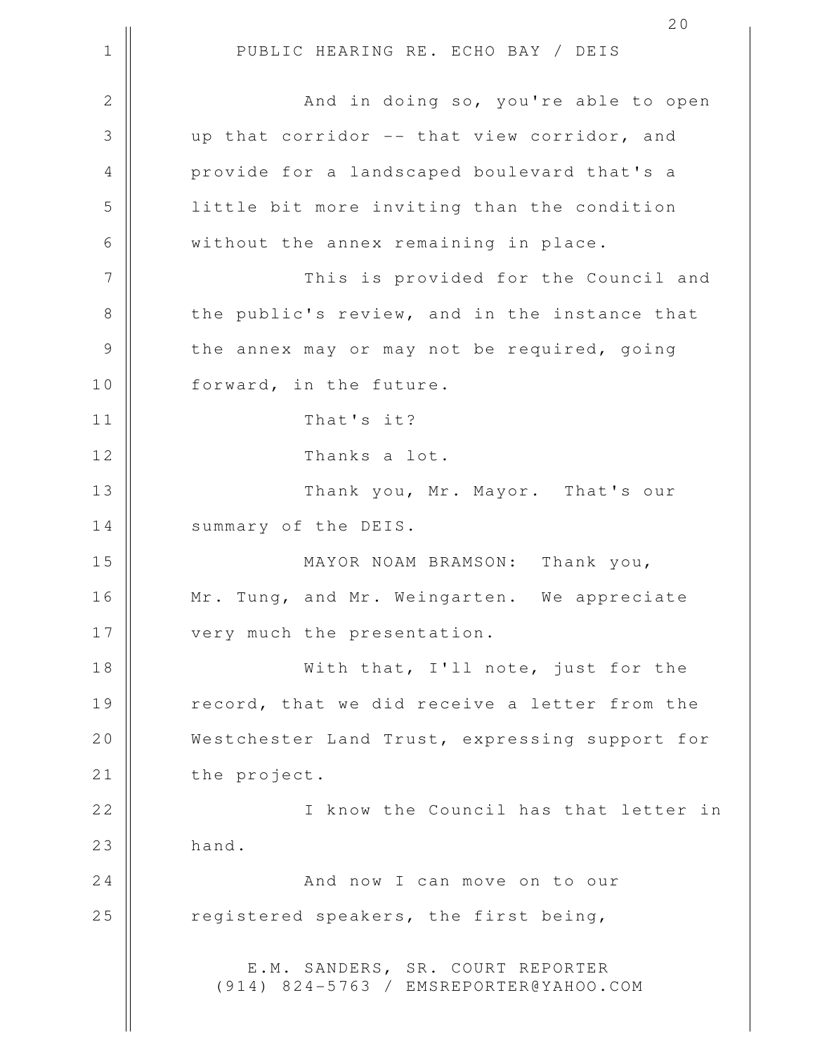1 || PUBLIC HEARING RE. ECHO BAY / DEIS 2 And in doing so, you're able to open 3 up that corridor -- that view corridor, and 4 || provide for a landscaped boulevard that's a 5 little bit more inviting than the condition 6 | without the annex remaining in place. 7 This is provided for the Council and 8 the public's review, and in the instance that 9 | the annex may or may not be required, going 10 || forward, in the future. 11 That's it? 12 || Thanks a lot. 13 || Thank you, Mr. Mayor. That's our 14 | summary of the DEIS. 15 MAYOR NOAM BRAMSON: Thank you, 16 || Mr. Tung, and Mr. Weingarten. We appreciate 17 || very much the presentation. 18 With that, I'll note, just for the 19 || record, that we did receive a letter from the 20 Westchester Land Trust, expressing support for 21 | the project. 22 || **I** know the Council has that letter in  $23$  hand. 24 | **And now I can move on to our** 25  $\parallel$  registered speakers, the first being, E.M. SANDERS, SR. COURT REPORTER (914) 824-5763 / EMSREPORTER@YAHOO.COM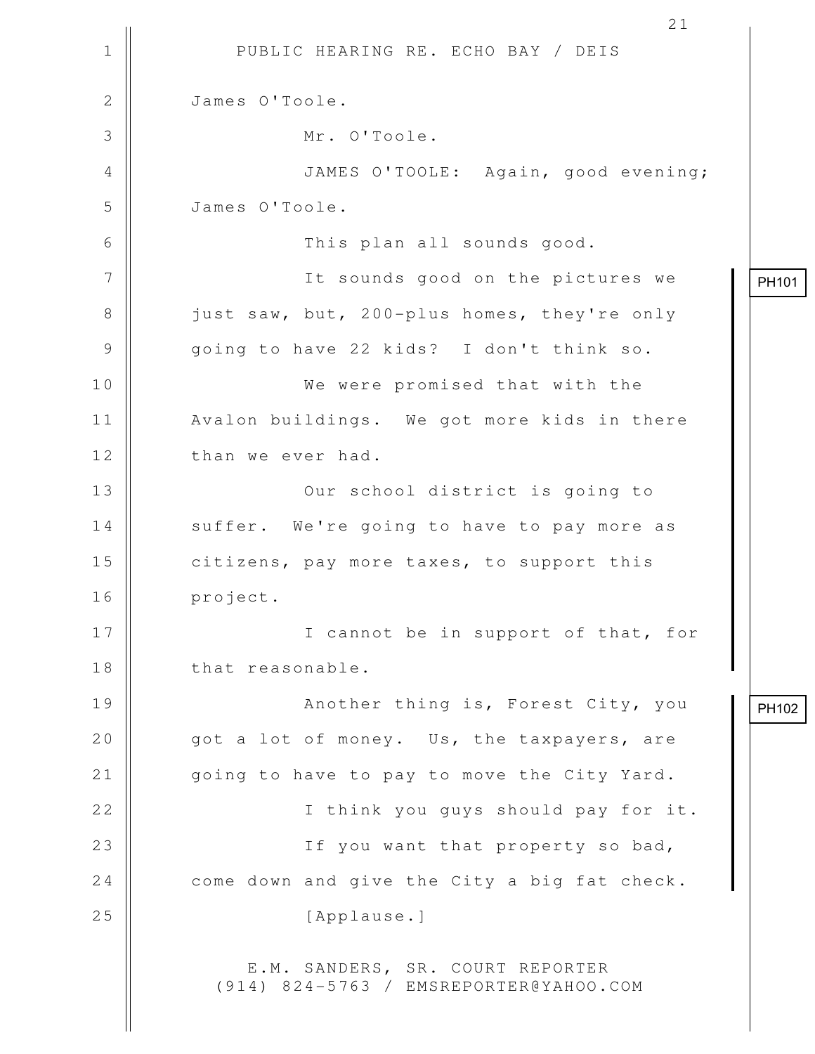|    | 21                                                                         |       |
|----|----------------------------------------------------------------------------|-------|
| 1  | PUBLIC HEARING RE. ECHO BAY / DEIS                                         |       |
| 2  | James O'Toole.                                                             |       |
| 3  | Mr. O'Toole.                                                               |       |
| 4  | JAMES O'TOOLE: Again, good evening;                                        |       |
| 5  | James O'Toole.                                                             |       |
| 6  | This plan all sounds good.                                                 |       |
| 7  | It sounds good on the pictures we                                          | PH101 |
| 8  | just saw, but, 200-plus homes, they're only                                |       |
| 9  | going to have 22 kids? I don't think so.                                   |       |
| 10 | We were promised that with the                                             |       |
| 11 | Avalon buildings. We got more kids in there                                |       |
| 12 | than we ever had.                                                          |       |
| 13 | Our school district is going to                                            |       |
| 14 | suffer. We're going to have to pay more as                                 |       |
| 15 | citizens, pay more taxes, to support this                                  |       |
| 16 | project.                                                                   |       |
| 17 | I cannot be in support of that, for                                        |       |
| 18 | that reasonable.                                                           |       |
| 19 | Another thing is, Forest City, you                                         | PH102 |
| 20 | got a lot of money. Us, the taxpayers, are                                 |       |
| 21 | going to have to pay to move the City Yard.                                |       |
| 22 | I think you guys should pay for it.                                        |       |
| 23 | If you want that property so bad,                                          |       |
| 24 | come down and give the City a big fat check.                               |       |
| 25 | [Applause.]                                                                |       |
|    | E.M. SANDERS, SR. COURT REPORTER<br>(914) 824-5763 / EMSREPORTER@YAHOO.COM |       |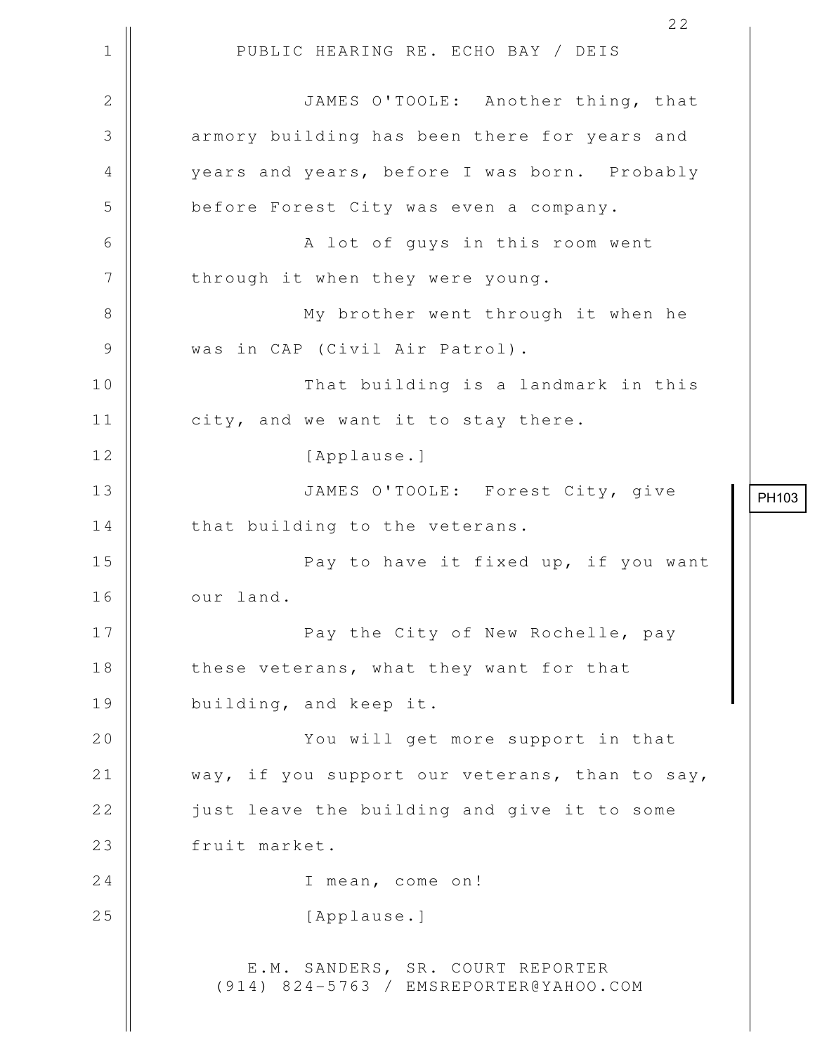1 || PUBLIC HEARING RE. ECHO BAY / DEIS 22 2 | | JAMES O'TOOLE: Another thing, that 3 || armory building has been there for years and 4 years and years, before I was born. Probably 5 | before Forest City was even a company. 6 || A lot of guys in this room went 7 | through it when they were young. 8 || My brother went through it when he 9 || was in CAP (Civil Air Patrol). 10 That building is a landmark in this 11 | city, and we want it to stay there. 12 | [Applause.] 13 JAMES O'TOOLE: Forest City, give  $14$  || that building to the veterans. 15 || Pay to have it fixed up, if you want 16 | our land. 17 || **Pay the City of New Rochelle, pay** 18 || these veterans, what they want for that 19 || building, and keep it. 20 || You will get more support in that 21 | way, if you support our veterans, than to say, 22 || just leave the building and give it to some 23 | fruit market. 24 || I mean, come on! 25 || [Applause.] E.M. SANDERS, SR. COURT REPORTER (914) 824-5763 / EMSREPORTER@YAHOO.COM PH103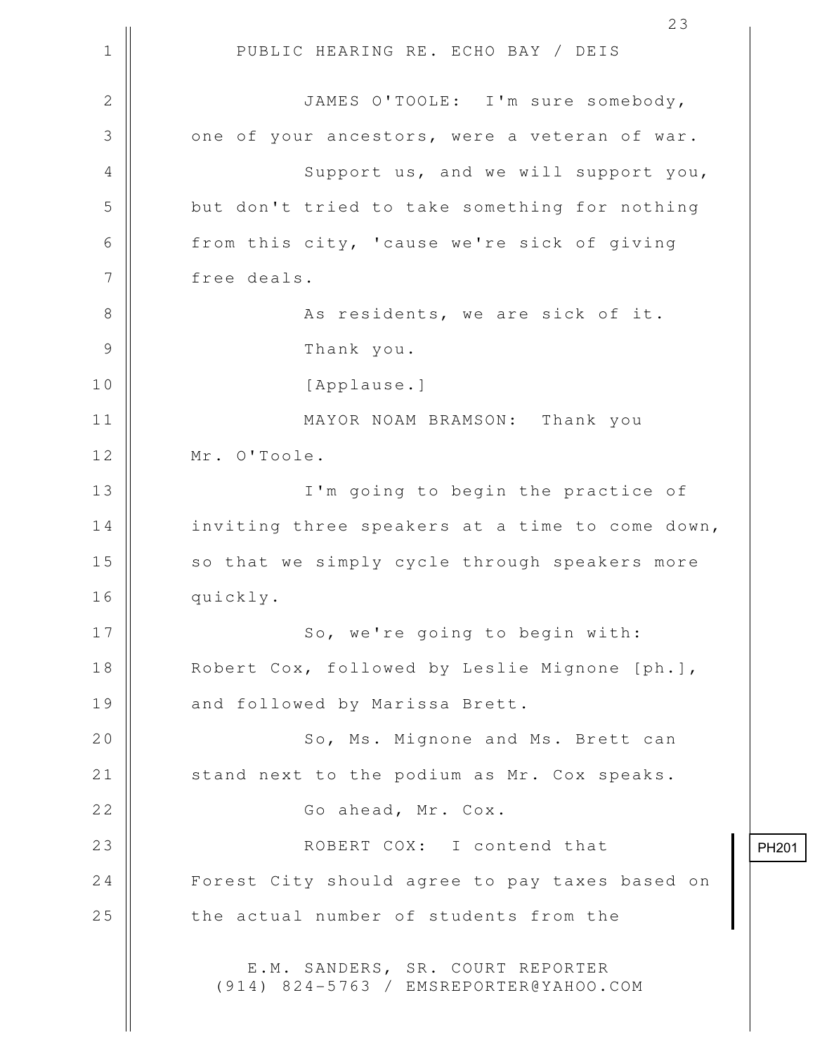1 || PUBLIC HEARING RE. ECHO BAY / DEIS 23 2 JAMES O'TOOLE: I'm sure somebody,  $3 \parallel$  one of your ancestors, were a veteran of war. 4 || Support us, and we will support you, 5 but don't tried to take something for nothing 6 from this city, 'cause we're sick of giving 7 | free deals. 8 || As residents, we are sick of it. 9 Thank you. 10 || [Applause.] 11 MAYOR NOAM BRAMSON: Thank you 12 | Mr. O'Toole. 13 || I'm going to begin the practice of 14 | inviting three speakers at a time to come down, 15 || so that we simply cycle through speakers more 16 quickly. 17 || So, we're going to begin with: 18 | Robert Cox, followed by Leslie Mignone [ph.], 19 | and followed by Marissa Brett. 20 || So, Ms. Mignone and Ms. Brett can 21 | stand next to the podium as Mr. Cox speaks. 22 | Go ahead, Mr. Cox. 23 || ROBERT COX: I contend that 24 | Forest City should agree to pay taxes based on 25 | the actual number of students from the E.M. SANDERS, SR. COURT REPORTER (914) 824-5763 / EMSREPORTER@YAHOO.COM PH201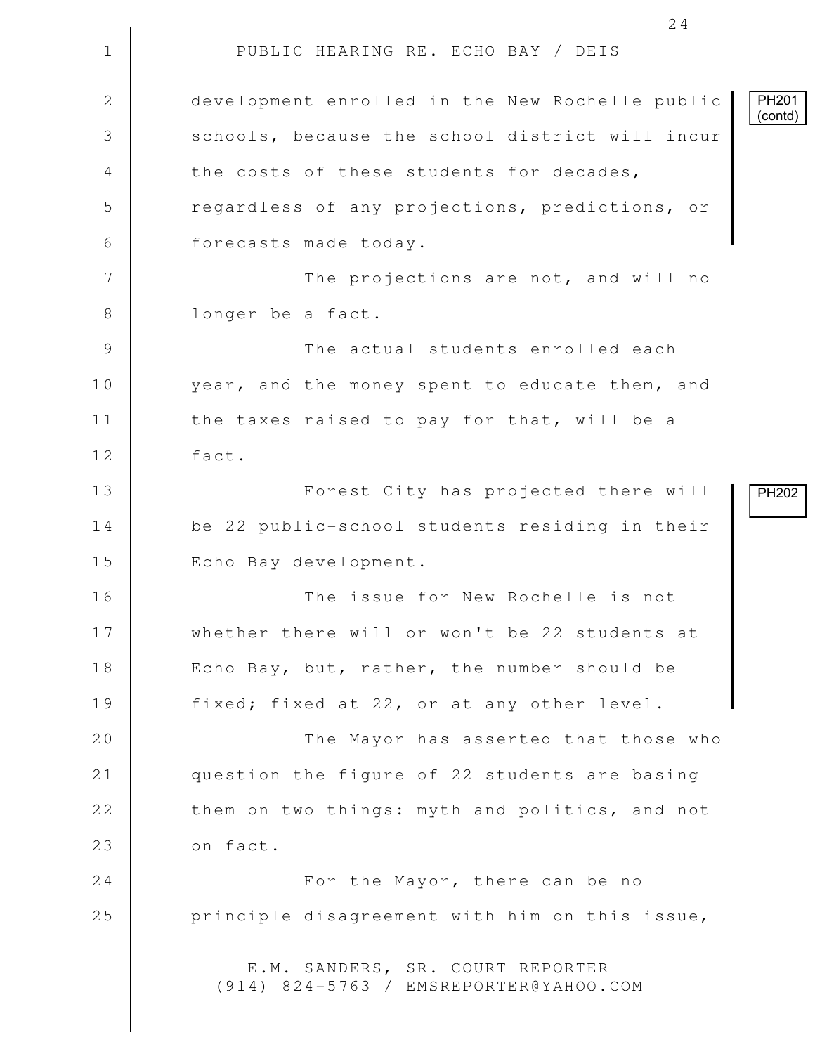1 || PUBLIC HEARING RE. ECHO BAY / DEIS 2 development enrolled in the New Rochelle public 3 Schools, because the school district will incur 4 the costs of these students for decades, 5 Tegardless of any projections, predictions, or 6 | forecasts made today. 7 || The projections are not, and will no 8 || longer be a fact. 9 The actual students enrolled each 10 year, and the money spent to educate them, and  $11$   $\parallel$  the taxes raised to pay for that, will be a 12 fact. 13 || Forest City has projected there will 14 be 22 public-school students residing in their 15 || Echo Bay development. 16 The issue for New Rochelle is not 17 Whether there will or won't be 22 students at 18 || Echo Bay, but, rather, the number should be 19 || fixed; fixed at 22, or at any other level. 20 The Mayor has asserted that those who 21 || question the figure of 22 students are basing 22 | them on two things: myth and politics, and not  $23$  |  $\circ$  n fact. 24 For the Mayor, there can be no  $25$  | principle disagreement with him on this issue, E.M. SANDERS, SR. COURT REPORTER (914) 824-5763 / EMSREPORTER@YAHOO.COM PH201 (contd) PH202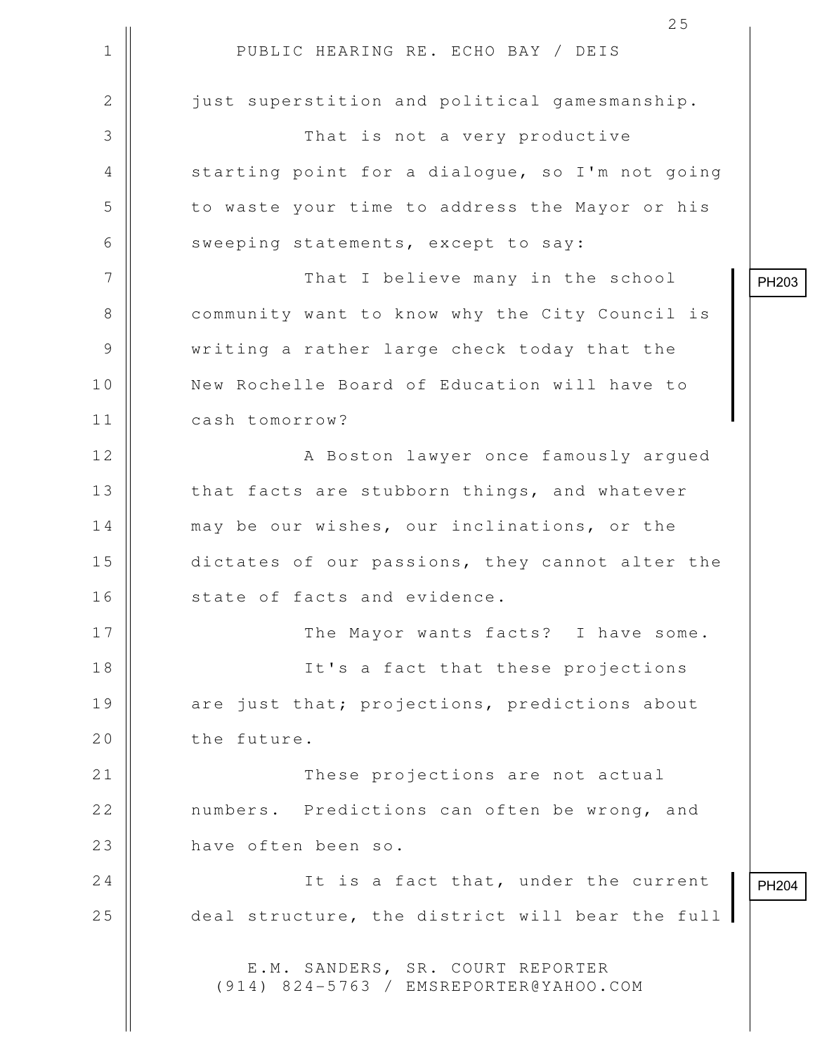1 || PUBLIC HEARING RE. ECHO BAY / DEIS 25 2  $\parallel$  just superstition and political gamesmanship. 3 That is not a very productive 4 || starting point for a dialogue, so I'm not going 5 | to waste your time to address the Mayor or his 6  $\parallel$  sweeping statements, except to say: 7 || That I believe many in the school 8 || community want to know why the City Council is 9 writing a rather large check today that the 10 || New Rochelle Board of Education will have to 11 cash tomorrow? 12 || A Boston lawyer once famously arqued 13 || that facts are stubborn things, and whatever 14 | may be our wishes, our inclinations, or the 15 || dictates of our passions, they cannot alter the 16 || state of facts and evidence. 17 The Mayor wants facts? I have some. 18 || It's a fact that these projections 19 are just that; projections, predictions about 20 | the future. 21 These projections are not actual 22 | numbers. Predictions can often be wrong, and 23 | have often been so. 24 || It is a fact that, under the current 25 deal structure, the district will bear the full E.M. SANDERS, SR. COURT REPORTER (914) 824-5763 / EMSREPORTER@YAHOO.COM PH204

PH203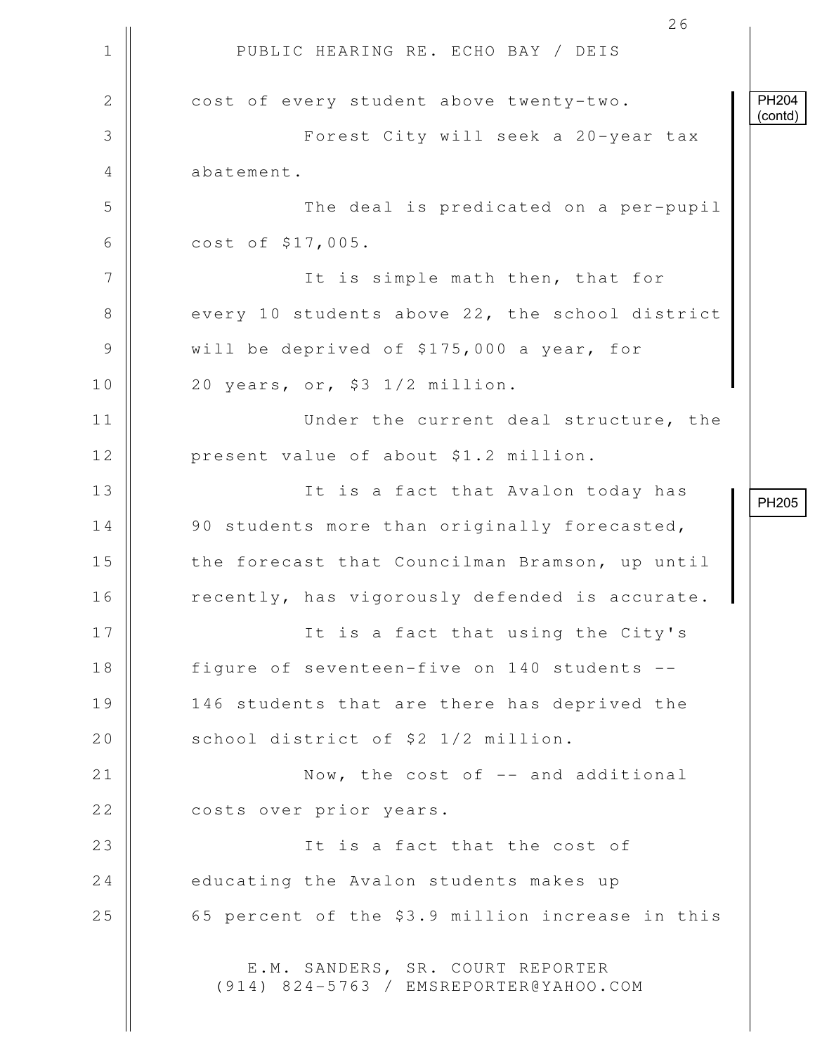1 || PUBLIC HEARING RE. ECHO BAY / DEIS 26 2 | cost of every student above twenty-two. 3 Forest City will seek a 20-year tax 4 || abatement. 5 The deal is predicated on a per-pupil 6 cost of \$17,005. 7 || The is simple math then, that for 8 every 10 students above 22, the school district 9 Will be deprived of \$175,000 a year, for  $10$  | 20 years, or, \$3 1/2 million. 11 || Under the current deal structure, the 12 | present value of about \$1.2 million. 13 || It is a fact that Avalon today has 14 || 90 students more than originally forecasted, 15 | the forecast that Councilman Bramson, up until 16 || recently, has vigorously defended is accurate. 17 || It is a fact that using the City's 18 || figure of seventeen-five on 140 students --19 || 146 students that are there has deprived the 20 School district of \$2 1/2 million. 21 || Now, the cost of -- and additional 22 || costs over prior years. 23 || It is a fact that the cost of 24 educating the Avalon students makes up 25 || 65 percent of the \$3.9 million increase in this E.M. SANDERS, SR. COURT REPORTER (914) 824-5763 / EMSREPORTER@YAHOO.COM PH204 (contd) PH205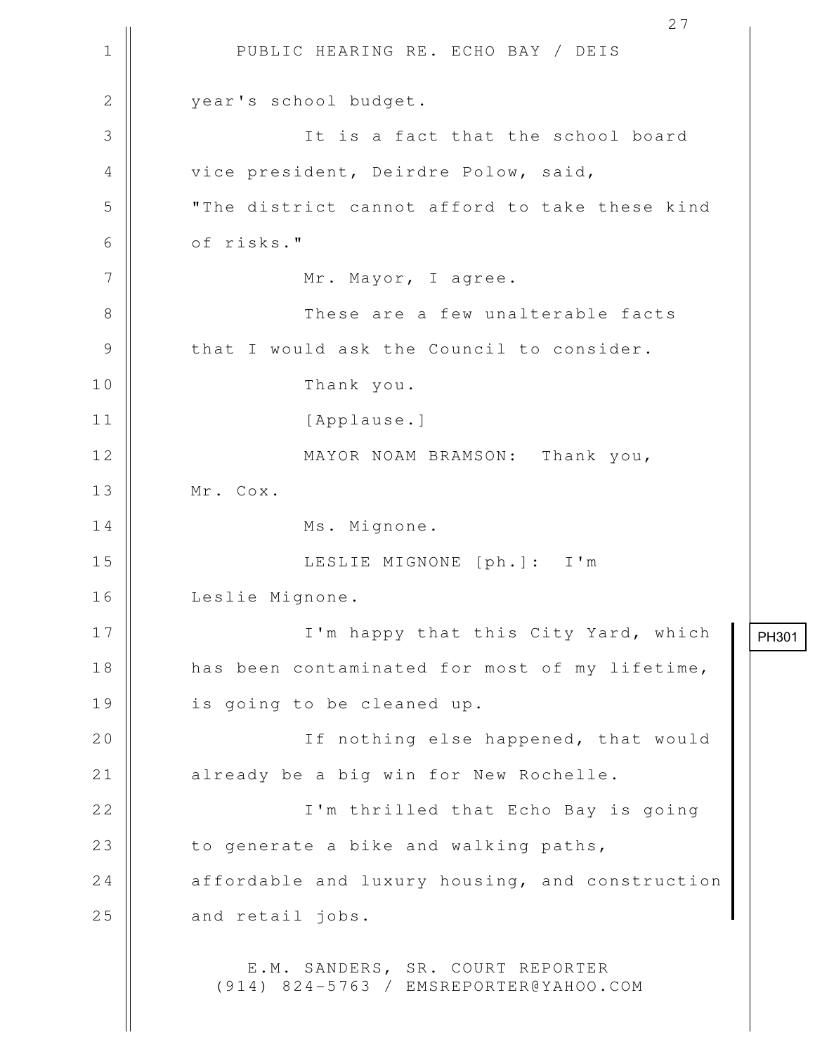1 || PUBLIC HEARING RE. ECHO BAY / DEIS 27 2 | vear's school budget. 3 || It is a fact that the school board 4 || vice president, Deirdre Polow, said, 5 "The district cannot afford to take these kind 6 **b** of risks." 7 || Mr. Mayor, I agree. 8 These are a few unalterable facts 9 || that I would ask the Council to consider. 10 Thank you. 11 || [Applause.] 12 || MAYOR NOAM BRAMSON: Thank you, 13 || Mr. Cox. 14 || Ms. Mignone. 15 LESLIE MIGNONE [ph.]: I'm 16 Leslie Mignone. 17 || I'm happy that this City Yard, which 18 || has been contaminated for most of my lifetime, 19 || is going to be cleaned up. 20 || If nothing else happened, that would 21 | already be a big win for New Rochelle. 22 || I'm thrilled that Echo Bay is going 23  $\parallel$  to generate a bike and walking paths,  $24$  | affordable and luxury housing, and construction  $25$   $\parallel$  and retail jobs. E.M. SANDERS, SR. COURT REPORTER (914) 824-5763 / EMSREPORTER@YAHOO.COM PH301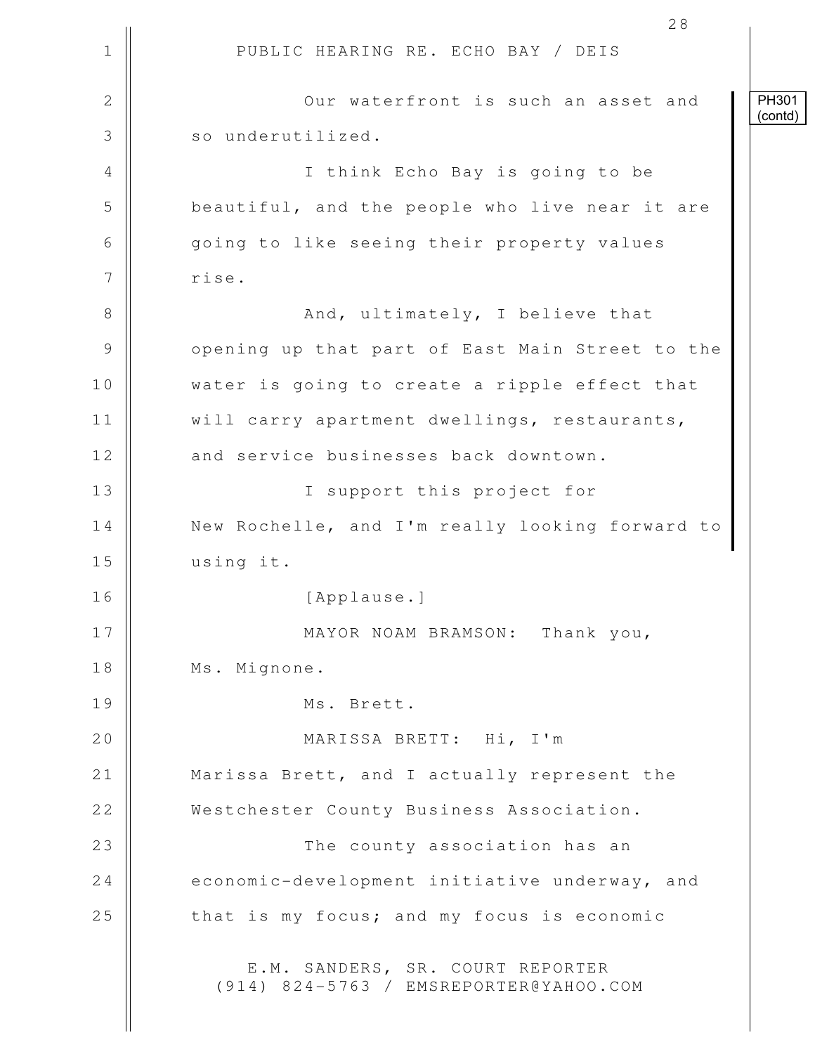1 || PUBLIC HEARING RE. ECHO BAY / DEIS 28 2 || Our waterfront is such an asset and 3 | so underutilized. 4 I think Echo Bay is going to be 5 beautiful, and the people who live near it are 6 || qoing to like seeing their property values 7 | rise. 8 And, ultimately, I believe that 9 || opening up that part of East Main Street to the 10 || water is going to create a ripple effect that 11 | will carry apartment dwellings, restaurants, 12 and service businesses back downtown. 13 || I support this project for 14 | New Rochelle, and I'm really looking forward to 15 using it. 16 [Applause.] 17 || MAYOR NOAM BRAMSON: Thank you, 18 || Ms. Mignone. 19 Ms. Brett. 20 MARISSA BRETT: Hi, I'm 21 || Marissa Brett, and I actually represent the 22 Westchester County Business Association. 23 || The county association has an 24 economic-development initiative underway, and  $25$  | that is my focus; and my focus is economic E.M. SANDERS, SR. COURT REPORTER (914) 824-5763 / EMSREPORTER@YAHOO.COM PH301 (contd)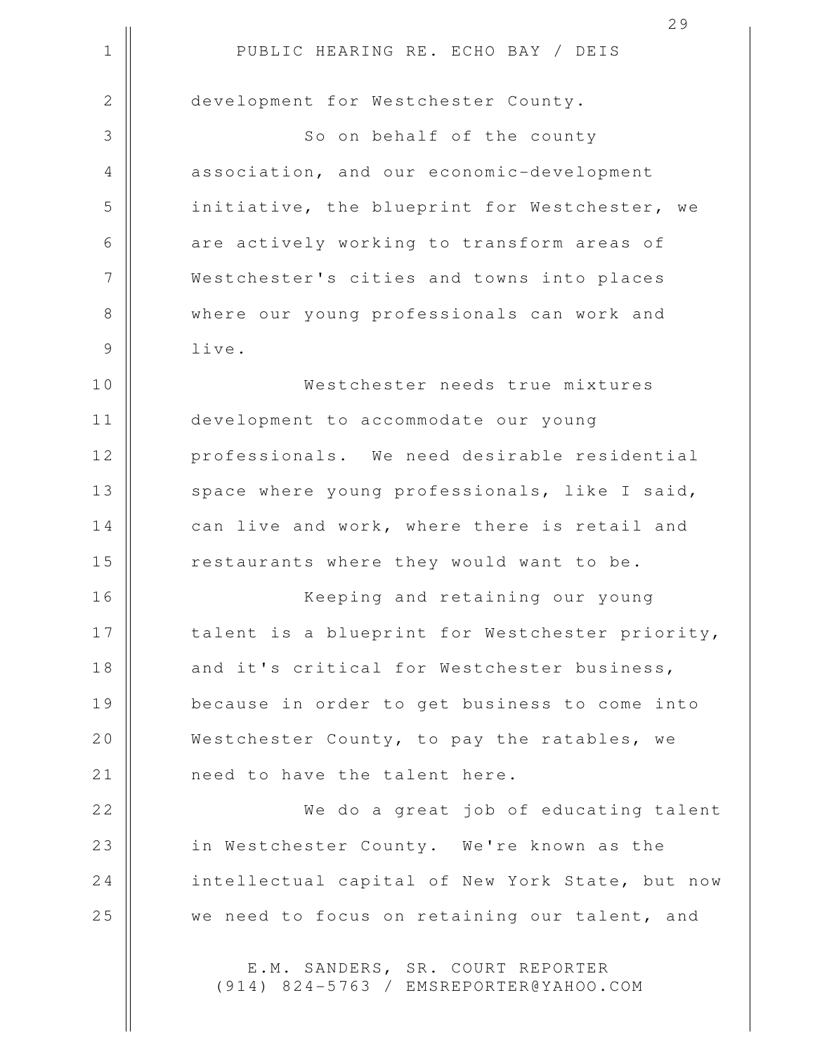|               | 29                                              |
|---------------|-------------------------------------------------|
| $\mathbf 1$   | PUBLIC HEARING RE. ECHO BAY / DEIS              |
| $\mathbf{2}$  | development for Westchester County.             |
| 3             | So on behalf of the county                      |
| 4             | association, and our economic-development       |
| 5             | initiative, the blueprint for Westchester, we   |
| 6             | are actively working to transform areas of      |
| 7             | Westchester's cities and towns into places      |
| 8             | where our young professionals can work and      |
| $\mathcal{G}$ | live.                                           |
| 10            | Westchester needs true mixtures                 |
| 11            | development to accommodate our young            |
| 12            | professionals. We need desirable residential    |
| 13            | space where young professionals, like I said,   |
| 14            | can live and work, where there is retail and    |
| 15            | restaurants where they would want to be.        |
| 16            | Keeping and retaining our young                 |
| 17            | talent is a blueprint for Westchester priority, |
| 18            | and it's critical for Westchester business,     |
| 19            | because in order to get business to come into   |
| 20            | Westchester County, to pay the ratables, we     |
| 21            | need to have the talent here.                   |
| 22            | We do a great job of educating talent           |
| 23            | in Westchester County. We're known as the       |
| 24            | intellectual capital of New York State, but now |
| 25            | we need to focus on retaining our talent, and   |
|               | $C$ D                                           |

E.M. SANDERS, SR. COURT REPORTER (914) 824-5763 / EMSREPORTER@YAHOO.COM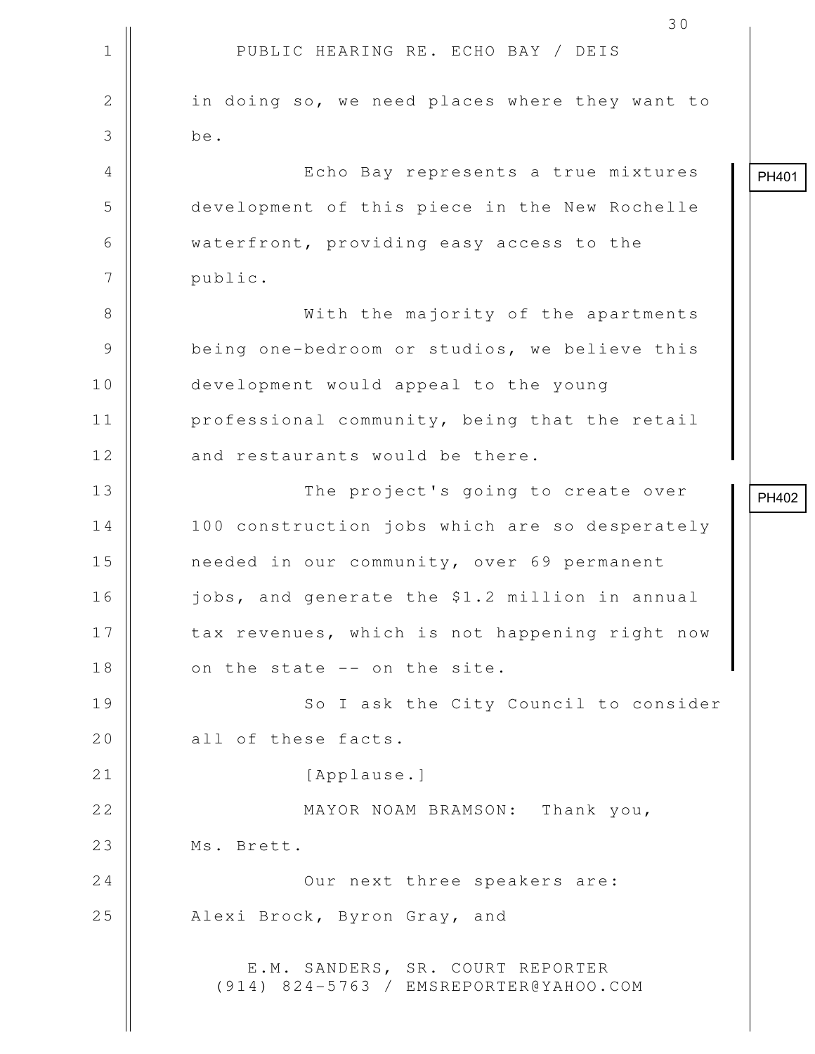|               | 30                                                                         |       |
|---------------|----------------------------------------------------------------------------|-------|
| $\mathbf 1$   | PUBLIC HEARING RE. ECHO BAY / DEIS                                         |       |
| $\mathbf{2}$  | in doing so, we need places where they want to                             |       |
| 3             | be.                                                                        |       |
| 4             | Echo Bay represents a true mixtures                                        | PH401 |
| 5             | development of this piece in the New Rochelle                              |       |
| 6             | waterfront, providing easy access to the                                   |       |
| 7             | public.                                                                    |       |
| $8\,$         | With the majority of the apartments                                        |       |
| $\mathcal{G}$ | being one-bedroom or studios, we believe this                              |       |
| 10            | development would appeal to the young                                      |       |
| 11            | professional community, being that the retail                              |       |
| 12            | and restaurants would be there.                                            |       |
| 13            | The project's going to create over                                         | PH402 |
| 14            | 100 construction jobs which are so desperately                             |       |
| 15            | needed in our community, over 69 permanent                                 |       |
| 16            | jobs, and generate the \$1.2 million in annual                             |       |
| 17            | tax revenues, which is not happening right now                             |       |
| 18            | on the state -- on the site.                                               |       |
| 19            | So I ask the City Council to consider                                      |       |
| 20            | all of these facts.                                                        |       |
| 21            | [Applause.]                                                                |       |
| 22            | MAYOR NOAM BRAMSON: Thank you,                                             |       |
| 23            | Ms. Brett.                                                                 |       |
| 24            | Our next three speakers are:                                               |       |
| 25            | Alexi Brock, Byron Gray, and                                               |       |
|               | E.M. SANDERS, SR. COURT REPORTER<br>(914) 824-5763 / EMSREPORTER@YAHOO.COM |       |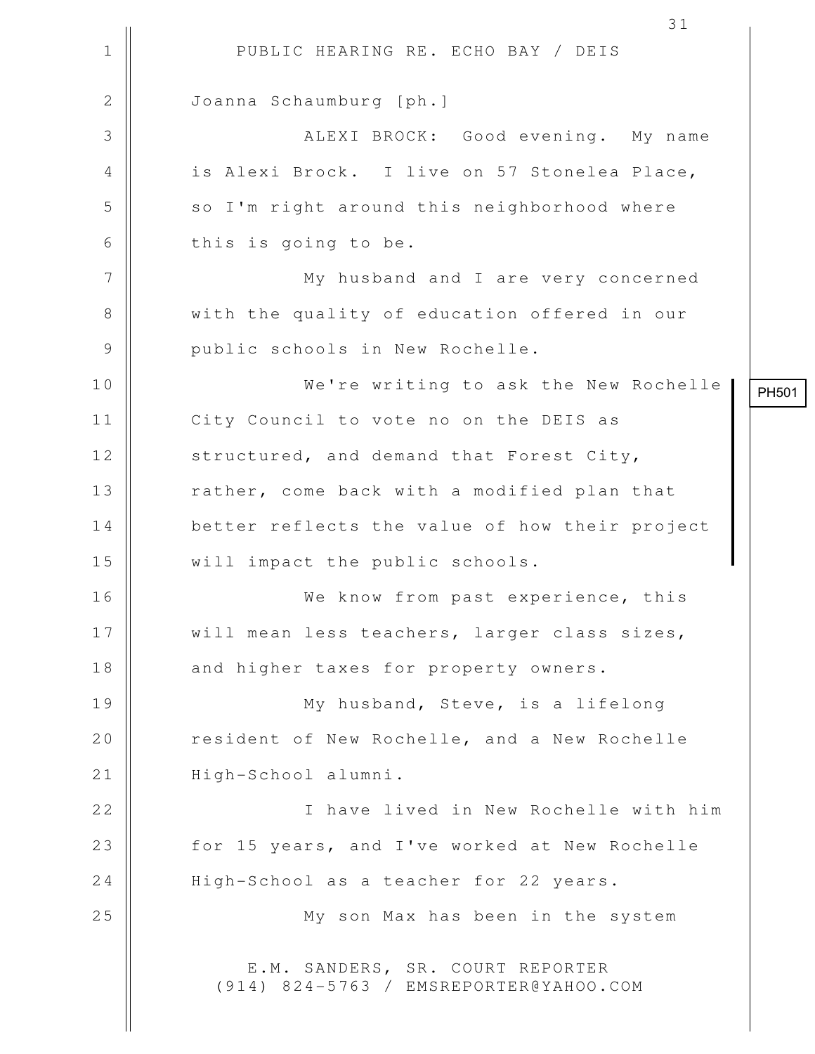1 || PUBLIC HEARING RE. ECHO BAY / DEIS 2 | Joanna Schaumburg [ph.] 3 ALEXI BROCK: Good evening. My name 4 || is Alexi Brock. I live on 57 Stonelea Place, 5 || so I'm right around this neighborhood where  $6 \parallel$  this is going to be. 7 || My husband and I are very concerned 8 || with the quality of education offered in our 9 || public schools in New Rochelle. 10 We're writing to ask the New Rochelle 11 | City Council to vote no on the DEIS as 12 | structured, and demand that Forest City, 13 | rather, come back with a modified plan that 14 | better reflects the value of how their project 15 || will impact the public schools. 16 We know from past experience, this 17 || will mean less teachers, larger class sizes, 18 and higher taxes for property owners. 19 || My husband, Steve, is a lifelong 20 | resident of New Rochelle, and a New Rochelle 21 | High-School alumni. 22 I have lived in New Rochelle with him 23 || for 15 years, and I've worked at New Rochelle 24 | High-School as a teacher for 22 years. 25 || My son Max has been in the system E.M. SANDERS, SR. COURT REPORTER (914) 824-5763 / EMSREPORTER@YAHOO.COM

PH501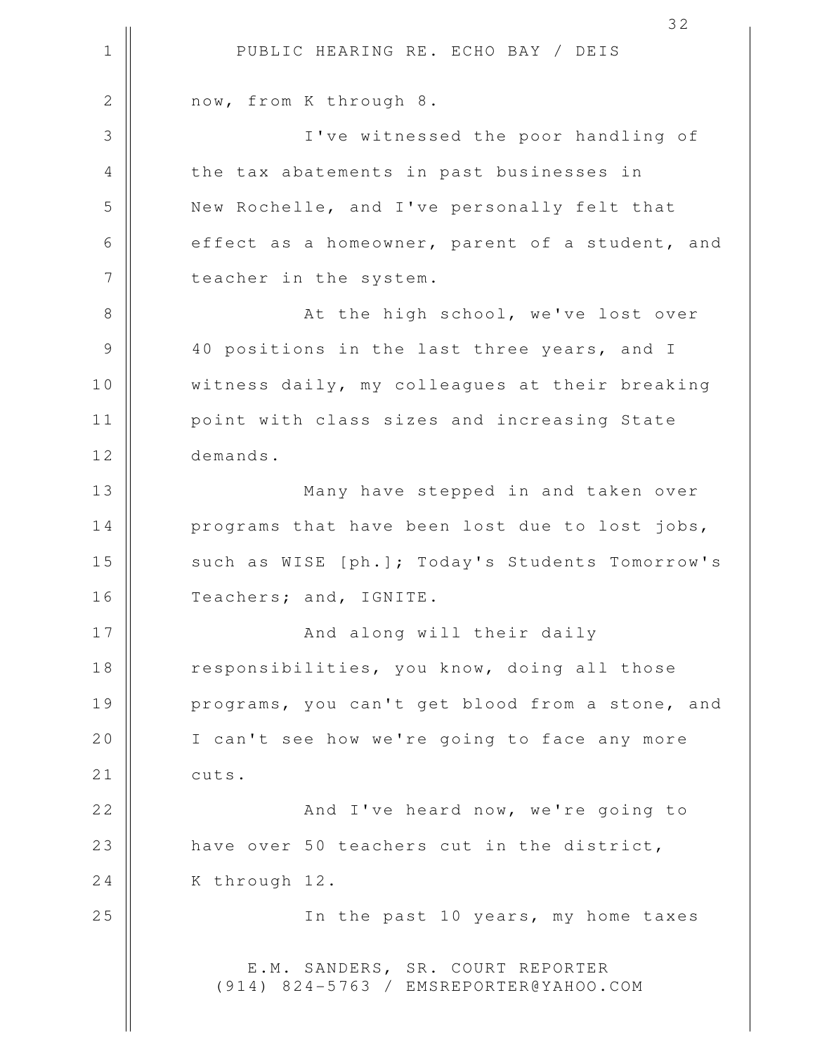1 || PUBLIC HEARING RE. ECHO BAY / DEIS 32 2 | now, from K through 8. 3 I've witnessed the poor handling of 4 || the tax abatements in past businesses in 5 New Rochelle, and I've personally felt that 6 effect as a homeowner, parent of a student, and 7 | teacher in the system. 8 || At the high school, we've lost over 9 || 40 positions in the last three years, and I 10 Witness daily, my colleagues at their breaking 11 | point with class sizes and increasing State 12 demands. 13 || Many have stepped in and taken over 14 | programs that have been lost due to lost jobs, 15 || such as WISE [ph.]; Today's Students Tomorrow's 16 || Teachers; and, IGNITE. 17 And along will their daily 18 | responsibilities, you know, doing all those 19 || programs, you can't get blood from a stone, and 20 | I can't see how we're going to face any more  $21$   $\parallel$  cuts. 22 || **And I've heard now, we're going to** 23 | have over 50 teachers cut in the district, 24 | K through 12. 25 || In the past 10 years, my home taxes E.M. SANDERS, SR. COURT REPORTER (914) 824-5763 / EMSREPORTER@YAHOO.COM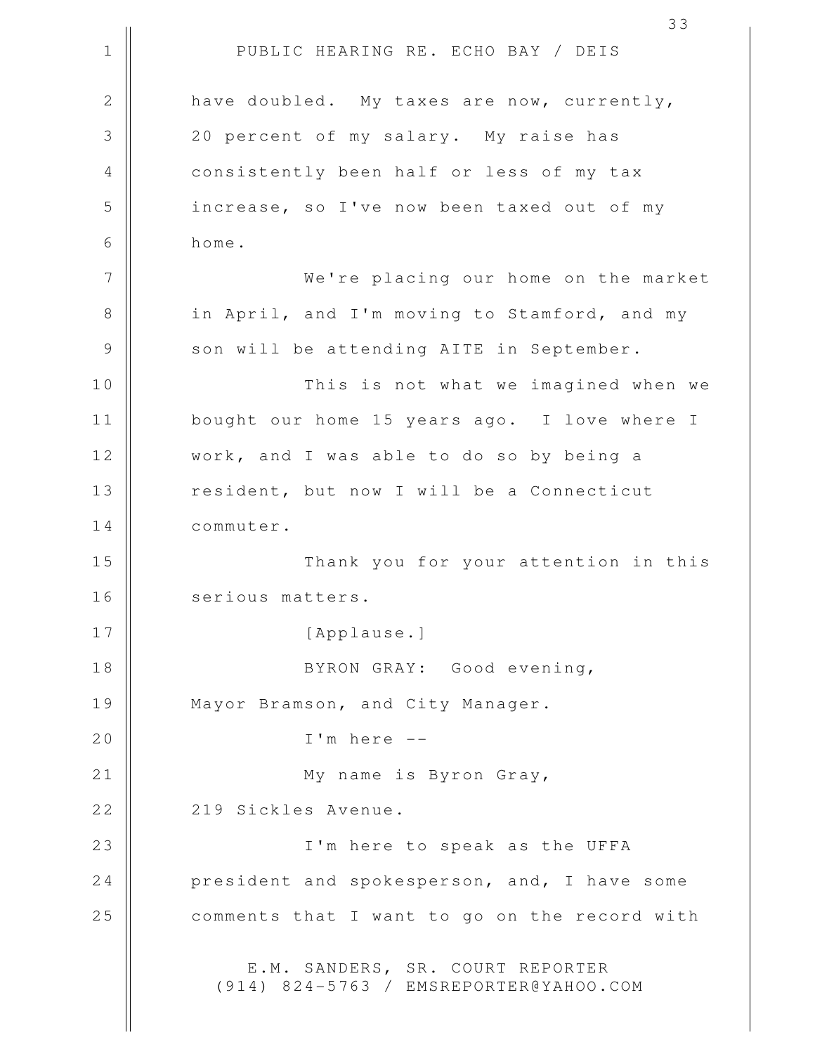1 || PUBLIC HEARING RE. ECHO BAY / DEIS 33 2 have doubled. My taxes are now, currently, 3 || 20 percent of my salary. My raise has 4 || consistently been half or less of my tax 5 increase, so I've now been taxed out of my 6 home. 7 We're placing our home on the market 8 || in April, and I'm moving to Stamford, and my 9 || son will be attending AITE in September. 10 This is not what we imagined when we 11 bought our home 15 years ago. I love where I 12 || work, and I was able to do so by being a 13 | resident, but now I will be a Connecticut 14 commuter. 15 Thank you for your attention in this 16 | serious matters. 17 || [Applause.] 18 || BYRON GRAY: Good evening, 19 | Mayor Bramson, and City Manager. 20 I'm here -- 21 || My name is Byron Gray, 22 | 219 Sickles Avenue. 23 I'm here to speak as the UFFA 24 **president and spokesperson, and, I have some**  $25$   $\parallel$  comments that I want to go on the record with E.M. SANDERS, SR. COURT REPORTER (914) 824-5763 / EMSREPORTER@YAHOO.COM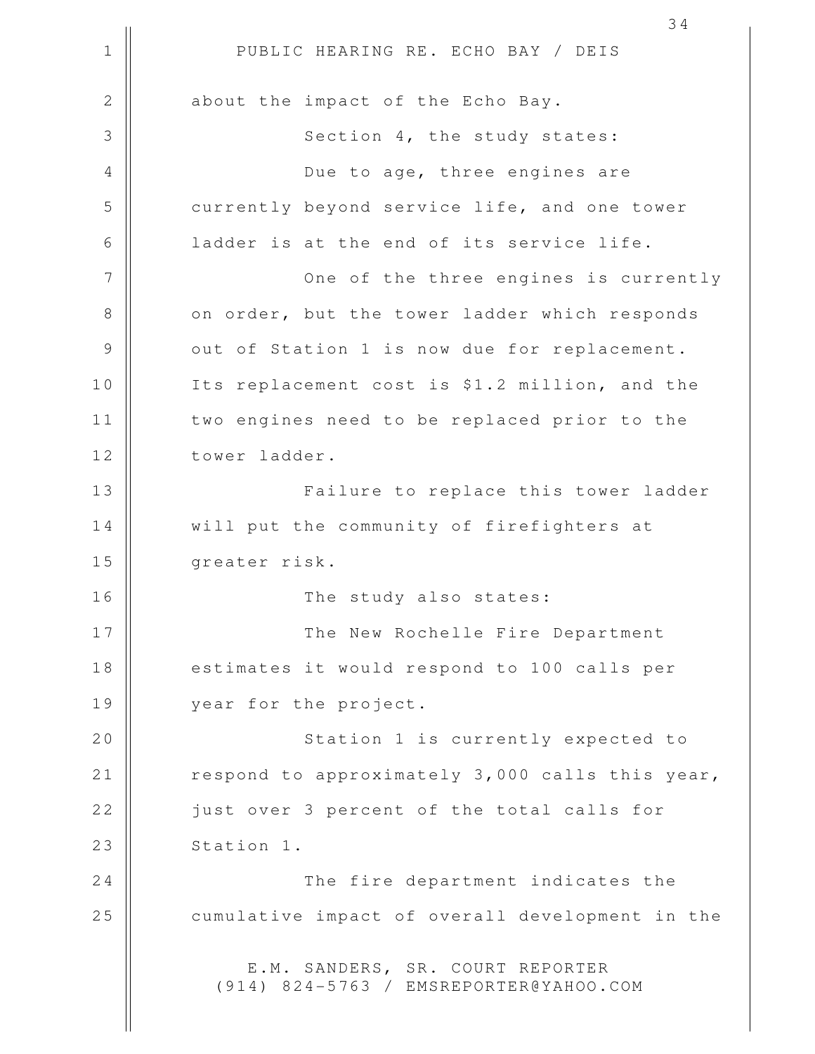1 || PUBLIC HEARING RE. ECHO BAY / DEIS 2 || about the impact of the Echo Bay. 3 || Section 4, the study states: 4 Due to age, three engines are 5 currently beyond service life, and one tower 6 | ladder is at the end of its service life. 7 || One of the three engines is currently 8 || on order, but the tower ladder which responds 9 || out of Station 1 is now due for replacement. 10 || Its replacement cost is \$1.2 million, and the 11 || two engines need to be replaced prior to the 12 | tower ladder. 13 || Failure to replace this tower ladder 14 | will put the community of firefighters at 15 greater risk. 16 || The study also states: 17 The New Rochelle Fire Department 18 || estimates it would respond to 100 calls per 19 || year for the project. 20 || Station 1 is currently expected to 21  $\parallel$  respond to approximately 3,000 calls this year, 22 || just over 3 percent of the total calls for  $23$  || Station 1. 24 || The fire department indicates the 25 | cumulative impact of overall development in the E.M. SANDERS, SR. COURT REPORTER (914) 824-5763 / EMSREPORTER@YAHOO.COM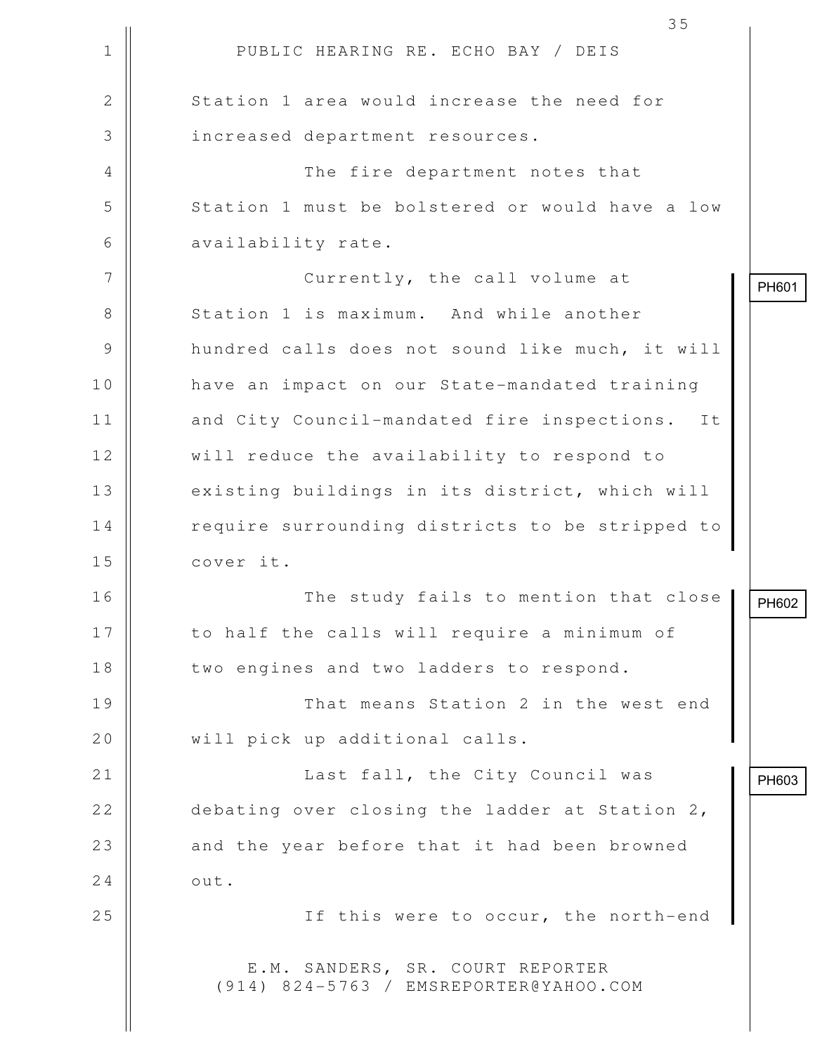|              | 35                                                                         |       |
|--------------|----------------------------------------------------------------------------|-------|
| $\mathbf 1$  | PUBLIC HEARING RE. ECHO BAY / DEIS                                         |       |
| $\mathbf{2}$ | Station 1 area would increase the need for                                 |       |
| 3            | increased department resources.                                            |       |
| 4            | The fire department notes that                                             |       |
| 5            | Station 1 must be bolstered or would have a low                            |       |
| 6            | availability rate.                                                         |       |
| 7            | Currently, the call volume at                                              | PH601 |
| 8            | Station 1 is maximum. And while another                                    |       |
| 9            | hundred calls does not sound like much, it will                            |       |
| 10           | have an impact on our State-mandated training                              |       |
| 11           | and City Council-mandated fire inspections.<br>It                          |       |
| 12           | will reduce the availability to respond to                                 |       |
| 13           | existing buildings in its district, which will                             |       |
| 14           | require surrounding districts to be stripped to                            |       |
| 15           | cover it.                                                                  |       |
| 16           | The study fails to mention that close                                      | PH602 |
| 17           | to half the calls will require a minimum of                                |       |
| 18           | two engines and two ladders to respond.                                    |       |
| 19           | That means Station 2 in the west end                                       |       |
| 20           | will pick up additional calls.                                             |       |
| 21           | Last fall, the City Council was                                            | PH603 |
| 22           | debating over closing the ladder at Station 2,                             |       |
| 23           | and the year before that it had been browned                               |       |
| 24           | out.                                                                       |       |
| 25           | If this were to occur, the north-end                                       |       |
|              | E.M. SANDERS, SR. COURT REPORTER<br>(914) 824-5763 / EMSREPORTER@YAHOO.COM |       |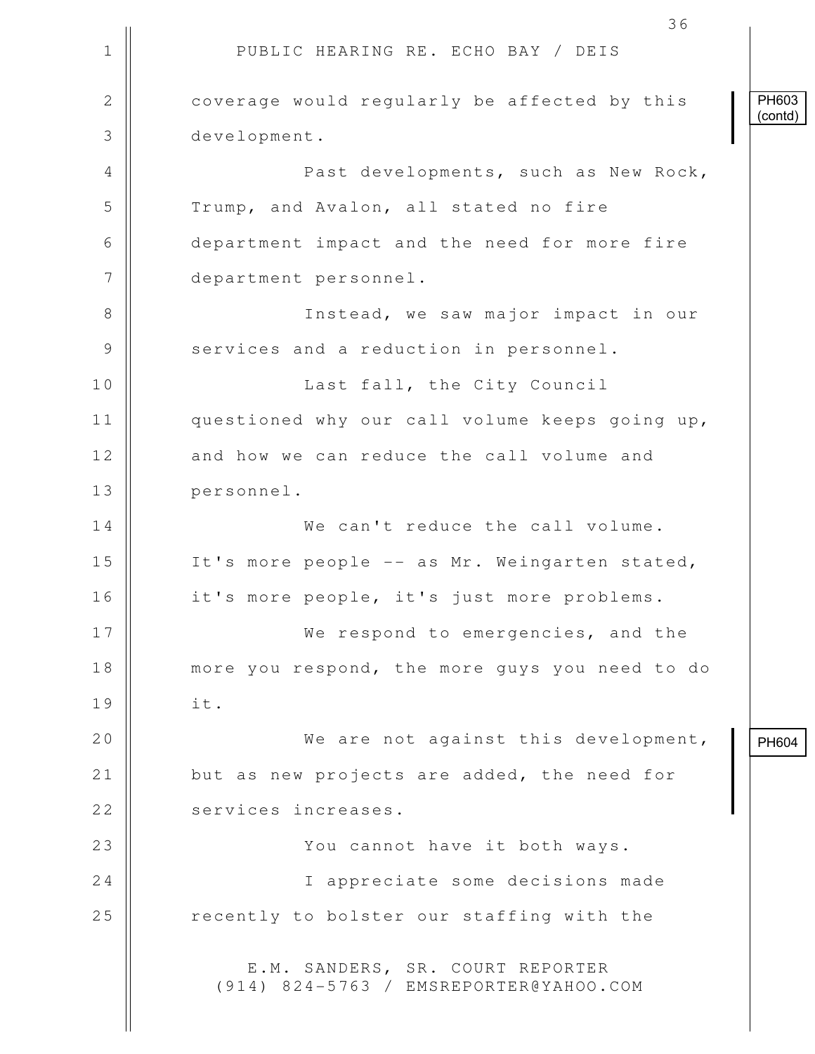1 || PUBLIC HEARING RE. ECHO BAY / DEIS 36 2 **coverage would regularly be affected by this**  3 development. 4 Past developments, such as New Rock, 5 || Trump, and Avalon, all stated no fire 6 department impact and the need for more fire 7 department personnel. 8 || Instead, we saw major impact in our 9 Services and a reduction in personnel. 10 || **Last fall, the City Council** 11 || questioned why our call volume keeps going up, 12 || and how we can reduce the call volume and 13 personnel. 14 We can't reduce the call volume. 15 || It's more people -- as Mr. Weingarten stated, 16 it's more people, it's just more problems. 17 || We respond to emergencies, and the 18 || more you respond, the more guys you need to do 19 it. 20 We are not against this development, 21  $\parallel$  but as new projects are added, the need for 22 | services increases. 23 || You cannot have it both ways. 24 || I appreciate some decisions made 25 | recently to bolster our staffing with the E.M. SANDERS, SR. COURT REPORTER (914) 824-5763 / EMSREPORTER@YAHOO.COM PH603 (contd) PH604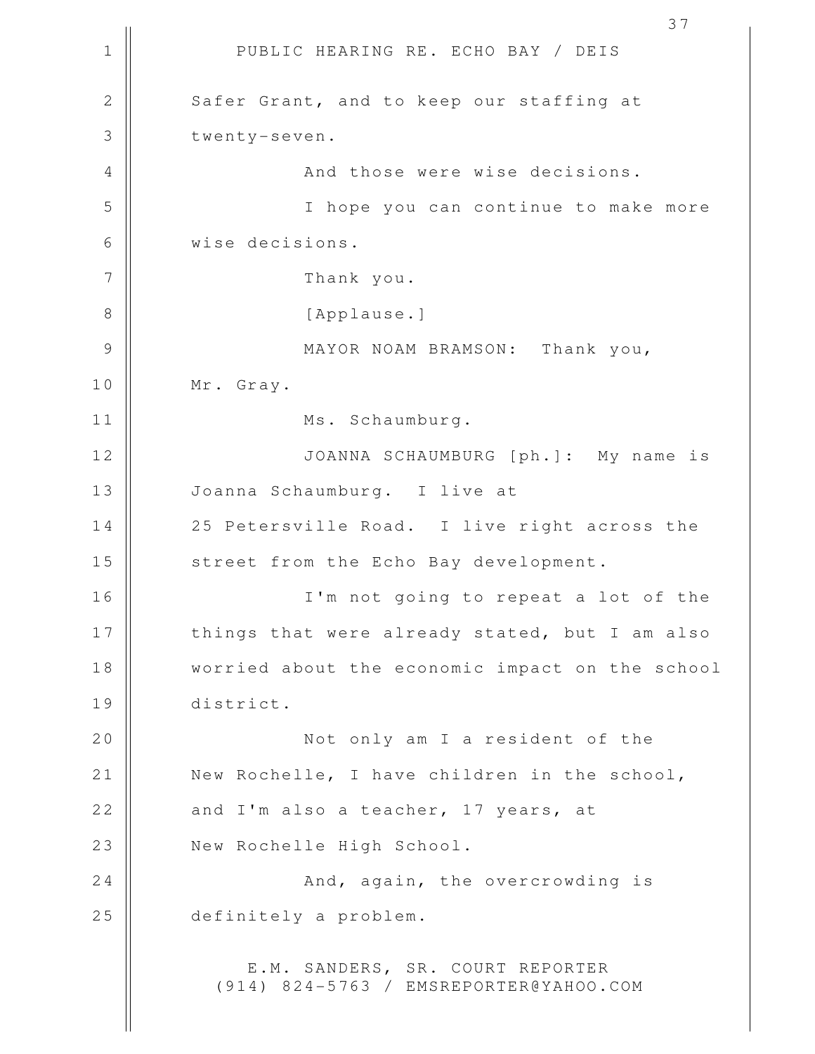1 || PUBLIC HEARING RE. ECHO BAY / DEIS 37 2 | Safer Grant, and to keep our staffing at 3 | twenty-seven. 4 || And those were wise decisions. 5 I hope you can continue to make more 6 wise decisions. 7 | Thank you. 8 || [Applause.] 9 || MAYOR NOAM BRAMSON: Thank you, 10 Mr. Gray. 11 || Ms. Schaumburg. 12 JOANNA SCHAUMBURG [ph.]: My name is 13 | Joanna Schaumburg. I live at 14 || 25 Petersville Road. I live right across the 15 || street from the Echo Bay development. 16 I'm not going to repeat a lot of the 17 || things that were already stated, but I am also 18 worried about the economic impact on the school 19 district. 20 || Not only am I a resident of the 21 || New Rochelle, I have children in the school, 22  $\parallel$  and I'm also a teacher, 17 years, at 23 | New Rochelle High School. 24 And, again, the overcrowding is 25 definitely a problem. E.M. SANDERS, SR. COURT REPORTER (914) 824-5763 / EMSREPORTER@YAHOO.COM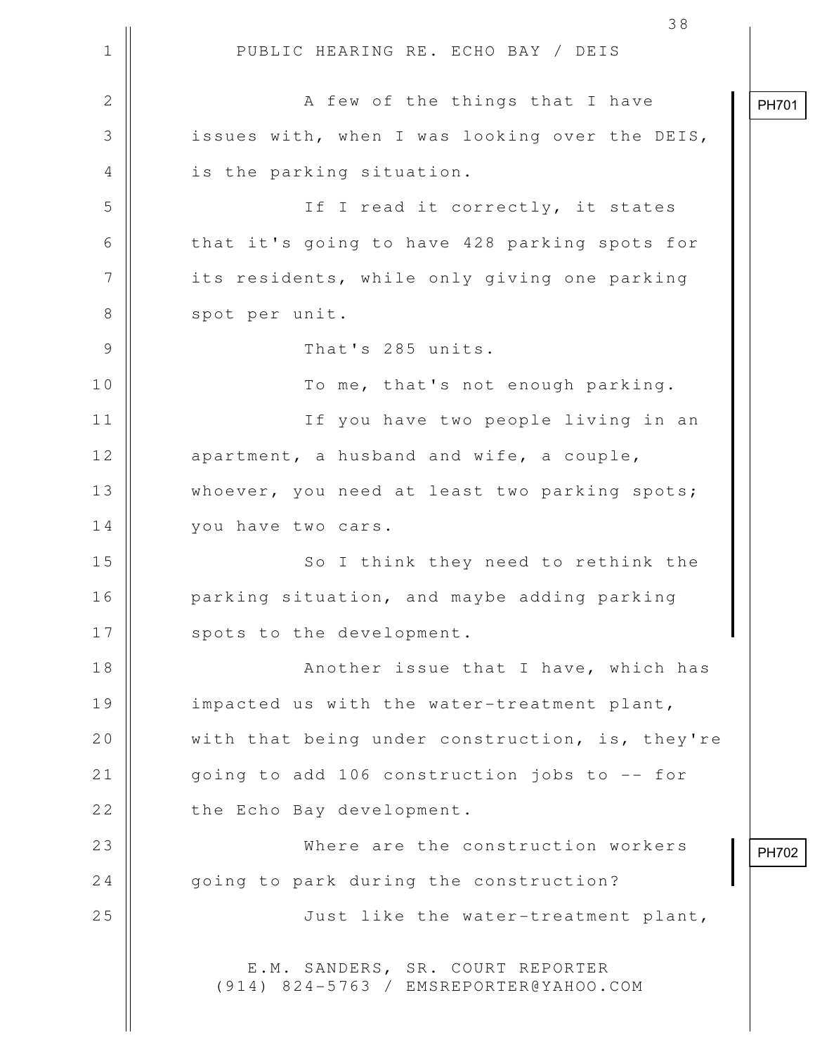1 || PUBLIC HEARING RE. ECHO BAY / DEIS 38 2 A few of the things that I have 3 || issues with, when I was looking over the DEIS, 4 || is the parking situation. 5 || If I read it correctly, it states 6 || that it's going to have 428 parking spots for 7 | its residents, while only giving one parking 8 || spot per unit. 9 || That's 285 units. 10 || To me, that's not enough parking. 11 If you have two people living in an  $12$  || apartment, a husband and wife, a couple, 13 Whoever, you need at least two parking spots; 14 | vou have two cars. 15 || So I think they need to rethink the 16 | parking situation, and maybe adding parking 17 | spots to the development. 18 || Another issue that I have, which has 19 | impacted us with the water-treatment plant, 20  $\parallel$  with that being under construction, is, they're 21 || going to add 106 construction jobs to -- for 22 | the Echo Bay development. 23 Where are the construction workers 24  $\parallel$  going to park during the construction? 25 || Just like the water-treatment plant, E.M. SANDERS, SR. COURT REPORTER (914) 824-5763 / EMSREPORTER@YAHOO.COM PH701 PH702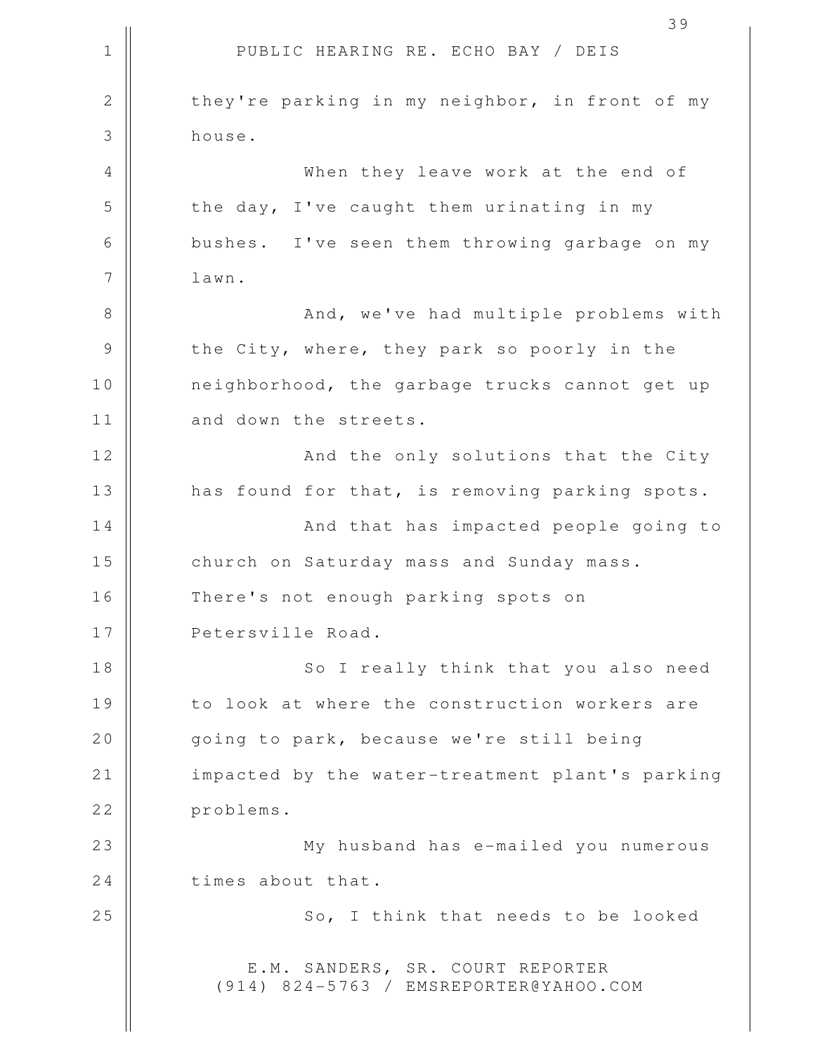1 || PUBLIC HEARING RE. ECHO BAY / DEIS 39 2 they're parking in my neighbor, in front of my 3 house. 4 When they leave work at the end of  $5$   $\parallel$  the day, I've caught them urinating in my 6 bushes. I've seen them throwing garbage on my 7 | lawn. 8 || And, we've had multiple problems with 9 || the City, where, they park so poorly in the 10 || neighborhood, the garbage trucks cannot get up 11 | and down the streets. 12 || And the only solutions that the City 13 || has found for that, is removing parking spots. 14 || And that has impacted people going to 15 || church on Saturday mass and Sunday mass. 16 || There's not enough parking spots on 17 || Petersville Road. 18 || So I really think that you also need 19 || to look at where the construction workers are 20 | going to park, because we're still being 21 || impacted by the water-treatment plant's parking 22 problems. 23 My husband has e-mailed you numerous 24 times about that. 25 || So, I think that needs to be looked E.M. SANDERS, SR. COURT REPORTER (914) 824-5763 / EMSREPORTER@YAHOO.COM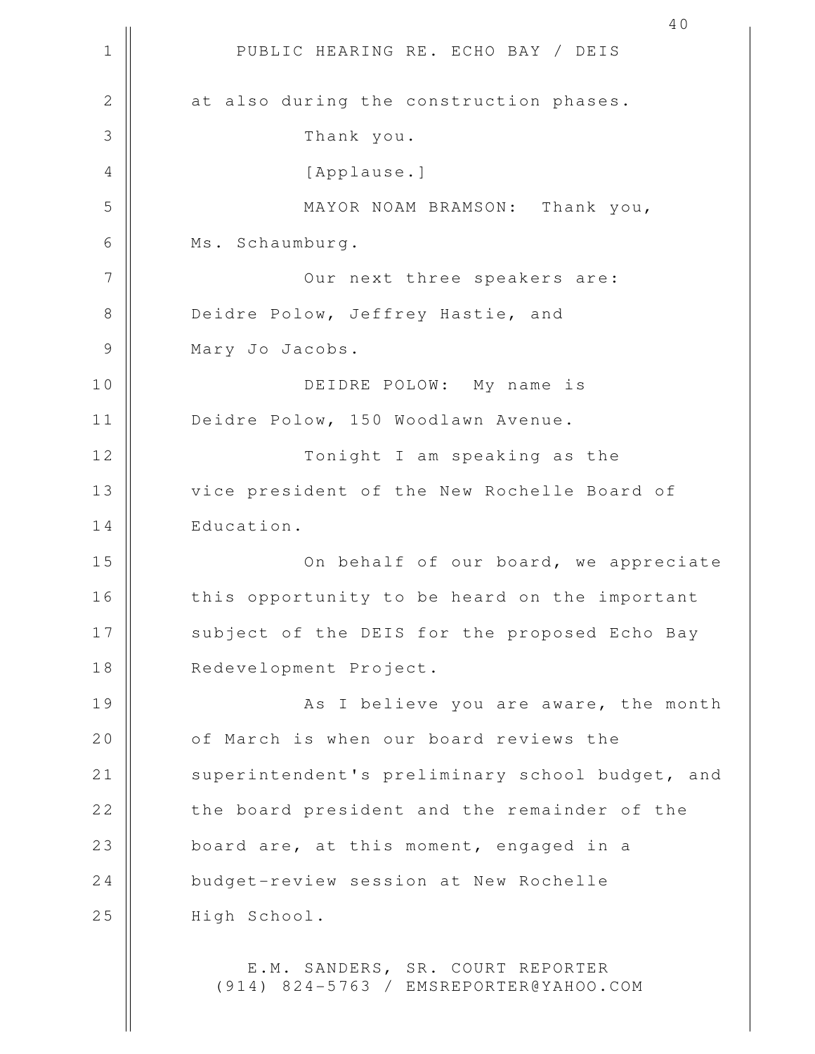1 || PUBLIC HEARING RE. ECHO BAY / DEIS 40 2 || at also during the construction phases. 3 Thank you. 4 || [Applause.] 5 MAYOR NOAM BRAMSON: Thank you, 6 Ms. Schaumburg. 7 || Our next three speakers are: 8 Deidre Polow, Jeffrey Hastie, and 9 | Mary Jo Jacobs. 10 DEIDRE POLOW: My name is 11 | Deidre Polow, 150 Woodlawn Avenue. 12 || Tonight I am speaking as the 13 | vice president of the New Rochelle Board of 14 | Education. 15 On behalf of our board, we appreciate 16 || this opportunity to be heard on the important 17 || subject of the DEIS for the proposed Echo Bay 18 || Redevelopment Project. 19 || As I believe you are aware, the month 20 0 of March is when our board reviews the 21 | superintendent's preliminary school budget, and 22 || the board president and the remainder of the 23 || board are, at this moment, engaged in a 24 budget-review session at New Rochelle 25 | High School. E.M. SANDERS, SR. COURT REPORTER (914) 824-5763 / EMSREPORTER@YAHOO.COM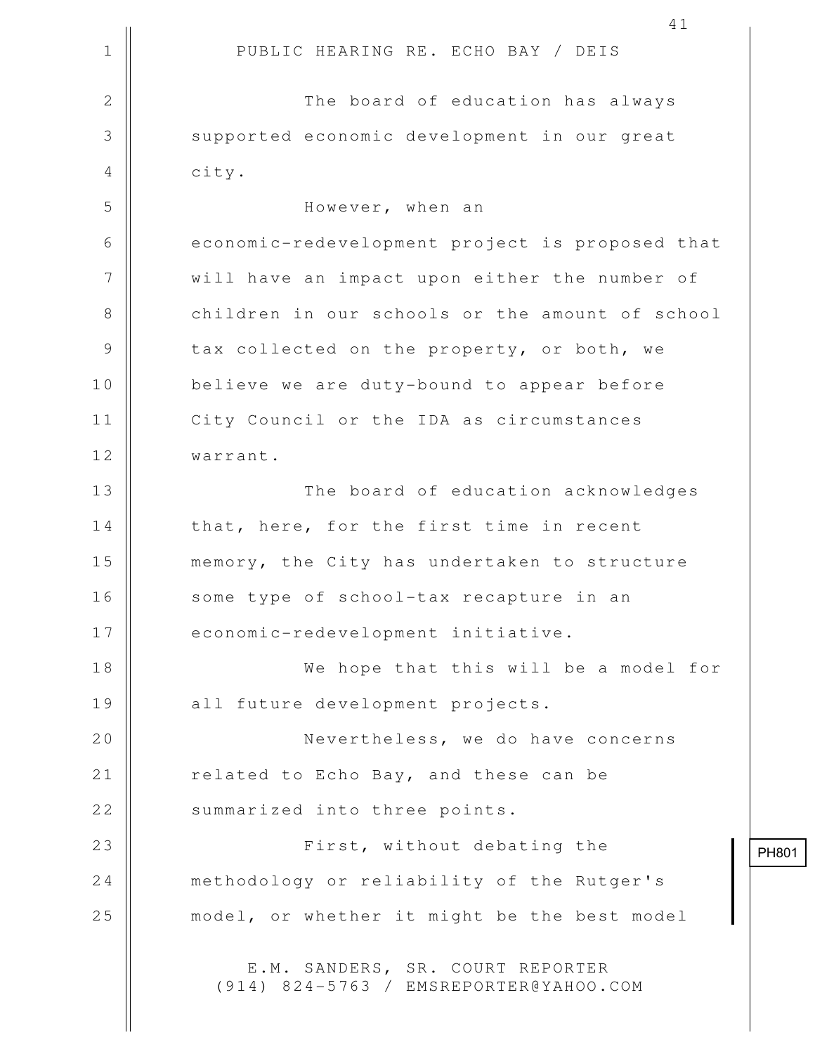|                | 41                                                                         |
|----------------|----------------------------------------------------------------------------|
| $\mathbf 1$    | PUBLIC HEARING RE. ECHO BAY / DEIS                                         |
| $\mathbf{2}$   | The board of education has always                                          |
| $\mathfrak{Z}$ | supported economic development in our great                                |
| $\overline{4}$ | city.                                                                      |
| 5              | However, when an                                                           |
| 6              | economic-redevelopment project is proposed that                            |
| 7              | will have an impact upon either the number of                              |
| 8              | children in our schools or the amount of school                            |
| $\mathcal{G}$  | tax collected on the property, or both, we                                 |
| 10             | believe we are duty-bound to appear before                                 |
| 11             | City Council or the IDA as circumstances                                   |
| 12             | warrant.                                                                   |
| 13             | The board of education acknowledges                                        |
| 14             | that, here, for the first time in recent                                   |
| 15             | memory, the City has undertaken to structure                               |
| 16             | some type of school-tax recapture in an                                    |
| 17             | economic-redevelopment initiative.                                         |
| 18             | We hope that this will be a model for                                      |
| 19             | all future development projects.                                           |
| 20             | Nevertheless, we do have concerns                                          |
| 21             | related to Echo Bay, and these can be                                      |
| 22             | summarized into three points.                                              |
| 23             | First, without debating the                                                |
| 24             | methodology or reliability of the Rutger's                                 |
| 25             | model, or whether it might be the best model                               |
|                | E.M. SANDERS, SR. COURT REPORTER<br>(914) 824-5763 / EMSREPORTER@YAHOO.COM |

PH801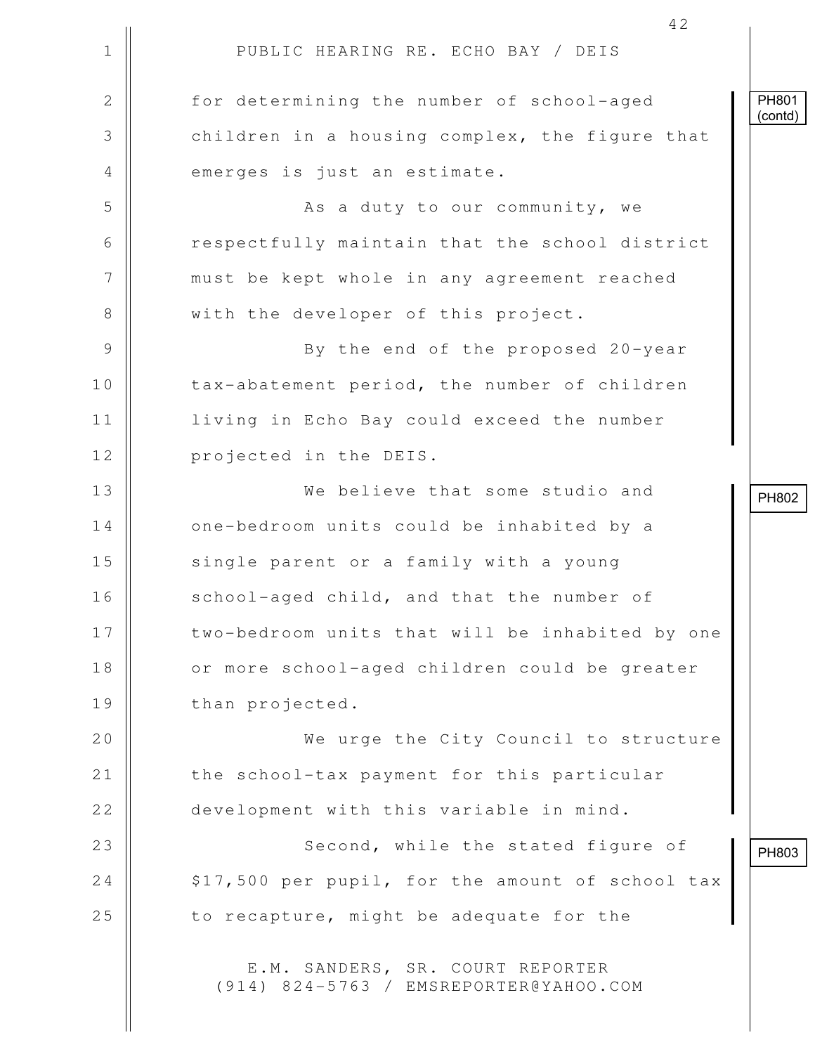|                | 42                                                                         |                  |
|----------------|----------------------------------------------------------------------------|------------------|
| $\mathbf 1$    | PUBLIC HEARING RE. ECHO BAY / DEIS                                         |                  |
| $\mathbf{2}$   | for determining the number of school-aged                                  | PH801<br>(contd) |
| 3              | children in a housing complex, the figure that                             |                  |
| $\overline{4}$ | emerges is just an estimate.                                               |                  |
| 5              | As a duty to our community, we                                             |                  |
| 6              | respectfully maintain that the school district                             |                  |
| 7              | must be kept whole in any agreement reached                                |                  |
| 8              | with the developer of this project.                                        |                  |
| $\mathcal{G}$  | By the end of the proposed 20-year                                         |                  |
| 10             | tax-abatement period, the number of children                               |                  |
| 11             | living in Echo Bay could exceed the number                                 |                  |
| 12             | projected in the DEIS.                                                     |                  |
| 13             | We believe that some studio and                                            | PH802            |
| 14             | one-bedroom units could be inhabited by a                                  |                  |
| 15             | single parent or a family with a young                                     |                  |
| 16             | school-aged child, and that the number of                                  |                  |
| 17             | two-bedroom units that will be inhabited by one                            |                  |
| 18             | or more school-aged children could be greater                              |                  |
| 19             | than projected.                                                            |                  |
| 20             | We urge the City Council to structure                                      |                  |
| 21             | the school-tax payment for this particular                                 |                  |
| 22             | development with this variable in mind.                                    |                  |
| 23             | Second, while the stated figure of                                         | PH803            |
| 24             | \$17,500 per pupil, for the amount of school tax                           |                  |
| 25             | to recapture, might be adequate for the                                    |                  |
|                | E.M. SANDERS, SR. COURT REPORTER<br>(914) 824-5763 / EMSREPORTER@YAHOO.COM |                  |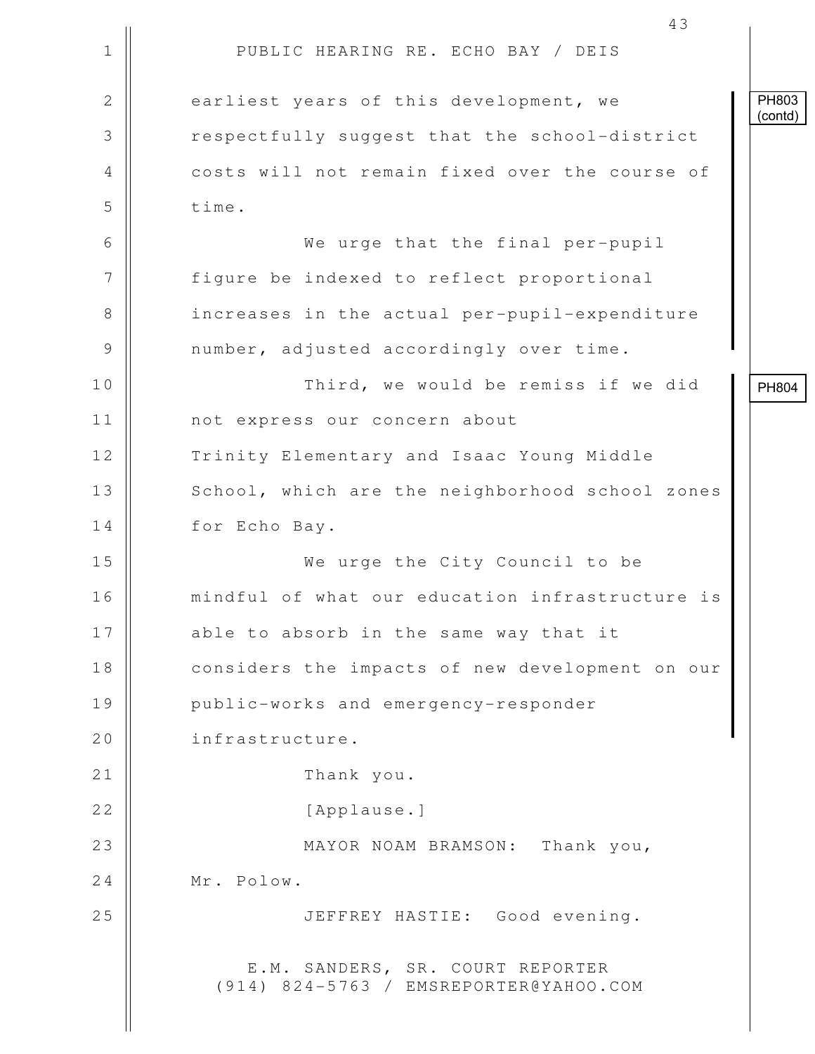|             | 43                                                                         |                  |
|-------------|----------------------------------------------------------------------------|------------------|
| $\mathbf 1$ | PUBLIC HEARING RE. ECHO BAY / DEIS                                         |                  |
| 2           | earliest years of this development, we                                     | PH803<br>(contd) |
| 3           | respectfully suggest that the school-district                              |                  |
| 4           | costs will not remain fixed over the course of                             |                  |
| 5           | time.                                                                      |                  |
| 6           | We urge that the final per-pupil                                           |                  |
| 7           | figure be indexed to reflect proportional                                  |                  |
| 8           | increases in the actual per-pupil-expenditure                              |                  |
| 9           | number, adjusted accordingly over time.                                    |                  |
| 10          | Third, we would be remiss if we did                                        | PH804            |
| 11          | not express our concern about                                              |                  |
| 12          | Trinity Elementary and Isaac Young Middle                                  |                  |
| 13          | School, which are the neighborhood school zones                            |                  |
| 14          | for Echo Bay.                                                              |                  |
| 15          | We urge the City Council to be                                             |                  |
| 16          | mindful of what our education infrastructure is                            |                  |
| 17          | able to absorb in the same way that it                                     |                  |
| 18          | considers the impacts of new development on our                            |                  |
| 19          | public-works and emergency-responder                                       |                  |
| 20          | infrastructure.                                                            |                  |
| 21          | Thank you.                                                                 |                  |
| 22          | [Applause.]                                                                |                  |
| 23          | MAYOR NOAM BRAMSON: Thank you,                                             |                  |
| 24          | Mr. Polow.                                                                 |                  |
| 25          | JEFFREY HASTIE: Good evening.                                              |                  |
|             | E.M. SANDERS, SR. COURT REPORTER<br>(914) 824-5763 / EMSREPORTER@YAHOO.COM |                  |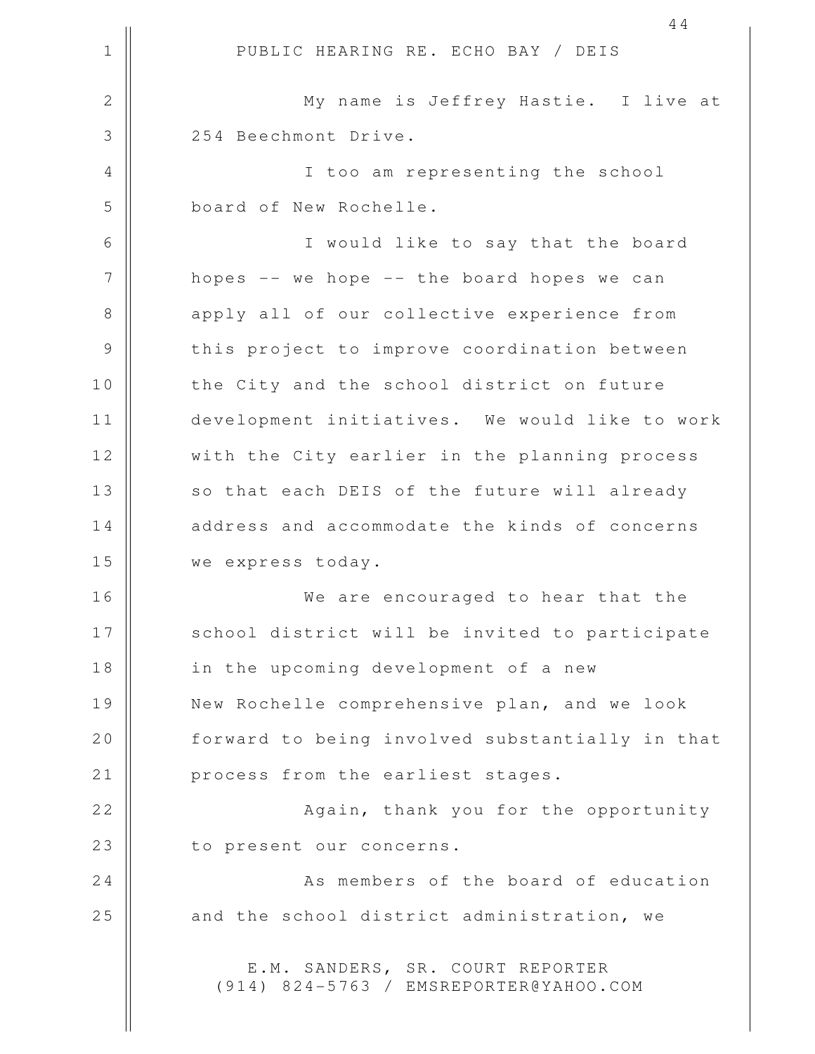1 || PUBLIC HEARING RE. ECHO BAY / DEIS 44 2 || My name is Jeffrey Hastie. I live at 3 || 254 Beechmont Drive. 4 || I too am representing the school 5 board of New Rochelle. 6 I would like to say that the board 7 || hopes -- we hope -- the board hopes we can 8 apply all of our collective experience from 9 || this project to improve coordination between 10 || the City and the school district on future 11 development initiatives. We would like to work 12 || with the City earlier in the planning process 13 || so that each DEIS of the future will already 14 || address and accommodate the kinds of concerns 15 we express today. 16 We are encouraged to hear that the 17 || school district will be invited to participate 18 || in the upcoming development of a new 19 New Rochelle comprehensive plan, and we look 20 | forward to being involved substantially in that 21 | process from the earliest stages. 22 || **Again, thank you for the opportunity** 23 | to present our concerns. 24 | No. 24 | As members of the board of education  $25$  || and the school district administration, we E.M. SANDERS, SR. COURT REPORTER (914) 824-5763 / EMSREPORTER@YAHOO.COM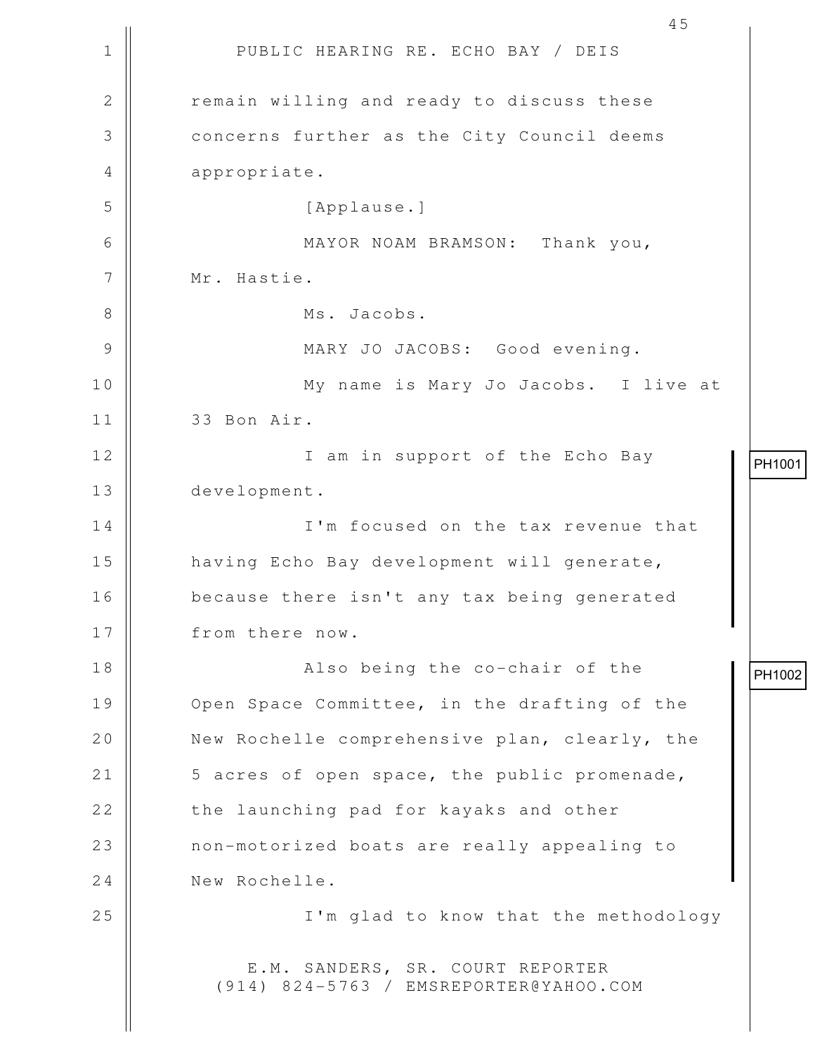1 || PUBLIC HEARING RE. ECHO BAY / DEIS 45 2 | The remain willing and ready to discuss these 3 **Concerns further as the City Council deems** 4 || appropriate. 5 [Applause.] 6 MAYOR NOAM BRAMSON: Thank you, 7 || Mr. Hastie. 8 || Ms. Jacobs. 9 MARY JO JACOBS: Good evening. 10 My name is Mary Jo Jacobs. I live at 11 33 Bon Air. 12 || I am in support of the Echo Bay 13 development. 14 || I'm focused on the tax revenue that 15 | having Echo Bay development will generate, 16 because there isn't any tax being generated 17 | from there now. 18 || Also being the co-chair of the 19 | Open Space Committee, in the drafting of the 20 | New Rochelle comprehensive plan, clearly, the 21 | 5 acres of open space, the public promenade, 22 | the launching pad for kayaks and other 23 || non-motorized boats are really appealing to 24 New Rochelle. 25 || I'm glad to know that the methodology E.M. SANDERS, SR. COURT REPORTER (914) 824-5763 / EMSREPORTER@YAHOO.COM PH1001 PH1002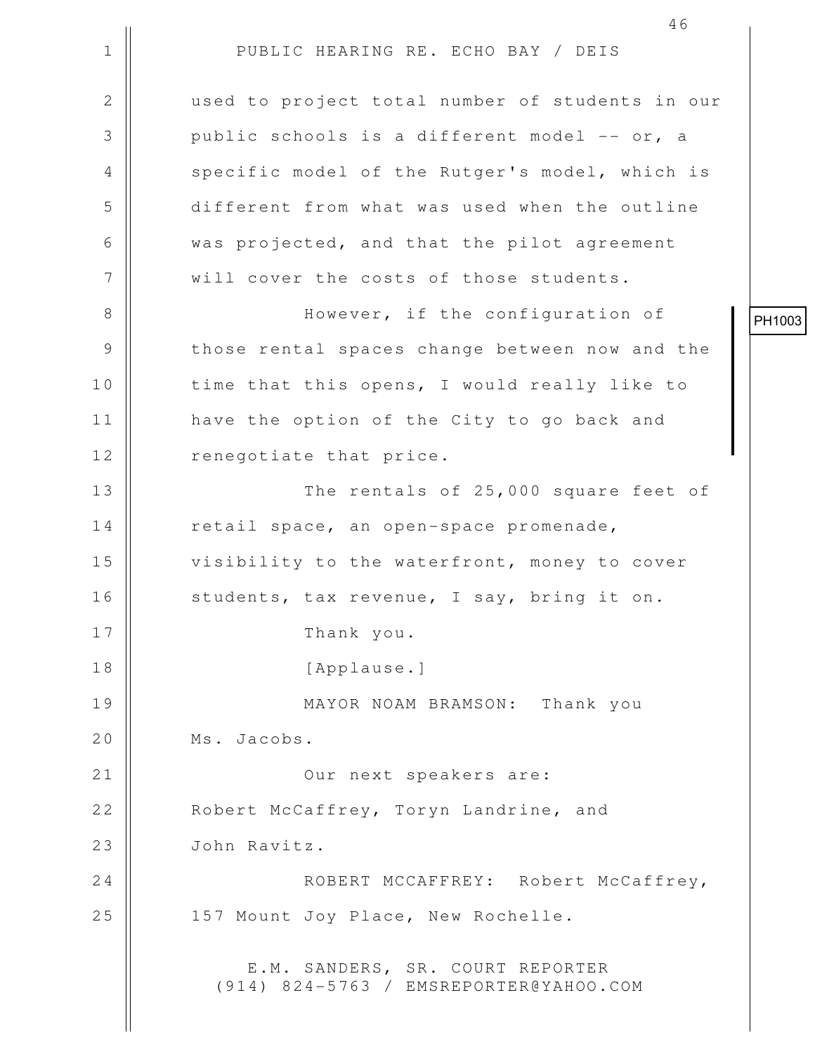1 || PUBLIC HEARING RE. ECHO BAY / DEIS 46 2 used to project total number of students in our  $3 \parallel$  public schools is a different model -- or, a 4 || specific model of the Rutger's model, which is 5 different from what was used when the outline 6 was projected, and that the pilot agreement 7 || will cover the costs of those students. 8 || However, if the configuration of 9 || those rental spaces change between now and the 10 || time that this opens, I would really like to 11 | have the option of the City to go back and 12 || renegotiate that price. 13 || The rentals of 25,000 square feet of 14 | retail space, an open-space promenade, 15 || visibility to the waterfront, money to cover 16 | students, tax revenue, I say, bring it on. 17 || Thank you. 18 || [Applause.] 19 MAYOR NOAM BRAMSON: Thank you 20 | Ms. Jacobs. 21 Our next speakers are: 22 Robert McCaffrey, Toryn Landrine, and 23 John Ravitz. 24 ROBERT MCCAFFREY: Robert McCaffrey, 25 || 157 Mount Joy Place, New Rochelle. E.M. SANDERS, SR. COURT REPORTER (914) 824-5763 / EMSREPORTER@YAHOO.COM PH1003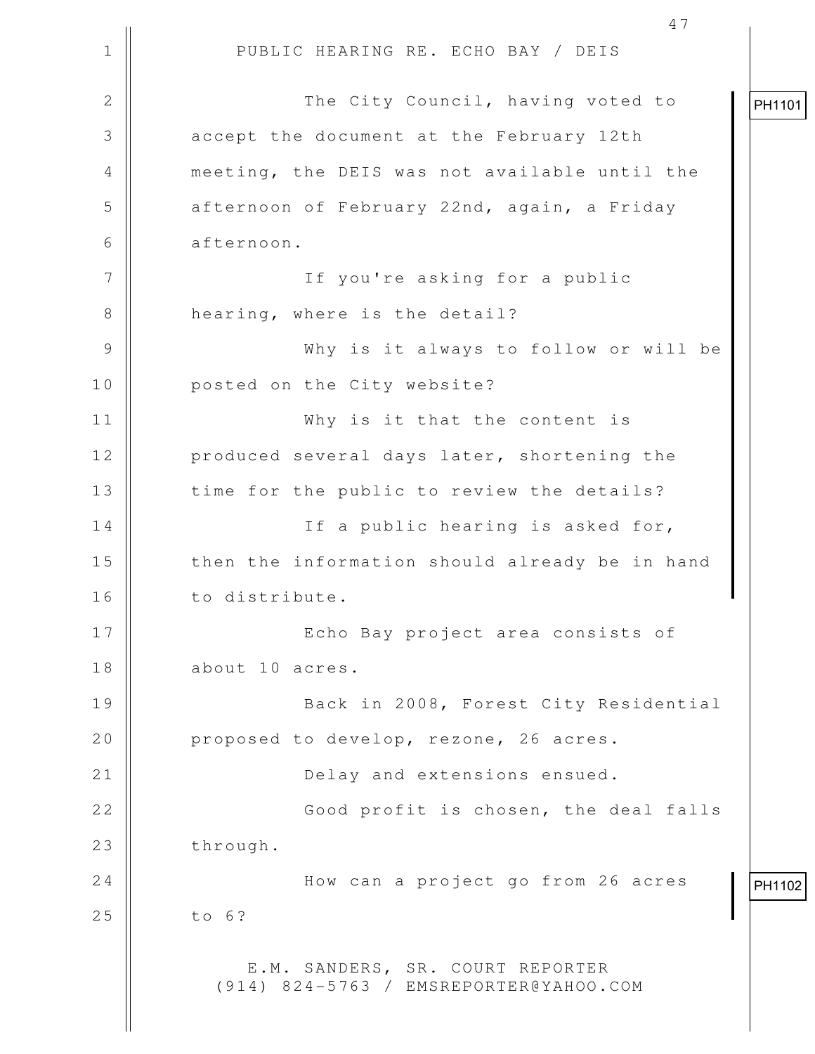1 || PUBLIC HEARING RE. ECHO BAY / DEIS 47 2 | The City Council, having voted to 3 accept the document at the February 12th 4 meeting, the DEIS was not available until the 5 afternoon of February 22nd, again, a Friday 6 afternoon. 7 If you're asking for a public 8 || hearing, where is the detail? 9 Why is it always to follow or will be 10 || posted on the City website? 11 Why is it that the content is 12 || produced several days later, shortening the 13 || time for the public to review the details? 14 || If a public hearing is asked for, 15 || then the information should already be in hand 16 | to distribute. 17 Echo Bay project area consists of 18 about 10 acres. 19 || Back in 2008, Forest City Residential 20 | proposed to develop, rezone, 26 acres. 21 | Delay and extensions ensued. 22 || Good profit is chosen, the deal falls  $23$  | through. 24 | How can a project go from 26 acres  $25$  | to 6? E.M. SANDERS, SR. COURT REPORTER (914) 824-5763 / EMSREPORTER@YAHOO.COM PH1101 PH1102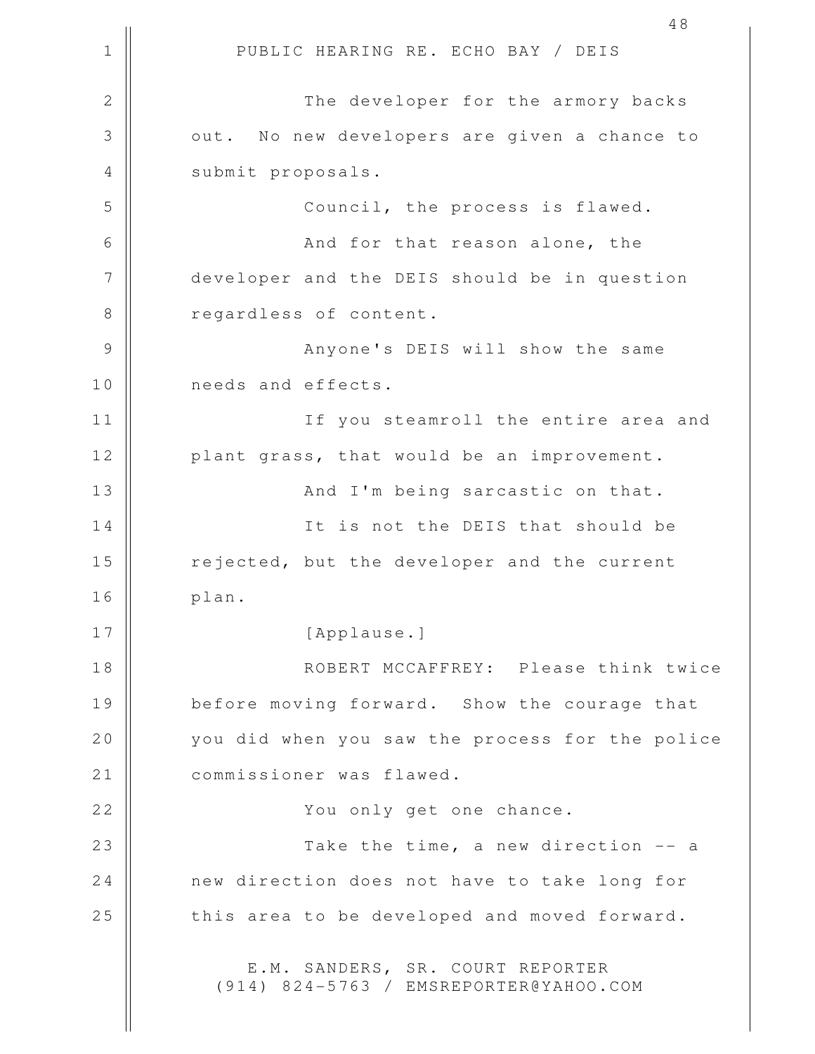1 || PUBLIC HEARING RE. ECHO BAY / DEIS 2 || The developer for the armory backs 3 | out. No new developers are given a chance to 4 || submit proposals. 5 || Council, the process is flawed. 6 And for that reason alone, the 7 | developer and the DEIS should be in question 8 || regardless of content. 9 Anyone's DEIS will show the same 10 || needs and effects. 11 If you steamroll the entire area and 12 || plant grass, that would be an improvement. 13 || And I'm being sarcastic on that. 14 || It is not the DEIS that should be 15 | rejected, but the developer and the current 16 plan. 17 || [Applause.] 18 ROBERT MCCAFFREY: Please think twice 19 | before moving forward. Show the courage that 20 you did when you saw the process for the police 21 | commissioner was flawed. 22 You only get one chance. 23 Take the time, a new direction -- a 24 | new direction does not have to take long for  $25$   $\parallel$  this area to be developed and moved forward. E.M. SANDERS, SR. COURT REPORTER (914) 824-5763 / EMSREPORTER@YAHOO.COM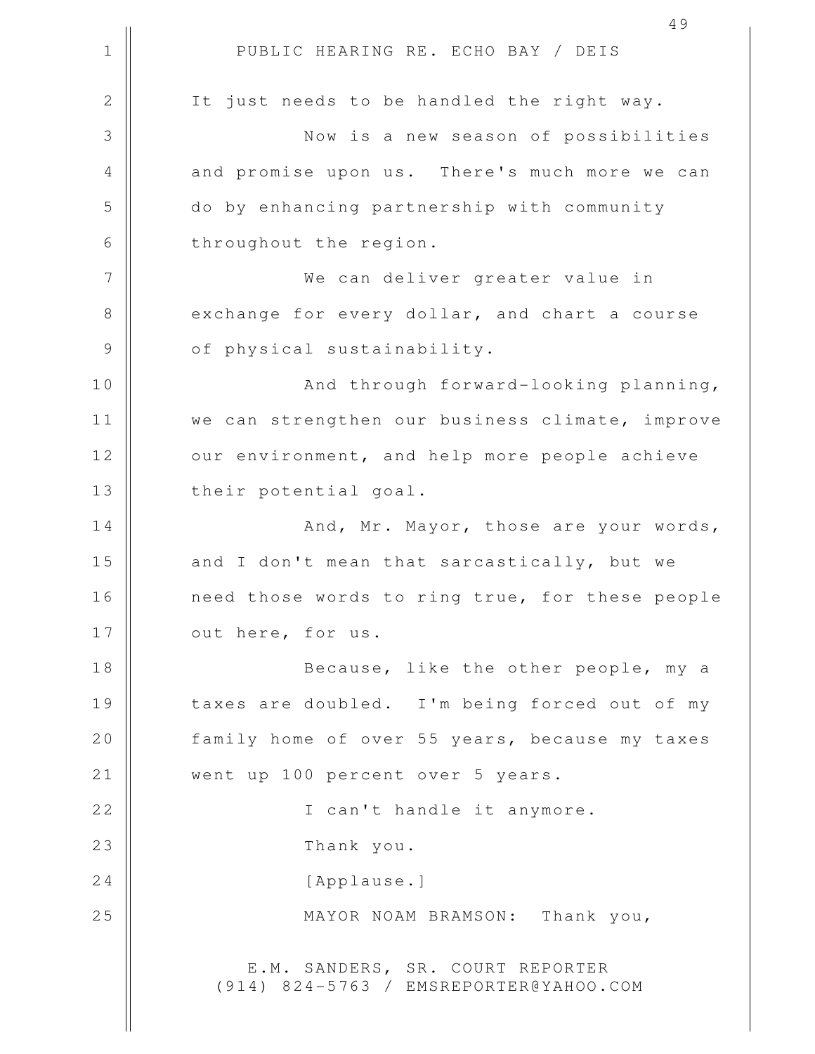1 || PUBLIC HEARING RE. ECHO BAY / DEIS 49 2 || It just needs to be handled the right way. 3 Now is a new season of possibilities 4 || and promise upon us. There's much more we can 5 do by enhancing partnership with community 6 | throughout the region. 7 We can deliver greater value in 8 exchange for every dollar, and chart a course 9 || of physical sustainability. 10 || **And through forward-looking planning**, 11 || we can strengthen our business climate, improve 12 | our environment, and help more people achieve 13 || their potential goal. 14 And, Mr. Mayor, those are your words, 15  $\parallel$  and I don't mean that sarcastically, but we 16 need those words to ring true, for these people 17 || out here, for us. 18 || Because, like the other people, my a 19 || taxes are doubled. I'm being forced out of my 20 | family home of over 55 years, because my taxes 21 || went up 100 percent over 5 years. 22 || **I** can't handle it anymore. 23 Thank you. 24 | [Applause.] 25 || MAYOR NOAM BRAMSON: Thank you, E.M. SANDERS, SR. COURT REPORTER (914) 824-5763 / EMSREPORTER@YAHOO.COM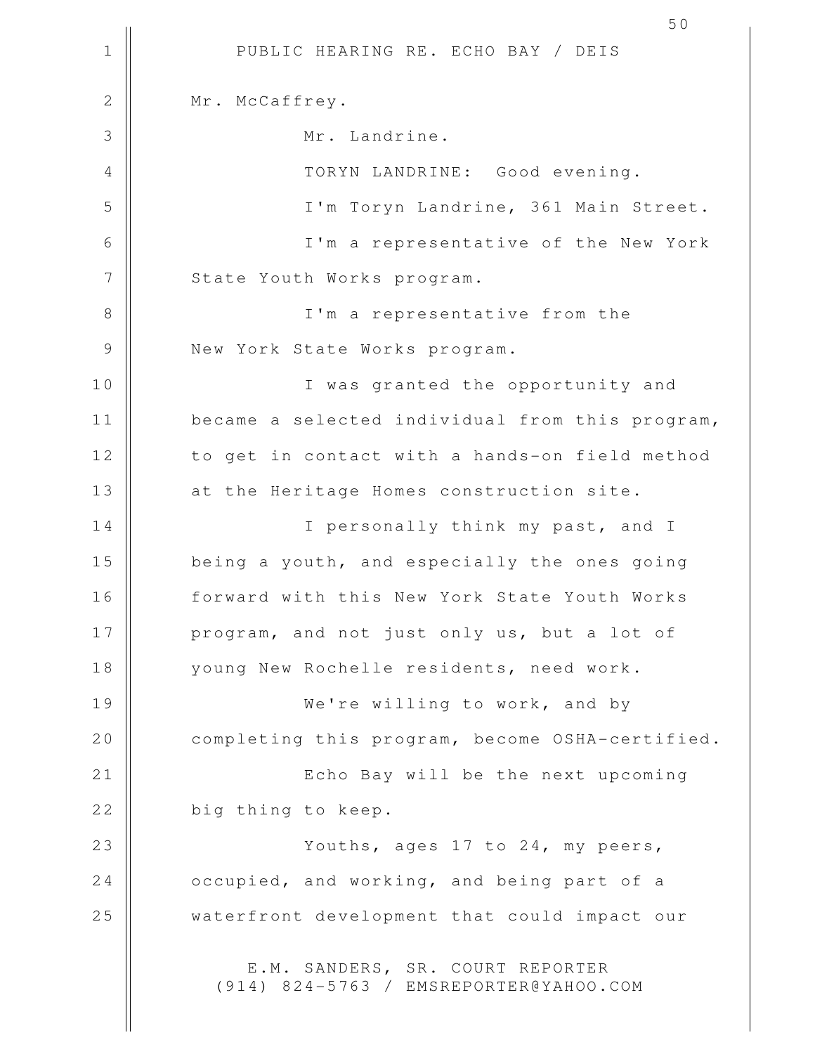1 || PUBLIC HEARING RE. ECHO BAY / DEIS 50 2 || Mr. McCaffrey. 3 Mr. Landrine. 4 TORYN LANDRINE: Good evening. 5 I'm Toryn Landrine, 361 Main Street. 6 I'm a representative of the New York 7 | State Youth Works program. 8 || I'm a representative from the 9 || New York State Works program. 10 || **I** was granted the opportunity and 11 | became a selected individual from this program, 12 | to get in contact with a hands-on field method 13 || at the Heritage Homes construction site. 14 || I personally think my past, and I 15 | being a youth, and especially the ones going 16 | forward with this New York State Youth Works 17 || program, and not just only us, but a lot of 18 || young New Rochelle residents, need work. 19 We're willing to work, and by 20 completing this program, become OSHA-certified. 21 || Echo Bay will be the next upcoming  $22$   $\parallel$  big thing to keep. 23 || Youths, ages 17 to 24, my peers, 24 **b** occupied, and working, and being part of a 25 | waterfront development that could impact our E.M. SANDERS, SR. COURT REPORTER (914) 824-5763 / EMSREPORTER@YAHOO.COM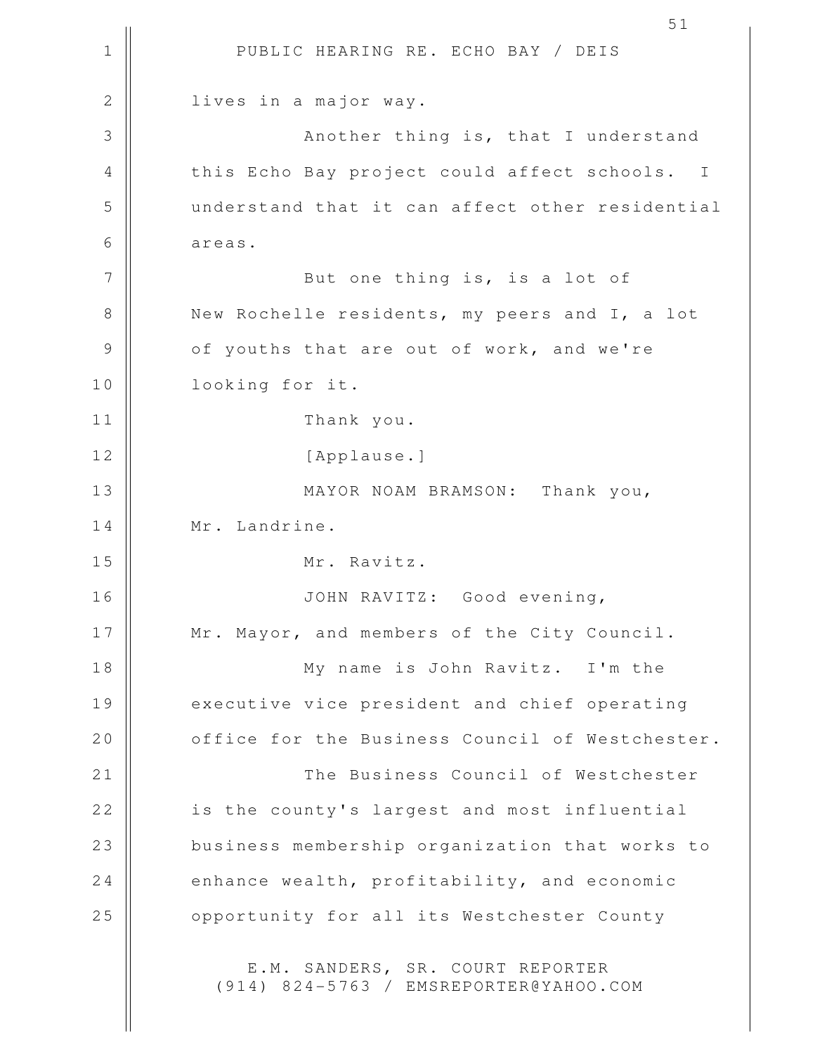1 || PUBLIC HEARING RE. ECHO BAY / DEIS 51 2 | lives in a major way. 3 || Another thing is, that I understand 4 this Echo Bay project could affect schools. I 5 understand that it can affect other residential 6 areas. 7 || But one thing is, is a lot of 8 New Rochelle residents, my peers and I, a lot 9 || of youths that are out of work, and we're 10 looking for it. 11 Thank you. 12 || [Applause.] 13 || MAYOR NOAM BRAMSON: Thank you, 14 | Mr. Landrine. 15 Mr. Ravitz. 16 JOHN RAVITZ: Good evening, 17 || Mr. Mayor, and members of the City Council. 18 My name is John Ravitz. I'm the 19 || executive vice president and chief operating 20 **b** office for the Business Council of Westchester. 21 The Business Council of Westchester 22 || is the county's largest and most influential 23 || business membership organization that works to 24  $\parallel$  enhance wealth, profitability, and economic 25 | opportunity for all its Westchester County E.M. SANDERS, SR. COURT REPORTER (914) 824-5763 / EMSREPORTER@YAHOO.COM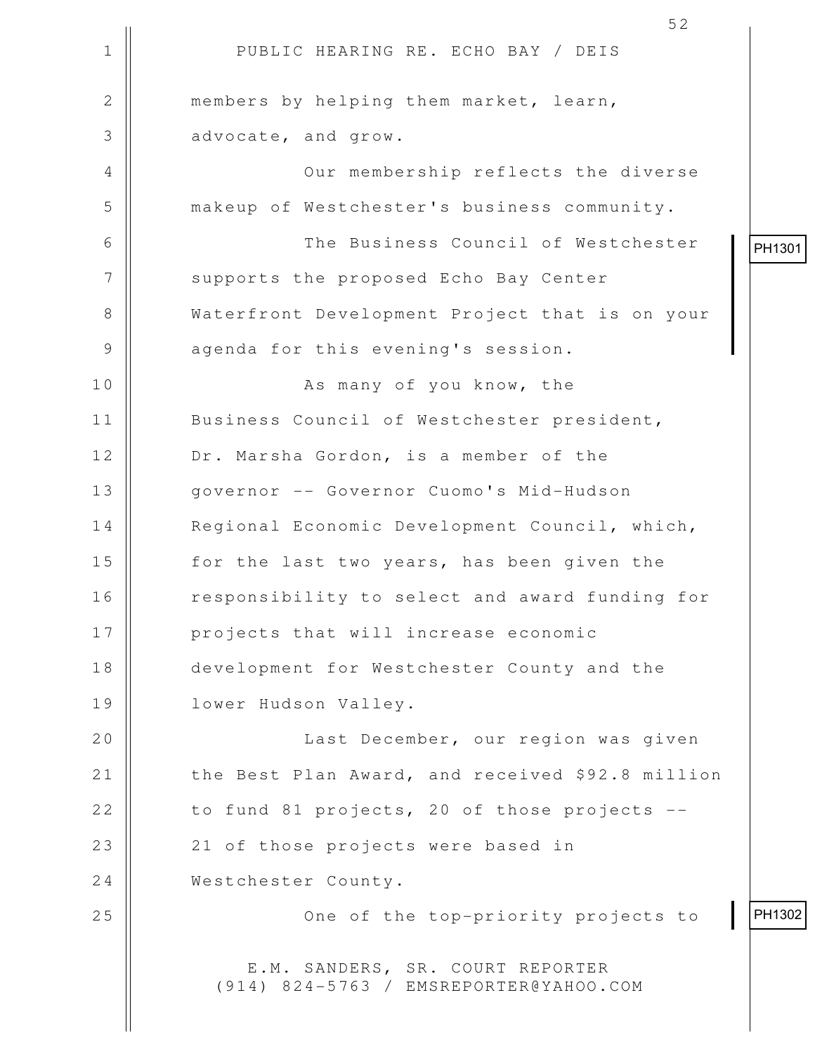|               | 52                                                                         |        |
|---------------|----------------------------------------------------------------------------|--------|
| $\mathbf 1$   | PUBLIC HEARING RE. ECHO BAY / DEIS                                         |        |
| $\mathbf{2}$  | members by helping them market, learn,                                     |        |
| 3             | advocate, and grow.                                                        |        |
| 4             | Our membership reflects the diverse                                        |        |
| 5             | makeup of Westchester's business community.                                |        |
| 6             | The Business Council of Westchester                                        | PH1301 |
| 7             | supports the proposed Echo Bay Center                                      |        |
| $8\,$         | Waterfront Development Project that is on your                             |        |
| $\mathcal{G}$ | agenda for this evening's session.                                         |        |
| 10            | As many of you know, the                                                   |        |
| 11            | Business Council of Westchester president,                                 |        |
| 12            | Dr. Marsha Gordon, is a member of the                                      |        |
| 13            | governor -- Governor Cuomo's Mid-Hudson                                    |        |
| 14            | Regional Economic Development Council, which,                              |        |
| 15            | for the last two years, has been given the                                 |        |
| 16            | responsibility to select and award funding for                             |        |
| 17            | projects that will increase economic                                       |        |
| 18            | development for Westchester County and the                                 |        |
| 19            | lower Hudson Valley.                                                       |        |
| 20            | Last December, our region was given                                        |        |
| 21            | the Best Plan Award, and received \$92.8 million                           |        |
| 22            | to fund 81 projects, 20 of those projects --                               |        |
| 23            | 21 of those projects were based in                                         |        |
| 24            | Westchester County.                                                        |        |
| 25            | One of the top-priority projects to                                        | PH1302 |
|               | E.M. SANDERS, SR. COURT REPORTER<br>(914) 824-5763 / EMSREPORTER@YAHOO.COM |        |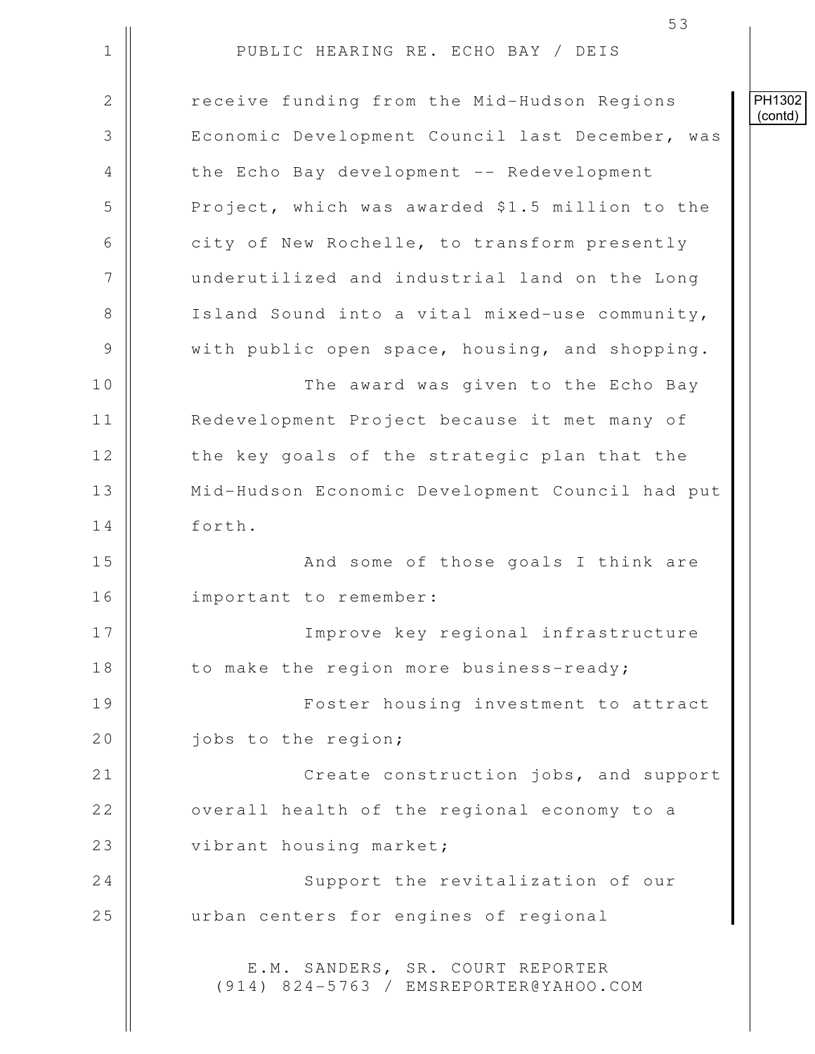1 || PUBLIC HEARING RE. ECHO BAY / DEIS 2 | Preceive funding from the Mid-Hudson Regions 3 | Economic Development Council last December, was 4 | the Echo Bay development -- Redevelopment 5 Project, which was awarded \$1.5 million to the 6 city of New Rochelle, to transform presently 7 | underutilized and industrial land on the Long 8 || Island Sound into a vital mixed-use community, 9 With public open space, housing, and shopping. 10 The award was given to the Echo Bay 11 Redevelopment Project because it met many of 12 || the key goals of the strategic plan that the 13 | Mid-Hudson Economic Development Council had put 14 forth. 15 || And some of those goals I think are 16 || important to remember: 17 Improve key regional infrastructure 18 || to make the region more business-ready; 19 || Foster housing investment to attract 20 | iobs to the region; 21 || Create construction jobs, and support 22 || overall health of the regional economy to a 23 || vibrant housing market; 24 || Support the revitalization of our 25 | urban centers for engines of regional E.M. SANDERS, SR. COURT REPORTER (914) 824-5763 / EMSREPORTER@YAHOO.COM PH1302 (contd)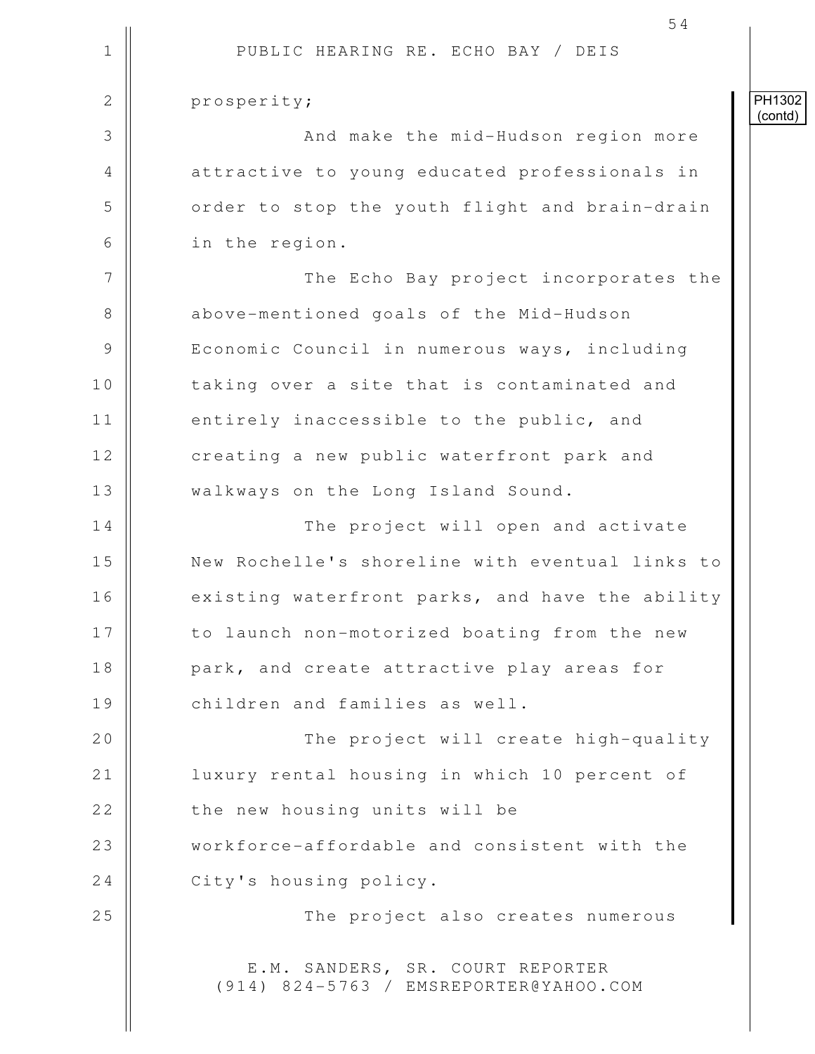|             | 54                                                                         |                   |
|-------------|----------------------------------------------------------------------------|-------------------|
| $\mathbf 1$ | PUBLIC HEARING RE. ECHO BAY / DEIS                                         |                   |
| 2           | prosperity;                                                                | PH1302<br>(contd) |
| 3           | And make the mid-Hudson region more                                        |                   |
| 4           | attractive to young educated professionals in                              |                   |
| 5           | order to stop the youth flight and brain-drain                             |                   |
| 6           | in the region.                                                             |                   |
| 7           | The Echo Bay project incorporates the                                      |                   |
| 8           | above-mentioned goals of the Mid-Hudson                                    |                   |
| 9           | Economic Council in numerous ways, including                               |                   |
| 10          | taking over a site that is contaminated and                                |                   |
| 11          | entirely inaccessible to the public, and                                   |                   |
| 12          | creating a new public waterfront park and                                  |                   |
| 13          | walkways on the Long Island Sound.                                         |                   |
| 14          | The project will open and activate                                         |                   |
| 15          | New Rochelle's shoreline with eventual links to                            |                   |
| 16          | existing waterfront parks, and have the ability                            |                   |
| 17          | to launch non-motorized boating from the new                               |                   |
| 18          | park, and create attractive play areas for                                 |                   |
| 19          | children and families as well.                                             |                   |
| 20          | The project will create high-quality                                       |                   |
| 21          | luxury rental housing in which 10 percent of                               |                   |
| 22          | the new housing units will be                                              |                   |
| 23          | workforce-affordable and consistent with the                               |                   |
| 24          | City's housing policy.                                                     |                   |
| 25          | The project also creates numerous                                          |                   |
|             | E.M. SANDERS, SR. COURT REPORTER<br>(914) 824-5763 / EMSREPORTER@YAHOO.COM |                   |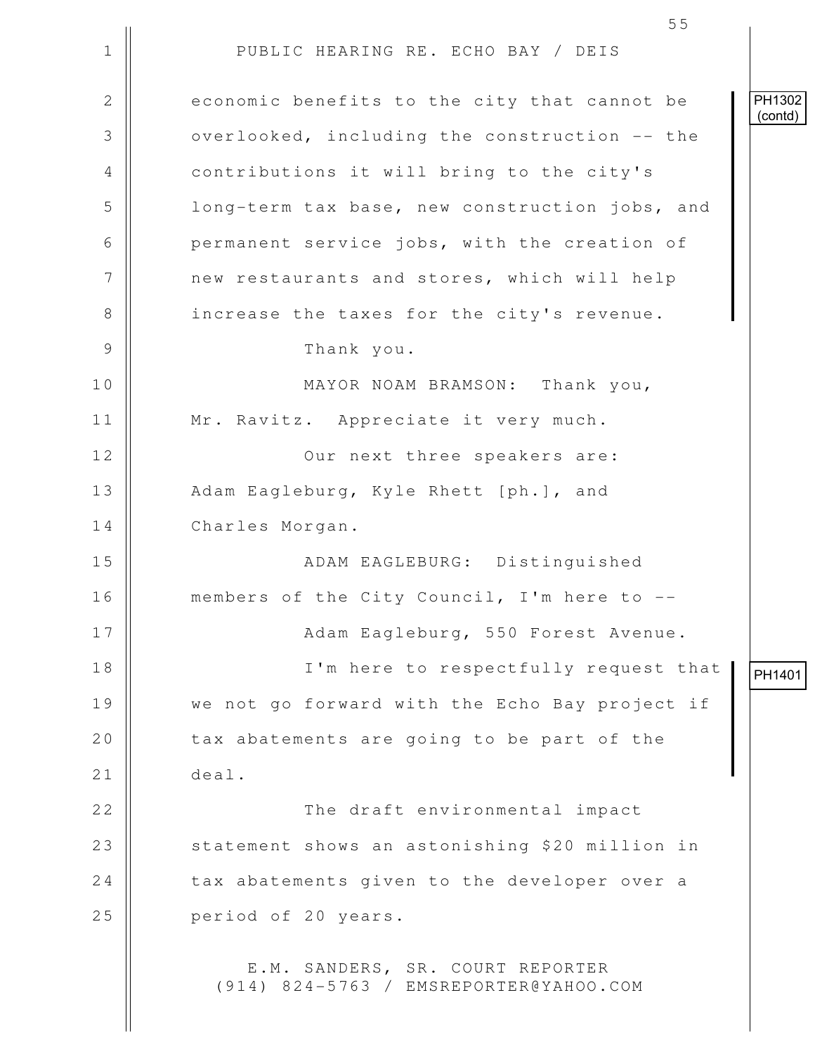1 || PUBLIC HEARING RE. ECHO BAY / DEIS 2 economic benefits to the city that cannot be 3 | overlooked, including the construction -- the 4 || contributions it will bring to the city's 5 | long-term tax base, new construction jobs, and 6 | permanent service jobs, with the creation of 7 | new restaurants and stores, which will help 8 || increase the taxes for the city's revenue. 9 Thank you. 10 MAYOR NOAM BRAMSON: Thank you, 11 || Mr. Ravitz. Appreciate it very much. 12 || Our next three speakers are: 13 || Adam Eagleburg, Kyle Rhett [ph.], and 14 | Charles Morgan. 15 ADAM EAGLEBURG: Distinguished 16 members of the City Council, I'm here to -- 17 || Adam Eagleburg, 550 Forest Avenue. 18 || I'm here to respectfully request that 19 || we not go forward with the Echo Bay project if 20  $\parallel$  tax abatements are going to be part of the 21 deal. 22 || The draft environmental impact 23 || statement shows an astonishing \$20 million in  $24$   $\parallel$  tax abatements given to the developer over a 25 **period** of 20 years. E.M. SANDERS, SR. COURT REPORTER (914) 824-5763 / EMSREPORTER@YAHOO.COM PH1302 (contd) PH1401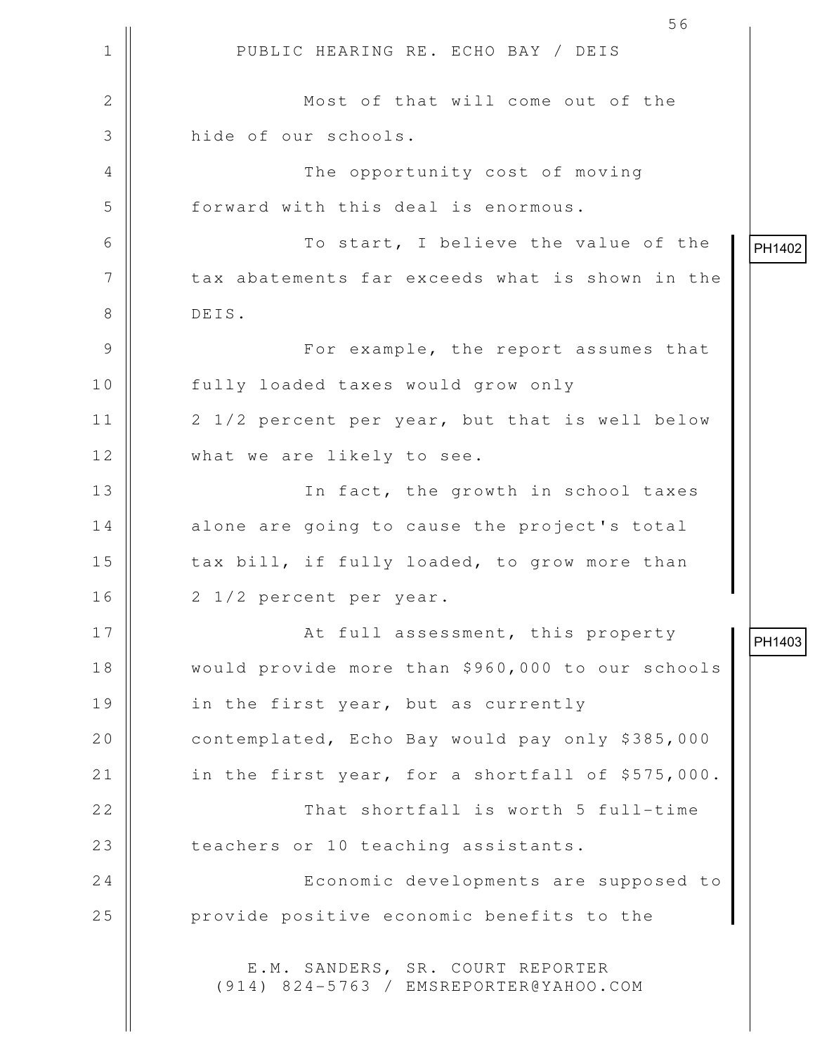1 || PUBLIC HEARING RE. ECHO BAY / DEIS 56 2 || Most of that will come out of the 3 **H** hide of our schools. 4 || The opportunity cost of moving 5 forward with this deal is enormous. 6 To start, I believe the value of the 7 | | tax abatements far exceeds what is shown in the 8 DEIS. 9 For example, the report assumes that 10 || fully loaded taxes would grow only 11 2 1/2 percent per year, but that is well below 12 What we are likely to see. 13 || In fact, the growth in school taxes 14 | alone are going to cause the project's total 15 | tax bill, if fully loaded, to grow more than 16 || 2 1/2 percent per year. 17 || At full assessment, this property 18 would provide more than \$960,000 to our schools 19 || in the first year, but as currently 20 contemplated, Echo Bay would pay only \$385,000 21 || in the first year, for a shortfall of \$575,000. 22 That shortfall is worth 5 full-time 23 | teachers or 10 teaching assistants. 24 | Economic developments are supposed to 25 | provide positive economic benefits to the E.M. SANDERS, SR. COURT REPORTER (914) 824-5763 / EMSREPORTER@YAHOO.COM PH1402 PH1403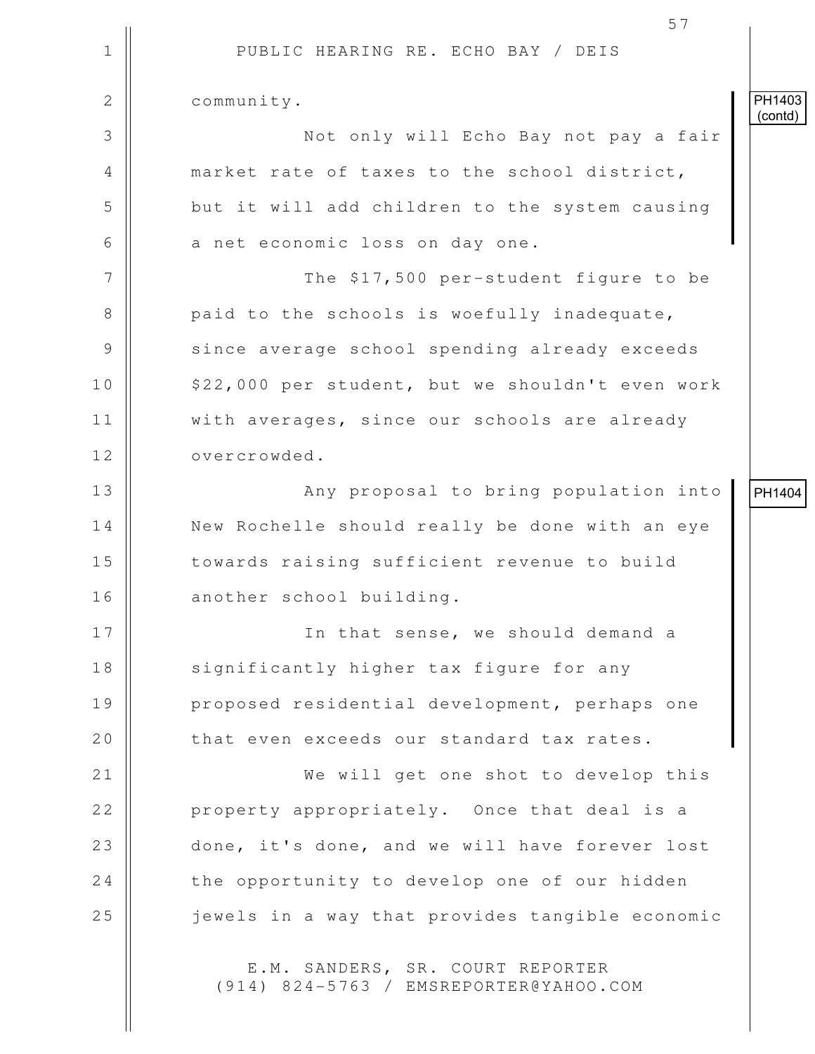1 || PUBLIC HEARING RE. ECHO BAY / DEIS 57 2 | community. 3 Not only will Echo Bay not pay a fair 4 market rate of taxes to the school district, 5 || but it will add children to the system causing  $6 \parallel$  a net economic loss on day one. 7 || The \$17,500 per-student figure to be 8 **paid to the schools is woefully inadequate,** 9 || since average school spending already exceeds 10 | \$22,000 per student, but we shouldn't even work 11 | with averages, since our schools are already 12 | overcrowded. 13 Any proposal to bring population into 14 | New Rochelle should really be done with an eye 15 || towards raising sufficient revenue to build 16 || another school building. 17 || In that sense, we should demand a 18 || significantly higher tax figure for any 19 || proposed residential development, perhaps one 20  $\parallel$  that even exceeds our standard tax rates. 21 || We will get one shot to develop this 22 **property appropriately.** Once that deal is a 23 done, it's done, and we will have forever lost  $24$   $\parallel$  the opportunity to develop one of our hidden 25 || iewels in a way that provides tangible economic E.M. SANDERS, SR. COURT REPORTER PH1403 (contd) PH1404

(914) 824-5763 / EMSREPORTER@YAHOO.COM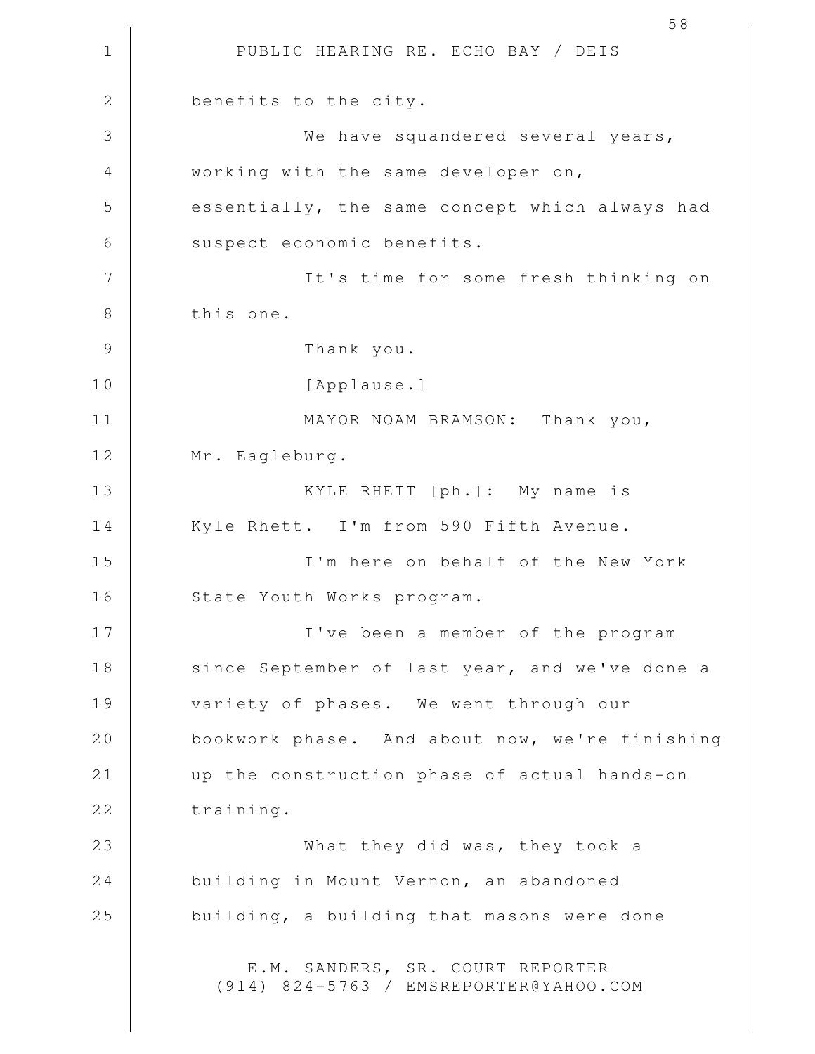1 || PUBLIC HEARING RE. ECHO BAY / DEIS 58 2 **benefits** to the city. 3 We have squandered several years, 4 || working with the same developer on, 5 s of the same concept which always had 6 | suspect economic benefits. 7 || The for some fresh thinking on 8 | this one. 9 Thank you. 10 || [Applause.] 11 || MAYOR NOAM BRAMSON: Thank you, 12 Mr. Eagleburg. 13 || KYLE RHETT [ph.]: My name is 14 || Kyle Rhett. I'm from 590 Fifth Avenue. 15 I'm here on behalf of the New York 16 || State Youth Works program. 17 I've been a member of the program 18 || since September of last year, and we've done a 19 || variety of phases. We went through our 20 | bookwork phase. And about now, we're finishing 21 || up the construction phase of actual hands-on 22 training. 23 What they did was, they took a 24 building in Mount Vernon, an abandoned  $25$   $\parallel$  building, a building that masons were done E.M. SANDERS, SR. COURT REPORTER (914) 824-5763 / EMSREPORTER@YAHOO.COM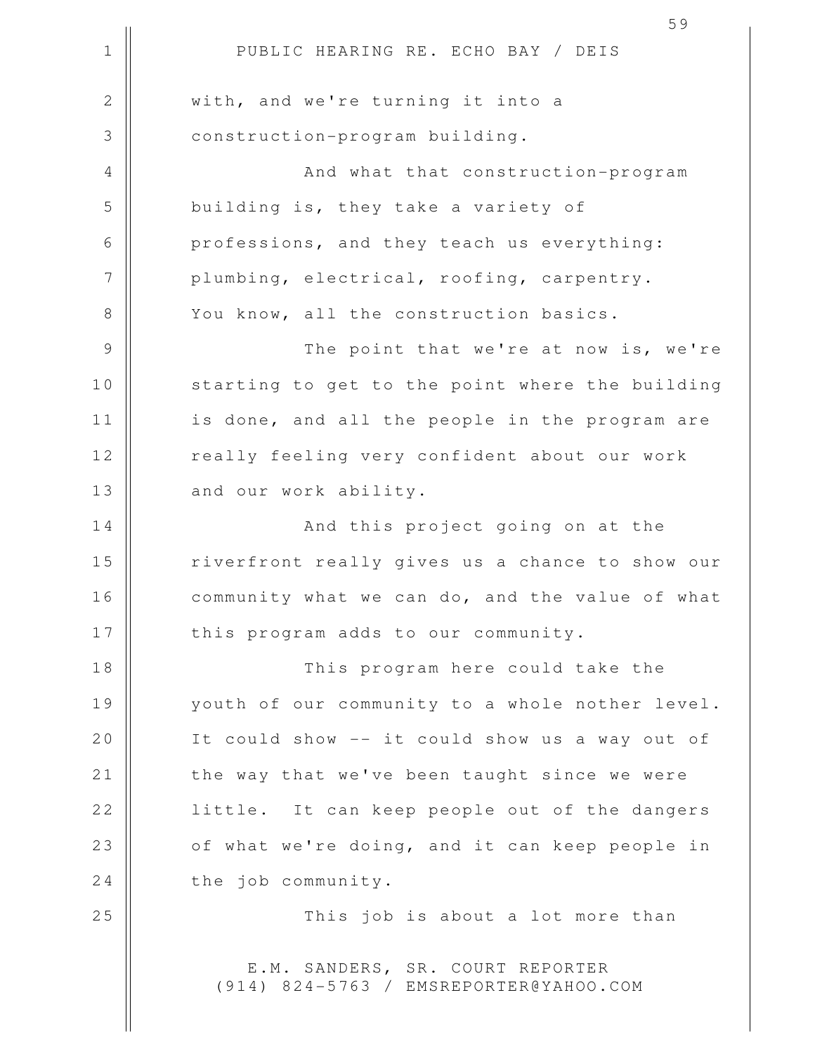|               | 59                                              |
|---------------|-------------------------------------------------|
| $\mathbf 1$   | PUBLIC HEARING RE. ECHO BAY / DEIS              |
| $\mathbf{2}$  | with, and we're turning it into a               |
| 3             | construction-program building.                  |
| 4             | And what that construction-program              |
| 5             | building is, they take a variety of             |
| 6             | professions, and they teach us everything:      |
| 7             | plumbing, electrical, roofing, carpentry.       |
| 8             | You know, all the construction basics.          |
| $\mathcal{G}$ | The point that we're at now is, we're           |
| 10            | starting to get to the point where the building |
| 11            | is done, and all the people in the program are  |
| 12            | really feeling very confident about our work    |
| 13            | and our work ability.                           |
| 14            | And this project going on at the                |
| 15            | riverfront really gives us a chance to show our |
| 16            | community what we can do, and the value of what |
| 17            | this program adds to our community.             |
| 18            | This program here could take the                |
| 19            | youth of our community to a whole nother level. |
| 20            | It could show -- it could show us a way out of  |
| 21            | the way that we've been taught since we were    |
| 22            | little. It can keep people out of the dangers   |
| 23            | of what we're doing, and it can keep people in  |
| 24            | the job community.                              |
| 25            | This job is about a lot more than               |
|               |                                                 |

E.M. SANDERS, SR. COURT REPORTER (914) 824-5763 / EMSREPORTER@YAHOO.COM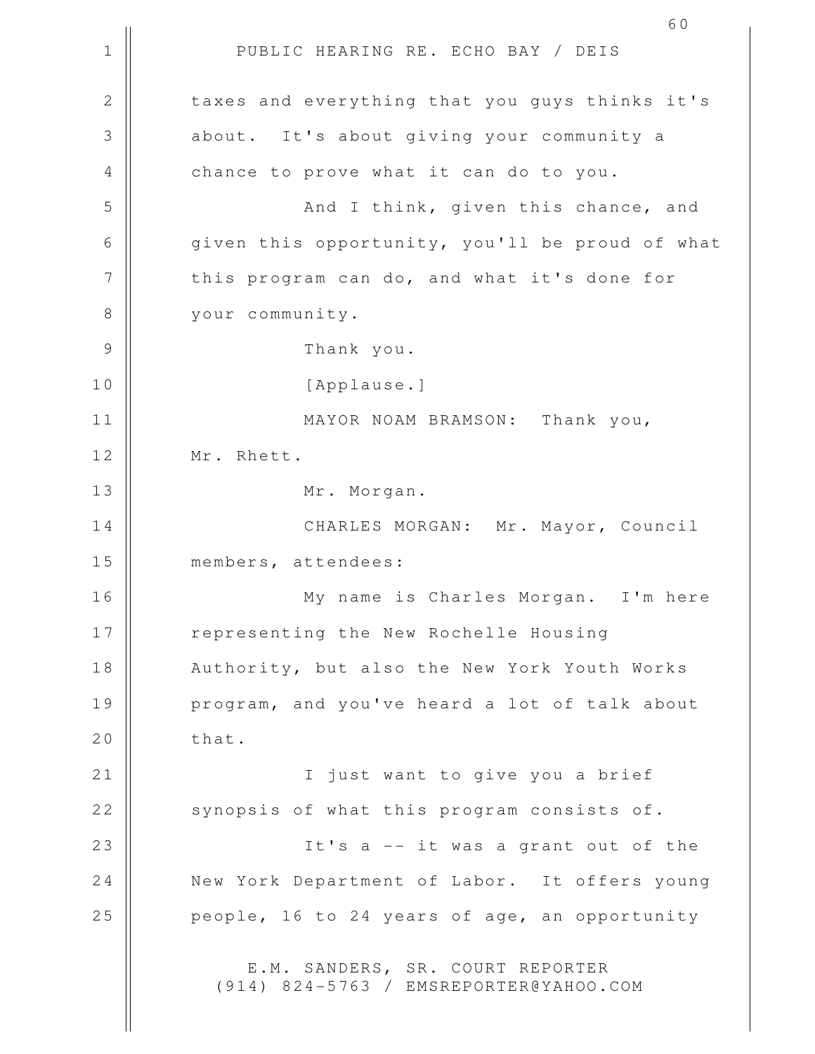1 || PUBLIC HEARING RE. ECHO BAY / DEIS 2 || taxes and everything that you guys thinks it's 3 || about. It's about qiving your community a 4 | chance to prove what it can do to you. 5 || And I think, given this chance, and 6 given this opportunity, you'll be proud of what 7 | this program can do, and what it's done for 8 | vour community. 9 Thank you. 10 || [Applause.] 11 || MAYOR NOAM BRAMSON: Thank you, 12 | Mr. Rhett. 13 || Mr. Morgan. 14 CHARLES MORGAN: Mr. Mayor, Council 15 | members, attendees: 16 My name is Charles Morgan. I'm here 17 || representing the New Rochelle Housing 18 || Authority, but also the New York Youth Works 19 || program, and you've heard a lot of talk about  $20$   $\parallel$  that. 21 || I just want to give you a brief 22 | synopsis of what this program consists of. 23 || It's a -- it was a grant out of the 24 | New York Department of Labor. It offers young 25  $\parallel$  people, 16 to 24 years of age, an opportunity E.M. SANDERS, SR. COURT REPORTER (914) 824-5763 / EMSREPORTER@YAHOO.COM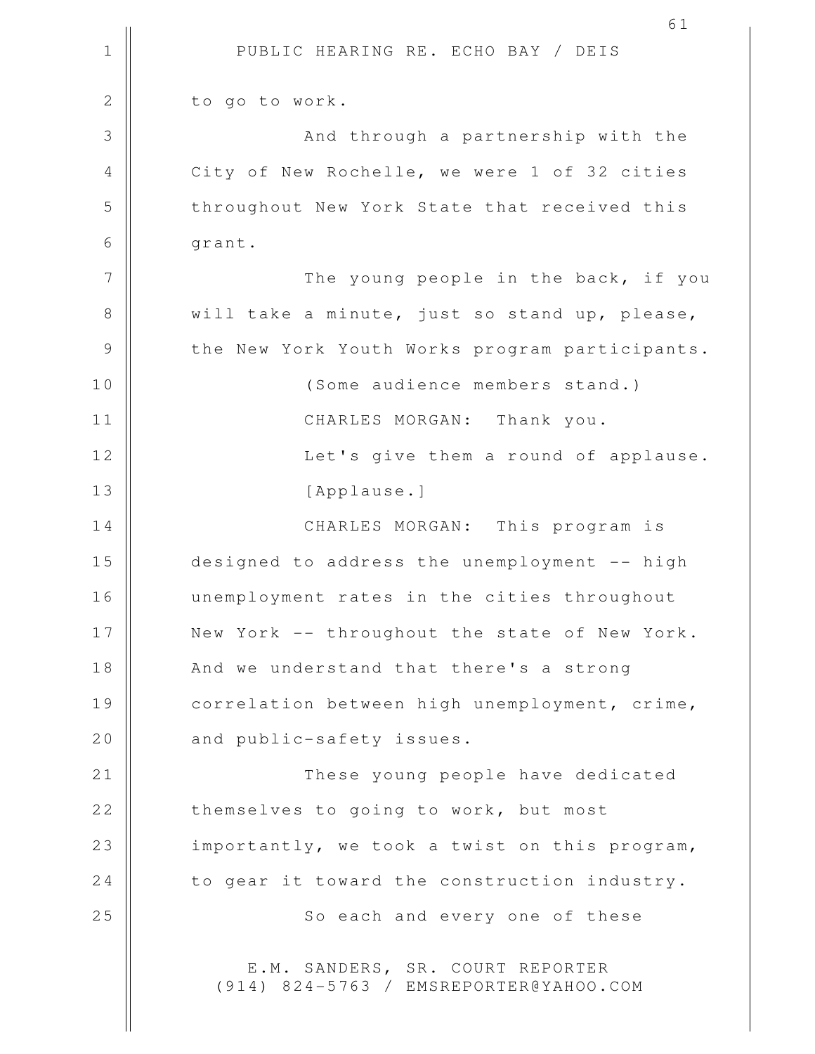1 || PUBLIC HEARING RE. ECHO BAY / DEIS 61 2 | to go to work. 3 || And through a partnership with the 4 | City of New Rochelle, we were 1 of 32 cities 5 | throughout New York State that received this  $6 \parallel$  grant. 7 || The young people in the back, if you 8 || will take a minute, just so stand up, please, 9 | the New York Youth Works program participants. 10 || (Some audience members stand.) 11 || CHARLES MORGAN: Thank you. 12 || Let's give them a round of applause. 13 | [Applause.] 14 CHARLES MORGAN: This program is 15 designed to address the unemployment -- high 16 unemployment rates in the cities throughout 17 || New York -- throughout the state of New York. 18 || And we understand that there's a strong 19 | correlation between high unemployment, crime, 20 || and public-safety issues. 21 || These young people have dedicated 22 | themselves to going to work, but most 23 || importantly, we took a twist on this program,  $24$   $\parallel$  to gear it toward the construction industry. 25 || So each and every one of these E.M. SANDERS, SR. COURT REPORTER (914) 824-5763 / EMSREPORTER@YAHOO.COM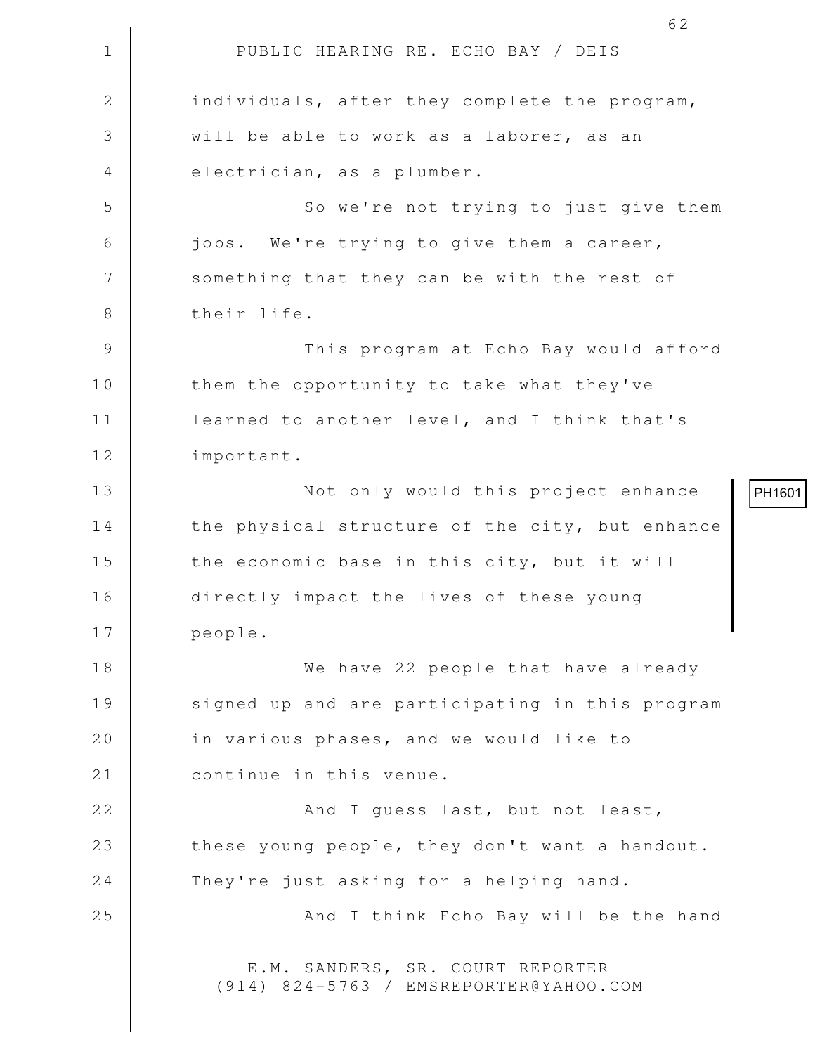|                | 62                                                                         |   |
|----------------|----------------------------------------------------------------------------|---|
| $\mathbf 1$    | PUBLIC HEARING RE. ECHO BAY / DEIS                                         |   |
| $\overline{2}$ | individuals, after they complete the program,                              |   |
| 3              | will be able to work as a laborer, as an                                   |   |
| 4              | electrician, as a plumber.                                                 |   |
| 5              | So we're not trying to just give them                                      |   |
| 6              | jobs. We're trying to give them a career,                                  |   |
| 7              | something that they can be with the rest of                                |   |
| 8              | their life.                                                                |   |
| $\mathcal{G}$  | This program at Echo Bay would afford                                      |   |
| 10             | them the opportunity to take what they've                                  |   |
| 11             | learned to another level, and I think that's                               |   |
| 12             | important.                                                                 |   |
| 13             | Not only would this project enhance                                        | F |
| 14             | the physical structure of the city, but enhance                            |   |
| 15             | the economic base in this city, but it will                                |   |
| 16             | directly impact the lives of these young                                   |   |
| 17             | people.                                                                    |   |
| 18             | We have 22 people that have already                                        |   |
| 19             | signed up and are participating in this program                            |   |
| 20             | in various phases, and we would like to                                    |   |
| 21             | continue in this venue.                                                    |   |
| 22             | And I guess last, but not least,                                           |   |
| 23             | these young people, they don't want a handout.                             |   |
| 24             | They're just asking for a helping hand.                                    |   |
| 25             | And I think Echo Bay will be the hand                                      |   |
|                | E.M. SANDERS, SR. COURT REPORTER<br>(914) 824-5763 / EMSREPORTER@YAHOO.COM |   |

PH1601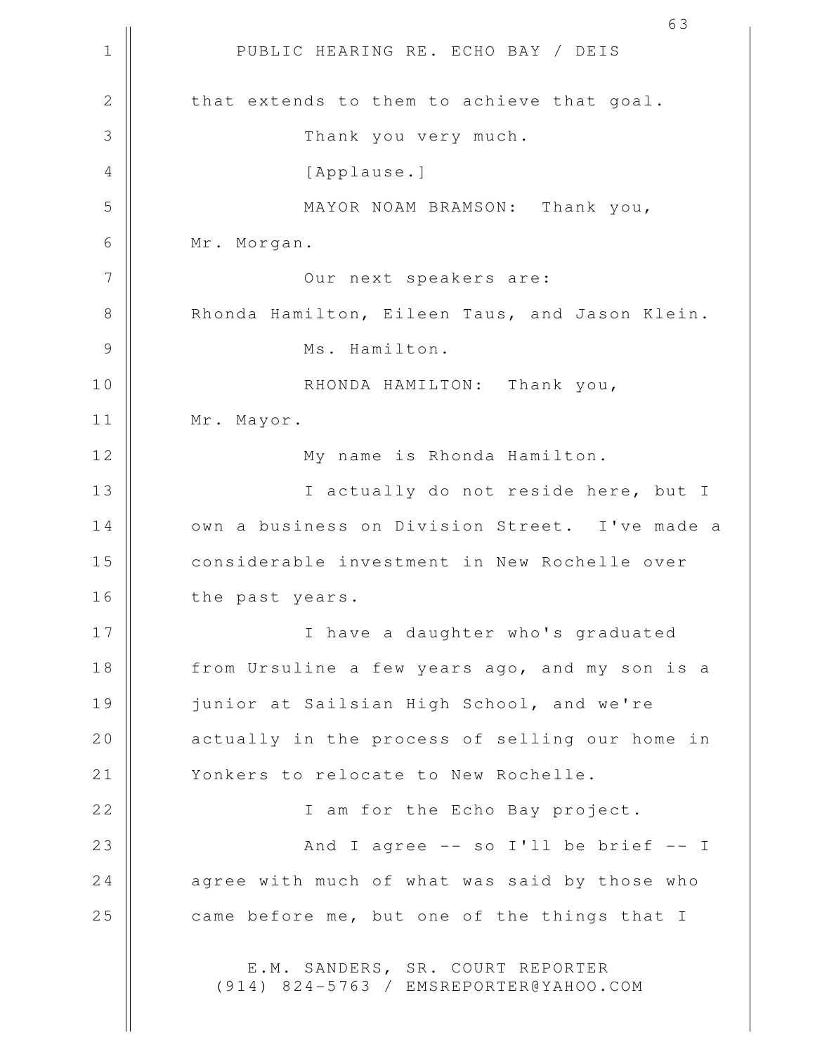1 || PUBLIC HEARING RE. ECHO BAY / DEIS 2 | that extends to them to achieve that goal. 3 || Thank you very much. 4 || [Applause.] 5 || MAYOR NOAM BRAMSON: Thank you, 6 Mr. Morgan. 7 Our next speakers are: 8 | Rhonda Hamilton, Eileen Taus, and Jason Klein. 9 || Ms. Hamilton. 10 || RHONDA HAMILTON: Thank you, 11 | Mr. Mayor. 12 || My name is Rhonda Hamilton. 13 || I actually do not reside here, but I 14 | Own a business on Division Street. I've made a 15 || considerable investment in New Rochelle over 16 | the past years. 17 || I have a daughter who's graduated 18 || from Ursuline a few years ago, and my son is a 19 | junior at Sailsian High School, and we're 20 || actually in the process of selling our home in 21 | Yonkers to relocate to New Rochelle. 22 || I am for the Echo Bay project. 23 || And I agree -- so I'll be brief -- I  $24$  | agree with much of what was said by those who 25 came before me, but one of the things that I E.M. SANDERS, SR. COURT REPORTER (914) 824-5763 / EMSREPORTER@YAHOO.COM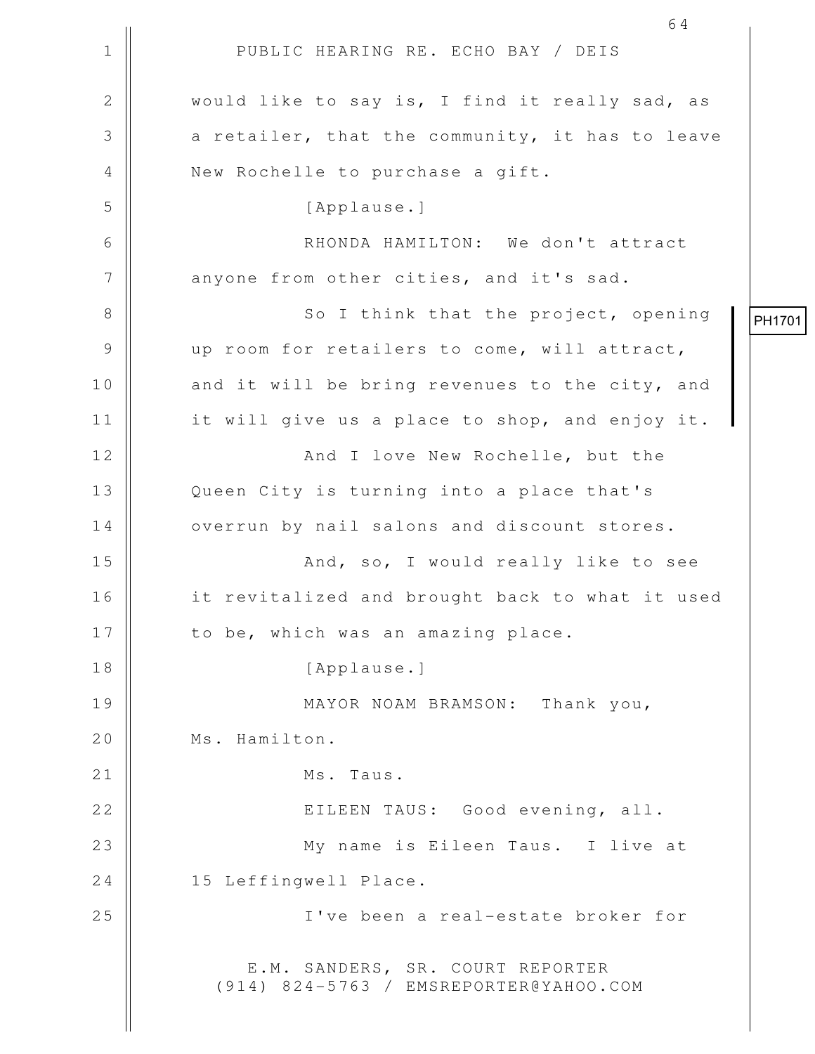|              | 64                                                                         |        |
|--------------|----------------------------------------------------------------------------|--------|
| $\mathbf 1$  | PUBLIC HEARING RE. ECHO BAY / DEIS                                         |        |
| $\mathbf{2}$ | would like to say is, I find it really sad, as                             |        |
| 3            | a retailer, that the community, it has to leave                            |        |
| 4            | New Rochelle to purchase a gift.                                           |        |
| 5            | [Applause.]                                                                |        |
| 6            | RHONDA HAMILTON: We don't attract                                          |        |
| 7            | anyone from other cities, and it's sad.                                    |        |
| 8            | So I think that the project, opening                                       | PH1701 |
| 9            | up room for retailers to come, will attract,                               |        |
| 10           | and it will be bring revenues to the city, and                             |        |
| 11           | it will give us a place to shop, and enjoy it.                             |        |
| 12           | And I love New Rochelle, but the                                           |        |
| 13           | Queen City is turning into a place that's                                  |        |
| 14           | overrun by nail salons and discount stores.                                |        |
| 15           | And, so, I would really like to see                                        |        |
| 16           | it revitalized and brought back to what it used                            |        |
| 17           | to be, which was an amazing place.                                         |        |
| 18           | [Applause.]                                                                |        |
| 19           | MAYOR NOAM BRAMSON: Thank you,                                             |        |
| 20           | Ms. Hamilton.                                                              |        |
| 21           | Ms. Taus.                                                                  |        |
| 22           | EILEEN TAUS: Good evening, all.                                            |        |
| 23           | My name is Eileen Taus. I live at                                          |        |
| 24           | 15 Leffingwell Place.                                                      |        |
| 25           | I've been a real-estate broker for                                         |        |
|              | E.M. SANDERS, SR. COURT REPORTER<br>(914) 824-5763 / EMSREPORTER@YAHOO.COM |        |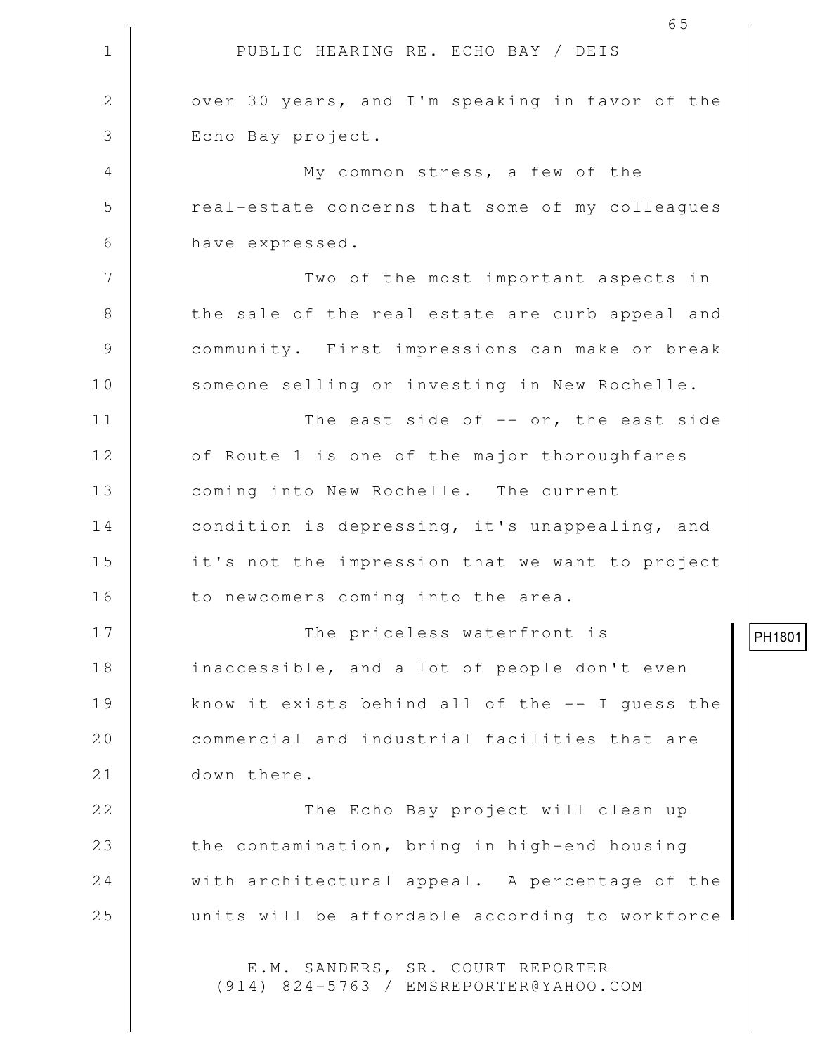1 || PUBLIC HEARING RE. ECHO BAY / DEIS 65 2 | over 30 years, and I'm speaking in favor of the 3 || Echo Bay project. 4 My common stress, a few of the 5 || cal-estate concerns that some of my colleagues 6 have expressed. 7 || Two of the most important aspects in 8 || the sale of the real estate are curb appeal and 9 | community. First impressions can make or break 10 || someone selling or investing in New Rochelle. 11 || The east side of -- or, the east side 12 | of Route 1 is one of the major thoroughfares 13 || coming into New Rochelle. The current 14 | condition is depressing, it's unappealing, and 15 || it's not the impression that we want to project 16 | to newcomers coming into the area. 17 The priceless waterfront is 18 || inaccessible, and a lot of people don't even 19 || know it exists behind all of the -- I quess the 20 **commercial and industrial facilities that are** 21 down there. 22 The Echo Bay project will clean up 23 || the contamination, bring in high-end housing 24 | with architectural appeal. A percentage of the 25 || units will be affordable according to workforce E.M. SANDERS, SR. COURT REPORTER (914) 824-5763 / EMSREPORTER@YAHOO.COM

PH1801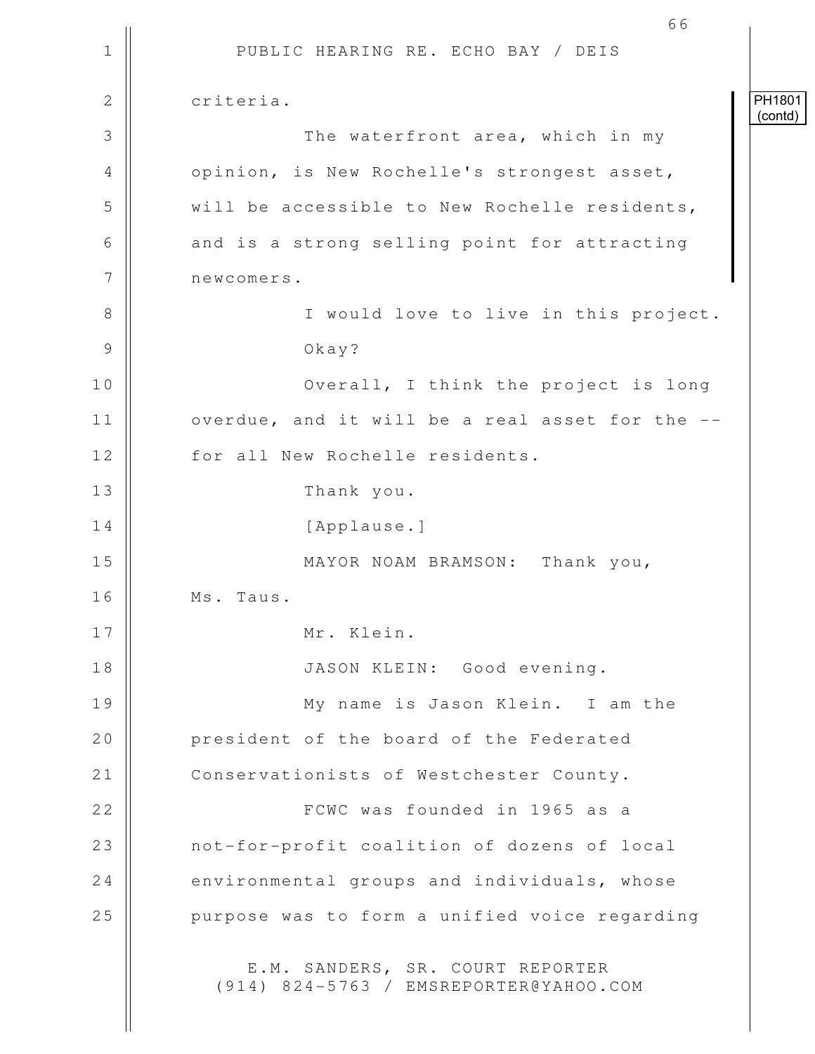1 || PUBLIC HEARING RE. ECHO BAY / DEIS 66 2 criteria. 3 || The waterfront area, which in my 4 | opinion, is New Rochelle's strongest asset, 5 We will be accessible to New Rochelle residents, 6 || and is a strong selling point for attracting 7 | newcomers. 8 || I would love to live in this project. 9 Okay? 10 || **Overall**, I think the project is long  $11$  | overdue, and it will be a real asset for the  $-$ -12 | for all New Rochelle residents. 13 Thank you. 14 | [Applause.] 15 || MAYOR NOAM BRAMSON: Thank you, 16 Ms. Taus. 17 Mr. Klein. 18 JASON KLEIN: Good evening. 19 My name is Jason Klein. I am the 20 **president of the board of the Federated** 21 | Conservationists of Westchester County. 22 FCWC was founded in 1965 as a 23 || not-for-profit coalition of dozens of local  $24$  environmental groups and individuals, whose 25 | purpose was to form a unified voice regarding E.M. SANDERS, SR. COURT REPORTER (914) 824-5763 / EMSREPORTER@YAHOO.COM PH1801 (contd)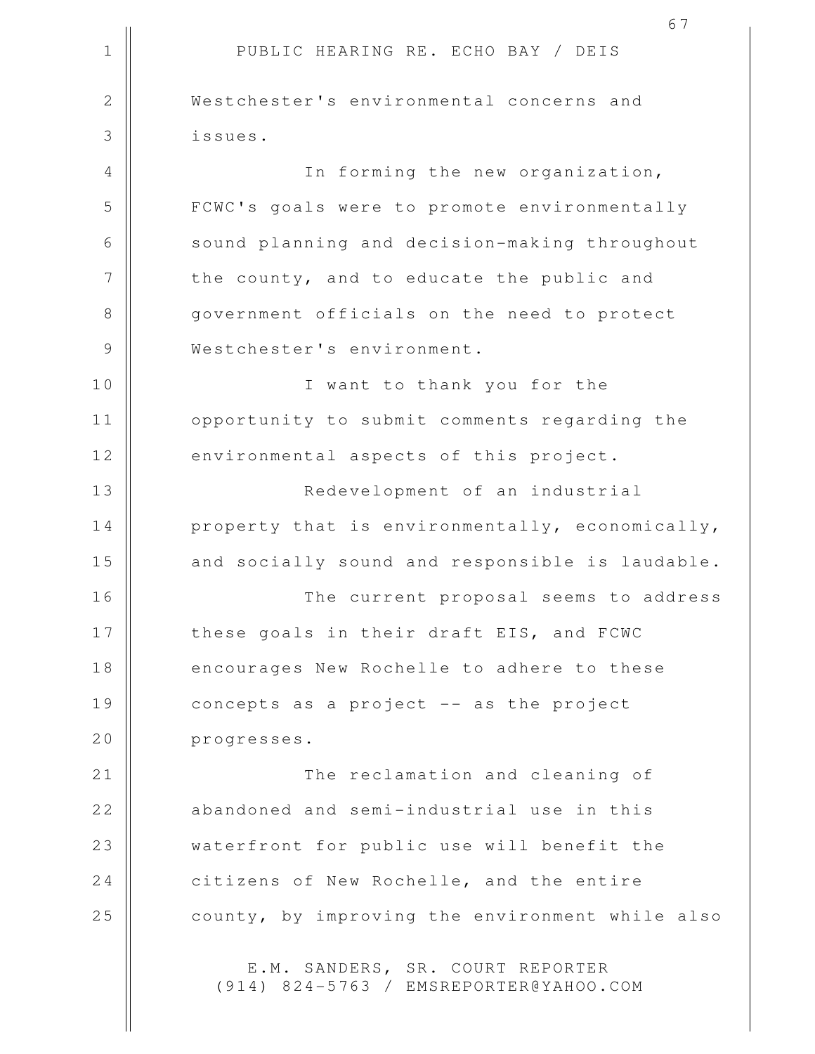1 || PUBLIC HEARING RE. ECHO BAY / DEIS 67 2 Westchester's environmental concerns and 3 issues. 4 || In forming the new organization, 5 | FCWC's goals were to promote environmentally 6 | sound planning and decision-making throughout  $7$  | the county, and to educate the public and 8 government officials on the need to protect 9 | Westchester's environment. 10 || I want to thank you for the 11 | opportunity to submit comments regarding the 12 environmental aspects of this project. 13 Redevelopment of an industrial 14 | property that is environmentally, economically, 15 || and socially sound and responsible is laudable. 16 The current proposal seems to address 17 || these goals in their draft EIS, and FCWC 18 || encourages New Rochelle to adhere to these 19 | concepts as a project -- as the project 20 progresses. 21 || The reclamation and cleaning of 22 || abandoned and semi-industrial use in this 23 || waterfront for public use will benefit the 24 | citizens of New Rochelle, and the entire 25 | county, by improving the environment while also E.M. SANDERS, SR. COURT REPORTER

(914) 824-5763 / EMSREPORTER@YAHOO.COM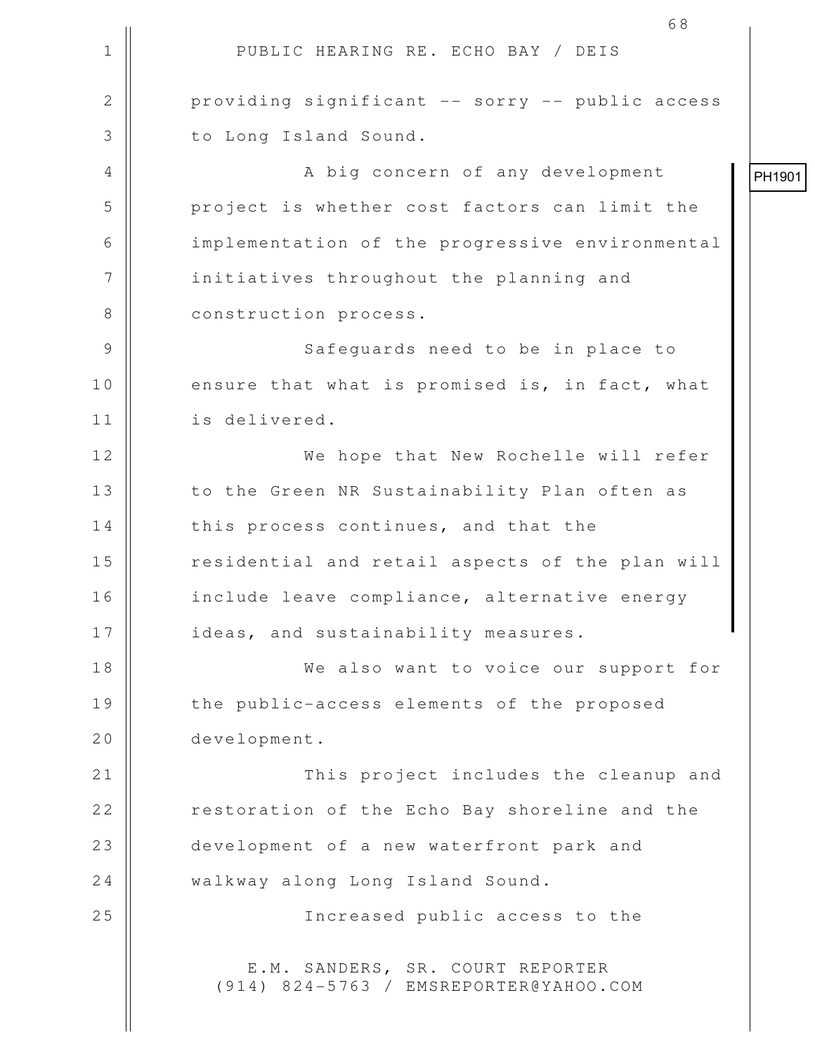| $\mathbf 1$ | PUBLIC HEARING RE. ECHO BAY / DEIS                                         |        |
|-------------|----------------------------------------------------------------------------|--------|
| 2           | providing significant -- sorry -- public access                            |        |
| 3           | to Long Island Sound.                                                      |        |
| 4           | A big concern of any development                                           | PH1901 |
| 5           | project is whether cost factors can limit the                              |        |
| 6           | implementation of the progressive environmental                            |        |
| 7           | initiatives throughout the planning and                                    |        |
| 8           | construction process.                                                      |        |
| 9           | Safequards need to be in place to                                          |        |
| 10          | ensure that what is promised is, in fact, what                             |        |
| 11          | is delivered.                                                              |        |
| 12          | We hope that New Rochelle will refer                                       |        |
| 13          | to the Green NR Sustainability Plan often as                               |        |
| 14          | this process continues, and that the                                       |        |
| 15          | residential and retail aspects of the plan will                            |        |
| 16          | include leave compliance, alternative energy                               |        |
| 17          | ideas, and sustainability measures.                                        |        |
| 18          | We also want to voice our support for                                      |        |
| 19          | the public-access elements of the proposed                                 |        |
| 20          | development.                                                               |        |
| 21          | This project includes the cleanup and                                      |        |
| 22          | restoration of the Echo Bay shoreline and the                              |        |
| 23          | development of a new waterfront park and                                   |        |
| 24          | walkway along Long Island Sound.                                           |        |
| 25          | Increased public access to the                                             |        |
|             | E.M. SANDERS, SR. COURT REPORTER<br>(914) 824-5763 / EMSREPORTER@YAHOO.COM |        |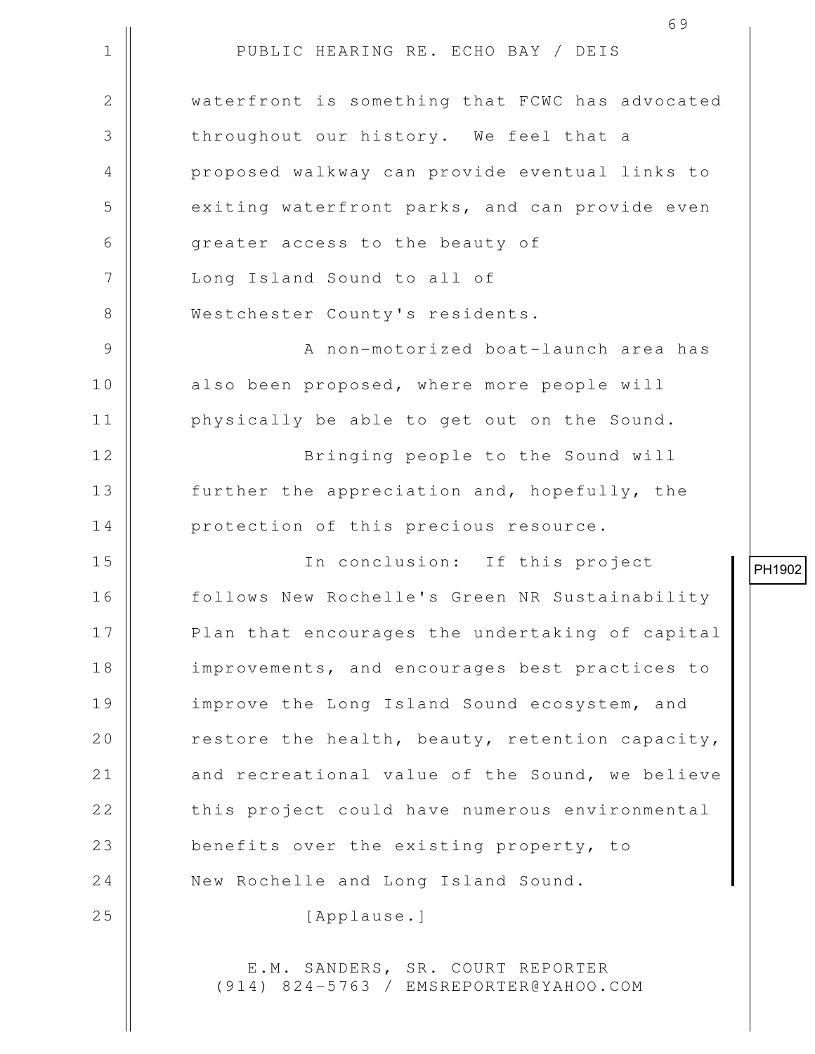1 || PUBLIC HEARING RE. ECHO BAY / DEIS 2 | waterfront is something that FCWC has advocated 3 throughout our history. We feel that a 4 || proposed walkway can provide eventual links to 5 || exiting waterfront parks, and can provide even 6 || greater access to the beauty of 7 || Long Island Sound to all of 8 Westchester County's residents. 9 || A non-motorized boat-launch area has 10 || also been proposed, where more people will 11 | physically be able to get out on the Sound. 12 || Bringing people to the Sound will 13 || further the appreciation and, hopefully, the 14 || protection of this precious resource. 15 In conclusion: If this project 16 follows New Rochelle's Green NR Sustainability 17 || Plan that encourages the undertaking of capital 18 || improvements, and encourages best practices to 19 || improve the Long Island Sound ecosystem, and 20  $\parallel$  restore the health, beauty, retention capacity, 21 | and recreational value of the Sound, we believe 22 | this project could have numerous environmental 23 benefits over the existing property, to 24 Wew Rochelle and Long Island Sound. 25 || [Applause.] E.M. SANDERS, SR. COURT REPORTER (914) 824-5763 / EMSREPORTER@YAHOO.COM

PH1902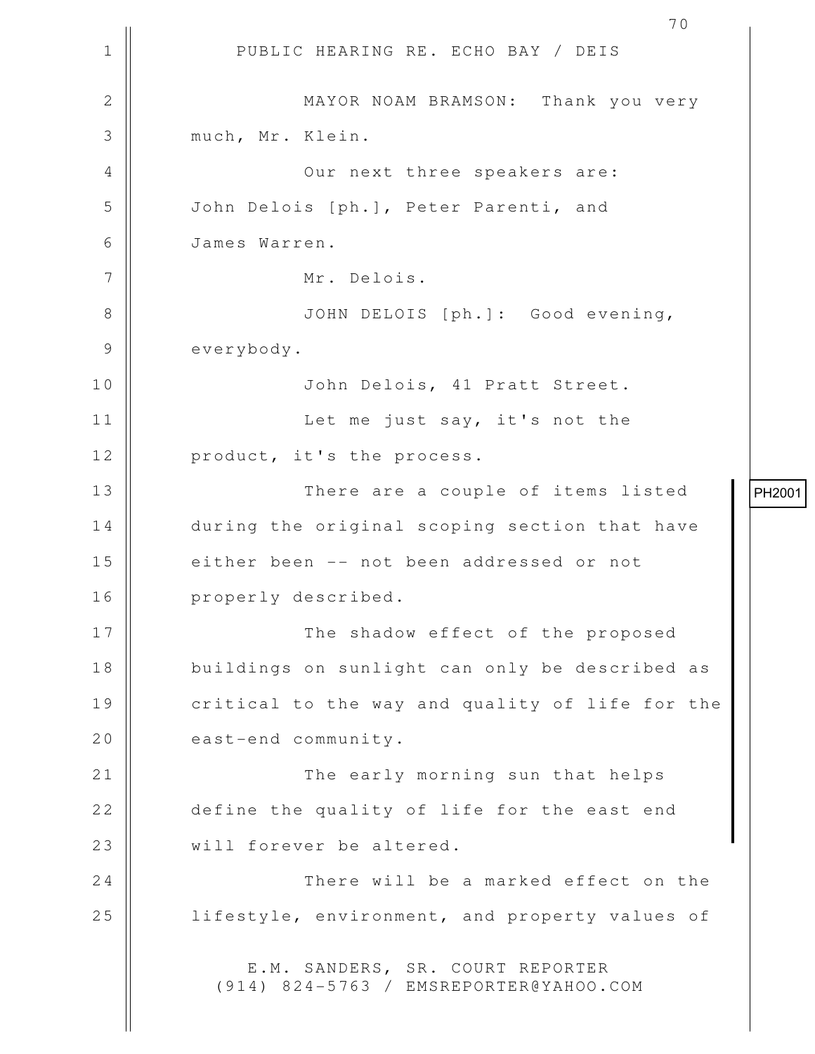1 || PUBLIC HEARING RE. ECHO BAY / DEIS 2 || MAYOR NOAM BRAMSON: Thank you very 3 much, Mr. Klein. 4 || Our next three speakers are: 5 John Delois [ph.], Peter Parenti, and 6 James Warren. 7 || Mr. Delois. 8 || JOHN DELOIS [ph.]: Good evening, 9 everybody. 10 John Delois, 41 Pratt Street. 11 || Let me just say, it's not the 12 || product, it's the process. 13 || There are a couple of items listed 14 || during the original scoping section that have 15 || either been -- not been addressed or not 16 || properly described. 17 || The shadow effect of the proposed 18 || buildings on sunlight can only be described as 19 || critical to the way and quality of life for the 20 east-end community. 21 || The early morning sun that helps 22 define the quality of life for the east end 23 || will forever be altered. 24 || There will be a marked effect on the 25 | lifestyle, environment, and property values of E.M. SANDERS, SR. COURT REPORTER (914) 824-5763 / EMSREPORTER@YAHOO.COM PH2001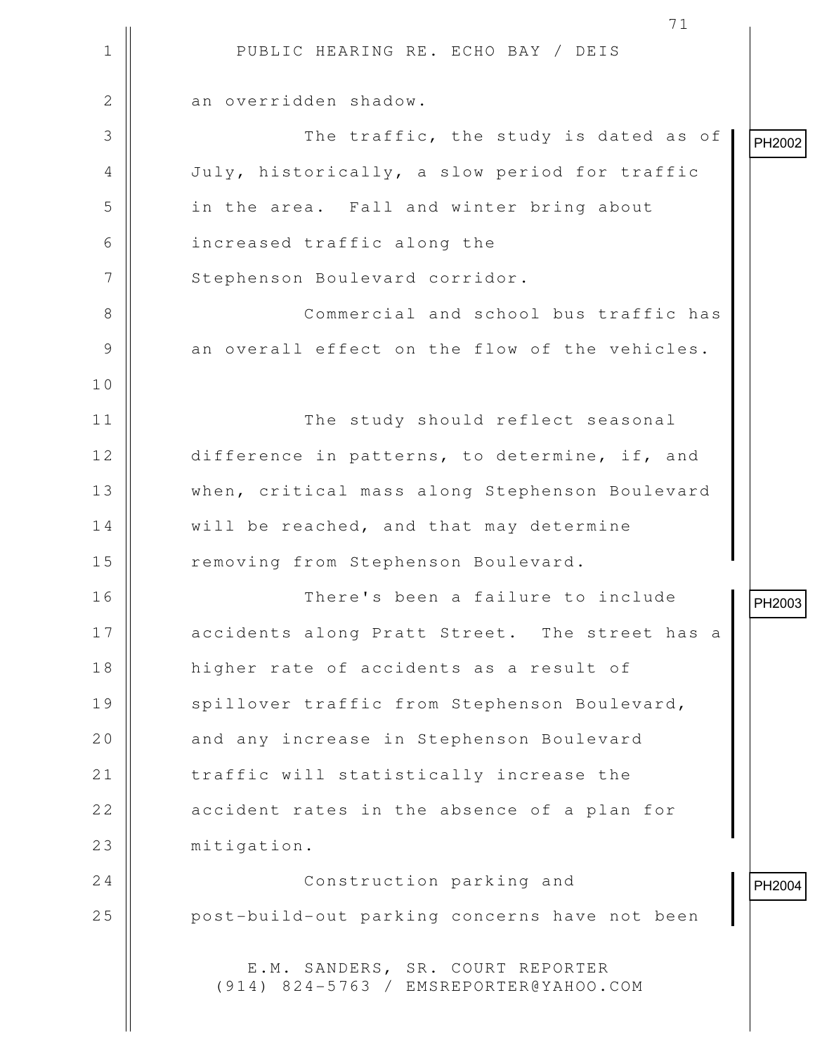1 || PUBLIC HEARING RE. ECHO BAY / DEIS 71 2 | an overridden shadow. 3 || The traffic, the study is dated as of 4 July, historically, a slow period for traffic 5 || in the area. Fall and winter bring about 6 increased traffic along the 7 | Stephenson Boulevard corridor. 8 || Commercial and school bus traffic has 9 || an overall effect on the flow of the vehicles. 10 11 The study should reflect seasonal 12 difference in patterns, to determine, if, and 13 When, critical mass along Stephenson Boulevard 14 | will be reached, and that may determine 15 | Temoving from Stephenson Boulevard. 16 There's been a failure to include 17 || accidents along Pratt Street. The street has a 18 higher rate of accidents as a result of 19 || spillover traffic from Stephenson Boulevard, 20 | and any increase in Stephenson Boulevard 21 | traffic will statistically increase the  $22$   $\parallel$  accident rates in the absence of a plan for 23 | mitigation. 24 || Construction parking and 25 || post-build-out parking concerns have not been E.M. SANDERS, SR. COURT REPORTER (914) 824-5763 / EMSREPORTER@YAHOO.COM PH2002 PH2003 PH2004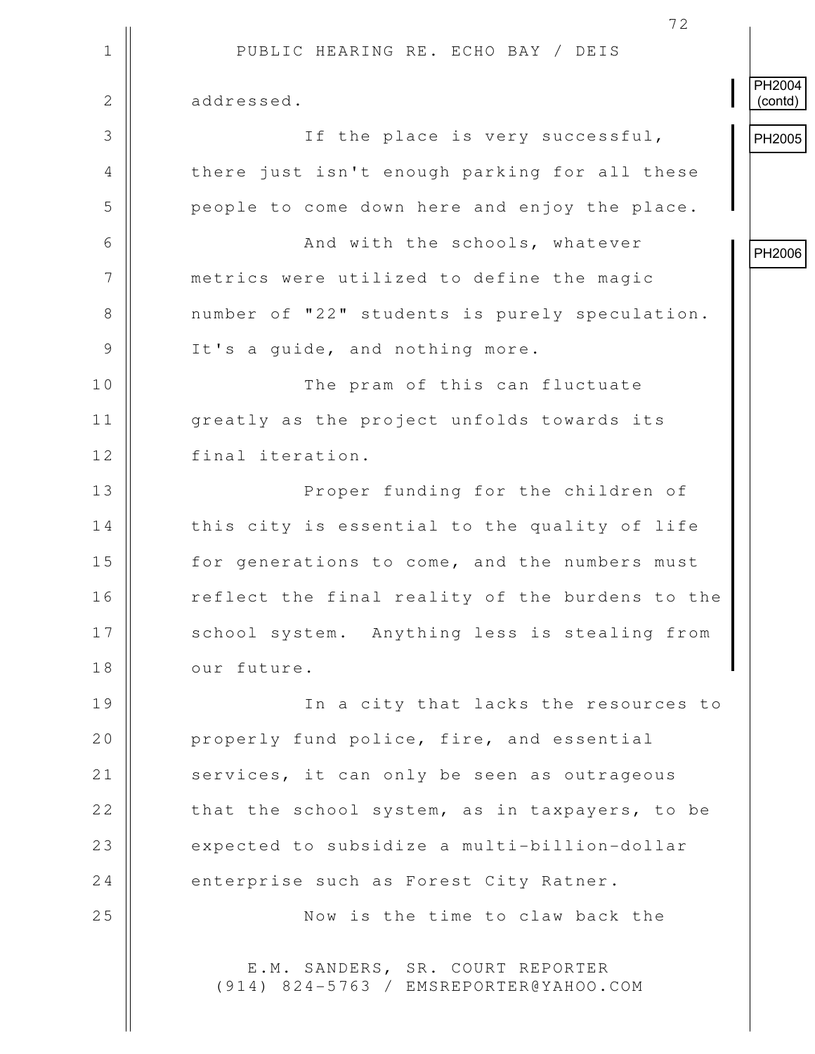|                | 72                                                                         |                          |
|----------------|----------------------------------------------------------------------------|--------------------------|
| $\mathbf 1$    | PUBLIC HEARING RE. ECHO BAY / DEIS                                         |                          |
| $\overline{2}$ | addressed.                                                                 | <b>PH2004</b><br>(contd) |
| 3              | If the place is very successful,                                           | PH2005                   |
| 4              | there just isn't enough parking for all these                              |                          |
| 5              | people to come down here and enjoy the place.                              |                          |
| 6              | And with the schools, whatever                                             | PH2006                   |
| $\overline{7}$ | metrics were utilized to define the magic                                  |                          |
| $8\,$          | number of "22" students is purely speculation.                             |                          |
| $\mathsf 9$    | It's a quide, and nothing more.                                            |                          |
| 10             | The pram of this can fluctuate                                             |                          |
| 11             | greatly as the project unfolds towards its                                 |                          |
| 12             | final iteration.                                                           |                          |
| 13             | Proper funding for the children of                                         |                          |
| 14             | this city is essential to the quality of life                              |                          |
| 15             | for generations to come, and the numbers must                              |                          |
| 16             | reflect the final reality of the burdens to the                            |                          |
| 17             | school system. Anything less is stealing from                              |                          |
| 18             | our future.                                                                |                          |
| 19             | In a city that lacks the resources to                                      |                          |
| 20             | properly fund police, fire, and essential                                  |                          |
| 21             | services, it can only be seen as outrageous                                |                          |
| 22             | that the school system, as in taxpayers, to be                             |                          |
| 23             | expected to subsidize a multi-billion-dollar                               |                          |
| 24             | enterprise such as Forest City Ratner.                                     |                          |
| 25             | Now is the time to claw back the                                           |                          |
|                | E.M. SANDERS, SR. COURT REPORTER<br>(914) 824-5763 / EMSREPORTER@YAHOO.COM |                          |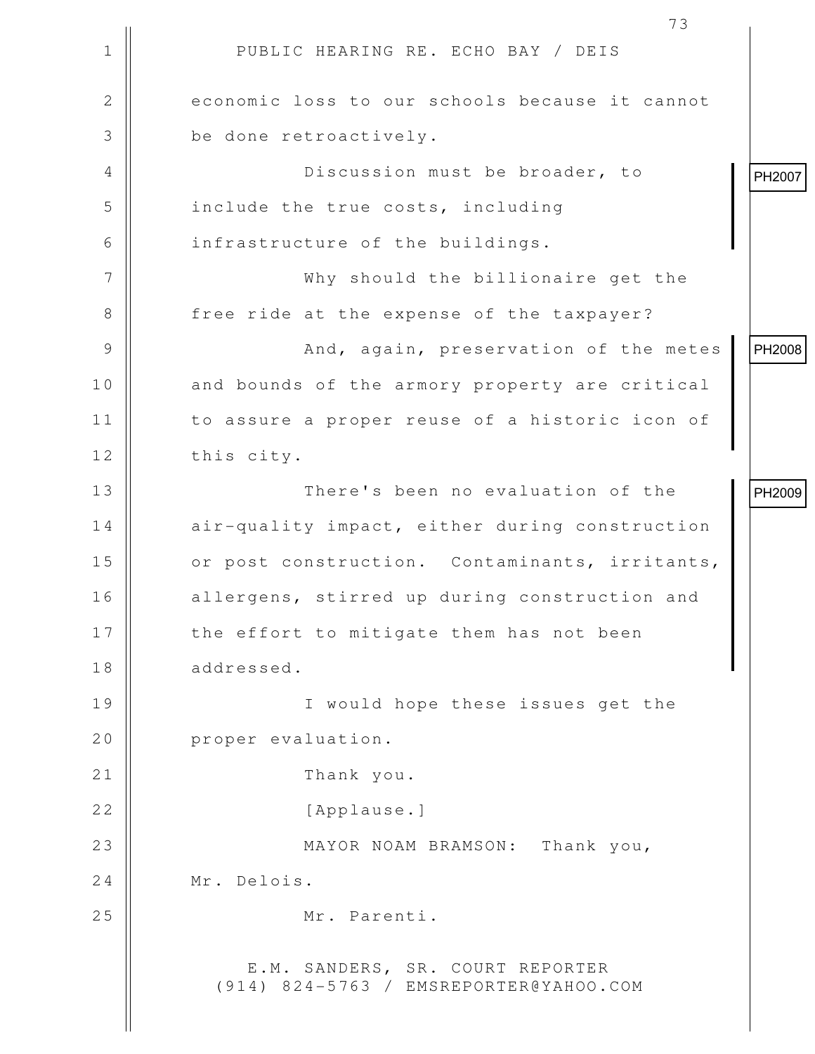|              | 73                                                                         |        |
|--------------|----------------------------------------------------------------------------|--------|
| 1            | PUBLIC HEARING RE. ECHO BAY / DEIS                                         |        |
| $\mathbf{2}$ | economic loss to our schools because it cannot                             |        |
| 3            | be done retroactively.                                                     |        |
| 4            | Discussion must be broader, to                                             | PH2007 |
| 5            | include the true costs, including                                          |        |
| 6            | infrastructure of the buildings.                                           |        |
| 7            | Why should the billionaire get the                                         |        |
| 8            | free ride at the expense of the taxpayer?                                  |        |
| 9            | And, again, preservation of the metes                                      | PH2008 |
| 10           | and bounds of the armory property are critical                             |        |
| 11           | to assure a proper reuse of a historic icon of                             |        |
| 12           | this city.                                                                 |        |
| 13           | There's been no evaluation of the                                          | PH2009 |
| 14           | air-quality impact, either during construction                             |        |
| 15           | or post construction. Contaminants, irritants,                             |        |
| 16           | allergens, stirred up during construction and                              |        |
| 17           | the effort to mitigate them has not been                                   |        |
| 18           | addressed.                                                                 |        |
| 19           | I would hope these issues get the                                          |        |
| 20           | proper evaluation.                                                         |        |
| 21           | Thank you.                                                                 |        |
| 22           | [Applause.]                                                                |        |
| 23           | MAYOR NOAM BRAMSON: Thank you,                                             |        |
| 24           | Mr. Delois.                                                                |        |
| 25           | Mr. Parenti.                                                               |        |
|              | E.M. SANDERS, SR. COURT REPORTER<br>(914) 824-5763 / EMSREPORTER@YAHOO.COM |        |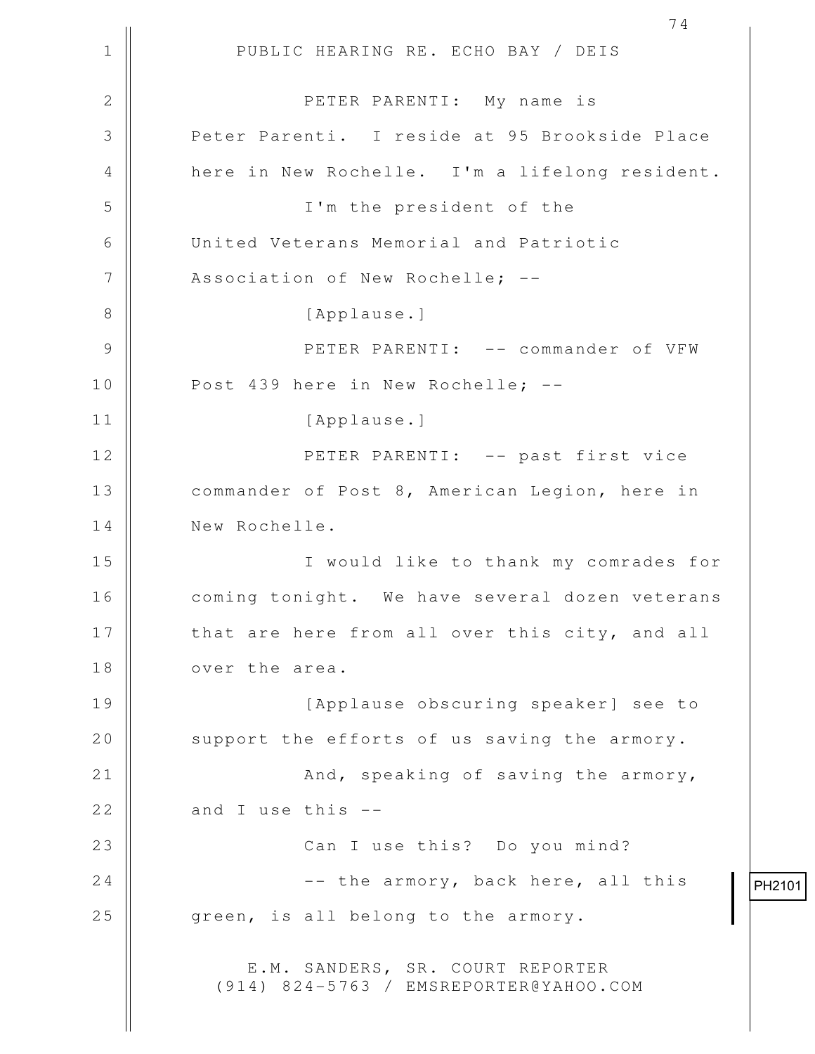1 || PUBLIC HEARING RE. ECHO BAY / DEIS 74 2 PETER PARENTI: My name is 3 || Peter Parenti. I reside at 95 Brookside Place 4 here in New Rochelle. I'm a lifelong resident. 5 I'm the president of the 6 United Veterans Memorial and Patriotic 7 || Association of New Rochelle; --8 || [Applause.] 9 PETER PARENTI: -- commander of VFW 10 || Post 439 here in New Rochelle; --11 || [Applause.] 12 || PETER PARENTI: -- past first vice 13 | commander of Post 8, American Legion, here in 14 New Rochelle. 15 I would like to thank my comrades for 16 || coming tonight. We have several dozen veterans 17 || that are here from all over this city, and all 18 **d** over the area. 19 [Applause obscuring speaker] see to 20  $\parallel$  support the efforts of us saving the armory. 21 || **And, speaking of saving the armory**, 22  $\parallel$  and I use this  $-$ 23 || Can I use this? Do you mind? 24  $\parallel$  -- the armory, back here, all this  $25$  |  $q$ reen, is all belong to the armory. E.M. SANDERS, SR. COURT REPORTER (914) 824-5763 / EMSREPORTER@YAHOO.COM

PH2101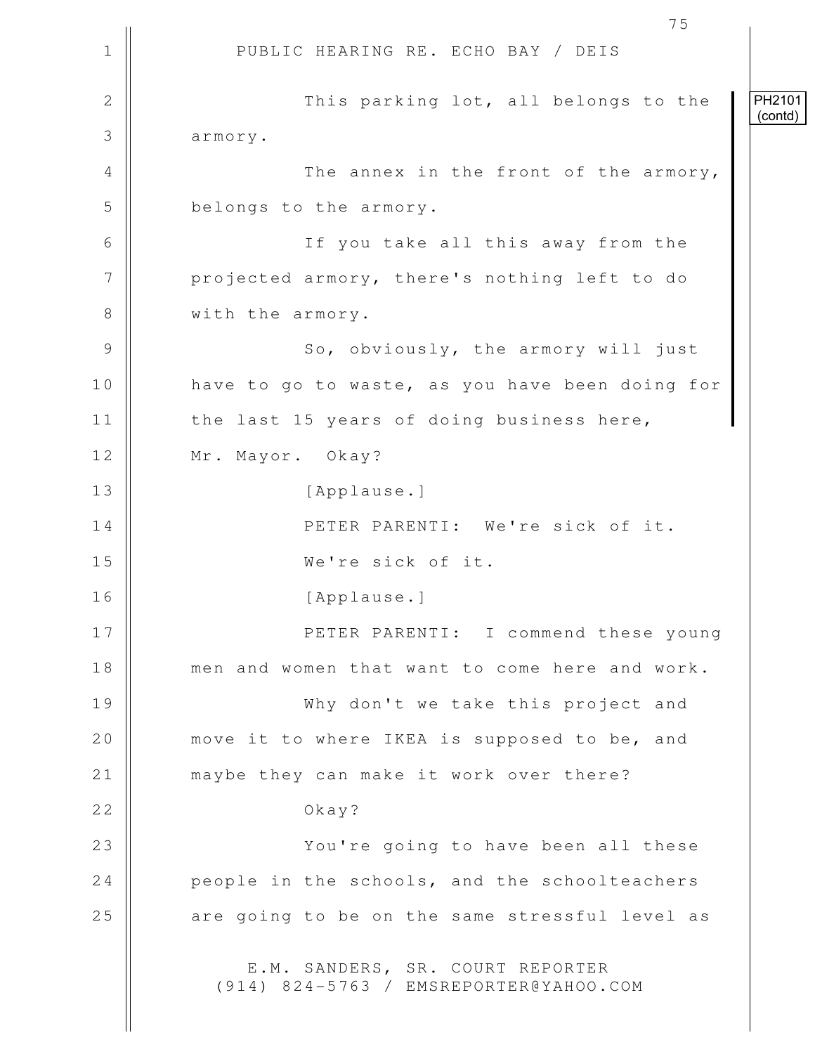1 || PUBLIC HEARING RE. ECHO BAY / DEIS 75 2 || This parking lot, all belongs to the 3 armory. 4 || The annex in the front of the armory, 5 **belongs** to the armory. 6 If you take all this away from the 7 | projected armory, there's nothing left to do 8 | with the armory. 9 || So, obviously, the armory will just 10 || have to go to waste, as you have been doing for 11 || the last 15 years of doing business here, 12 | Mr. Mayor. Okay? 13 || [Applause.] 14 **||** PETER PARENTI: We're sick of it. 15 We're sick of it. 16 [Applause.] 17 PETER PARENTI: I commend these young 18 men and women that want to come here and work. 19 Why don't we take this project and 20 | move it to where IKEA is supposed to be, and 21 | maybe they can make it work over there? 22 December 22 December 22 December 22 December 22 December 22 December 22 December 22 December 22 December 2 23 || You're going to have been all these 24 **people in the schools, and the schoolteachers**  $25$   $\parallel$  are going to be on the same stressful level as E.M. SANDERS, SR. COURT REPORTER (914) 824-5763 / EMSREPORTER@YAHOO.COM PH2101 (contd)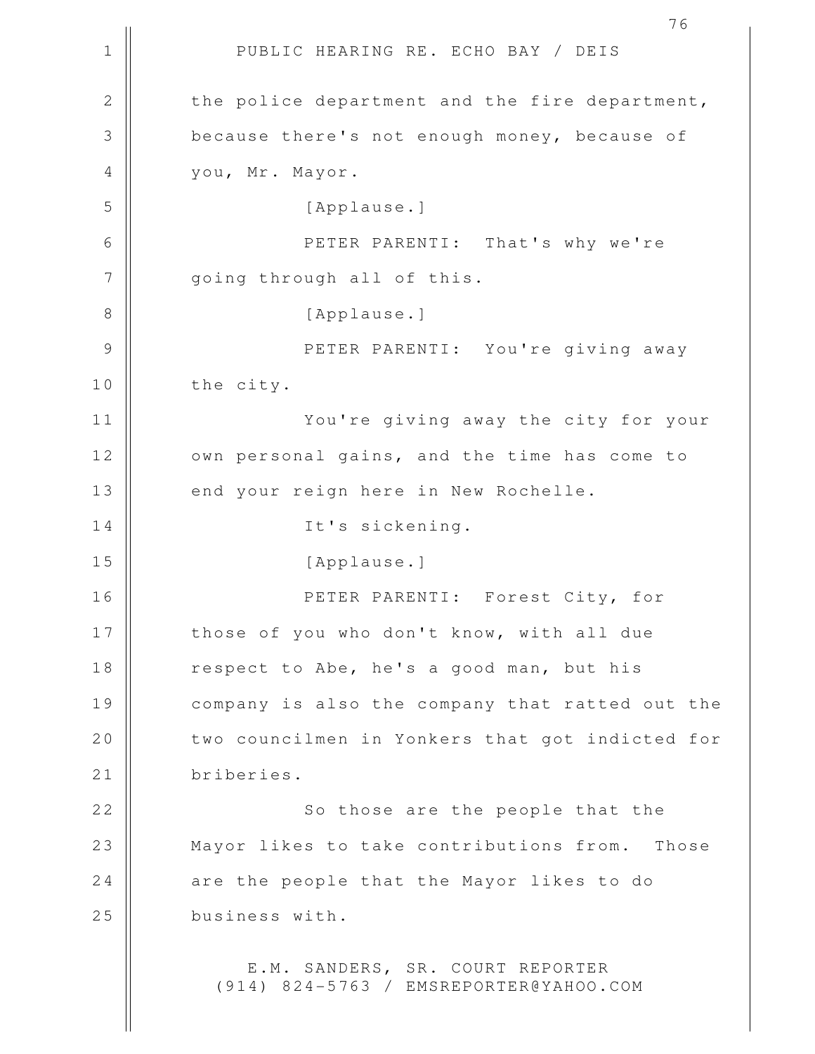1 || PUBLIC HEARING RE. ECHO BAY / DEIS 2 the police department and the fire department, 3 because there's not enough money, because of 4 | vou, Mr. Mayor. 5 [Applause.] 6 PETER PARENTI: That's why we're 7 || going through all of this. 8 || [Applause.] 9 PETER PARENTI: You're giving away 10 || the city. 11 You're giving away the city for your 12 | own personal gains, and the time has come to 13 | end your reign here in New Rochelle. 14 || It's sickening. 15 || [Applause.] 16 PETER PARENTI: Forest City, for 17 || those of you who don't know, with all due 18 || respect to Abe, he's a good man, but his 19 || company is also the company that ratted out the 20 | two councilmen in Yonkers that got indicted for 21 | briberies. 22 || So those are the people that the 23 || Mayor likes to take contributions from. Those 24 are the people that the Mayor likes to do 25 business with. E.M. SANDERS, SR. COURT REPORTER (914) 824-5763 / EMSREPORTER@YAHOO.COM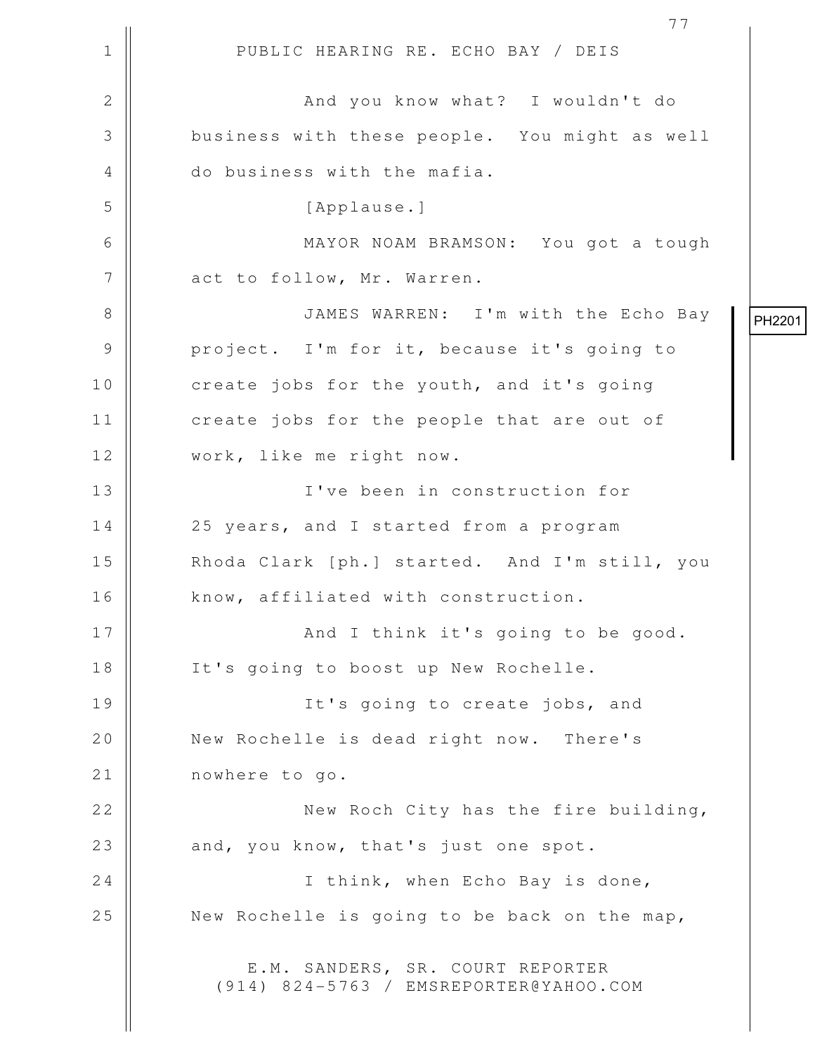1 || PUBLIC HEARING RE. ECHO BAY / DEIS 77 2 And you know what? I wouldn't do 3 business with these people. You might as well 4 || do business with the mafia. 5 [Applause.] 6 MAYOR NOAM BRAMSON: You got a tough 7 | act to follow, Mr. Warren. 8 || JAMES WARREN: I'm with the Echo Bay 9 || project. I'm for it, because it's going to 10 | create jobs for the youth, and it's going 11 || create jobs for the people that are out of 12 work, like me right now. 13 I've been in construction for 14 || 25 years, and I started from a program 15 || Rhoda Clark [ph.] started. And I'm still, you 16 | know, affiliated with construction. 17 || And I think it's going to be good. 18 || It's going to boost up New Rochelle. 19 || It's going to create jobs, and 20 || New Rochelle is dead right now. There's 21 | nowhere to go. 22 || New Roch City has the fire building, 23 || and, you know, that's just one spot. 24 || I think, when Echo Bay is done, 25  $\parallel$  New Rochelle is going to be back on the map, E.M. SANDERS, SR. COURT REPORTER (914) 824-5763 / EMSREPORTER@YAHOO.COM PH2201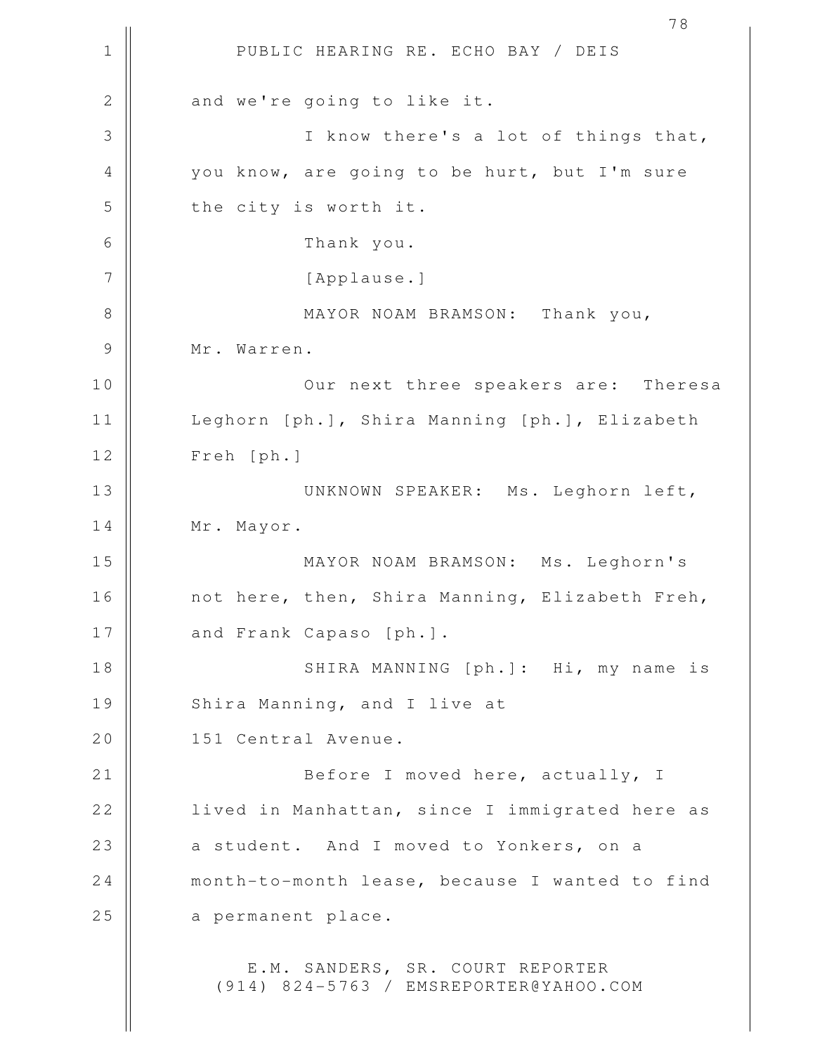1 || PUBLIC HEARING RE. ECHO BAY / DEIS 78  $2 \parallel$  and we're going to like it. 3 || I know there's a lot of things that, 4 || you know, are going to be hurt, but I'm sure  $5$  | the city is worth it. 6 Thank you. 7 || [Applause.] 8 || MAYOR NOAM BRAMSON: Thank you, 9 || Mr. Warren. 10 || Our next three speakers are: Theresa 11 | Leghorn [ph.], Shira Manning [ph.], Elizabeth 12 Freh [ph.] 13 || UNKNOWN SPEAKER: Ms. Leghorn left, 14 | Mr. Mayor. 15 MAYOR NOAM BRAMSON: Ms. Leghorn's 16 || not here, then, Shira Manning, Elizabeth Freh, 17 || and Frank Capaso [ph.]. 18 || SHIRA MANNING [ph.]: Hi, my name is 19 | Shira Manning, and I live at 20 | 151 Central Avenue. 21 || Before I moved here, actually, I 22 | lived in Manhattan, since I immigrated here as 23 a student. And I moved to Yonkers, on a 24 | month-to-month lease, because I wanted to find 25 | a permanent place. E.M. SANDERS, SR. COURT REPORTER (914) 824-5763 / EMSREPORTER@YAHOO.COM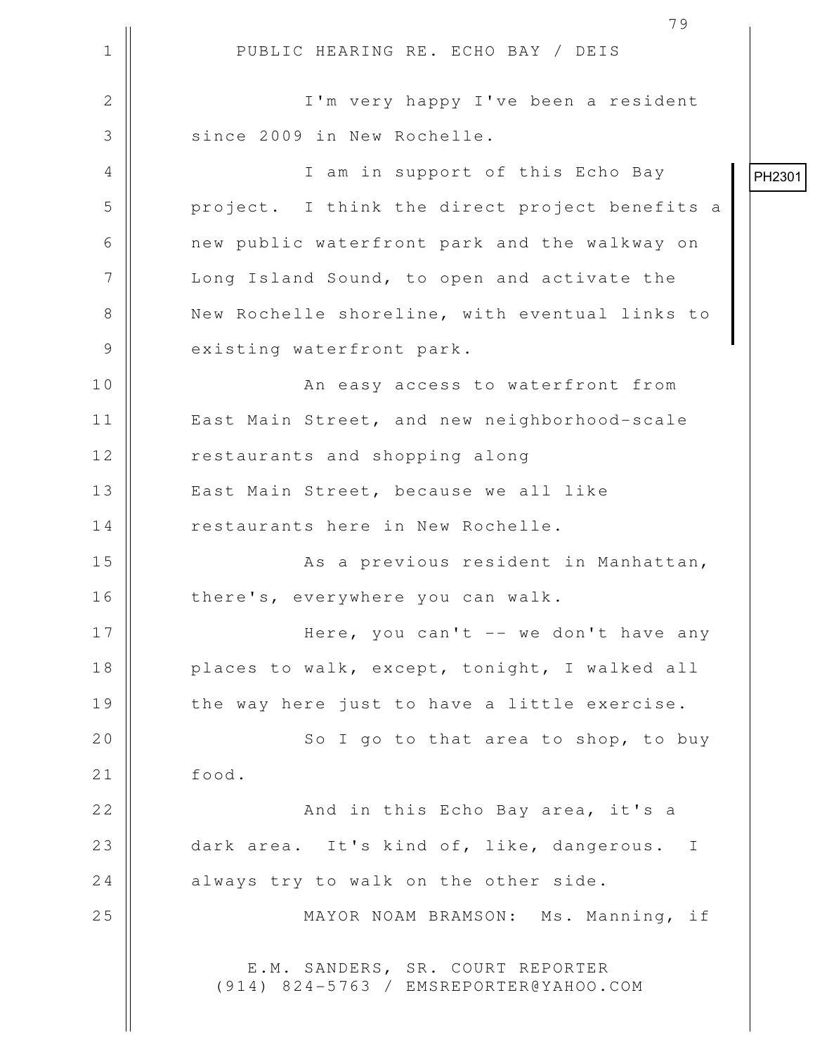1 || PUBLIC HEARING RE. ECHO BAY / DEIS 2 || I'm very happy I've been a resident 3 || since 2009 in New Rochelle. 4 || I am in support of this Echo Bay 5 project. I think the direct project benefits a 6 | new public waterfront park and the walkway on 7 | Long Island Sound, to open and activate the 8 || New Rochelle shoreline, with eventual links to 9 || existing waterfront park. 10 || An easy access to waterfront from 11 | East Main Street, and new neighborhood-scale 12 | restaurants and shopping along 13 || East Main Street, because we all like 14 | restaurants here in New Rochelle. 15 || As a previous resident in Manhattan, 16 | there's, everywhere you can walk. 17 Here, you can't -- we don't have any 18 || places to walk, except, tonight, I walked all  $19$   $\parallel$  the way here just to have a little exercise. 20 || So I go to that area to shop, to buy 21 | food. 22 || And in this Echo Bay area, it's a 23 dark area. It's kind of, like, dangerous. I 24 always try to walk on the other side. 25 || MAYOR NOAM BRAMSON: Ms. Manning, if E.M. SANDERS, SR. COURT REPORTER (914) 824-5763 / EMSREPORTER@YAHOO.COM PH2301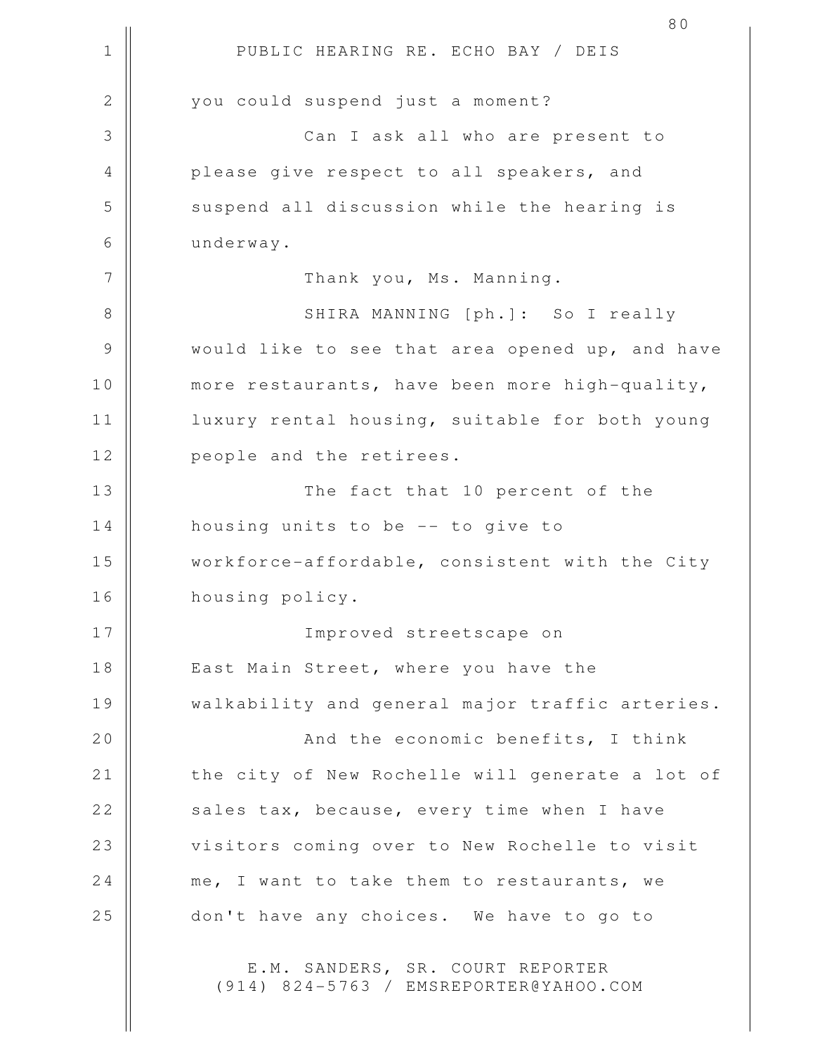1 || PUBLIC HEARING RE. ECHO BAY / DEIS 80 2 || you could suspend just a moment? 3 Can I ask all who are present to 4 || please give respect to all speakers, and 5 Suspend all discussion while the hearing is 6 underway. 7 || Thank you, Ms. Manning. 8 SHIRA MANNING [ph.]: So I really 9 Would like to see that area opened up, and have 10 || more restaurants, have been more high-quality, 11 || luxury rental housing, suitable for both young 12 || people and the retirees. 13 || The fact that 10 percent of the 14 | housing units to be -- to give to 15 || workforce-affordable, consistent with the City 16 housing policy. 17 Improved streetscape on 18 || East Main Street, where you have the 19 || walkability and general major traffic arteries. 20 || And the economic benefits, I think 21 | the city of New Rochelle will generate a lot of 22 || sales tax, because, every time when I have 23 || visitors coming over to New Rochelle to visit 24 me, I want to take them to restaurants, we 25 || don't have any choices. We have to go to E.M. SANDERS, SR. COURT REPORTER (914) 824-5763 / EMSREPORTER@YAHOO.COM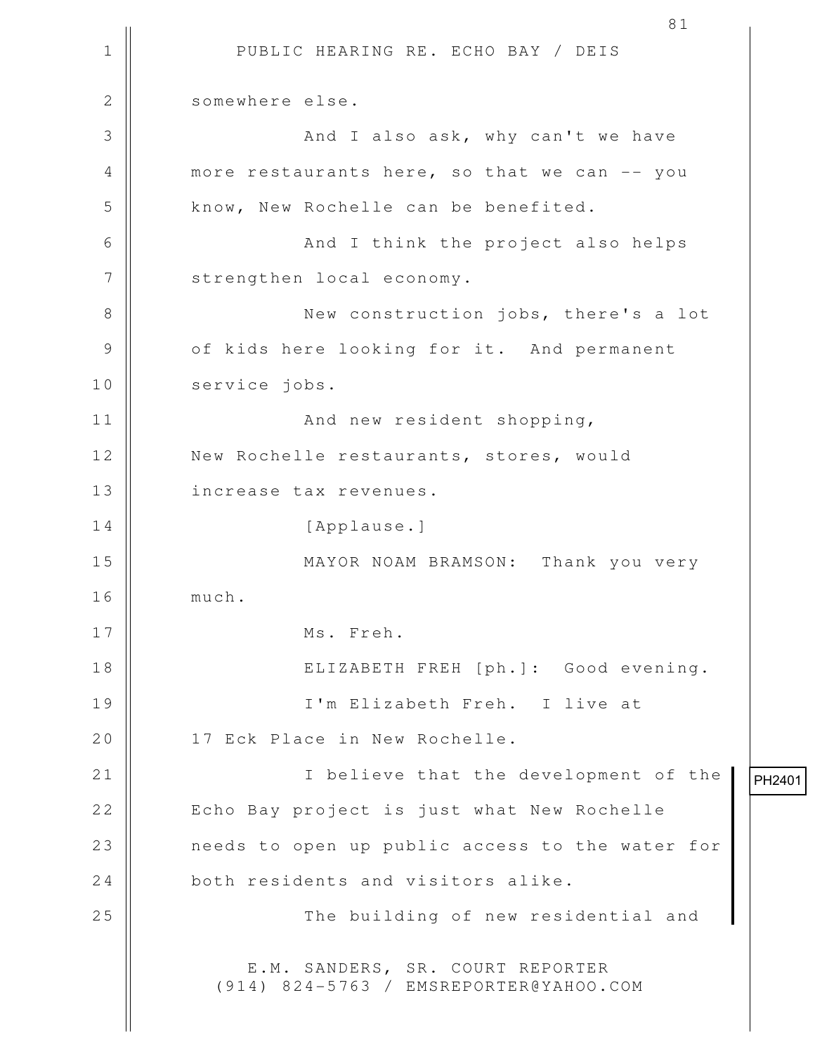1 || PUBLIC HEARING RE. ECHO BAY / DEIS 81 2 | somewhere else. 3 And I also ask, why can't we have 4 more restaurants here, so that we can -- you 5 || know, New Rochelle can be benefited. 6 || And I think the project also helps 7 | strengthen local economy. 8 || New construction jobs, there's a lot 9 || of kids here looking for it. And permanent 10 | service jobs. 11 || **And new resident shopping**, 12 New Rochelle restaurants, stores, would 13 | increase tax revenues. 14 | [Applause.] 15 MAYOR NOAM BRAMSON: Thank you very 16 much. 17 Ms. Freh. 18 ELIZABETH FREH [ph.]: Good evening. 19 I'm Elizabeth Freh. I live at 20 || 17 Eck Place in New Rochelle. 21 || **I** believe that the development of the 22 | Echo Bay project is just what New Rochelle 23 needs to open up public access to the water for 24 both residents and visitors alike. 25 || The building of new residential and E.M. SANDERS, SR. COURT REPORTER (914) 824-5763 / EMSREPORTER@YAHOO.COM PH2401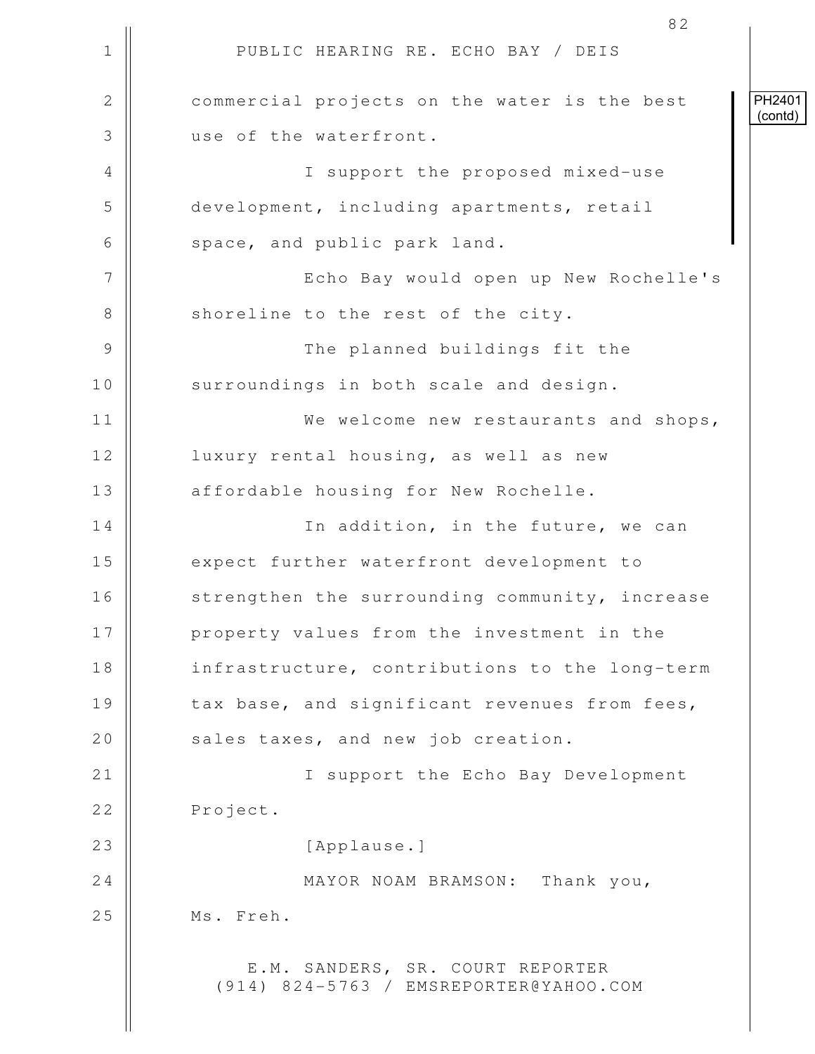|               | 82                                                                         |                   |
|---------------|----------------------------------------------------------------------------|-------------------|
| $\mathbf 1$   | PUBLIC HEARING RE. ECHO BAY / DEIS                                         |                   |
| $\mathbf{2}$  | commercial projects on the water is the best                               | PH2401<br>(contd) |
| 3             | use of the waterfront.                                                     |                   |
| 4             | I support the proposed mixed-use                                           |                   |
| 5             | development, including apartments, retail                                  |                   |
| 6             | space, and public park land.                                               |                   |
| 7             | Echo Bay would open up New Rochelle's                                      |                   |
| $8\,$         | shoreline to the rest of the city.                                         |                   |
| $\mathcal{G}$ | The planned buildings fit the                                              |                   |
| 10            | surroundings in both scale and design.                                     |                   |
| 11            | We welcome new restaurants and shops,                                      |                   |
| 12            | luxury rental housing, as well as new                                      |                   |
| 13            | affordable housing for New Rochelle.                                       |                   |
| 14            | In addition, in the future, we can                                         |                   |
| 15            | expect further waterfront development to                                   |                   |
| 16            | strengthen the surrounding community, increase                             |                   |
| 17            | property values from the investment in the                                 |                   |
| 18            | infrastructure, contributions to the long-term                             |                   |
| 19            | tax base, and significant revenues from fees,                              |                   |
| 20            | sales taxes, and new job creation.                                         |                   |
| 21            | I support the Echo Bay Development                                         |                   |
| 22            | Project.                                                                   |                   |
| 23            | [Applause.]                                                                |                   |
| 24            | MAYOR NOAM BRAMSON: Thank you,                                             |                   |
| 25            | Ms. Freh.                                                                  |                   |
|               | E.M. SANDERS, SR. COURT REPORTER<br>(914) 824-5763 / EMSREPORTER@YAHOO.COM |                   |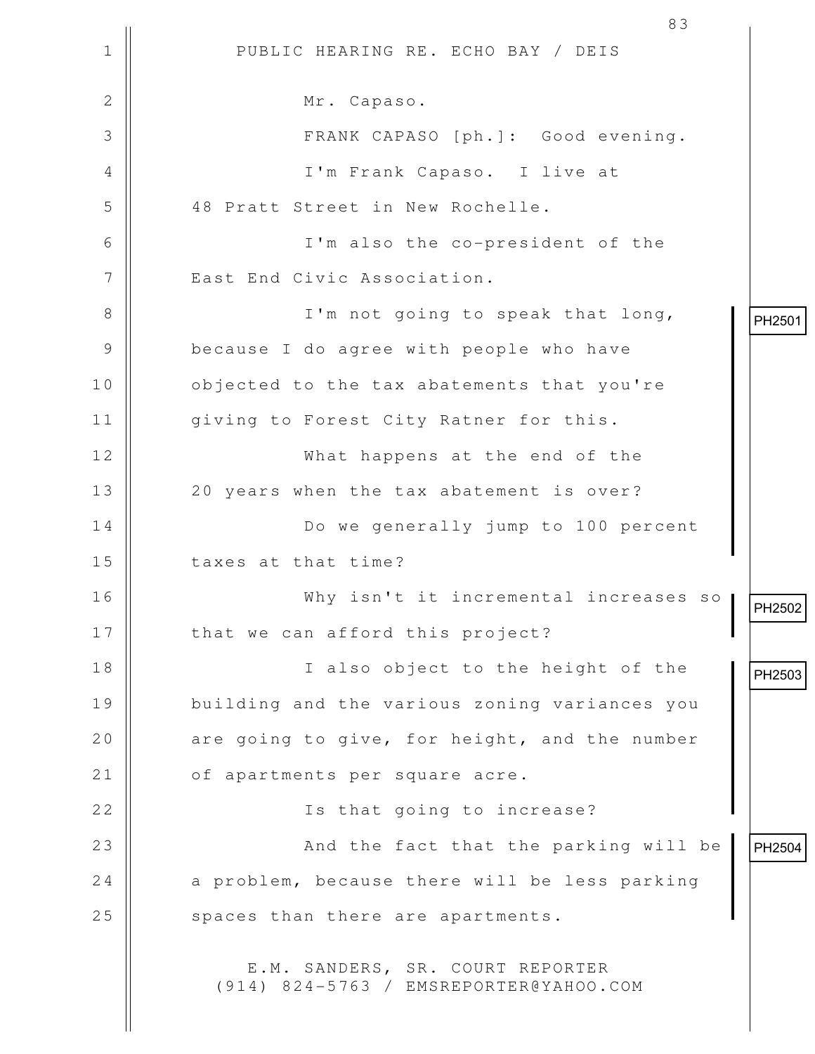|                | 83                                                                         |        |
|----------------|----------------------------------------------------------------------------|--------|
| $\mathbf 1$    | PUBLIC HEARING RE. ECHO BAY / DEIS                                         |        |
| $\overline{2}$ | Mr. Capaso.                                                                |        |
| 3              | FRANK CAPASO [ph.]: Good evening.                                          |        |
| 4              | I'm Frank Capaso. I live at                                                |        |
| 5              | 48 Pratt Street in New Rochelle.                                           |        |
| 6              | I'm also the co-president of the                                           |        |
| 7              | East End Civic Association.                                                |        |
| 8              | I'm not going to speak that long,                                          | PH2501 |
| 9              | because I do agree with people who have                                    |        |
| 10             | objected to the tax abatements that you're                                 |        |
| 11             | giving to Forest City Ratner for this.                                     |        |
| 12             | What happens at the end of the                                             |        |
| 13             | 20 years when the tax abatement is over?                                   |        |
| 14             | Do we generally jump to 100 percent                                        |        |
| 15             | taxes at that time?                                                        |        |
| 16             | Why isn't it incremental increases so                                      | PH2502 |
| 17             | that we can afford this project?                                           |        |
| 18             | I also object to the height of the                                         | PH2503 |
| 19             | building and the various zoning variances you                              |        |
| 20             | are going to give, for height, and the number                              |        |
| 21             | of apartments per square acre.                                             |        |
| 22             | Is that going to increase?                                                 |        |
| 23             | And the fact that the parking will be                                      | PH2504 |
| 24             | a problem, because there will be less parking                              |        |
| 25             | spaces than there are apartments.                                          |        |
|                | E.M. SANDERS, SR. COURT REPORTER<br>(914) 824-5763 / EMSREPORTER@YAHOO.COM |        |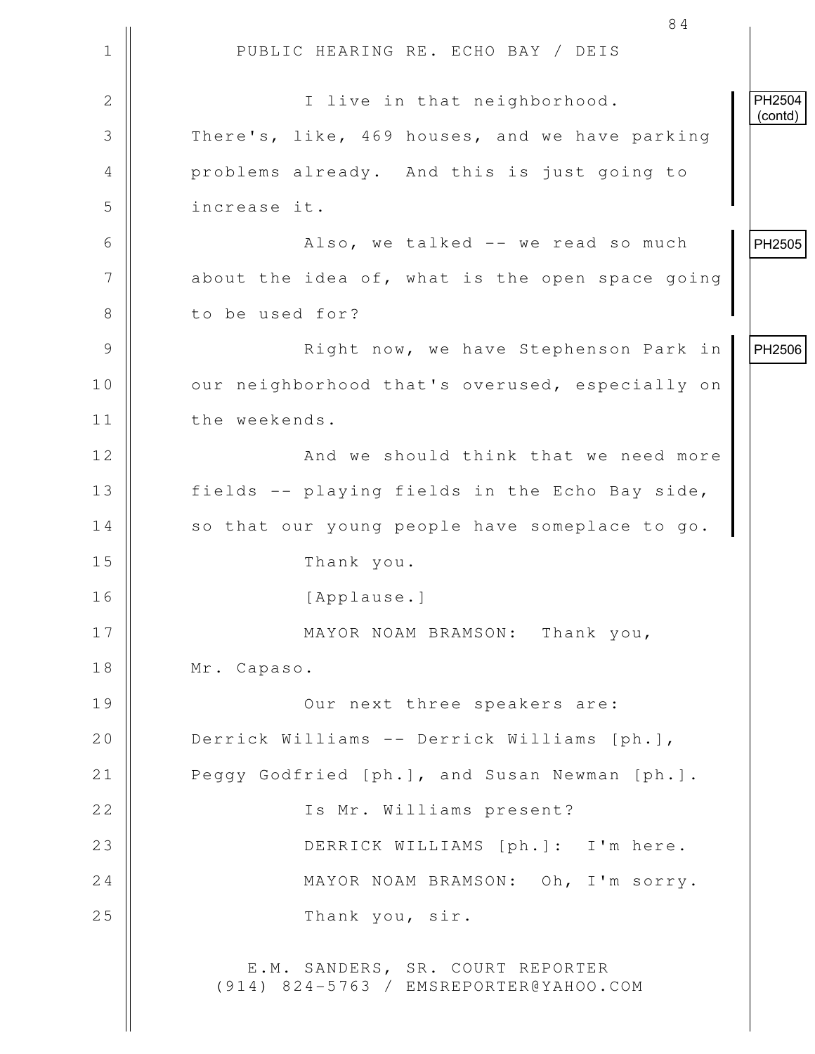1 || PUBLIC HEARING RE. ECHO BAY / DEIS 84 2 || I live in that neighborhood. 3 There's, like, 469 houses, and we have parking 4 **Quart A.** Problems already. And this is just going to 5 increase it. 6 Also, we talked -- we read so much  $7$  | about the idea of, what is the open space going 8 | to be used for? 9 || Right now, we have Stephenson Park in 10 | our neighborhood that's overused, especially on 11 | the weekends. 12 || **And we should think that we need more** 13 | fields -- playing fields in the Echo Bay side, 14 | so that our young people have someplace to go. 15 Thank you. 16 [Applause.] 17 || MAYOR NOAM BRAMSON: Thank you, 18 | Mr. Capaso. 19 Our next three speakers are: 20 | Derrick Williams -- Derrick Williams [ph.], 21 | Peggy Godfried [ph.], and Susan Newman [ph.]. 22 || Some The Mr. Williams present? 23 DERRICK WILLIAMS [ph.]: I'm here. 24 MAYOR NOAM BRAMSON: Oh, I'm sorry. 25 || Thank you, sir. E.M. SANDERS, SR. COURT REPORTER (914) 824-5763 / EMSREPORTER@YAHOO.COM PH2504 (contd) PH2505 PH2506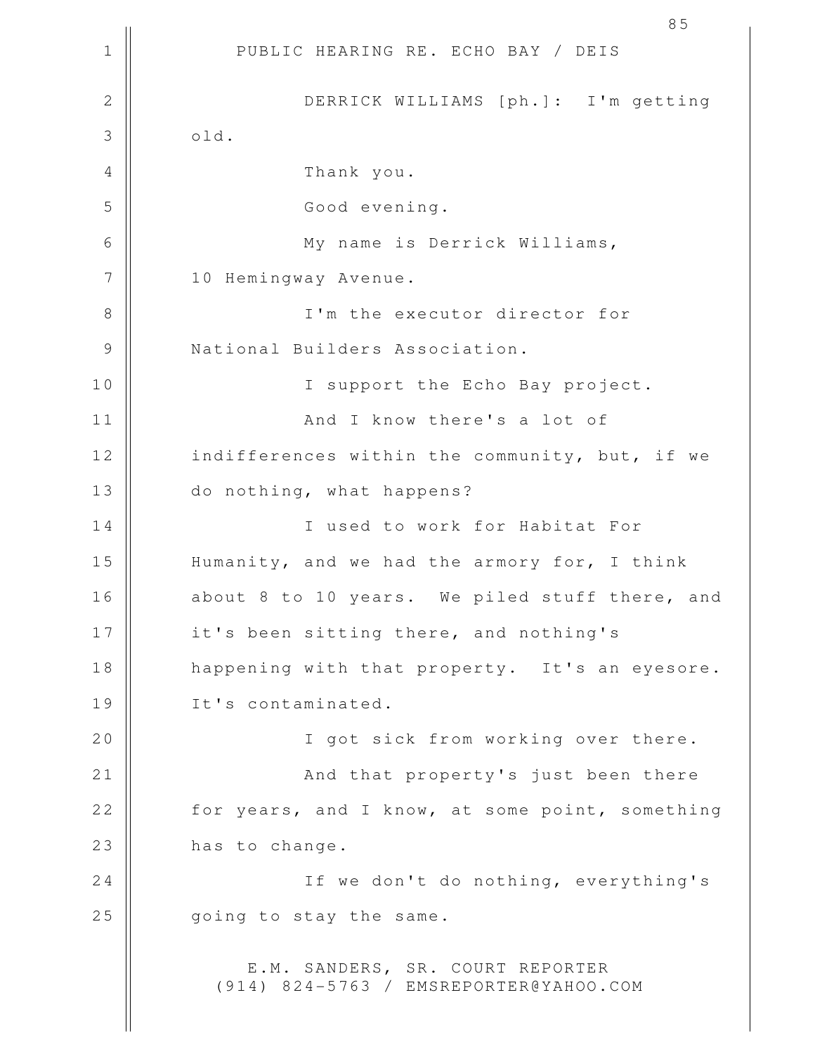1 || PUBLIC HEARING RE. ECHO BAY / DEIS 85 2 DERRICK WILLIAMS [ph.]: I'm getting  $3 \parallel$  old. 4 Thank you. 5 || Good evening. 6 My name is Derrick Williams, 7 | 10 Hemingway Avenue. 8 || I'm the executor director for 9 || National Builders Association. 10 || I support the Echo Bay project. 11 And I know there's a lot of 12 | indifferences within the community, but, if we 13 || do nothing, what happens? 14 || I used to work for Habitat For 15 | Humanity, and we had the armory for, I think 16 || about 8 to 10 years. We piled stuff there, and 17 || it's been sitting there, and nothing's 18 || happening with that property. It's an eyesore. 19 || It's contaminated. 20 || I got sick from working over there. 21 || And that property's just been there 22 | for years, and I know, at some point, something 23 has to change. 24 || If we don't do nothing, everything's 25 | qoing to stay the same. E.M. SANDERS, SR. COURT REPORTER (914) 824-5763 / EMSREPORTER@YAHOO.COM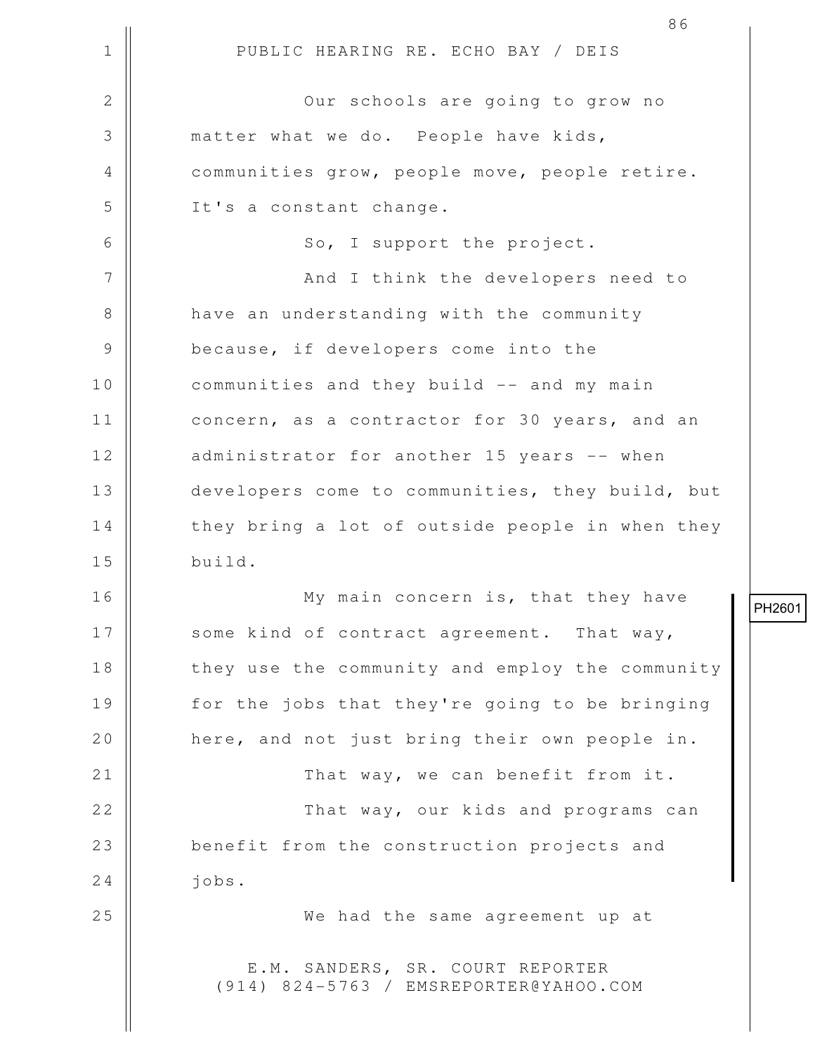|             | 86                                                                         |
|-------------|----------------------------------------------------------------------------|
| $\mathbf 1$ | PUBLIC HEARING RE. ECHO BAY / DEIS                                         |
| 2           | Our schools are going to grow no                                           |
| 3           | matter what we do. People have kids,                                       |
| 4           | communities grow, people move, people retire.                              |
| 5           | It's a constant change.                                                    |
| 6           | So, I support the project.                                                 |
| 7           | And I think the developers need to                                         |
| $8\,$       | have an understanding with the community                                   |
| 9           | because, if developers come into the                                       |
| 10          | communities and they build -- and my main                                  |
| 11          | concern, as a contractor for 30 years, and an                              |
| 12          | administrator for another 15 years -- when                                 |
| 13          | developers come to communities, they build, but                            |
| 14          | they bring a lot of outside people in when they                            |
| 15          | build.                                                                     |
| 16          | My main concern is, that they have                                         |
| 17          | some kind of contract agreement. That way,                                 |
| 18          | they use the community and employ the community                            |
| 19          | for the jobs that they're going to be bringing                             |
| 20          | here, and not just bring their own people in.                              |
| 21          | That way, we can benefit from it.                                          |
| 22          | That way, our kids and programs can                                        |
| 23          | benefit from the construction projects and                                 |
| 24          | jobs.                                                                      |
| 25          | We had the same agreement up at                                            |
|             | E.M. SANDERS, SR. COURT REPORTER<br>(914) 824-5763 / EMSREPORTER@YAHOO.COM |

PH2601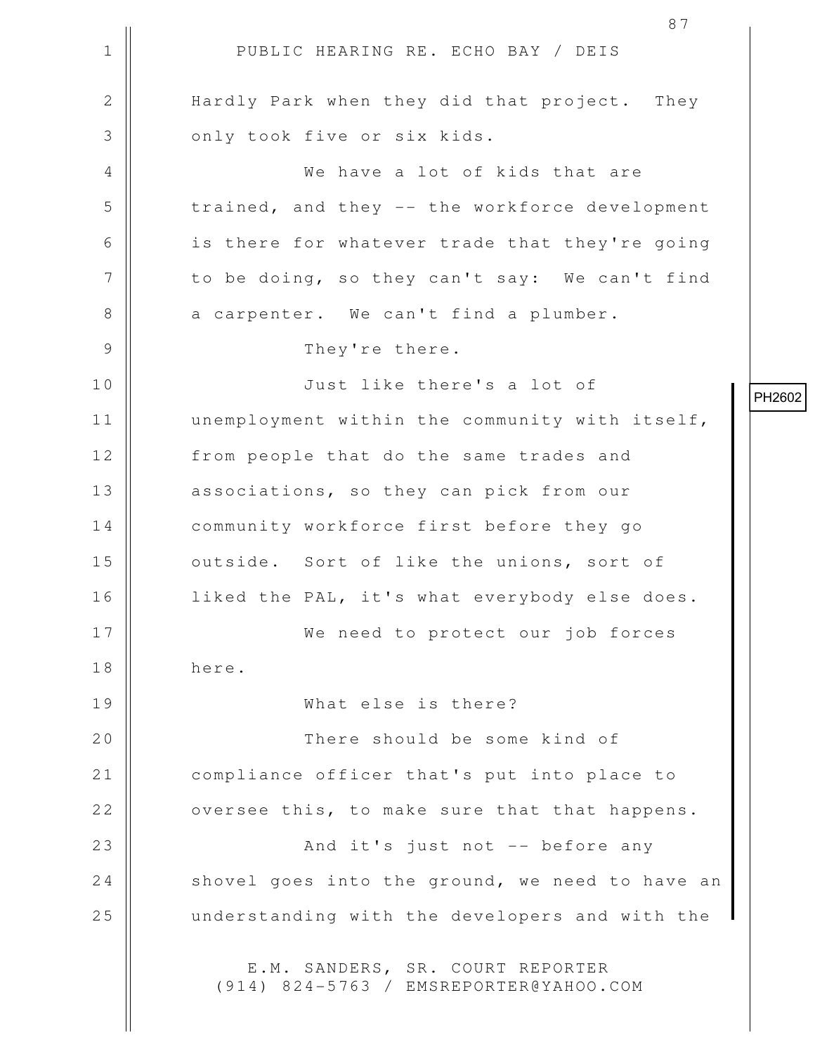1 || PUBLIC HEARING RE. ECHO BAY / DEIS 87 2 || Hardly Park when they did that project. They 3 || only took five or six kids. 4 We have a lot of kids that are 5 trained, and they -- the workforce development 6 || is there for whatever trade that they're going 7 | to be doing, so they can't say: We can't find 8 a carpenter. We can't find a plumber. 9 || They're there. 10 Just like there's a lot of 11 | unemployment within the community with itself, 12 | from people that do the same trades and 13 || associations, so they can pick from our 14 | community workforce first before they go 15 || outside. Sort of like the unions, sort of 16 | liked the PAL, it's what everybody else does. 17 We need to protect our job forces 18 here. 19 What else is there? 20 || There should be some kind of 21 | compliance officer that's put into place to 22 | oversee this, to make sure that that happens. 23 || And it's just not -- before any  $24$  shovel goes into the ground, we need to have an 25 || understanding with the developers and with the E.M. SANDERS, SR. COURT REPORTER (914) 824-5763 / EMSREPORTER@YAHOO.COM

PH2602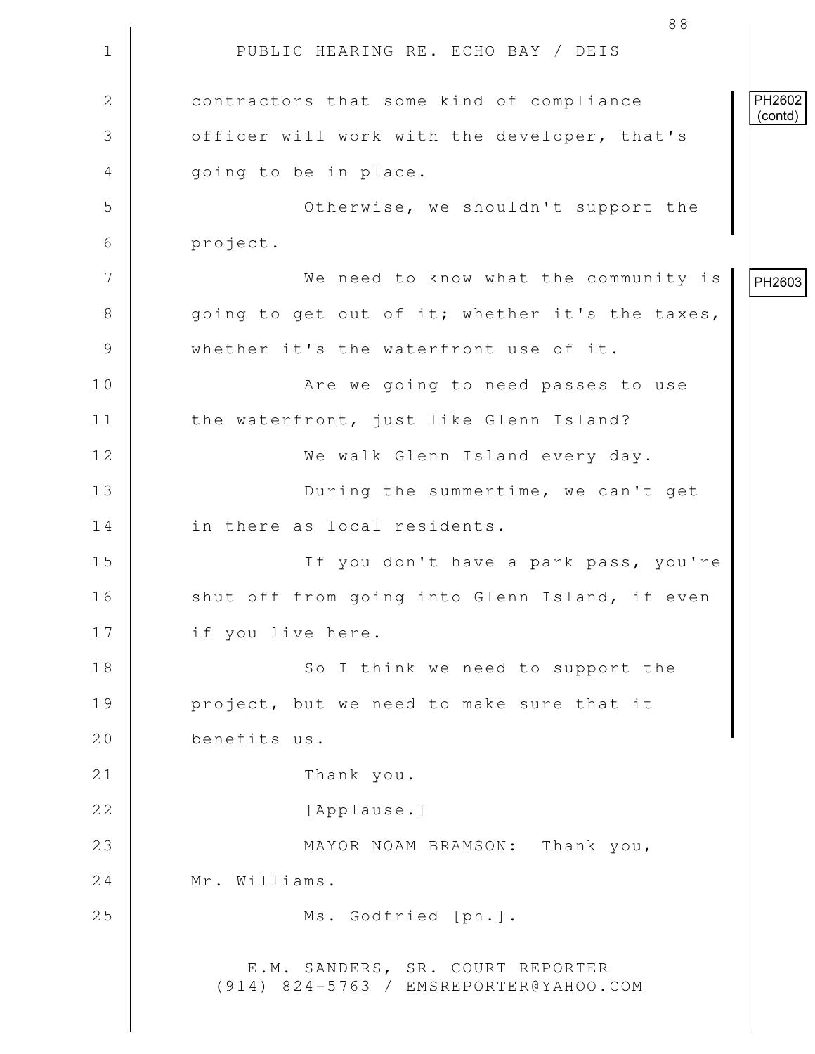1 || PUBLIC HEARING RE. ECHO BAY / DEIS 88 2 **contractors** that some kind of compliance 3 | officer will work with the developer, that's 4 || qoing to be in place. 5 Otherwise, we shouldn't support the 6 project. 7 We need to know what the community is  $8 \parallel$  going to get out of it; whether it's the taxes, 9 Whether it's the waterfront use of it. 10 || Are we going to need passes to use 11 | the waterfront, just like Glenn Island? 12 We walk Glenn Island every day. 13 || During the summertime, we can't get 14 | in there as local residents. 15 If you don't have a park pass, you're 16 || shut off from going into Glenn Island, if even 17 || if you live here. 18 || So I think we need to support the 19 project, but we need to make sure that it 20 benefits us. 21 || Thank you. 22 || [Applause.] 23 MAYOR NOAM BRAMSON: Thank you, 24 | Mr. Williams. 25 || Ms. Godfried [ph.]. E.M. SANDERS, SR. COURT REPORTER (914) 824-5763 / EMSREPORTER@YAHOO.COM PH2602 (contd) PH2603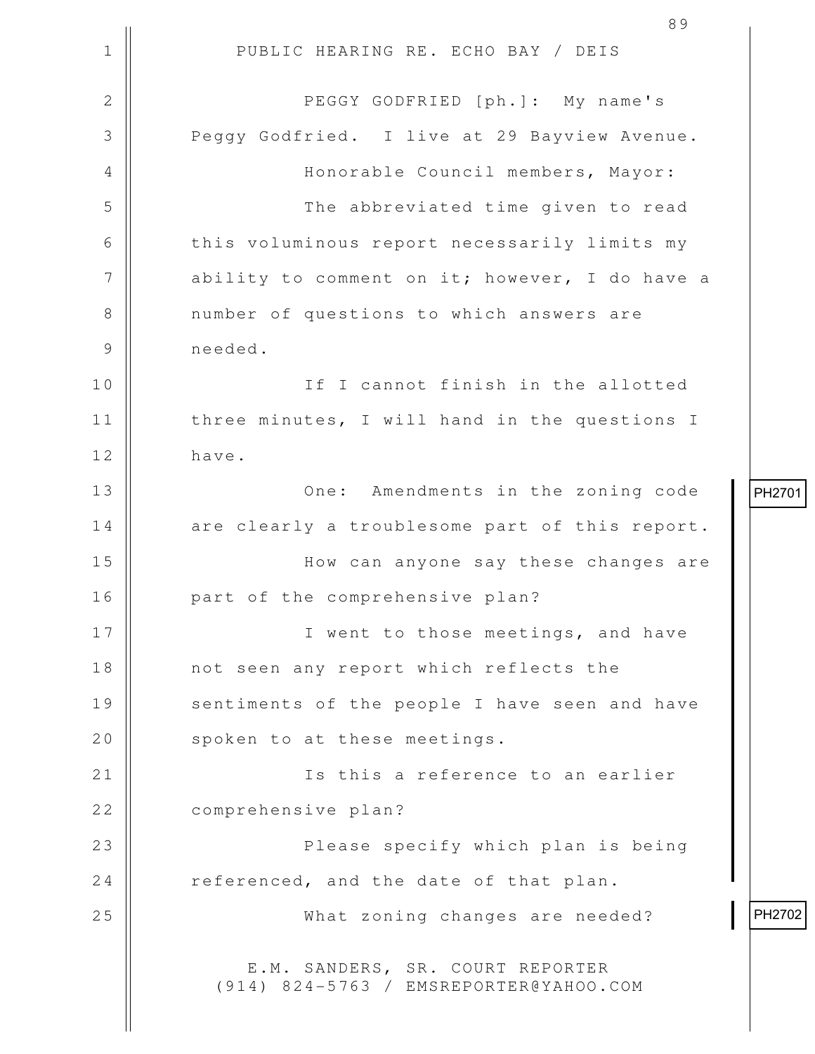1 || PUBLIC HEARING RE. ECHO BAY / DEIS 2 PEGGY GODFRIED [ph.]: My name's 3 **Peggy Godfried.** I live at 29 Bayview Avenue. 4 Honorable Council members, Mayor: 5 | The abbreviated time given to read 6 | this voluminous report necessarily limits my  $7$  || ability to comment on it; however, I do have a 8 || number of questions to which answers are 9 needed. 10 || The International International International International International International International In 11 || three minutes, I will hand in the questions I 12 have. 13 || One: Amendments in the zoning code 14 are clearly a troublesome part of this report. 15 How can anyone say these changes are 16 || part of the comprehensive plan? 17 || **I** went to those meetings, and have 18 || not seen any report which reflects the 19 || sentiments of the people I have seen and have 20 | spoken to at these meetings. 21 || Is this a reference to an earlier 22 | comprehensive plan? 23 Please specify which plan is being 24 referenced, and the date of that plan. 25 || What zoning changes are needed? E.M. SANDERS, SR. COURT REPORTER (914) 824-5763 / EMSREPORTER@YAHOO.COM PH2701 PH2702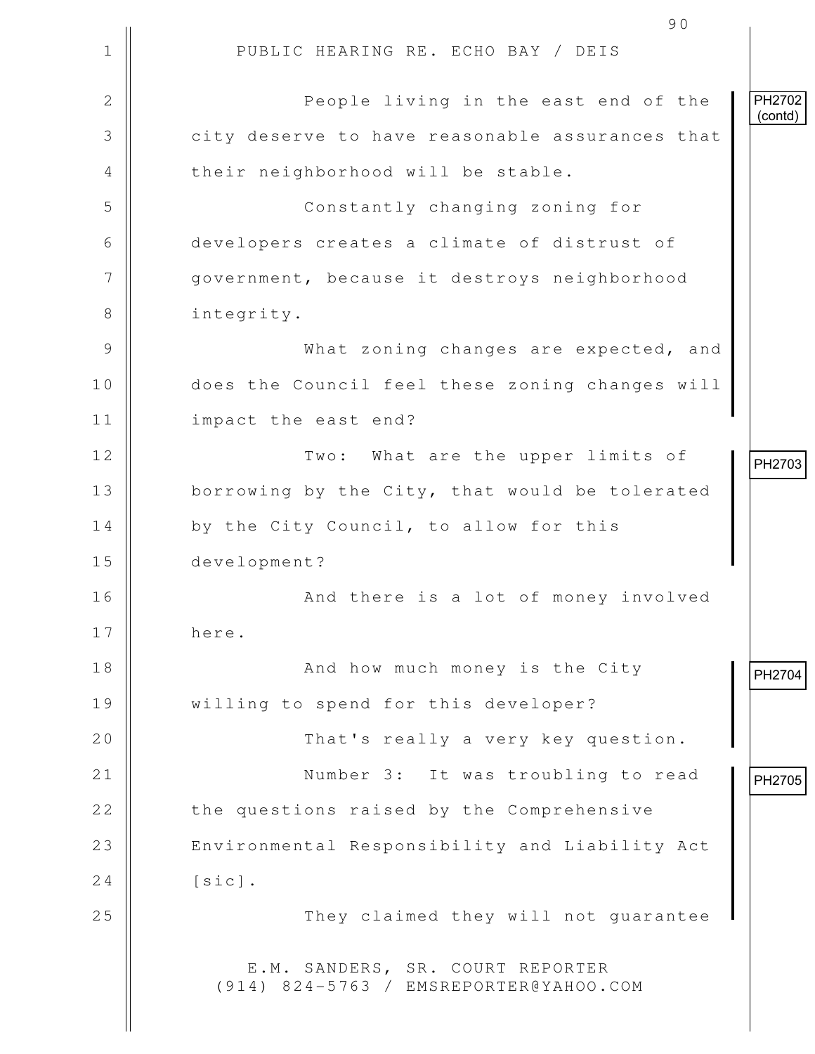1 || PUBLIC HEARING RE. ECHO BAY / DEIS 90 2 || People living in the east end of the 3 city deserve to have reasonable assurances that 4 || their neighborhood will be stable. 5 Constantly changing zoning for 6 developers creates a climate of distrust of 7 | government, because it destroys neighborhood 8 | integrity. 9 What zoning changes are expected, and 10 does the Council feel these zoning changes will 11 || impact the east end? 12 || Two: What are the upper limits of 13 | borrowing by the City, that would be tolerated 14 | by the City Council, to allow for this 15 development? 16 And there is a lot of money involved 17 here. 18 || And how much money is the City 19 willing to spend for this developer? 20 || That's really a very key question. 21 || Number 3: It was troubling to read 22 | the questions raised by the Comprehensive 23 || Environmental Responsibility and Liability Act  $24$   $\parallel$   $\left[\text{sic}\right]$ . 25 || They claimed they will not quarantee E.M. SANDERS, SR. COURT REPORTER (914) 824-5763 / EMSREPORTER@YAHOO.COM PH2702 (contd) PH2703 PH2704<br>
PH2705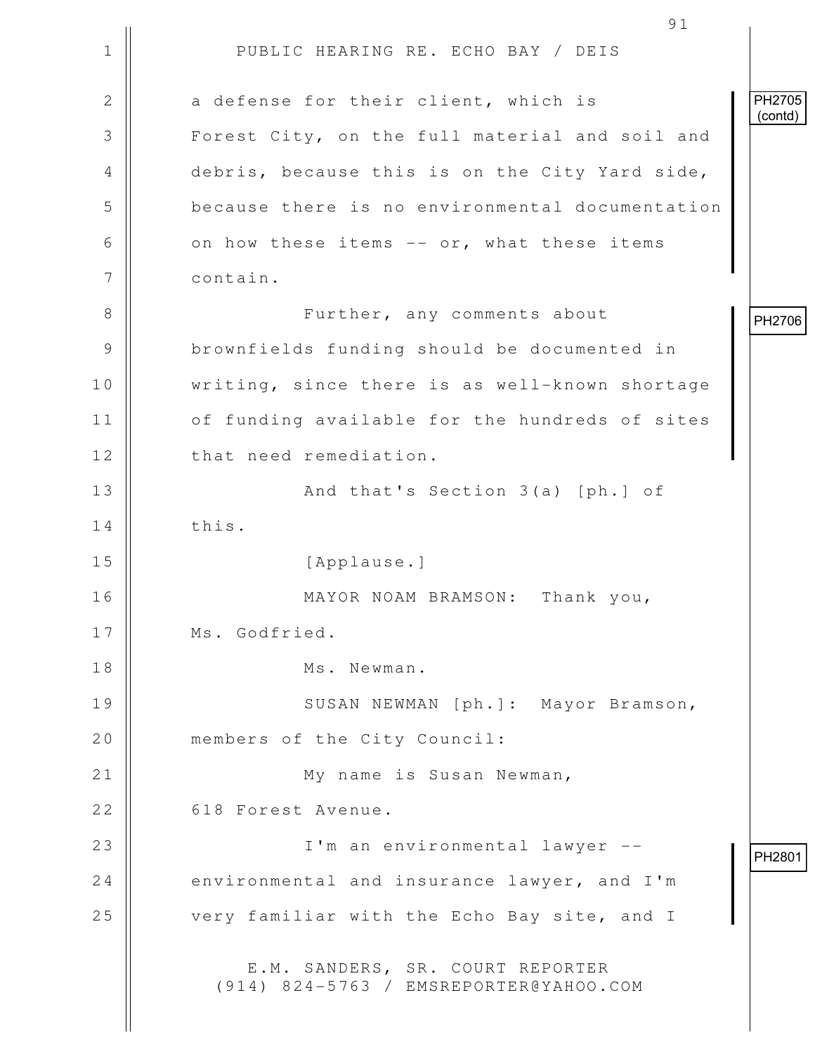1 || PUBLIC HEARING RE. ECHO BAY / DEIS 91 2 || a defense for their client, which is 3 || Forest City, on the full material and soil and 4 debris, because this is on the City Yard side, 5 **b** because there is no environmental documentation 6  $\parallel$  on how these items -- or, what these items 7 | contain. 8 Further, any comments about 9 | brownfields funding should be documented in 10 || writing, since there is as well-known shortage 11 | of funding available for the hundreds of sites 12 | that need remediation. 13 || And that's Section 3(a) [ph.] of 14 | this. 15 || [Applause.] 16 MAYOR NOAM BRAMSON: Thank you, 17 | Ms. Godfried. 18 Ms. Newman. 19 || SUSAN NEWMAN [ph.]: Mayor Bramson, 20 | members of the City Council: 21 || My name is Susan Newman, 22 | 618 Forest Avenue. 23 I'm an environmental lawyer -- 24  $\parallel$  environmental and insurance lawyer, and I'm 25 | very familiar with the Echo Bay site, and I E.M. SANDERS, SR. COURT REPORTER (914) 824-5763 / EMSREPORTER@YAHOO.COM PH2705 (contd) PH2706 PH2801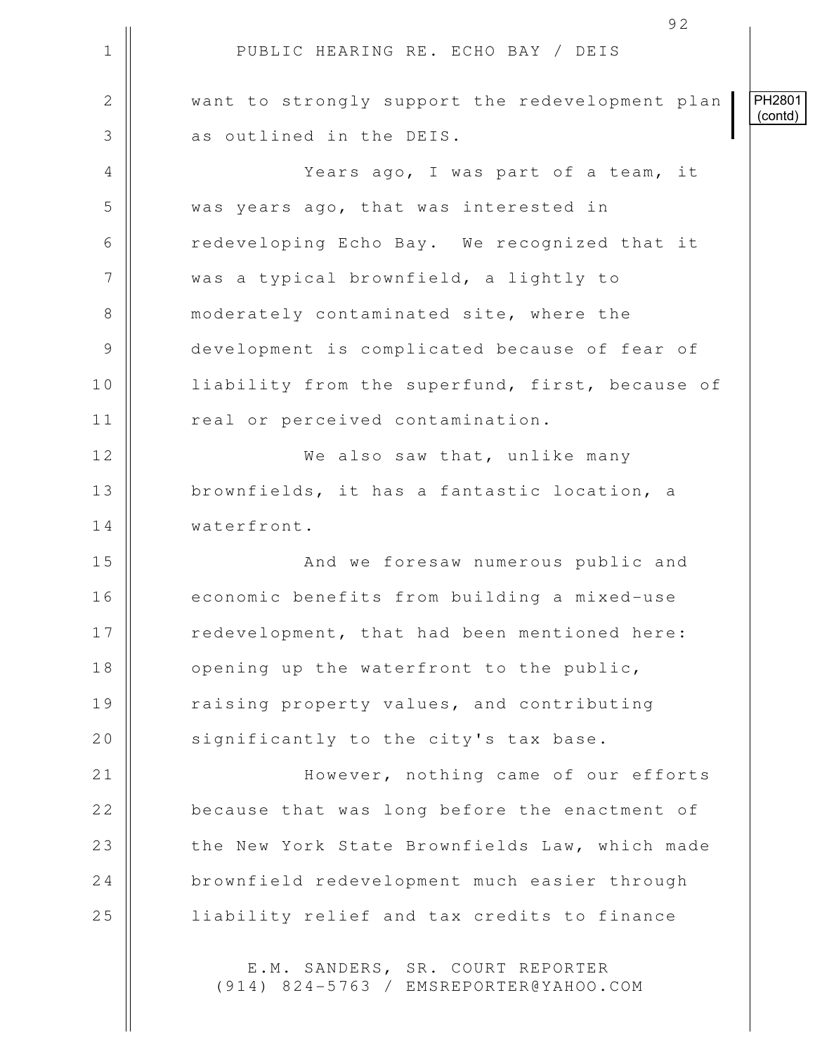|              | 92                                                                         |                          |
|--------------|----------------------------------------------------------------------------|--------------------------|
| $\mathbf 1$  | PUBLIC HEARING RE. ECHO BAY / DEIS                                         |                          |
| $\mathbf{2}$ | want to strongly support the redevelopment plan                            | <b>PH2801</b><br>(contd) |
| 3            | as outlined in the DEIS.                                                   |                          |
| 4            | Years ago, I was part of a team, it                                        |                          |
| 5            | was years ago, that was interested in                                      |                          |
| 6            | redeveloping Echo Bay. We recognized that it                               |                          |
| 7            | was a typical brownfield, a lightly to                                     |                          |
| $8\,$        | moderately contaminated site, where the                                    |                          |
| 9            | development is complicated because of fear of                              |                          |
| 10           | liability from the superfund, first, because of                            |                          |
| 11           | real or perceived contamination.                                           |                          |
| 12           | We also saw that, unlike many                                              |                          |
| 13           | brownfields, it has a fantastic location, a                                |                          |
| 14           | waterfront.                                                                |                          |
| 15           | And we foresaw numerous public and                                         |                          |
| 16           | economic benefits from building a mixed-use                                |                          |
| 17           | redevelopment, that had been mentioned here:                               |                          |
| 18           | opening up the waterfront to the public,                                   |                          |
| 19           | raising property values, and contributing                                  |                          |
| 20           | significantly to the city's tax base.                                      |                          |
| 21           | However, nothing came of our efforts                                       |                          |
| 22           | because that was long before the enactment of                              |                          |
| 23           | the New York State Brownfields Law, which made                             |                          |
| 24           | brownfield redevelopment much easier through                               |                          |
| 25           | liability relief and tax credits to finance                                |                          |
|              | E.M. SANDERS, SR. COURT REPORTER<br>(914) 824-5763 / EMSREPORTER@YAHOO.COM |                          |

 $\mathsf{l}\mathsf{l}$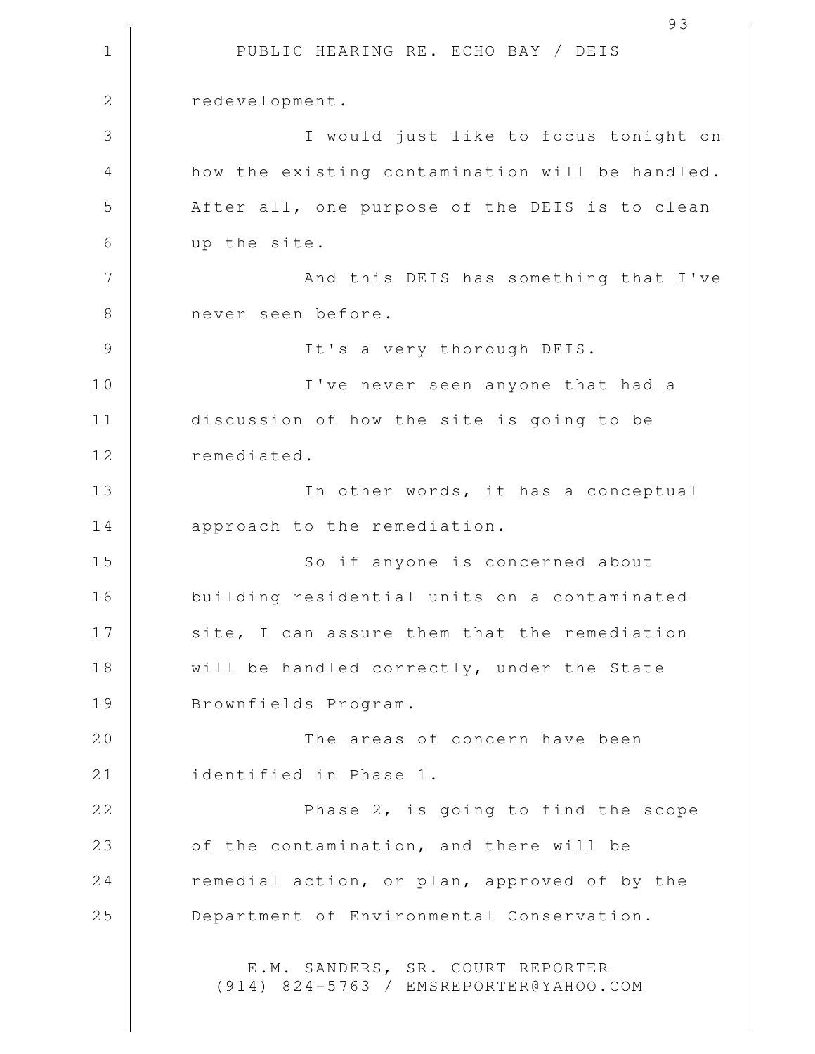1 || PUBLIC HEARING RE. ECHO BAY / DEIS 93 2 | redevelopment. 3 I would just like to focus tonight on 4 || how the existing contamination will be handled. 5 After all, one purpose of the DEIS is to clean 6 up the site. 7 || And this DEIS has something that I've 8 || never seen before. 9 || It's a very thorough DEIS. 10 I've never seen anyone that had a 11 discussion of how the site is going to be 12 | remediated. 13 || In other words, it has a conceptual 14 || approach to the remediation. 15 || So if anyone is concerned about 16 building residential units on a contaminated 17 || site, I can assure them that the remediation 18 || will be handled correctly, under the State 19 || Brownfields Program. 20 The areas of concern have been 21 | identified in Phase 1. 22 || Phase 2, is going to find the scope 23 || of the contamination, and there will be 24 xemedial action, or plan, approved of by the 25 | Department of Environmental Conservation. E.M. SANDERS, SR. COURT REPORTER (914) 824-5763 / EMSREPORTER@YAHOO.COM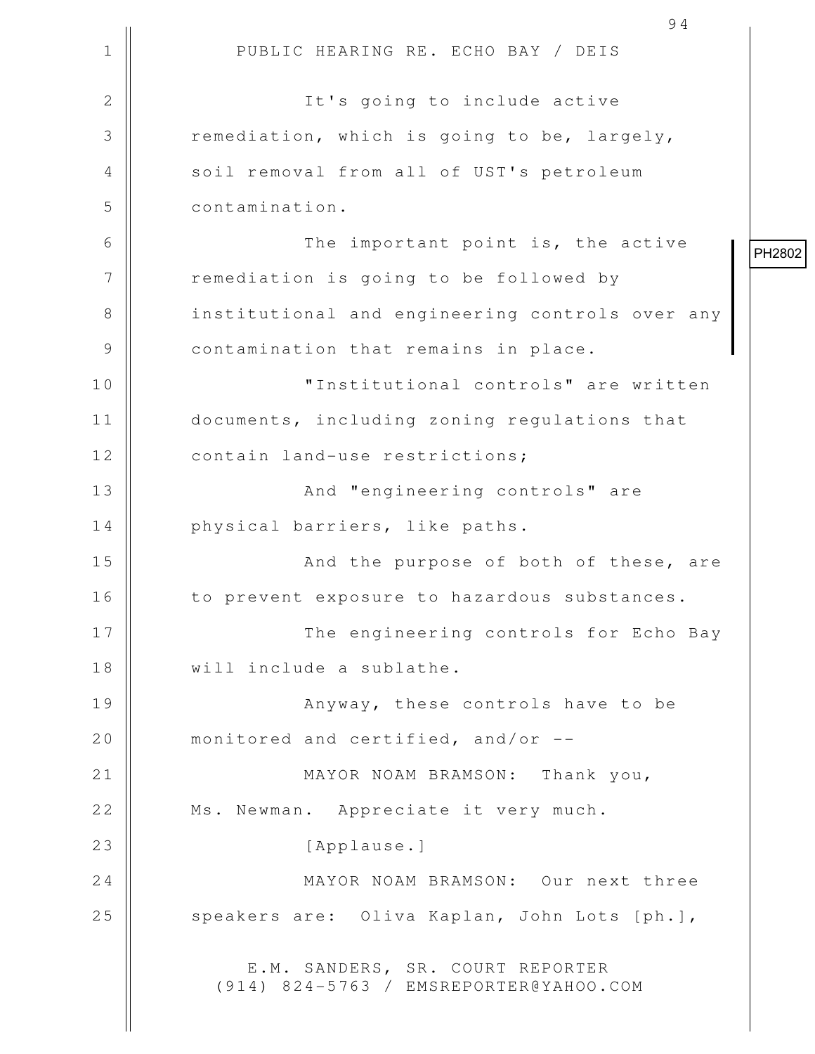|              | 94                                                                         |        |
|--------------|----------------------------------------------------------------------------|--------|
| $\mathbf 1$  | PUBLIC HEARING RE. ECHO BAY / DEIS                                         |        |
| $\mathbf{2}$ | It's going to include active                                               |        |
| 3            | remediation, which is going to be, largely,                                |        |
| 4            | soil removal from all of UST's petroleum                                   |        |
| 5            | contamination.                                                             |        |
| 6            | The important point is, the active                                         | PH2802 |
| 7            | remediation is going to be followed by                                     |        |
| 8            | institutional and engineering controls over any                            |        |
| 9            | contamination that remains in place.                                       |        |
| 10           | "Institutional controls" are written                                       |        |
| 11           | documents, including zoning regulations that                               |        |
| 12           | contain land-use restrictions;                                             |        |
| 13           | And "engineering controls" are                                             |        |
| 14           | physical barriers, like paths.                                             |        |
| 15           | And the purpose of both of these, are                                      |        |
| 16           | to prevent exposure to hazardous substances.                               |        |
| 17           | The engineering controls for Echo Bay                                      |        |
| 18           | will include a sublathe.                                                   |        |
| 19           | Anyway, these controls have to be                                          |        |
| 20           | monitored and certified, and/or --                                         |        |
| 21           | MAYOR NOAM BRAMSON: Thank you,                                             |        |
| 22           | Ms. Newman. Appreciate it very much.                                       |        |
| 23           | [Applause.]                                                                |        |
| 24           | MAYOR NOAM BRAMSON: Our next three                                         |        |
| 25           | speakers are: Oliva Kaplan, John Lots [ph.],                               |        |
|              | E.M. SANDERS, SR. COURT REPORTER<br>(914) 824-5763 / EMSREPORTER@YAHOO.COM |        |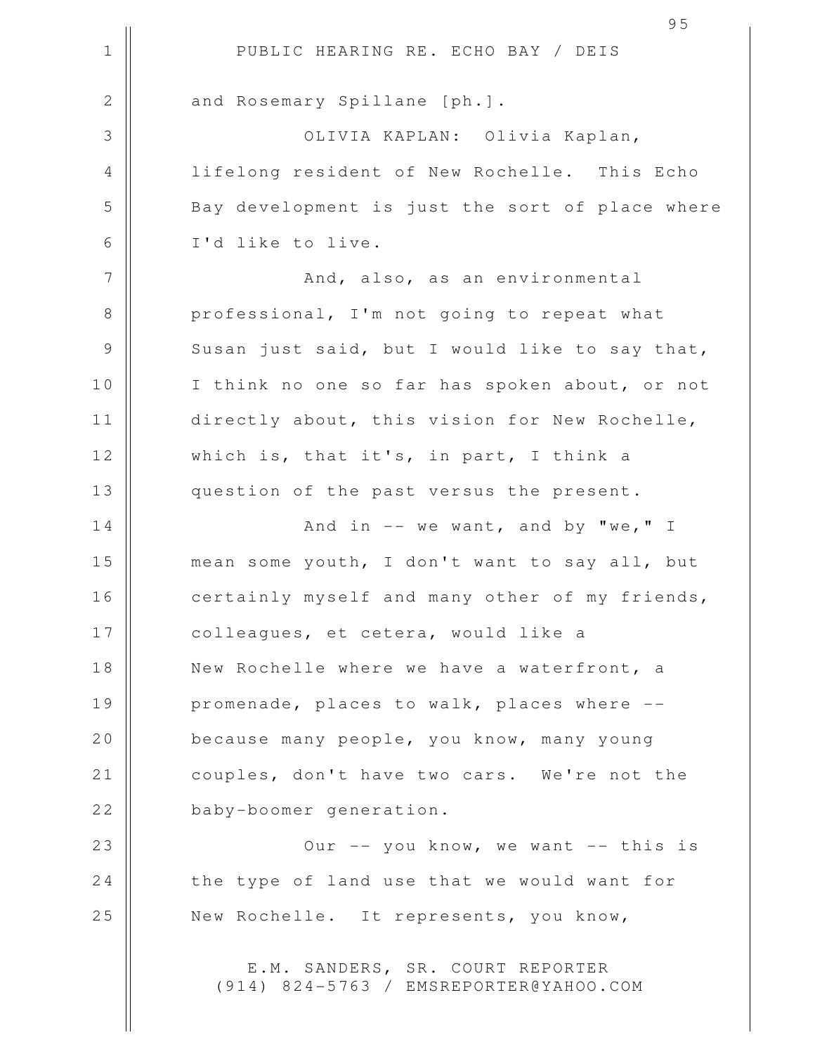1 || PUBLIC HEARING RE. ECHO BAY / DEIS 95 2 | and Rosemary Spillane [ph.]. 3 OLIVIA KAPLAN: Olivia Kaplan, 4 || lifelong resident of New Rochelle. This Echo 5 Bay development is just the sort of place where 6 I'd like to live. 7 And, also, as an environmental 8 || professional, I'm not going to repeat what  $9 \parallel$  Susan just said, but I would like to say that, 10 || I think no one so far has spoken about, or not 11 | directly about, this vision for New Rochelle, 12 || which is, that it's, in part, I think a 13 question of the past versus the present.  $14$   $\parallel$   $24$   $\parallel$   $32$   $\parallel$   $44$   $\parallel$   $32$   $\parallel$   $44$   $\parallel$   $32$   $\parallel$   $44$   $\parallel$   $32$   $\parallel$   $44$   $\parallel$   $32$   $\parallel$   $44$   $\parallel$   $32$   $\parallel$   $44$   $\parallel$   $32$   $\parallel$   $44$   $\parallel$   $32$   $\parallel$   $44$   $\parallel$   $32$   $\parallel$   $44$   $\parallel$   $32$   $\parallel$   $44$   $\parallel$  15 || mean some youth, I don't want to say all, but 16 || certainly myself and many other of my friends, 17 || colleagues, et cetera, would like a 18 || New Rochelle where we have a waterfront, a 19 || promenade, places to walk, places where --20 **because many people, you know, many young** 21 | couples, don't have two cars. We're not the 22 baby-boomer generation. 23 || Our -- you know, we want -- this is 24 the type of land use that we would want for 25 || New Rochelle. It represents, you know, E.M. SANDERS, SR. COURT REPORTER (914) 824-5763 / EMSREPORTER@YAHOO.COM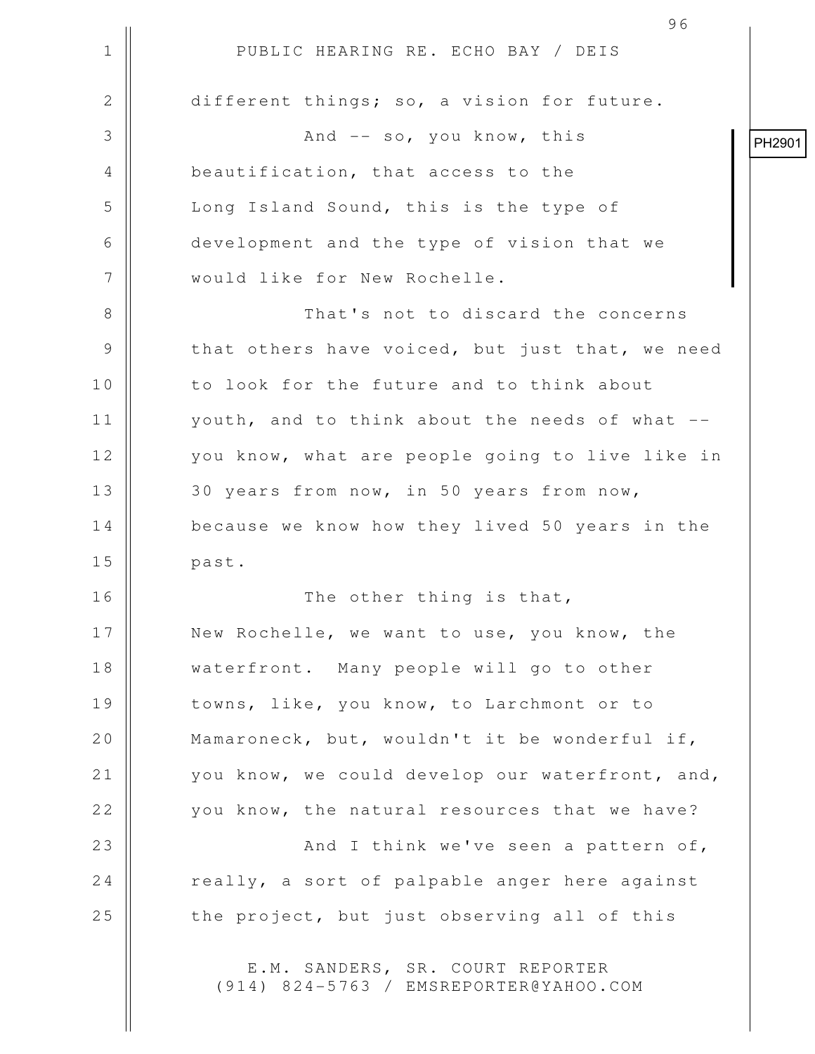1 || PUBLIC HEARING RE. ECHO BAY / DEIS 96 2 different things; so, a vision for future. 3 And -- so, you know, this 4 **beautification, that access to the** 5 | Long Island Sound, this is the type of 6 development and the type of vision that we 7 || would like for New Rochelle. 8 That's not to discard the concerns 9 || that others have voiced, but just that, we need 10 || to look for the future and to think about 11 || youth, and to think about the needs of what --12 | vou know, what are people going to live like in 13 || 30 years from now, in 50 years from now, 14 | because we know how they lived 50 years in the 15 past. 16 The other thing is that, 17 || New Rochelle, we want to use, you know, the 18 || waterfront. Many people will go to other 19 || towns, like, you know, to Larchmont or to 20 || Mamaroneck, but, wouldn't it be wonderful if, 21 | vou know, we could develop our waterfront, and, 22 || vou know, the natural resources that we have? 23 || And I think we've seen a pattern of,  $24$   $\parallel$  really, a sort of palpable anger here against  $25$   $\parallel$  the project, but just observing all of this E.M. SANDERS, SR. COURT REPORTER PH2901

(914) 824-5763 / EMSREPORTER@YAHOO.COM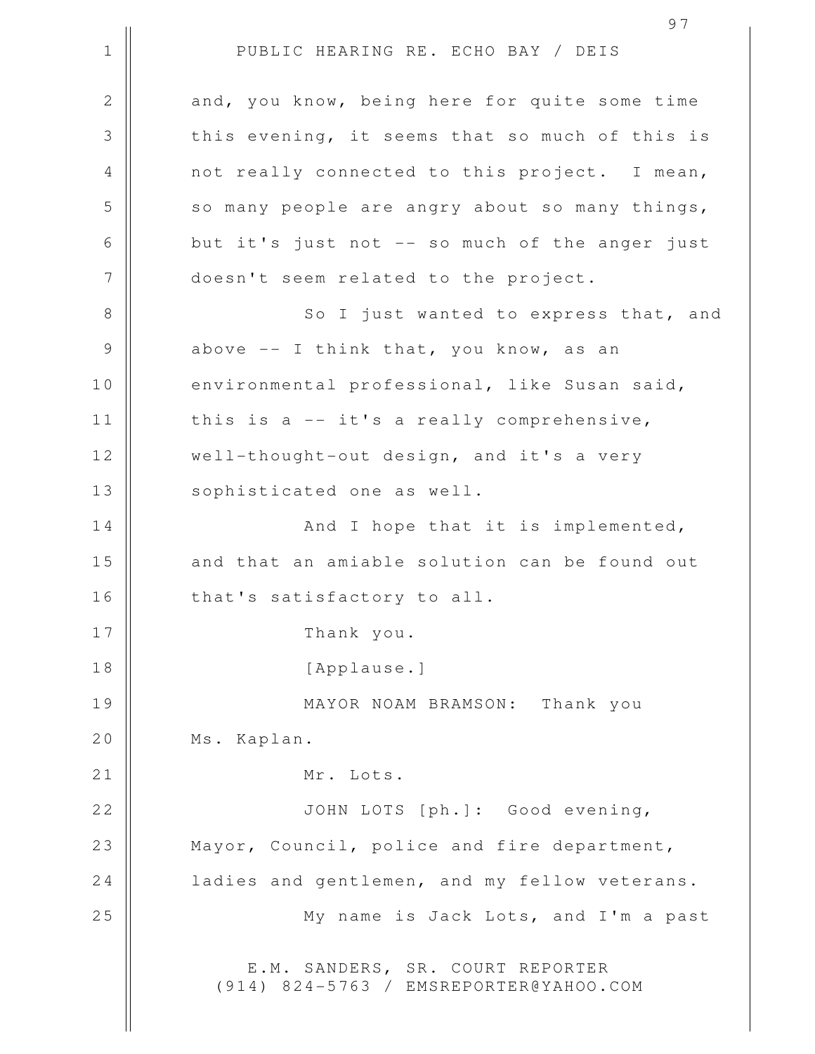1 || PUBLIC HEARING RE. ECHO BAY / DEIS 2 and, you know, being here for quite some time 3 || this evening, it seems that so much of this is 4 || not really connected to this project. I mean,  $5 \parallel$  so many people are angry about so many things, 6 || but it's just not -- so much of the anger just 7 || doesn't seem related to the project. 8 || So I just wanted to express that, and  $9 \parallel$  above  $-$  I think that, you know, as an 10 | environmental professional, like Susan said, 11  $\parallel$  this is a -- it's a really comprehensive, 12 | well-thought-out design, and it's a very 13 || sophisticated one as well. 14 || And I hope that it is implemented, 15 || and that an amiable solution can be found out 16 || that's satisfactory to all. 17 || Thank you. 18 || [Applause.] 19 MAYOR NOAM BRAMSON: Thank you 20 | Ms. Kaplan. 21 || Mr. Lots. 22 || JOHN LOTS [ph.]: Good evening, 23 || Mayor, Council, police and fire department, 24 | ladies and gentlemen, and my fellow veterans. 25 || My name is Jack Lots, and I'm a past E.M. SANDERS, SR. COURT REPORTER (914) 824-5763 / EMSREPORTER@YAHOO.COM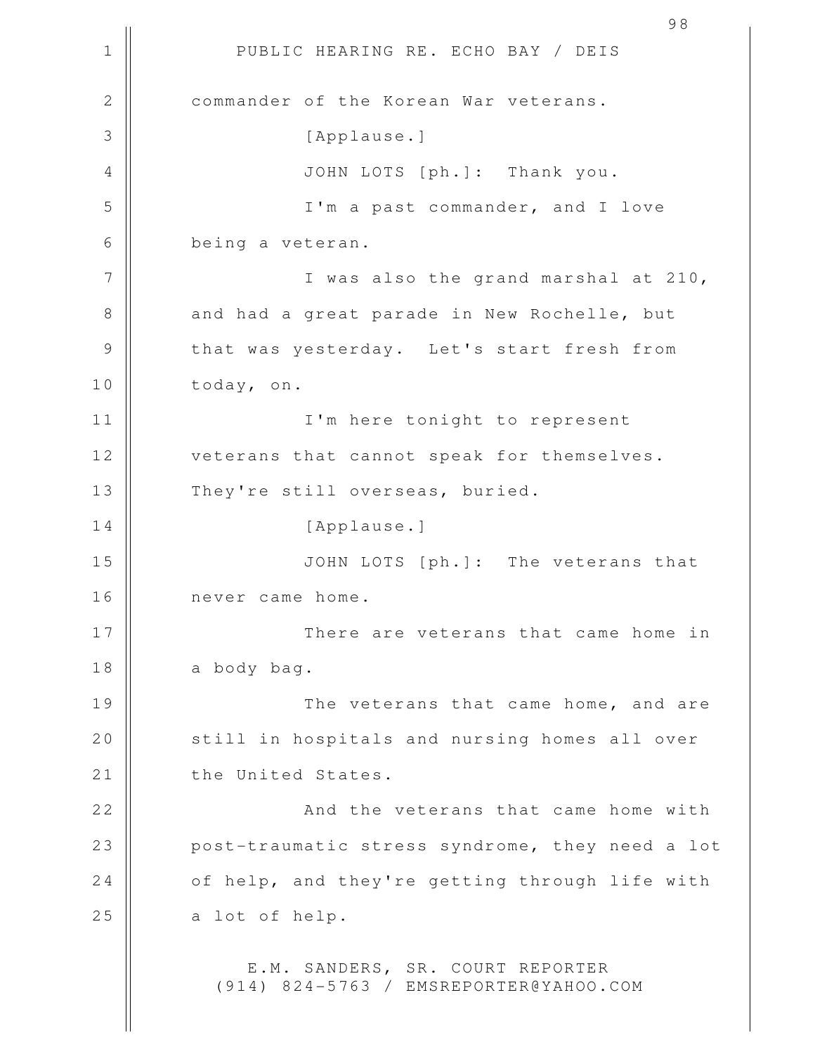1 || PUBLIC HEARING RE. ECHO BAY / DEIS 2 **commander of the Korean War veterans.** 3 | [Applause.] 4 JOHN LOTS [ph.]: Thank you. 5 || I'm a past commander, and I love 6 being a veteran. 7 || I was also the grand marshal at 210, 8 and had a great parade in New Rochelle, but 9 || that was yesterday. Let's start fresh from 10 today, on. 11 I'm here tonight to represent 12 || veterans that cannot speak for themselves. 13 || They're still overseas, buried. 14 || [Applause.] 15 JOHN LOTS [ph.]: The veterans that 16 || never came home. 17 There are veterans that came home in 18 a body bag. 19 The veterans that came home, and are 20 | still in hospitals and nursing homes all over 21 | the United States. 22 || And the veterans that came home with 23 || post-traumatic stress syndrome, they need a lot  $24$   $\parallel$  of help, and they're getting through life with  $25$  a lot of help. E.M. SANDERS, SR. COURT REPORTER (914) 824-5763 / EMSREPORTER@YAHOO.COM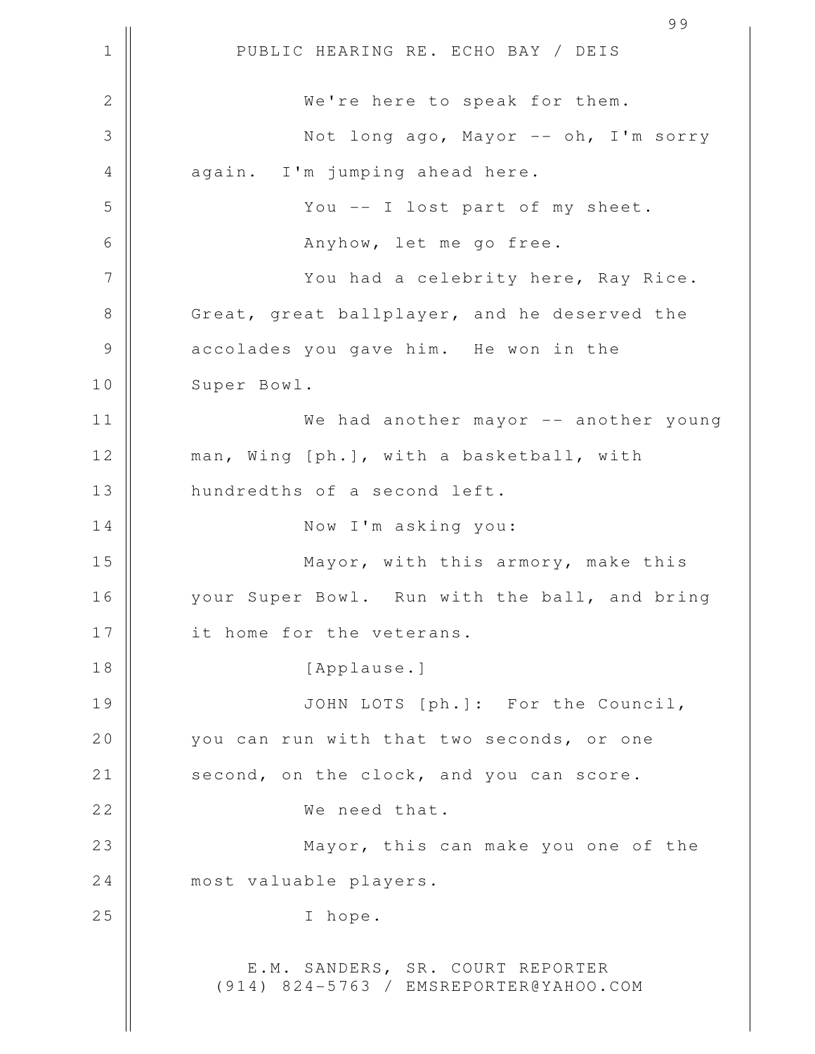1 || PUBLIC HEARING RE. ECHO BAY / DEIS 99 2 || We're here to speak for them. 3 Not long ago, Mayor -- oh, I'm sorry 4 again. I'm jumping ahead here. 5 You -- I lost part of my sheet. 6 Anyhow, let me go free. 7 || You had a celebrity here, Ray Rice. 8 Great, great ballplayer, and he deserved the 9 || accolades you gave him. He won in the 10 | Super Bowl. 11 We had another mayor -- another young 12 || man, Wing [ph.], with a basketball, with 13 || hundredths of a second left. 14 || Now I'm asking you: 15 || **Mayor, with this armory, make this** 16 || your Super Bowl. Run with the ball, and bring 17 || it home for the veterans. 18 || [Applause.] 19 || JOHN LOTS [ph.]: For the Council, 20 you can run with that two seconds, or one 21 | second, on the clock, and you can score. 22 || We need that. 23 || **Mayor, this can make you one of the** 24 | most valuable players. 25 || I hope. E.M. SANDERS, SR. COURT REPORTER (914) 824-5763 / EMSREPORTER@YAHOO.COM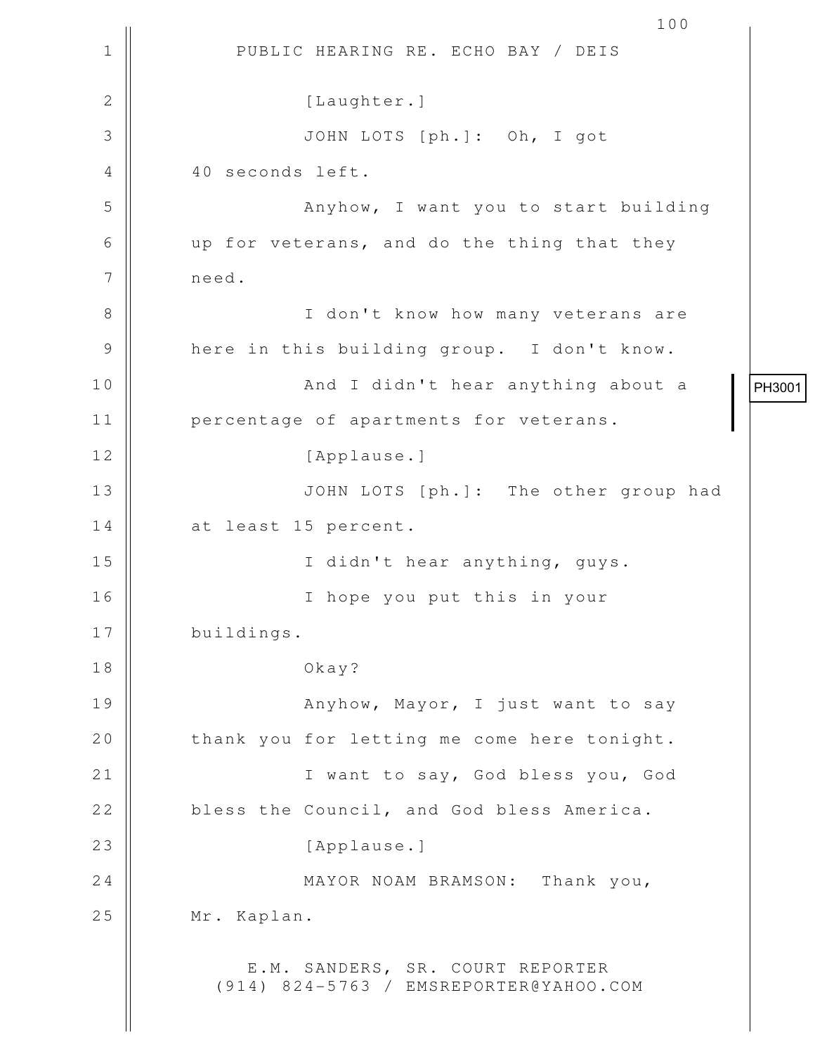1 || PUBLIC HEARING RE. ECHO BAY / DEIS 100 2 | [Laughter.] 3 JOHN LOTS [ph.]: Oh, I got 4 40 seconds left. 5 || Anyhow, I want you to start building 6 up for veterans, and do the thing that they 7 need. 8 || I don't know how many veterans are 9 || here in this building group. I don't know. 10 || And I didn't hear anything about a 11 || percentage of apartments for veterans. 12 | [Applause.] 13 || JOHN LOTS [ph.]: The other group had 14 | at least 15 percent. 15 || I didn't hear anything, guys. 16 I hope you put this in your 17 | buildings. 18 Okay? 19 || Anyhow, Mayor, I just want to say 20 | thank you for letting me come here tonight. 21 || Twant to say, God bless you, God 22 bless the Council, and God bless America. 23 || [Applause.] 24 MAYOR NOAM BRAMSON: Thank you, 25 | Mr. Kaplan. E.M. SANDERS, SR. COURT REPORTER (914) 824-5763 / EMSREPORTER@YAHOO.COM PH3001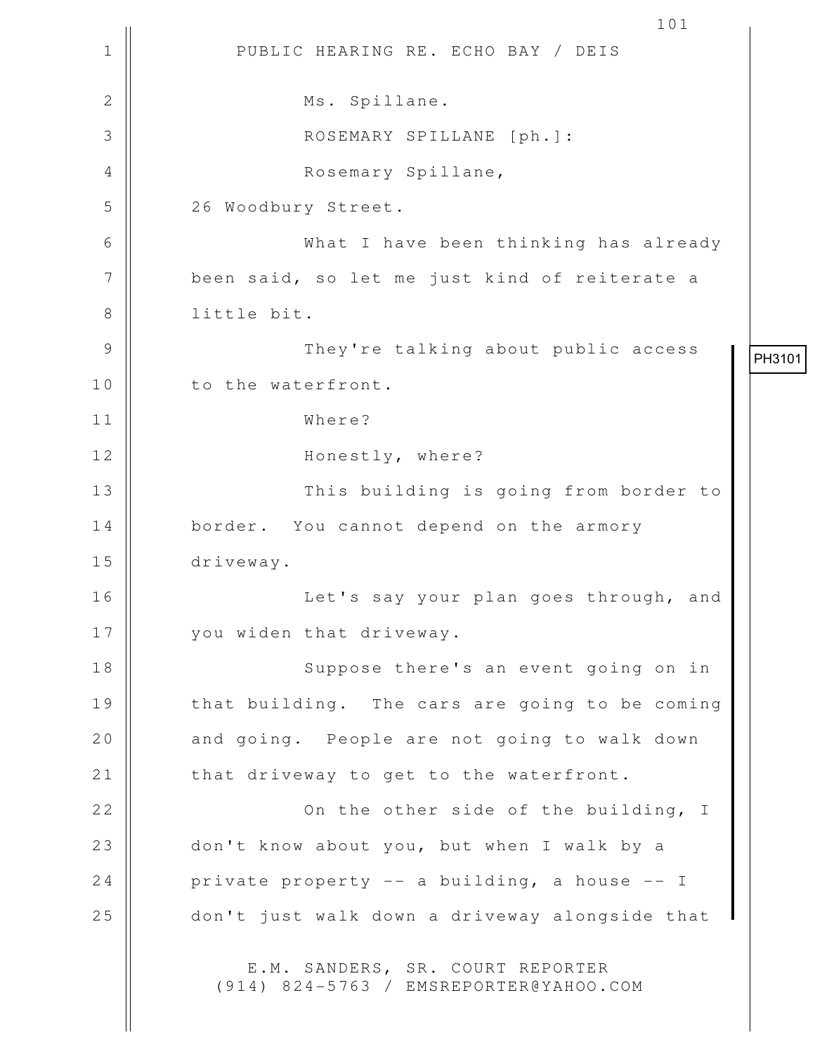1 || PUBLIC HEARING RE. ECHO BAY / DEIS 101 2 || Ms. Spillane. 3 || ROSEMARY SPILLANE [ph.]: 4 Rosemary Spillane, 5 | 26 Woodbury Street. 6 What I have been thinking has already 7 | been said, so let me just kind of reiterate a 8 || little bit. 9 They're talking about public access 10 || to the waterfront. 11 Where? 12 || Honestly, where? 13 || This building is going from border to 14 border. You cannot depend on the armory 15 driveway. 16 || Let's say your plan goes through, and 17 || you widen that driveway. 18 || Suppose there's an event going on in 19 || that building. The cars are going to be coming 20 || and going. People are not going to walk down 21 | that driveway to get to the waterfront. 22 || Conthe other side of the building, I 23 don't know about you, but when I walk by a 24 | private property  $-$  a building, a house  $-$  I 25 don't just walk down a driveway alongside that E.M. SANDERS, SR. COURT REPORTER (914) 824-5763 / EMSREPORTER@YAHOO.COM PH3101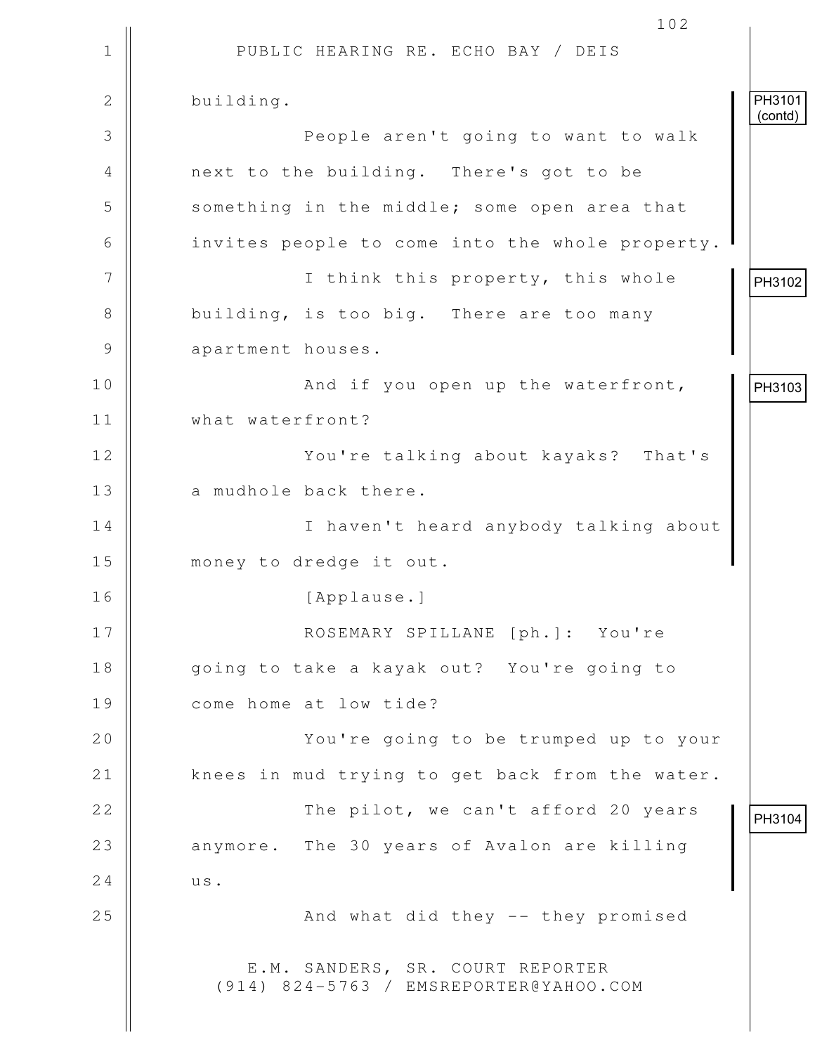|               | 102                                                                        |                   |
|---------------|----------------------------------------------------------------------------|-------------------|
| $\mathbf 1$   | PUBLIC HEARING RE. ECHO BAY / DEIS                                         |                   |
| $\mathbf{2}$  | building.                                                                  | PH3101<br>(contd) |
| 3             | People aren't going to want to walk                                        |                   |
| 4             | next to the building. There's got to be                                    |                   |
| 5             | something in the middle; some open area that                               |                   |
| 6             | invites people to come into the whole property.                            |                   |
| 7             | I think this property, this whole                                          | PH3102            |
| 8             | building, is too big. There are too many                                   |                   |
| $\mathcal{G}$ | apartment houses.                                                          |                   |
| 10            | And if you open up the waterfront,                                         | PH3103            |
| 11            | what waterfront?                                                           |                   |
| 12            | You're talking about kayaks? That's                                        |                   |
| 13            | a mudhole back there.                                                      |                   |
| 14            | I haven't heard anybody talking about                                      |                   |
| 15            | money to dredge it out.                                                    |                   |
| 16            | [Applause.]                                                                |                   |
| 17            | ROSEMARY SPILLANE [ph.]: You're                                            |                   |
| 18            | going to take a kayak out? You're going to                                 |                   |
| 19            | come home at low tide?                                                     |                   |
| 20            | You're going to be trumped up to your                                      |                   |
| 21            | knees in mud trying to get back from the water.                            |                   |
| 22            | The pilot, we can't afford 20 years                                        | PH3104            |
| 23            | anymore. The 30 years of Avalon are killing                                |                   |
| 24            | us.                                                                        |                   |
| 25            | And what did they -- they promised                                         |                   |
|               | E.M. SANDERS, SR. COURT REPORTER<br>(914) 824-5763 / EMSREPORTER@YAHOO.COM |                   |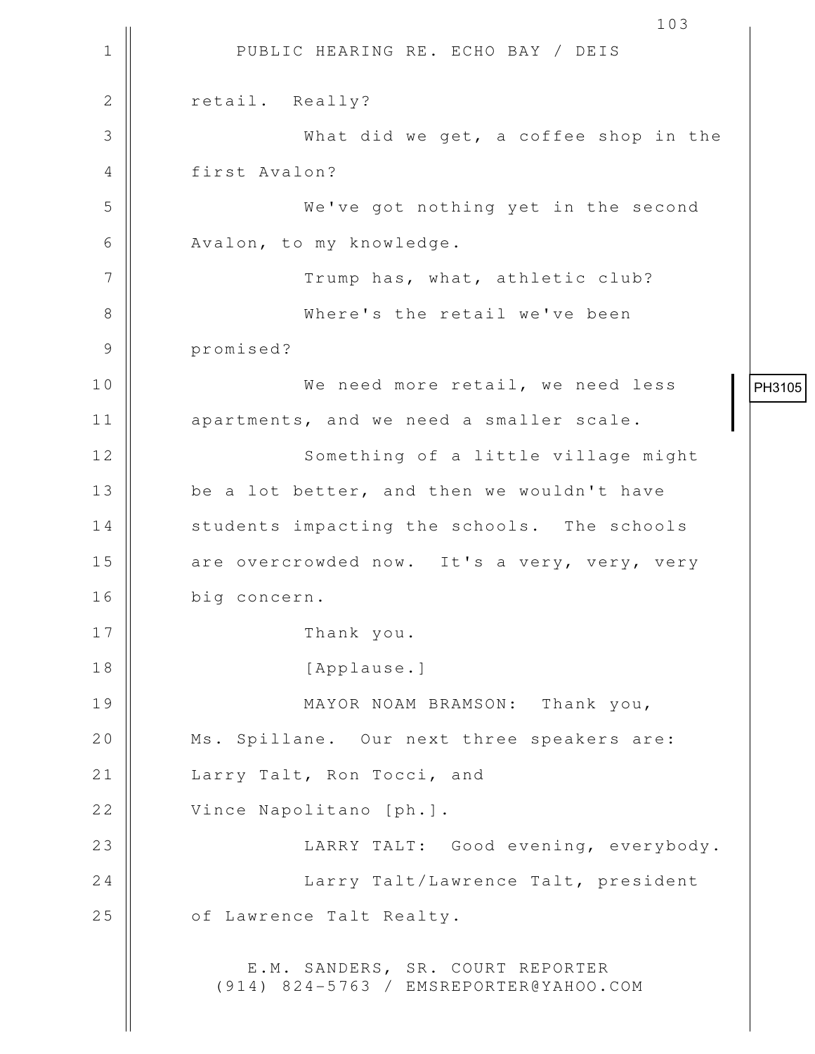1 || PUBLIC HEARING RE. ECHO BAY / DEIS 103 2 | retail. Really? 3 What did we get, a coffee shop in the 4 first Avalon? 5 We've got nothing yet in the second 6 | Avalon, to my knowledge. 7 || Trump has, what, athletic club? 8 Where's the retail we've been 9 promised? 10 We need more retail, we need less 11 || apartments, and we need a smaller scale. 12 || Something of a little village might 13  $\parallel$  be a lot better, and then we wouldn't have 14 | students impacting the schools. The schools 15 || are overcrowded now. It's a very, very, very 16 big concern. 17 || Thank you. 18 || [Applause.] 19 MAYOR NOAM BRAMSON: Thank you, 20 || Ms. Spillane. Our next three speakers are: 21 || Larry Talt, Ron Tocci, and 22 | Vince Napolitano [ph.]. 23 || LARRY TALT: Good evening, everybody. 24 || Larry Talt/Lawrence Talt, president 25 | of Lawrence Talt Realty. E.M. SANDERS, SR. COURT REPORTER (914) 824-5763 / EMSREPORTER@YAHOO.COM PH3105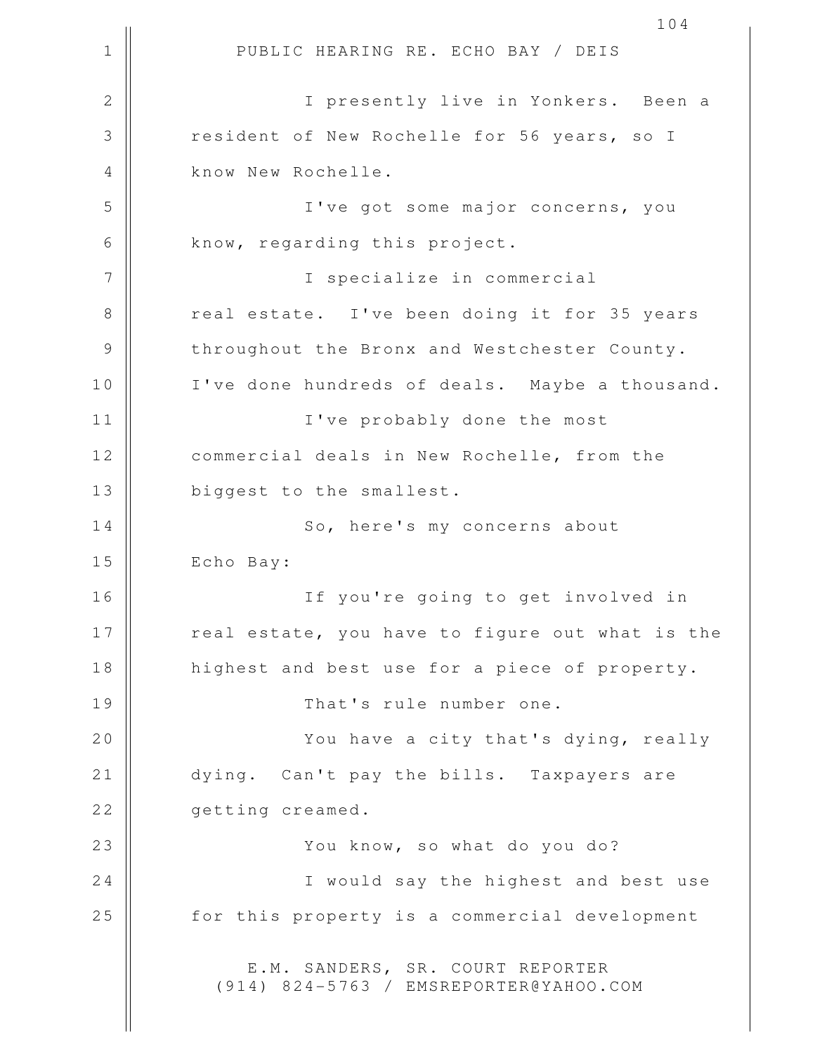1 || PUBLIC HEARING RE. ECHO BAY / DEIS 2 || I presently live in Yonkers. Been a 3 The State of New Rochelle for 56 years, so I 4 | know New Rochelle. 5 I've got some major concerns, you  $6 \parallel$  know, regarding this project. 7 || I specialize in commercial 8 || creal estate. I've been doing it for 35 years 9 | throughout the Bronx and Westchester County. 10 || I've done hundreds of deals. Maybe a thousand. 11 || I've probably done the most 12 | commercial deals in New Rochelle, from the 13 || biggest to the smallest. 14 | So, here's my concerns about 15 | Echo Bay: 16 If you're going to get involved in 17 || cal estate, you have to figure out what is the 18 || highest and best use for a piece of property. 19 || That's rule number one. 20 || You have a city that's dying, really 21 | dying. Can't pay the bills. Taxpayers are 22 **Q**etting creamed. 23 || You know, so what do you do? 24 || I would say the highest and best use 25 | for this property is a commercial development E.M. SANDERS, SR. COURT REPORTER (914) 824-5763 / EMSREPORTER@YAHOO.COM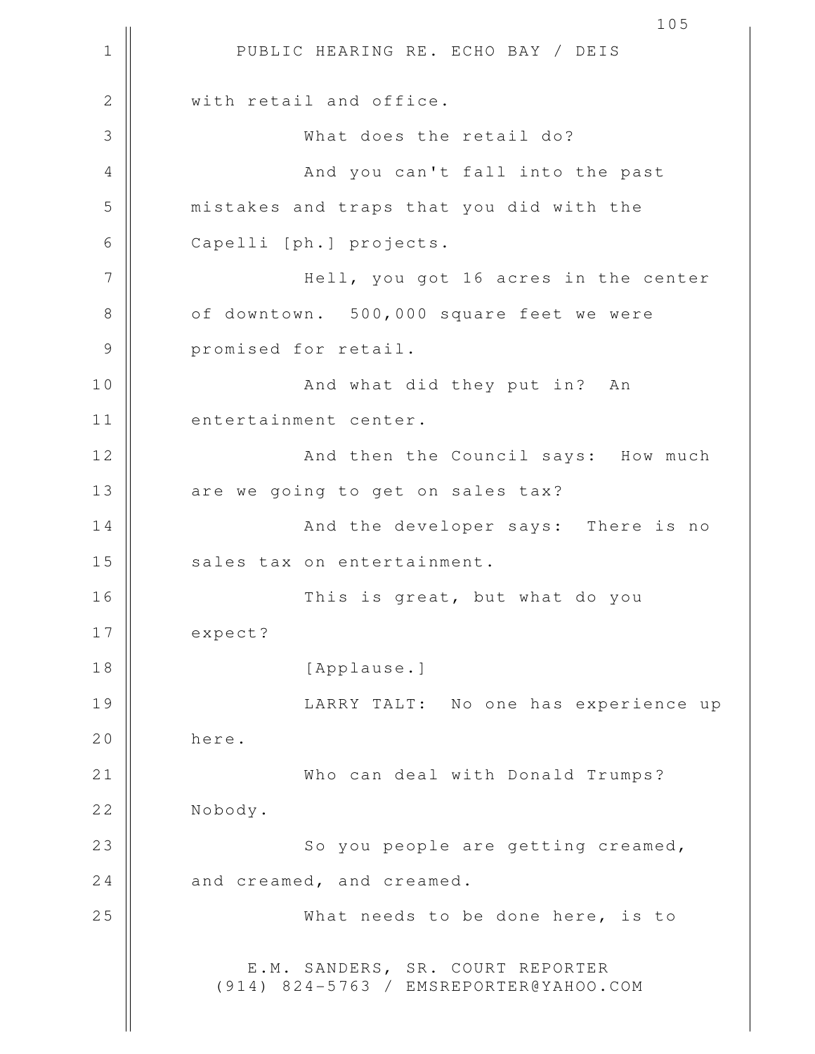1 || PUBLIC HEARING RE. ECHO BAY / DEIS 105 2 || with retail and office. 3 What does the retail do? 4 || And you can't fall into the past 5 mistakes and traps that you did with the 6 Capelli [ph.] projects. 7 Hell, you got 16 acres in the center 8 | of downtown. 500,000 square feet we were 9 || promised for retail. 10 || And what did they put in? An 11 || entertainment center. 12 || And then the Council says: How much 13 || are we going to get on sales tax? 14 || And the developer says: There is no 15 || sales tax on entertainment. 16 This is great, but what do you 17 expect? 18 || [Applause.] 19 || LARRY TALT: No one has experience up 20 here. 21 Who can deal with Donald Trumps? 22 | Nobody. 23 || So you people are getting creamed,  $24$   $\parallel$  and creamed, and creamed. 25 What needs to be done here, is to E.M. SANDERS, SR. COURT REPORTER (914) 824-5763 / EMSREPORTER@YAHOO.COM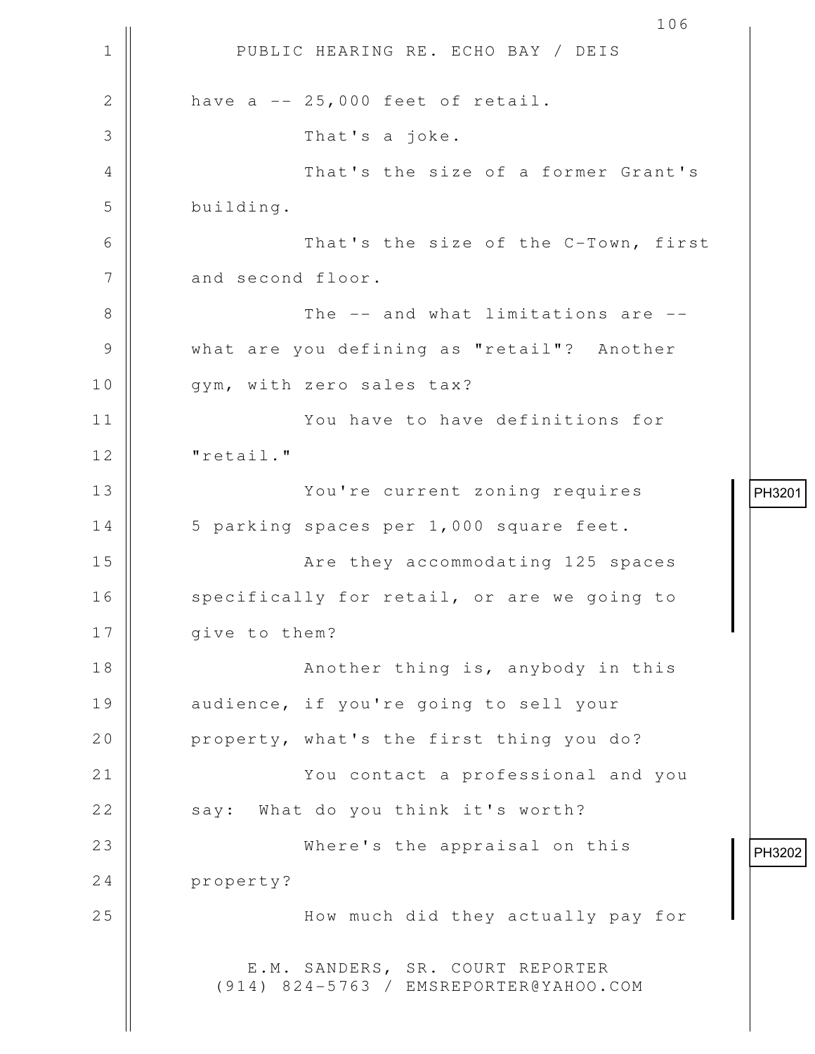```
1 || PUBLIC HEARING RE. ECHO BAY / DEIS
                                              106
2 \parallel have a -- 25,000 feet of retail.
 3 That's a joke. 
 4 That's the size of a former Grant's
 5 building. 
 6 That's the size of the C-Town, first
7 and second floor.
 8 The -- and what limitations are --
 9 what are you defining as "retail"? Another
10 || gym, with zero sales tax?
11 You have to have definitions for
12 | "retail."
13 ||                         You're current zoning requires
14 | 5 parking spaces per 1,000 square feet.
15 Are they accommodating 125 spaces
16 | specifically for retail, or are we going to
17 | qive to them?
18 ||               Another thing is, anybody in this
19 || audience, if you're going to sell your
20 || property, what's the first thing you do?
21 ||                       You contact a professional and you
22 || say: What do you think it's worth?
23 Where's the appraisal on this
24 property?
25 ||                       How much did they actually pay for
            E.M. SANDERS, SR. COURT REPORTER
          (914) 824-5763 / EMSREPORTER@YAHOO.COM
                                                     PH3201 PH3202
```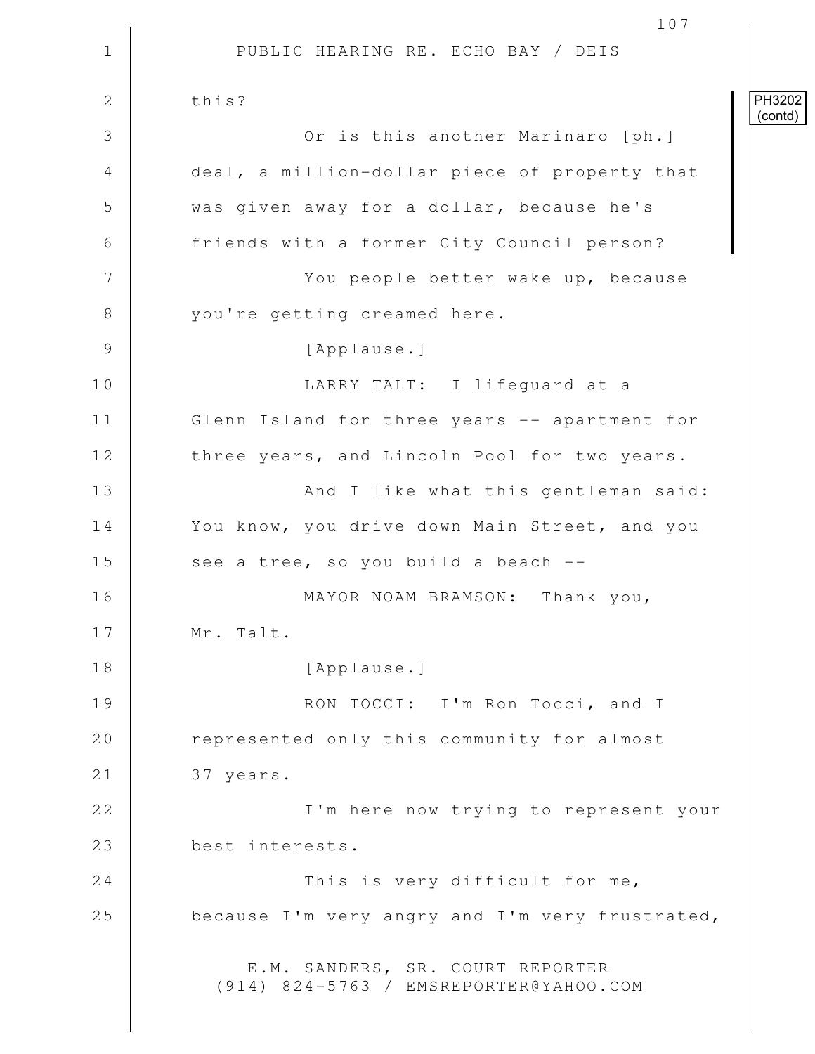1 || PUBLIC HEARING RE. ECHO BAY / DEIS 107 2 this? 3 **June 20** Or is this another Marinaro [ph.] 4 deal, a million-dollar piece of property that 5 Wed Sollar, because he's 6 | friends with a former City Council person? 7 You people better wake up, because 8 || vou're getting creamed here. 9 || [Applause.] 10 LARRY TALT: I lifeguard at a 11 Glenn Island for three years -- apartment for 12 | three years, and Lincoln Pool for two years. 13 || And I like what this gentleman said: 14 | You know, you drive down Main Street, and you 15  $\parallel$  see a tree, so you build a beach  $-$ 16 MAYOR NOAM BRAMSON: Thank you, 17 || Mr. Talt. 18 || [Applause.] 19 || RON TOCCI: I'm Ron Tocci, and I 20 | represented only this community for almost 21 | 37 years. 22 || I'm here now trying to represent your 23 best interests. 24 || This is very difficult for me, 25 **because I'm very angry and I'm very frustrated**, E.M. SANDERS, SR. COURT REPORTER (914) 824-5763 / EMSREPORTER@YAHOO.COM PH3202 (contd)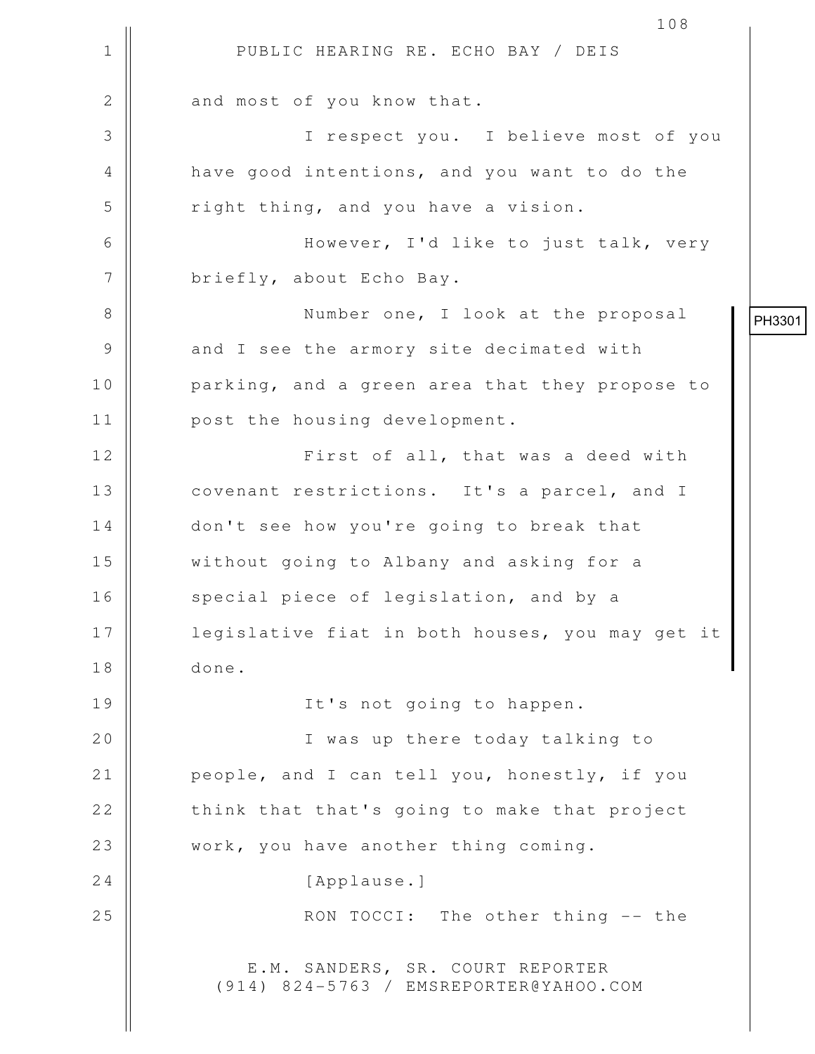1 || PUBLIC HEARING RE. ECHO BAY / DEIS 108 2 || and most of you know that. 3 I respect you. I believe most of you 4 | have good intentions, and you want to do the  $5$   $\parallel$  right thing, and you have a vision. 6 || However, I'd like to just talk, very 7 | briefly, about Echo Bay. 8 || Number one, I look at the proposal 9 || and I see the armory site decimated with 10 || parking, and a green area that they propose to 11 | post the housing development. 12 || First of all, that was a deed with 13 covenant restrictions. It's a parcel, and I 14 don't see how you're going to break that 15 without going to Albany and asking for a 16 || special piece of legislation, and by a 17 || legislative fiat in both houses, you may get it 18 done. 19 || It's not going to happen. 20 || I was up there today talking to 21 | people, and I can tell you, honestly, if you 22 || think that that's going to make that project 23 || work, you have another thing coming. 24 | [Applause.] 25 || RON TOCCI: The other thing -- the E.M. SANDERS, SR. COURT REPORTER (914) 824-5763 / EMSREPORTER@YAHOO.COM PH3301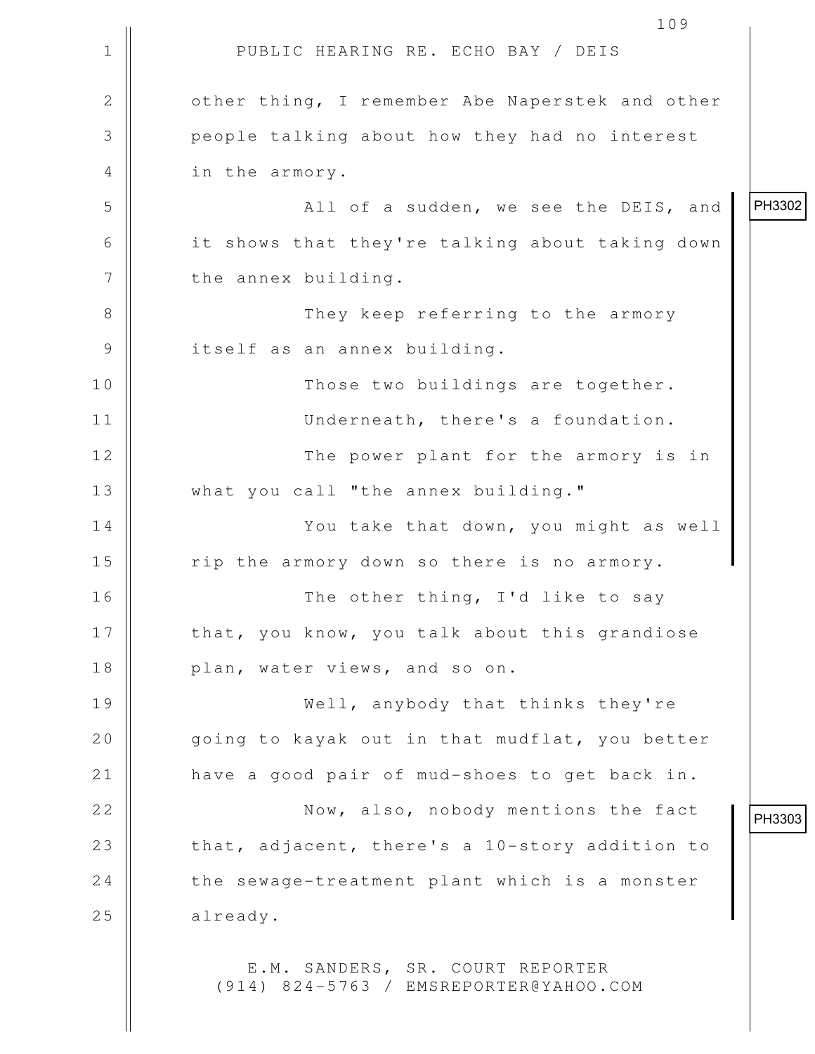|              | 109                                                                        |        |
|--------------|----------------------------------------------------------------------------|--------|
| $\mathbf 1$  | PUBLIC HEARING RE. ECHO BAY / DEIS                                         |        |
| $\mathbf{2}$ | other thing, I remember Abe Naperstek and other                            |        |
| 3            | people talking about how they had no interest                              |        |
| 4            | in the armory.                                                             |        |
| 5            | All of a sudden, we see the DEIS, and                                      | PH3302 |
| 6            | it shows that they're talking about taking down                            |        |
| 7            | the annex building.                                                        |        |
| 8            | They keep referring to the armory                                          |        |
| 9            | itself as an annex building.                                               |        |
| 10           | Those two buildings are together.                                          |        |
| 11           | Underneath, there's a foundation.                                          |        |
| 12           | The power plant for the armory is in                                       |        |
| 13           | what you call "the annex building."                                        |        |
| 14           | You take that down, you might as well                                      |        |
| 15           | rip the armory down so there is no armory.                                 |        |
| 16           | The other thing, I'd like to say                                           |        |
| 17           | that, you know, you talk about this grandiose                              |        |
| 18           | plan, water views, and so on.                                              |        |
| 19           | Well, anybody that thinks they're                                          |        |
| 20           | going to kayak out in that mudflat, you better                             |        |
| 21           | have a good pair of mud-shoes to get back in.                              |        |
| 22           | Now, also, nobody mentions the fact                                        | PH3303 |
| 23           | that, adjacent, there's a 10-story addition to                             |        |
| 24           | the sewage-treatment plant which is a monster                              |        |
| 25           | already.                                                                   |        |
|              | E.M. SANDERS, SR. COURT REPORTER<br>(914) 824-5763 / EMSREPORTER@YAHOO.COM |        |

 $\prod_{i=1}^{n}$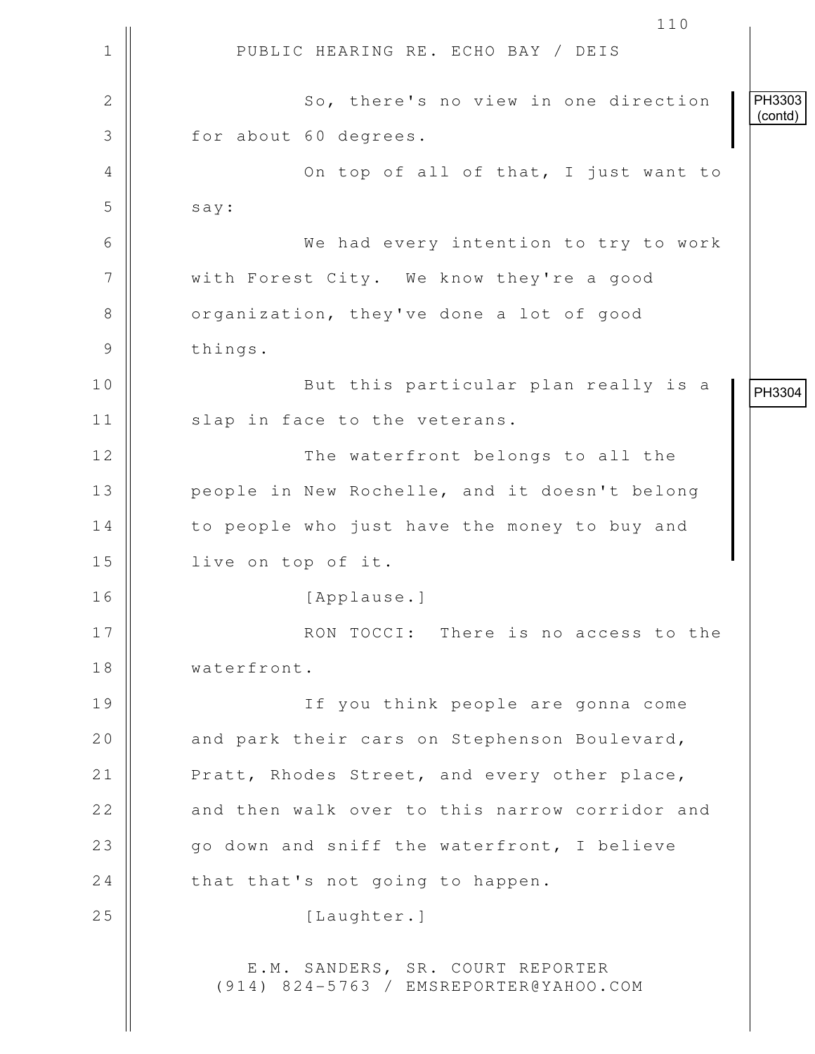1 || PUBLIC HEARING RE. ECHO BAY / DEIS 110 2 || So, there's no view in one direction 3 || for about 60 degrees. 4 || On top of all of that, I just want to  $5$  say: 6 We had every intention to try to work 7 | with Forest City. We know they're a good 8 | organization, they've done a lot of good 9 | things. 10 || But this particular plan really is a 11 || slap in face to the veterans. 12 || The waterfront belongs to all the 13 || people in New Rochelle, and it doesn't belong 14 | to people who just have the money to buy and 15 live on top of it. 16 [Applause.] 17 || RON TOCCI: There is no access to the 18 waterfront. 19 If you think people are gonna come 20  $\parallel$  and park their cars on Stephenson Boulevard, 21 | Pratt, Rhodes Street, and every other place, 22 || and then walk over to this narrow corridor and 23  $\parallel$  go down and sniff the waterfront, I believe  $24$  | that that's not going to happen. 25 | Iaughter. E.M. SANDERS, SR. COURT REPORTER (914) 824-5763 / EMSREPORTER@YAHOO.COM PH3303 (contd) PH3304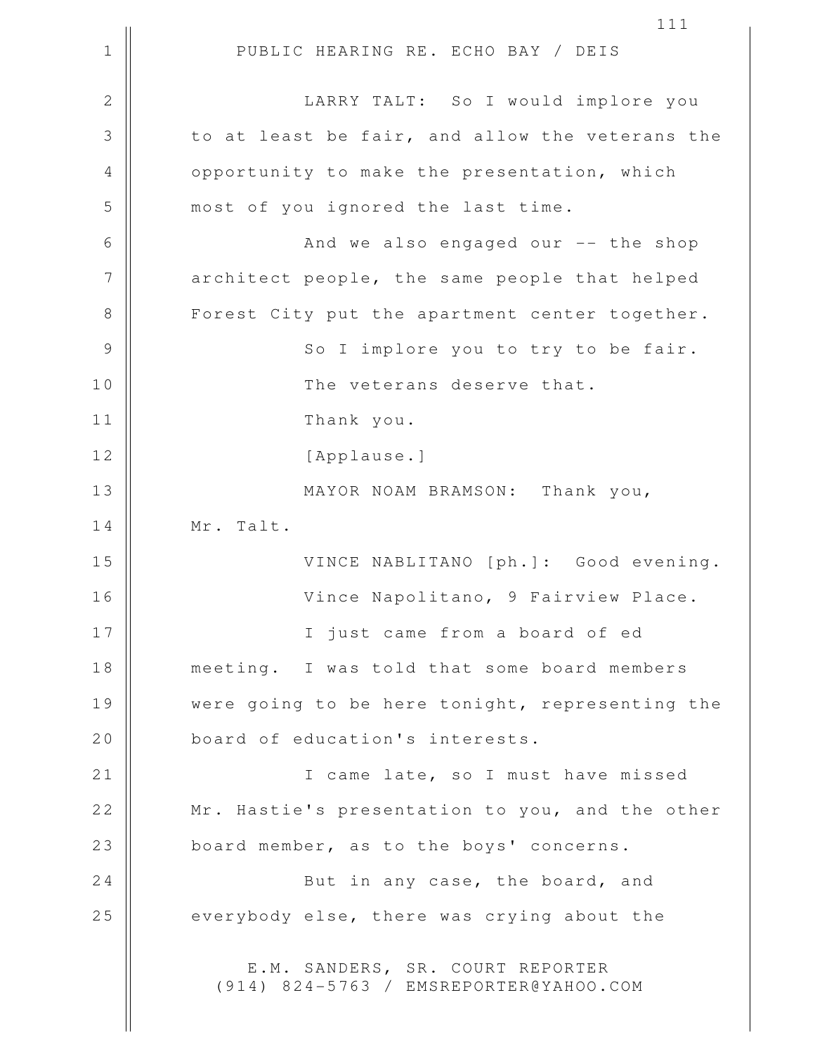1 || PUBLIC HEARING RE. ECHO BAY / DEIS 111 2 || LARRY TALT: So I would implore you 3 to at least be fair, and allow the veterans the 4 | opportunity to make the presentation, which 5 || most of you ignored the last time. 6 And we also engaged our -- the shop 7 || architect people, the same people that helped 8 || Forest City put the apartment center together. 9 || So I implore you to try to be fair. 10 The veterans deserve that. 11 Thank you. 12 || [Applause.] 13 || MAYOR NOAM BRAMSON: Thank you, 14 || Mr. Talt. 15 VINCE NABLITANO [ph.]: Good evening. 16 Vince Napolitano, 9 Fairview Place. 17 || I just came from a board of ed 18 meeting. I was told that some board members 19 Were going to be here tonight, representing the 20 **board** of education's interests. 21 || I came late, so I must have missed 22 || Mr. Hastie's presentation to you, and the other 23 || board member, as to the boys' concerns. 24 || But in any case, the board, and 25 everybody else, there was crying about the E.M. SANDERS, SR. COURT REPORTER (914) 824-5763 / EMSREPORTER@YAHOO.COM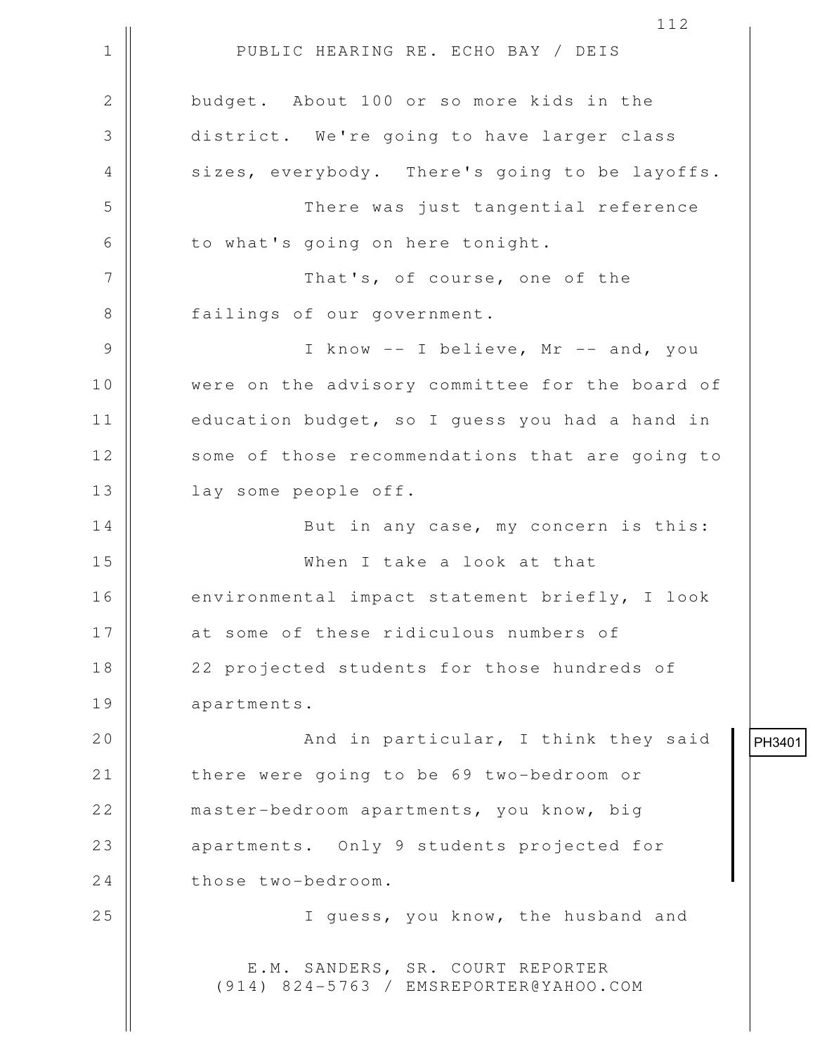1 || PUBLIC HEARING RE. ECHO BAY / DEIS 2 budget. About 100 or so more kids in the 3 district. We're going to have larger class 4 || sizes, everybody. There's going to be layoffs. 5 There was just tangential reference  $6 \parallel$  to what's going on here tonight. 7 || That's, of course, one of the 8 || failings of our government. 9 || I know -- I believe, Mr -- and, you 10 || were on the advisory committee for the board of 11 | education budget, so I guess you had a hand in 12 || some of those recommendations that are going to 13 || lay some people off. 14 || But in any case, my concern is this: 15 When I take a look at that 16 | environmental impact statement briefly, I look 17 || at some of these ridiculous numbers of 18 || 22 projected students for those hundreds of 19 apartments. 20 And in particular, I think they said 21 | there were going to be 69 two-bedroom or 22 master-bedroom apartments, you know, big 23 || apartments. Only 9 students projected for 24 those two-bedroom. 25 || **I** guess, you know, the husband and E.M. SANDERS, SR. COURT REPORTER (914) 824-5763 / EMSREPORTER@YAHOO.COM

112

PH3401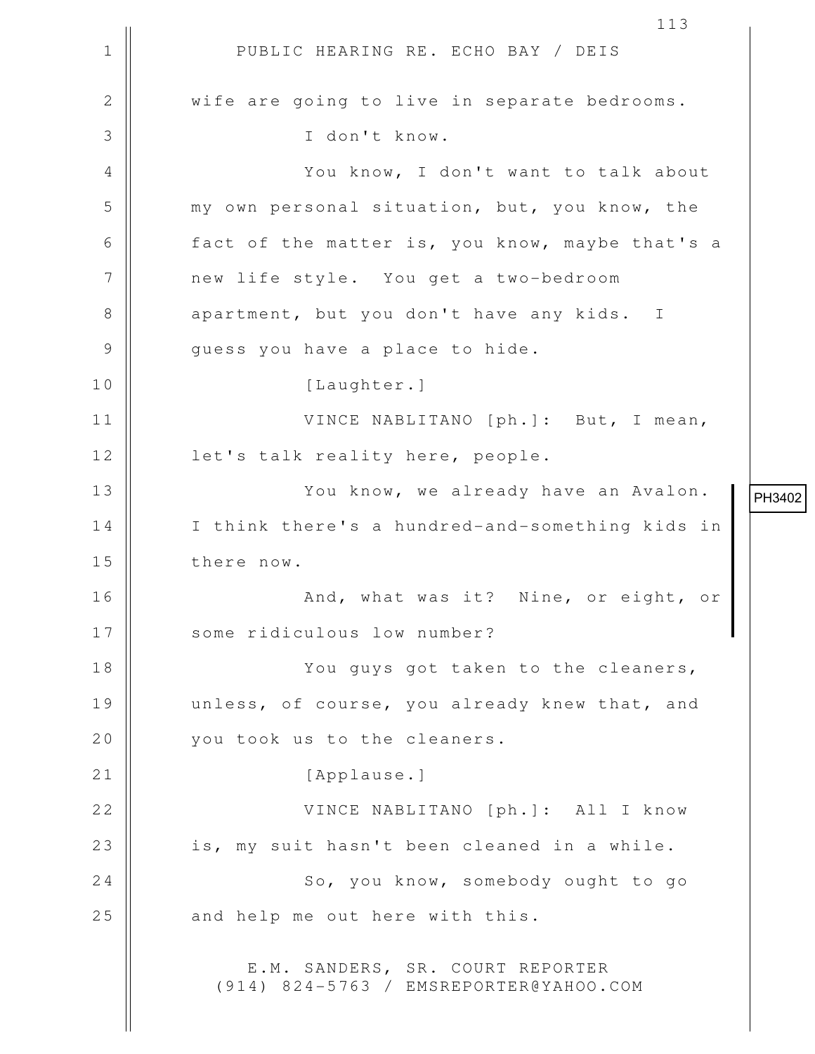1 || PUBLIC HEARING RE. ECHO BAY / DEIS 2 || wife are going to live in separate bedrooms. 3 I don't know. 4 || You know, I don't want to talk about 5 my own personal situation, but, you know, the 6 fact of the matter is, you know, maybe that's a 7 new life style. You get a two-bedroom 8 || apartment, but you don't have any kids. I 9 || guess you have a place to hide. 10 | [Laughter.] 11 VINCE NABLITANO [ph.]: But, I mean, 12 || let's talk reality here, people. 13 || You know, we already have an Avalon. 14 || I think there's a hundred-and-something kids in 15 || there now. 16 || And, what was it? Nine, or eight, or 17 || some ridiculous low number? 18 You guys got taken to the cleaners, 19 unless, of course, you already knew that, and 20 || you took us to the cleaners. 21 || [Applause.] 22 VINCE NABLITANO [ph.]: All I know 23 || is, my suit hasn't been cleaned in a while. 24 | So, you know, somebody ought to go  $25$  || and help me out here with this. E.M. SANDERS, SR. COURT REPORTER (914) 824-5763 / EMSREPORTER@YAHOO.COM PH3402

113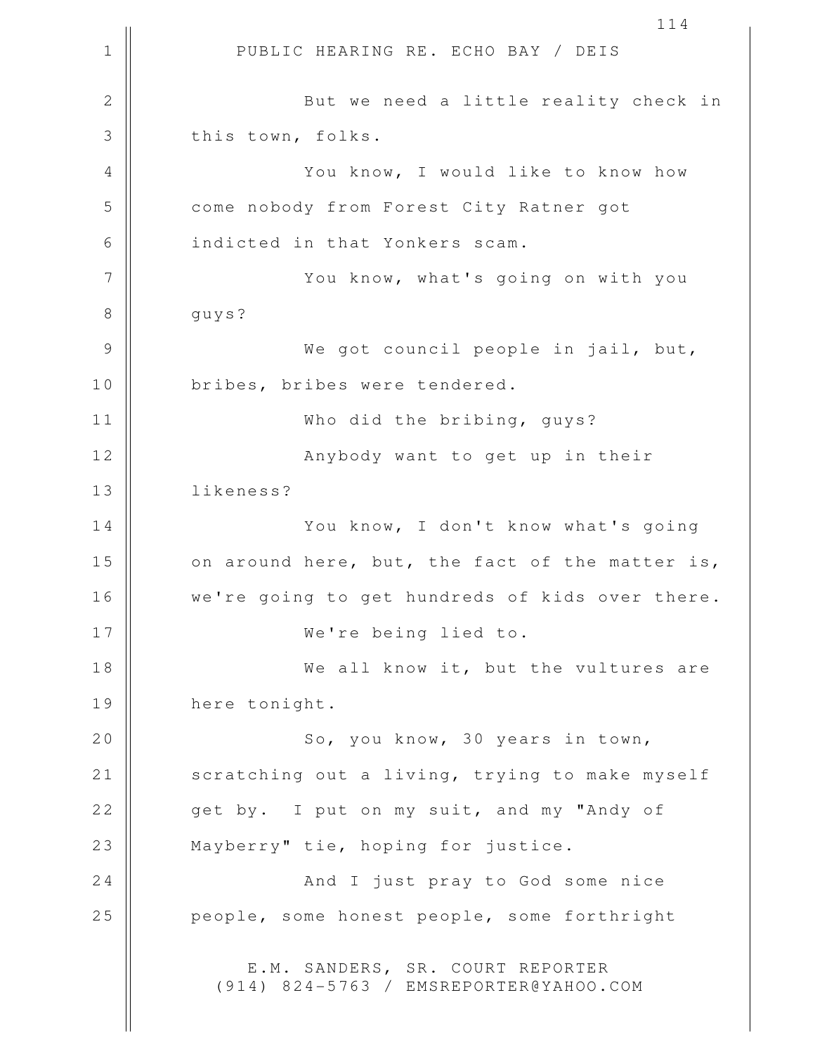1 || PUBLIC HEARING RE. ECHO BAY / DEIS 114 2 || But we need a little reality check in 3 || this town, folks. 4 You know, I would like to know how 5 **6 S** come nobody from Forest City Ratner got 6 || indicted in that Yonkers scam. 7 || You know, what's going on with you 8 | guys? 9 We got council people in jail, but, 10 || bribes, bribes were tendered. 11 Who did the bribing, guys? 12 || **Anybody want to get up in their** 13 likeness? 14 || You know, I don't know what's going  $15$  | on around here, but, the fact of the matter is, 16 | we're going to get hundreds of kids over there. 17 We're being lied to. 18 || We all know it, but the vultures are 19 | here tonight. 20 || So, you know, 30 years in town, 21 | scratching out a living, trying to make myself 22 get by. I put on my suit, and my "Andy of 23 || Mayberry" tie, hoping for justice. 24 And I just pray to God some nice 25 | people, some honest people, some forthright E.M. SANDERS, SR. COURT REPORTER (914) 824-5763 / EMSREPORTER@YAHOO.COM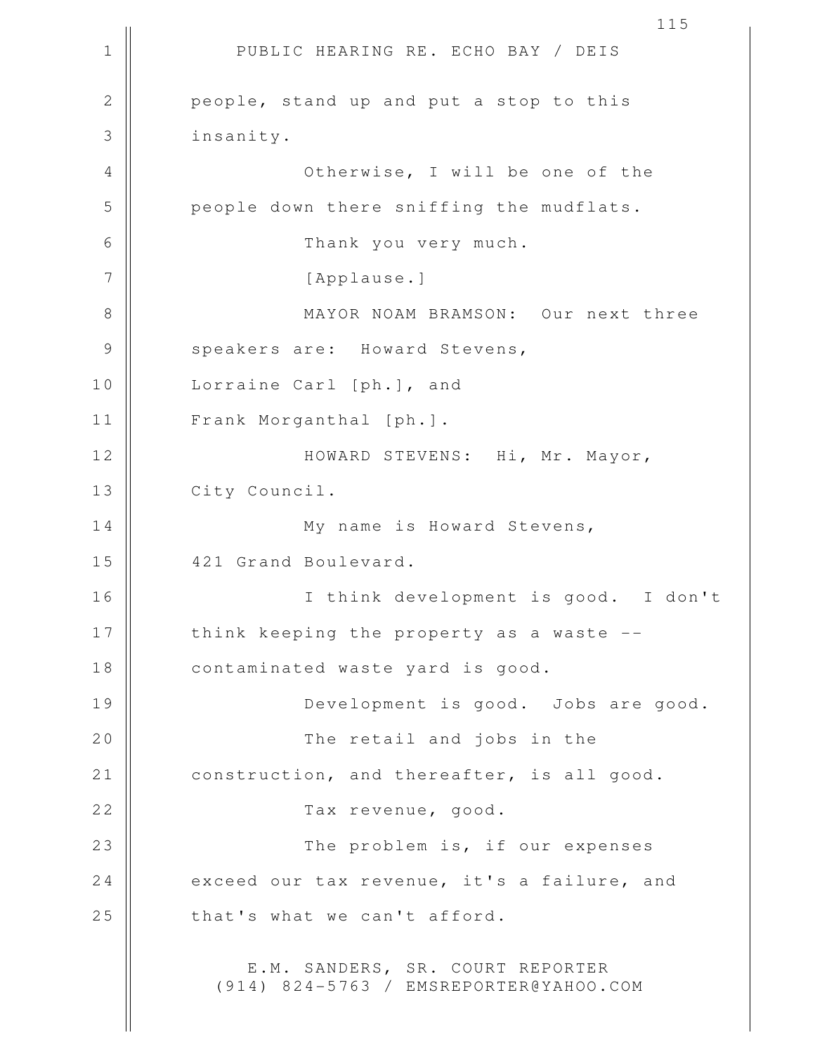1 || PUBLIC HEARING RE. ECHO BAY / DEIS 2 || people, stand up and put a stop to this 3 insanity. 4 Otherwise, I will be one of the 5 people down there sniffing the mudflats. 6 Thank you very much. 7 || [Applause.] 8 || MAYOR NOAM BRAMSON: Our next three 9 || speakers are: Howard Stevens, 10 || Lorraine Carl [ph.], and 11 Frank Morganthal [ph.]. 12 || HOWARD STEVENS: Hi, Mr. Mayor, 13 | City Council. 14 || My name is Howard Stevens, 15 || 421 Grand Boulevard. 16 I think development is good. I don't 17 || think keeping the property as a waste --18 | contaminated waste yard is good. 19 || Development is good. Jobs are good. 20 || The retail and jobs in the 21 | construction, and thereafter, is all good. 22 || Tax revenue, good. 23 || The problem is, if our expenses 24 exceed our tax revenue, it's a failure, and  $25$  || that's what we can't afford. E.M. SANDERS, SR. COURT REPORTER (914) 824-5763 / EMSREPORTER@YAHOO.COM

115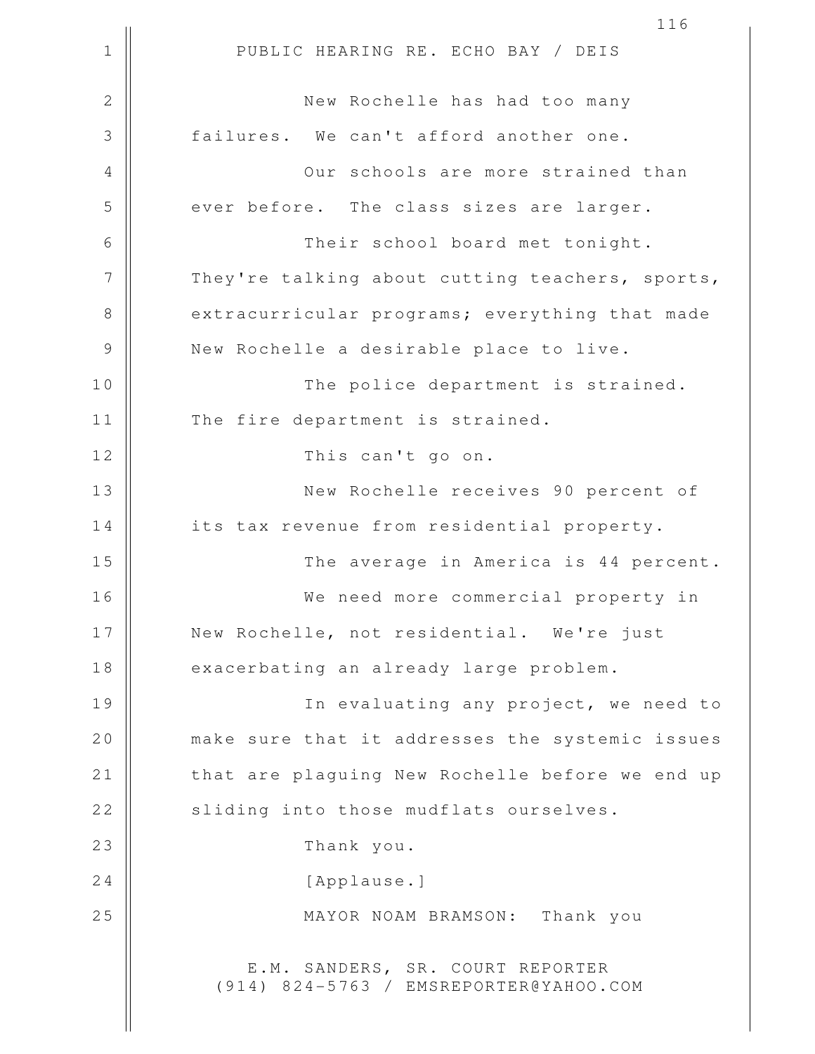1 || PUBLIC HEARING RE. ECHO BAY / DEIS 116 2 New Rochelle has had too many 3 **failures.** We can't afford another one. 4 || Our schools are more strained than 5 ever before. The class sizes are larger. 6 Their school board met tonight.  $7$  | They're talking about cutting teachers, sports, 8 extracurricular programs; everything that made 9 | New Rochelle a desirable place to live. 10 || The police department is strained. 11 | The fire department is strained. 12 || This can't go on. 13 New Rochelle receives 90 percent of 14 | its tax revenue from residential property. 15 The average in America is 44 percent. 16 We need more commercial property in 17 || New Rochelle, not residential. We're just 18 exacerbating an already large problem. 19 || In evaluating any project, we need to 20 || make sure that it addresses the systemic issues 21 || that are plaguing New Rochelle before we end up 22 || sliding into those mudflats ourselves. 23 || Thank you. 24 | [Applause.] 25 MAYOR NOAM BRAMSON: Thank you E.M. SANDERS, SR. COURT REPORTER (914) 824-5763 / EMSREPORTER@YAHOO.COM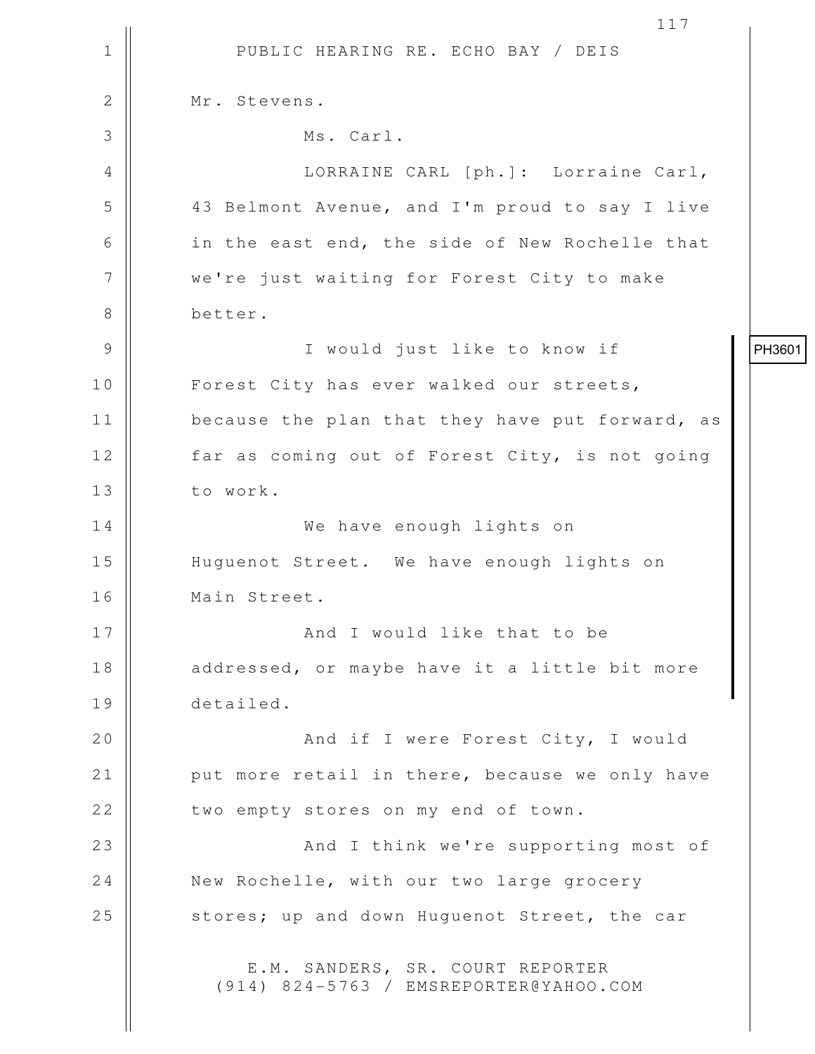1 || PUBLIC HEARING RE. ECHO BAY / DEIS 117 2 | Mr. Stevens. 3 Ms. Carl. 4 || LORRAINE CARL [ph.]: Lorraine Carl, 5 43 Belmont Avenue, and I'm proud to say I live 6 || in the east end, the side of New Rochelle that 7 | we're just waiting for Forest City to make 8 better. 9 I would just like to know if 10 || Forest City has ever walked our streets, 11 || because the plan that they have put forward, as 12 || far as coming out of Forest City, is not going 13 | to work. 14 We have enough lights on 15 Huguenot Street. We have enough lights on 16 Main Street. 17 || And I would like that to be 18 || addressed, or maybe have it a little bit more 19 detailed. 20 || And if I were Forest City, I would 21 || put more retail in there, because we only have 22 | two empty stores on my end of town. 23 || And I think we're supporting most of 24 New Rochelle, with our two large grocery 25 || stores; up and down Huquenot Street, the car E.M. SANDERS, SR. COURT REPORTER (914) 824-5763 / EMSREPORTER@YAHOO.COM PH3601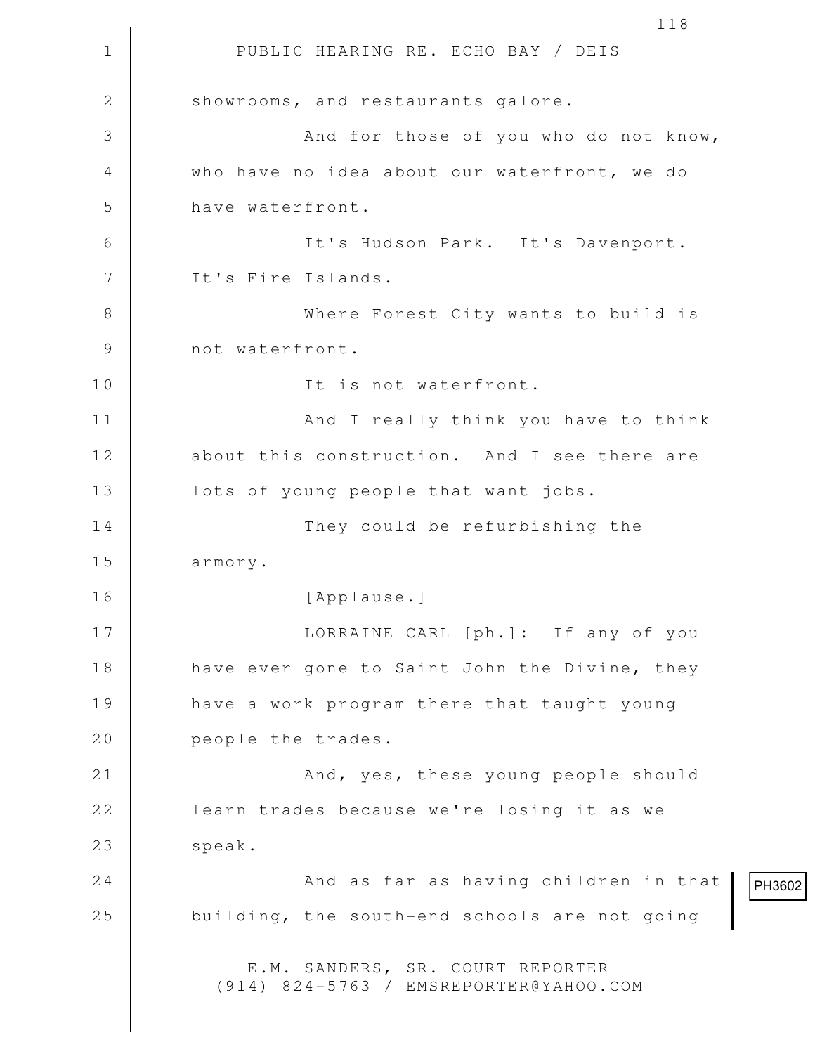1 || PUBLIC HEARING RE. ECHO BAY / DEIS 118 2 Showrooms, and restaurants galore. 3 And for those of you who do not know, 4 who have no idea about our waterfront, we do 5 **b** have waterfront. 6 It's Hudson Park. It's Davenport. 7 | It's Fire Islands. 8 Where Forest City wants to build is 9 || not waterfront. 10 || Tt is not waterfront. 11 || And I really think you have to think 12 about this construction. And I see there are 13 || lots of young people that want jobs. 14 || They could be refurbishing the 15 | armory. 16 [Applause.] 17 LORRAINE CARL [ph.]: If any of you 18 || have ever gone to Saint John the Divine, they 19 || have a work program there that taught young 20 **people** the trades. 21 || And, yes, these young people should 22 || learn trades because we're losing it as we 23 | speak. 24 || And as far as having children in that  $25$   $\parallel$  building, the south-end schools are not going E.M. SANDERS, SR. COURT REPORTER (914) 824-5763 / EMSREPORTER@YAHOO.COM

PH3602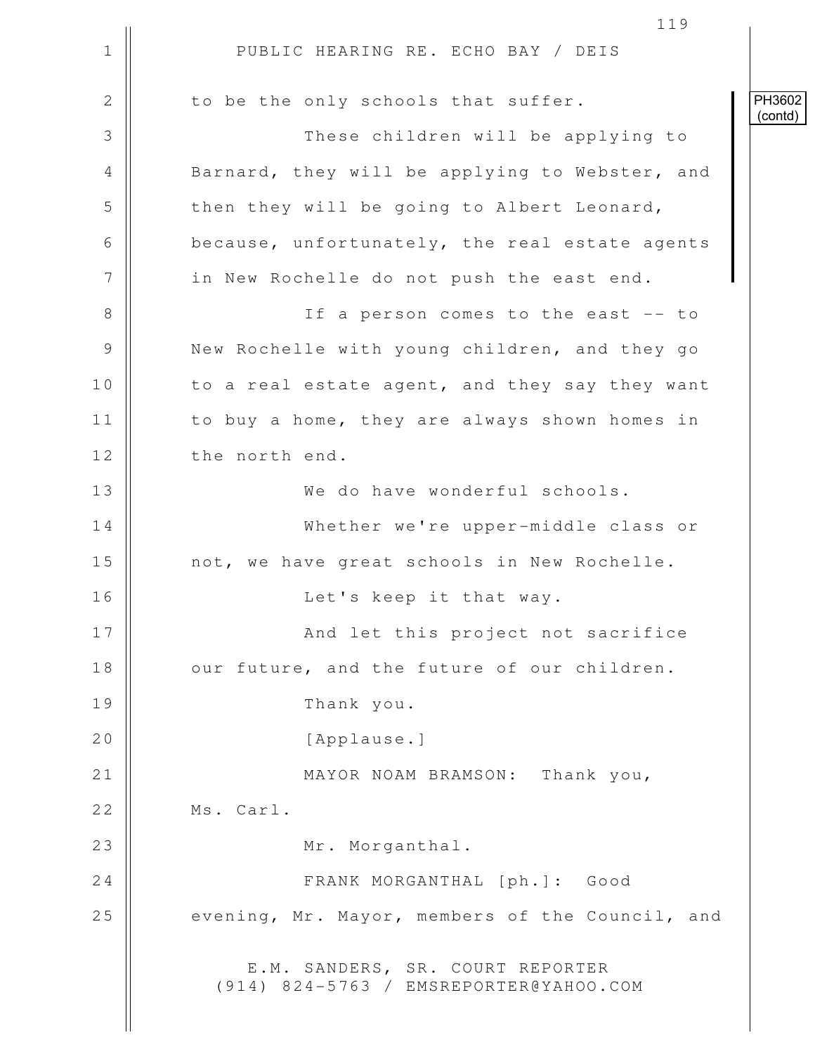1 || PUBLIC HEARING RE. ECHO BAY / DEIS 119  $2 \parallel$  to be the only schools that suffer. 3 || These children will be applying to 4 Barnard, they will be applying to Webster, and  $5$   $\parallel$  then they will be going to Albert Leonard, 6 because, unfortunately, the real estate agents 7 | in New Rochelle do not push the east end. 8 || If a person comes to the east -- to 9 | New Rochelle with young children, and they go 10 || to a real estate agent, and they say they want 11 | to buy a home, they are always shown homes in 12 | the north end. 13 We do have wonderful schools. 14 Whether we're upper-middle class or 15 | not, we have great schools in New Rochelle. 16 || Let's keep it that way. 17 || And let this project not sacrifice 18 || our future, and the future of our children. 19 Thank you. 20 | [Applause.] 21 || MAYOR NOAM BRAMSON: Thank you, 22 | Ms. Carl. 23 || Mr. Morganthal. 24 | FRANK MORGANTHAL [ph.]: Good 25 evening, Mr. Mayor, members of the Council, and E.M. SANDERS, SR. COURT REPORTER (914) 824-5763 / EMSREPORTER@YAHOO.COM PH3602 (contd)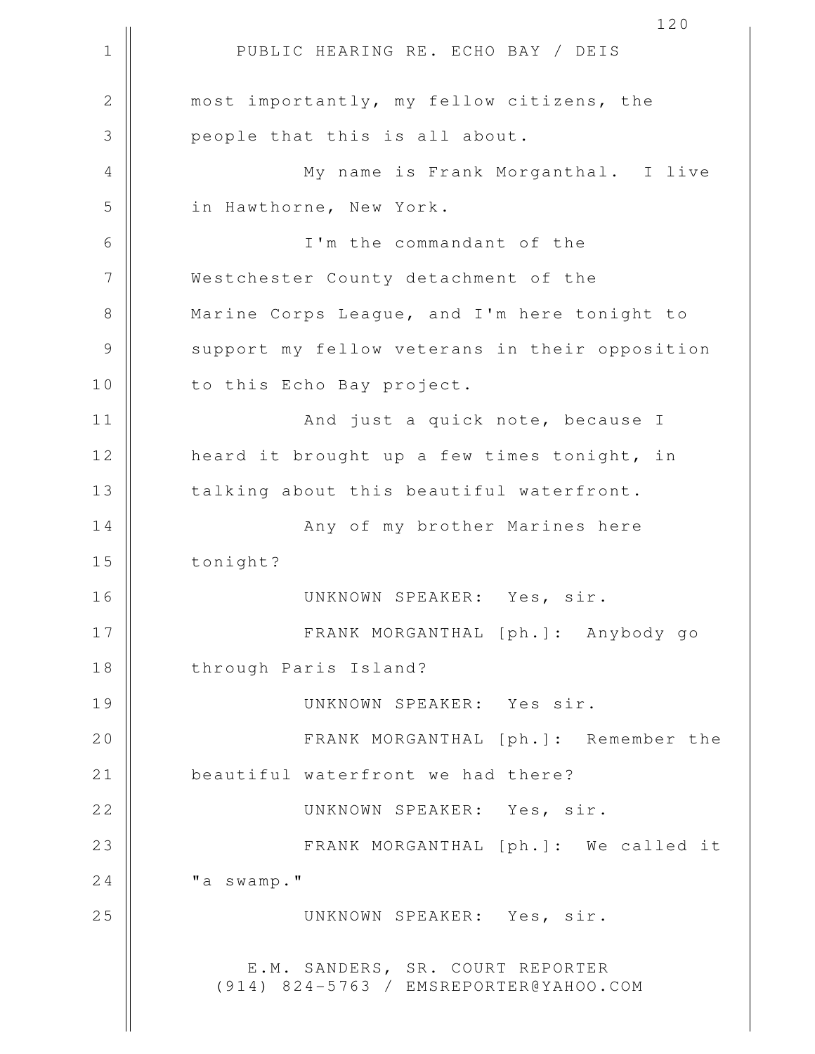1 || PUBLIC HEARING RE. ECHO BAY / DEIS 120 2 || most importantly, my fellow citizens, the 3 || people that this is all about. 4 || My name is Frank Morganthal. I live 5 || in Hawthorne, New York. 6 I'm the commandant of the 7 Westchester County detachment of the 8 || Marine Corps League, and I'm here tonight to 9 || support my fellow veterans in their opposition 10 || to this Echo Bay project. 11 || And just a quick note, because I 12 || heard it brought up a few times tonight, in 13 || talking about this beautiful waterfront. 14 Any of my brother Marines here 15 | tonight? 16 UNKNOWN SPEAKER: Yes, sir. 17 FRANK MORGANTHAL [ph.]: Anybody go 18 || through Paris Island? 19 UNKNOWN SPEAKER: Yes sir. 20 FRANK MORGANTHAL [ph.]: Remember the 21 | beautiful waterfront we had there? 22 UNKNOWN SPEAKER: Yes, sir. 23 || FRANK MORGANTHAL [ph.]: We called it  $24$   $\parallel$   $\blacksquare$   $\blacksquare$   $\blacksquare$   $\blacksquare$   $\blacksquare$   $\blacksquare$   $\blacksquare$ 25 UNKNOWN SPEAKER: Yes, sir. E.M. SANDERS, SR. COURT REPORTER (914) 824-5763 / EMSREPORTER@YAHOO.COM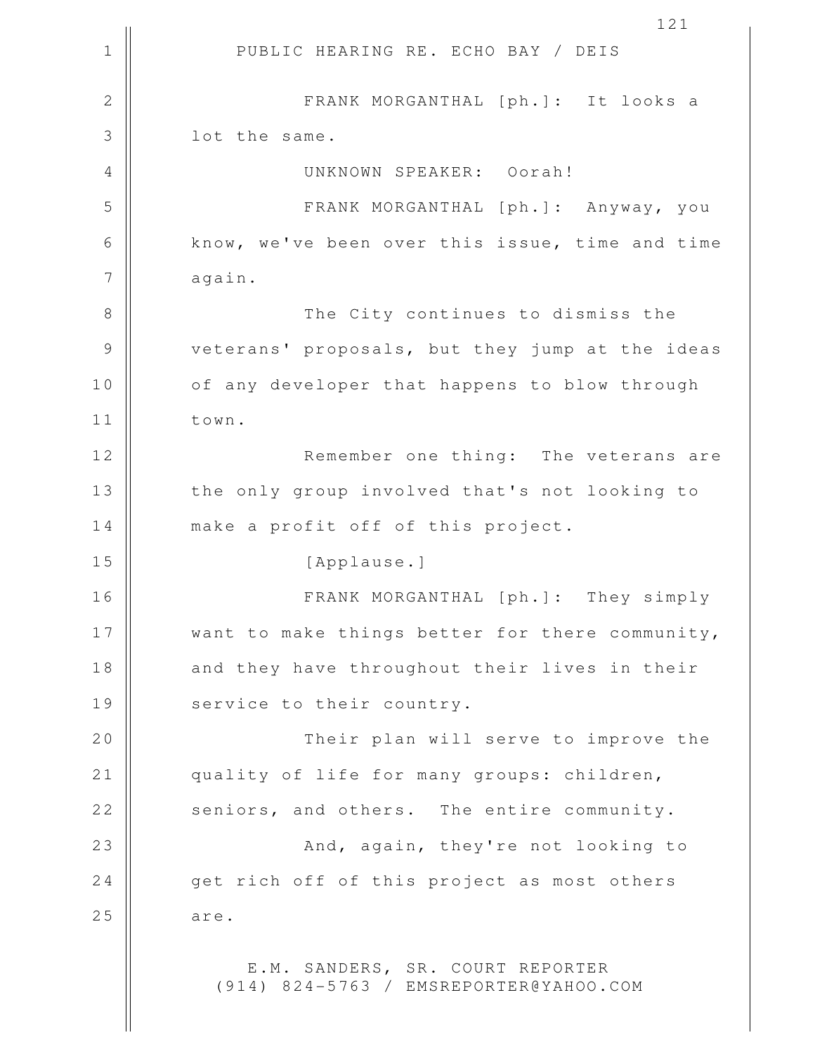1 || PUBLIC HEARING RE. ECHO BAY / DEIS 121 2 FRANK MORGANTHAL [ph.]: It looks a 3 || lot the same. 4 UNKNOWN SPEAKER: Oorah! 5 FRANK MORGANTHAL [ph.]: Anyway, you 6 know, we've been over this issue, time and time 7 | again. 8 The City continues to dismiss the 9 || veterans' proposals, but they jump at the ideas 10 || of any developer that happens to blow through 11 town. 12 || Remember one thing: The veterans are 13 || the only group involved that's not looking to 14 || make a profit off of this project. 15 || [Applause.] 16 FRANK MORGANTHAL [ph.]: They simply 17 || want to make things better for there community, 18 || and they have throughout their lives in their 19 || service to their country. 20 || Their plan will serve to improve the 21 quality of life for many groups: children, 22 seniors, and others. The entire community. 23 || **And, again, they're not looking to** 24 qet rich off of this project as most others  $25$  are. E.M. SANDERS, SR. COURT REPORTER (914) 824-5763 / EMSREPORTER@YAHOO.COM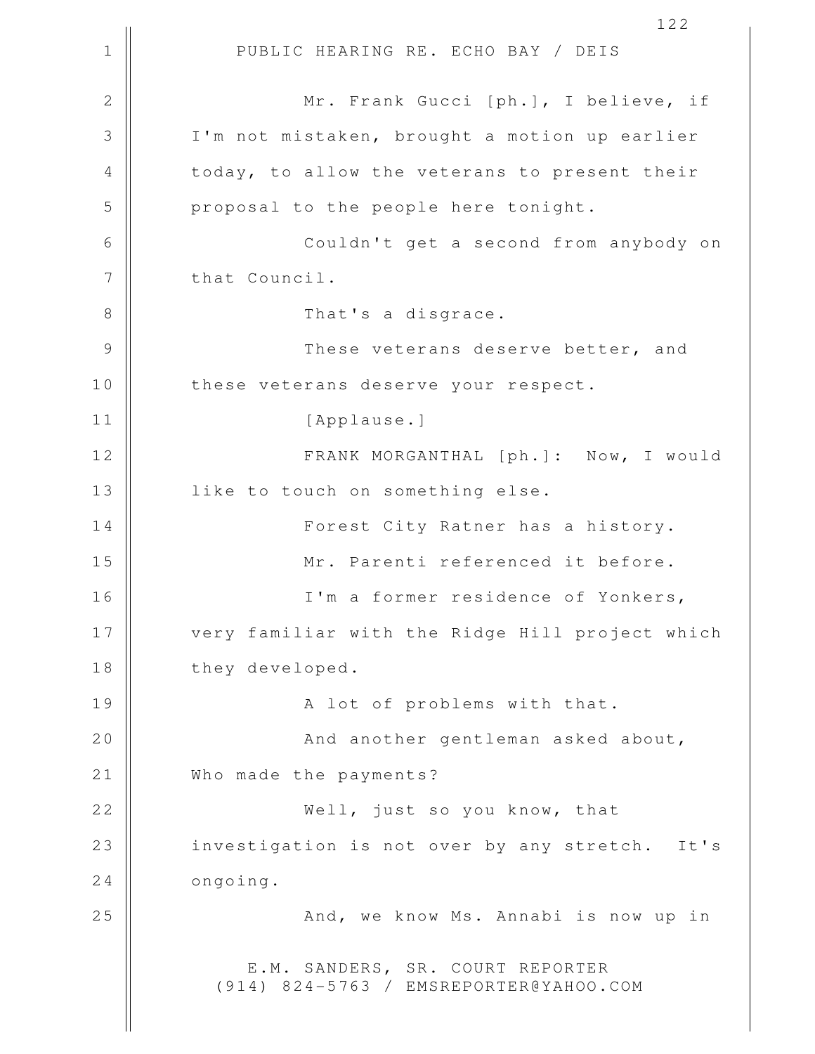1 || PUBLIC HEARING RE. ECHO BAY / DEIS 122 2 Mr. Frank Gucci [ph.], I believe, if 3 I'm not mistaken, brought a motion up earlier 4 || today, to allow the veterans to present their  $5$  || proposal to the people here tonight. 6 Couldn't get a second from anybody on 7 | that Council. 8 || That's a disgrace. 9 These veterans deserve better, and 10 || these veterans deserve your respect. 11 || [Applause.] 12 FRANK MORGANTHAL [ph.]: Now, I would 13 | like to touch on something else. 14 || Forest City Ratner has a history. 15 Mr. Parenti referenced it before. 16 I'm a former residence of Yonkers, 17 || very familiar with the Ridge Hill project which 18 they developed. 19 A lot of problems with that. 20 || And another gentleman asked about, 21 | Who made the payments? 22 Well, just so you know, that 23 || investigation is not over by any stretch. It's  $24$  |  $\qquad$  ongoing. 25 And, we know Ms. Annabi is now up in E.M. SANDERS, SR. COURT REPORTER (914) 824-5763 / EMSREPORTER@YAHOO.COM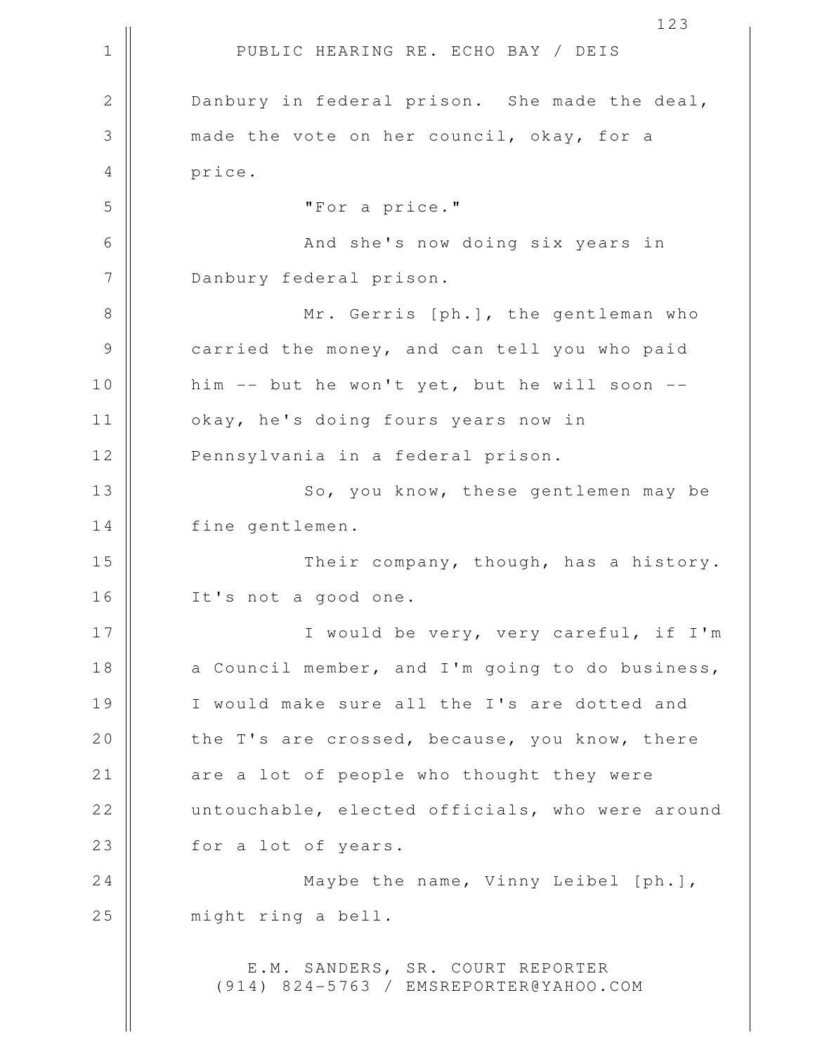1 || PUBLIC HEARING RE. ECHO BAY / DEIS 2 Danbury in federal prison. She made the deal, 3 made the vote on her council, okay, for a 4 price. 5 "For a price." 6 And she's now doing six years in 7 Danbury federal prison. 8 || Mr. Gerris [ph.], the gentleman who 9 | carried the money, and can tell you who paid 10 || him -- but he won't yet, but he will soon --11 okay, he's doing fours years now in 12 || Pennsylvania in a federal prison. 13 || So, you know, these gentlemen may be 14 fine gentlemen. 15 Their company, though, has a history. 16 It's not a good one. 17 || I would be very, very careful, if I'm 18  $\parallel$  a Council member, and I'm going to do business, 19 || I would make sure all the I's are dotted and 20  $\parallel$  the T's are crossed, because, you know, there 21 || are a lot of people who thought they were 22 untouchable, elected officials, who were around 23 || for a lot of years. 24 || Maybe the name, Vinny Leibel [ph.], 25 || might ring a bell. E.M. SANDERS, SR. COURT REPORTER (914) 824-5763 / EMSREPORTER@YAHOO.COM

123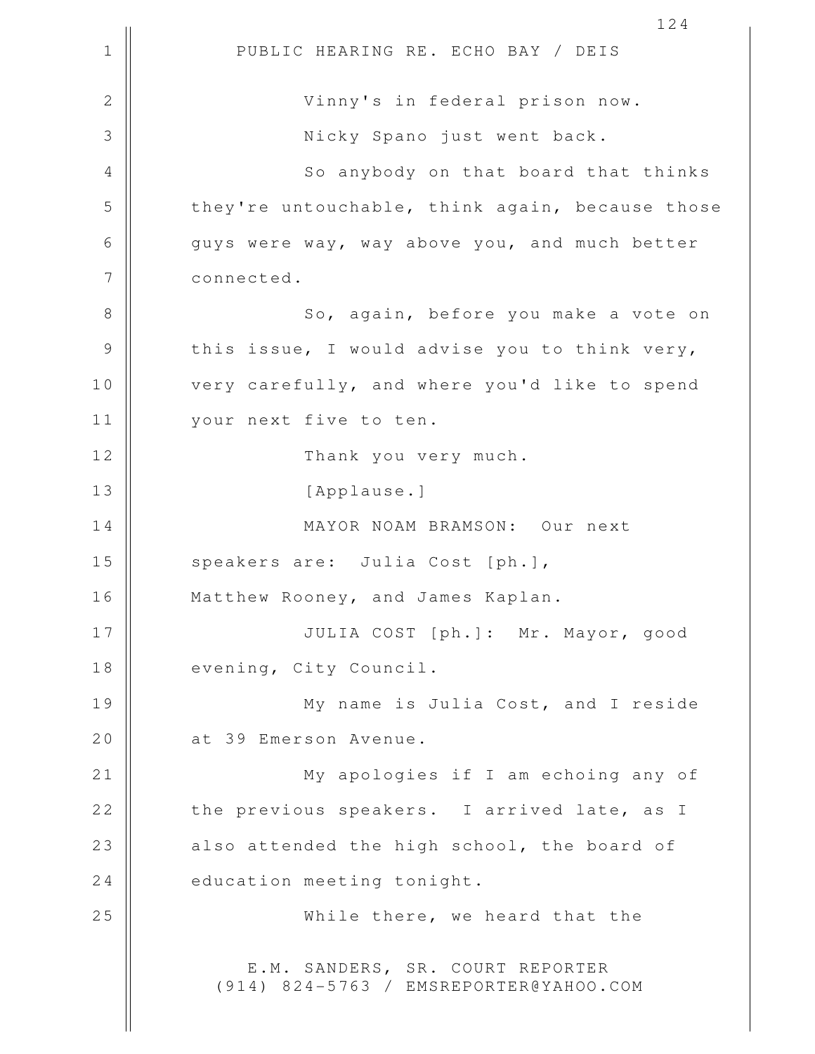1 || PUBLIC HEARING RE. ECHO BAY / DEIS 2 Vinny's in federal prison now. 3 Nicky Spano just went back. 4 || So anybody on that board that thinks 5 they're untouchable, think again, because those 6 | Guys were way, way above you, and much better 7 | connected. 8 || So, again, before you make a vote on  $9 \parallel$  this issue, I would advise you to think very, 10 || very carefully, and where you'd like to spend 11 || your next five to ten. 12 || Thank you very much. 13 || [Applause.] 14 MAYOR NOAM BRAMSON: Our next 15 || speakers are: Julia Cost [ph.], 16 || Matthew Rooney, and James Kaplan. 17 JULIA COST [ph.]: Mr. Mayor, good 18 || evening, City Council. 19 My name is Julia Cost, and I reside 20 | at 39 Emerson Avenue. 21 My apologies if I am echoing any of 22 the previous speakers. I arrived late, as I  $23$  || also attended the high school, the board of  $24$   $\parallel$  education meeting tonight. 25 While there, we heard that the E.M. SANDERS, SR. COURT REPORTER (914) 824-5763 / EMSREPORTER@YAHOO.COM

124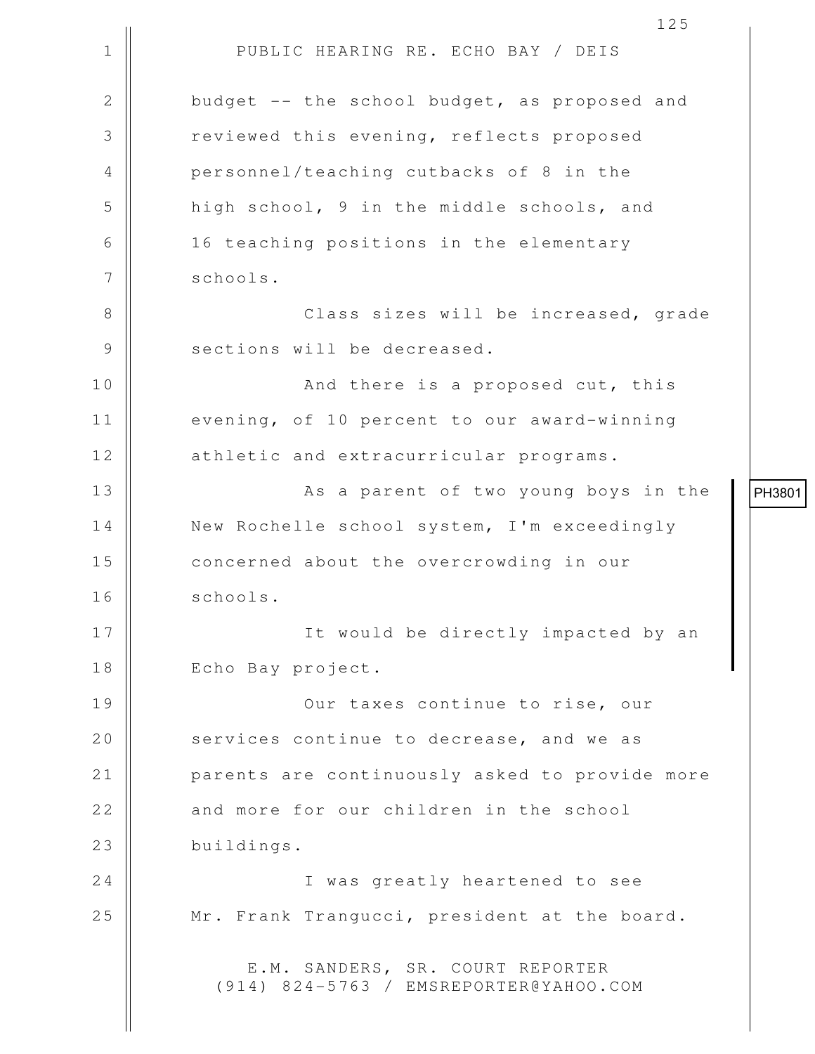1 || PUBLIC HEARING RE. ECHO BAY / DEIS 125 2 budget -- the school budget, as proposed and 3 | The reviewed this evening, reflects proposed 4 personnel/teaching cutbacks of 8 in the 5 high school, 9 in the middle schools, and 6 || 16 teaching positions in the elementary 7 | schools. 8 Class sizes will be increased, grade 9 || sections will be decreased. 10 || And there is a proposed cut, this 11 | evening, of 10 percent to our award-winning 12 | athletic and extracurricular programs. 13 || As a parent of two young boys in the 14 | New Rochelle school system, I'm exceedingly 15 || concerned about the overcrowding in our 16 || schools. 17 || It would be directly impacted by an 18 || Echo Bay project. 19 || Our taxes continue to rise, our 20 | services continue to decrease, and we as 21 | parents are continuously asked to provide more 22 and more for our children in the school 23 buildings. 24 || I was greatly heartened to see 25 | Mr. Frank Trangucci, president at the board. E.M. SANDERS, SR. COURT REPORTER (914) 824-5763 / EMSREPORTER@YAHOO.COM PH3801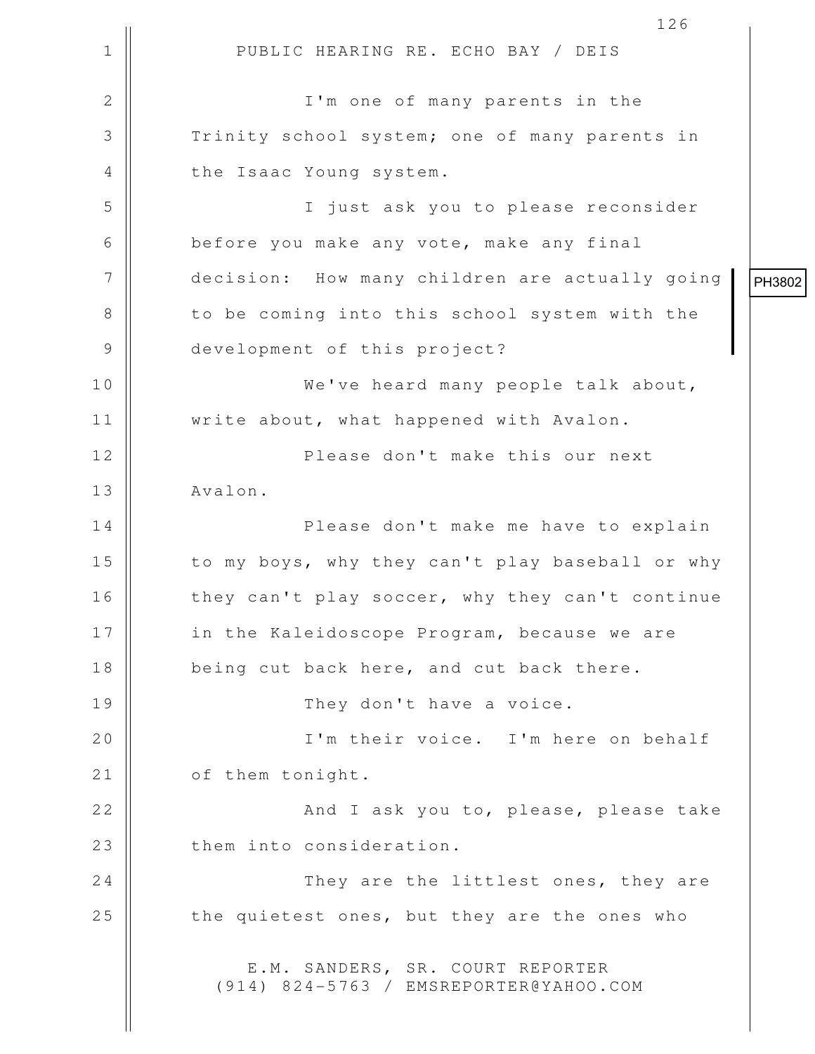1 || PUBLIC HEARING RE. ECHO BAY / DEIS 126 2 || I'm one of many parents in the 3 Trinity school system; one of many parents in 4 || the Isaac Young system. 5 I just ask you to please reconsider 6 before you make any vote, make any final 7 | decision: How many children are actually going 8 || to be coming into this school system with the 9 development of this project? 10 We've heard many people talk about, 11 | write about, what happened with Avalon. 12 || Please don't make this our next 13 | Avalon. 14 Please don't make me have to explain 15 || to my boys, why they can't play baseball or why 16 | they can't play soccer, why they can't continue 17 || in the Kaleidoscope Program, because we are 18 being cut back here, and cut back there. 19 They don't have a voice. 20 || I'm their voice. I'm here on behalf 21 | of them tonight. 22 || And I ask you to, please, please take 23 || them into consideration. 24 || They are the littlest ones, they are 25  $\parallel$  the quietest ones, but they are the ones who E.M. SANDERS, SR. COURT REPORTER (914) 824-5763 / EMSREPORTER@YAHOO.COM PH3802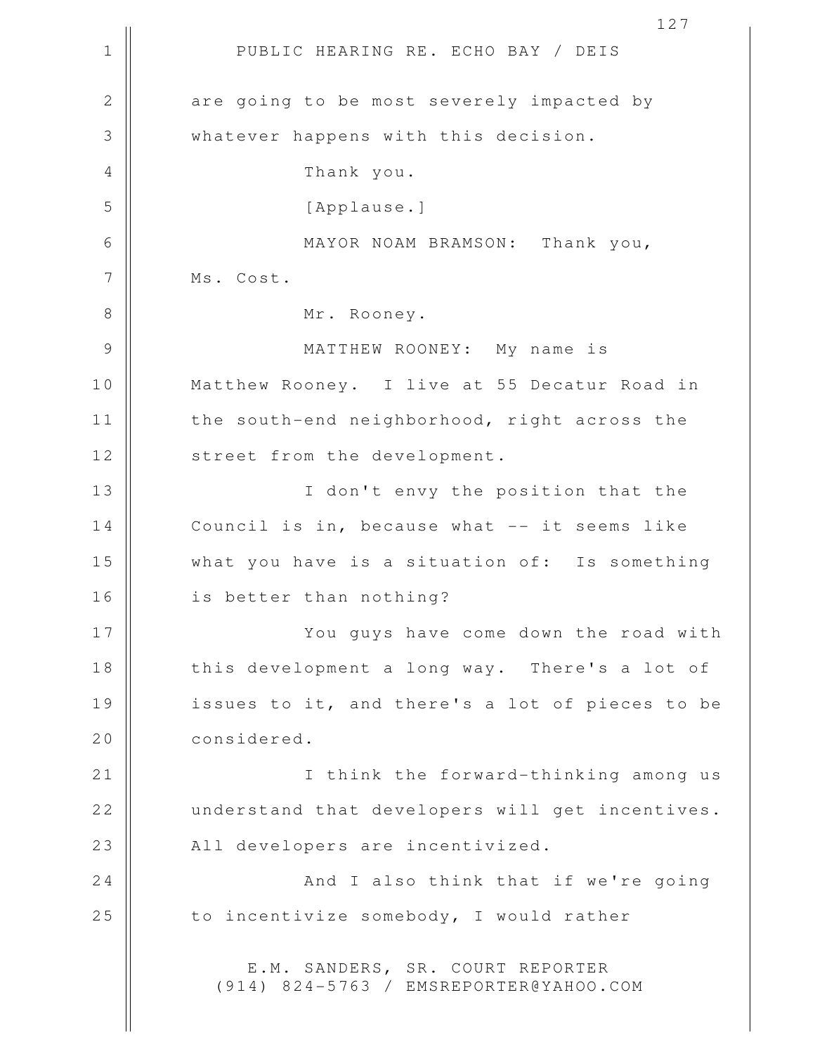1 || PUBLIC HEARING RE. ECHO BAY / DEIS 2 are going to be most severely impacted by 3 whatever happens with this decision. 4 Thank you. 5 [Applause.] 6 MAYOR NOAM BRAMSON: Thank you, 7 || Ms. Cost. 8 || Mr. Rooney. 9 MATTHEW ROONEY: My name is 10 Matthew Rooney. I live at 55 Decatur Road in 11 | the south-end neighborhood, right across the 12 || street from the development. 13 || I don't envy the position that the 14 | Council is in, because what -- it seems like 15 what you have is a situation of: Is something 16 || is better than nothing? 17 || You guys have come down the road with 18 || this development a long way. There's a lot of 19 || issues to it, and there's a lot of pieces to be 20 considered. 21 || **I** think the forward-thinking among us 22 understand that developers will get incentives. 23 || All developers are incentivized. 24 || And I also think that if we're going 25  $\parallel$  to incentivize somebody, I would rather E.M. SANDERS, SR. COURT REPORTER (914) 824-5763 / EMSREPORTER@YAHOO.COM

127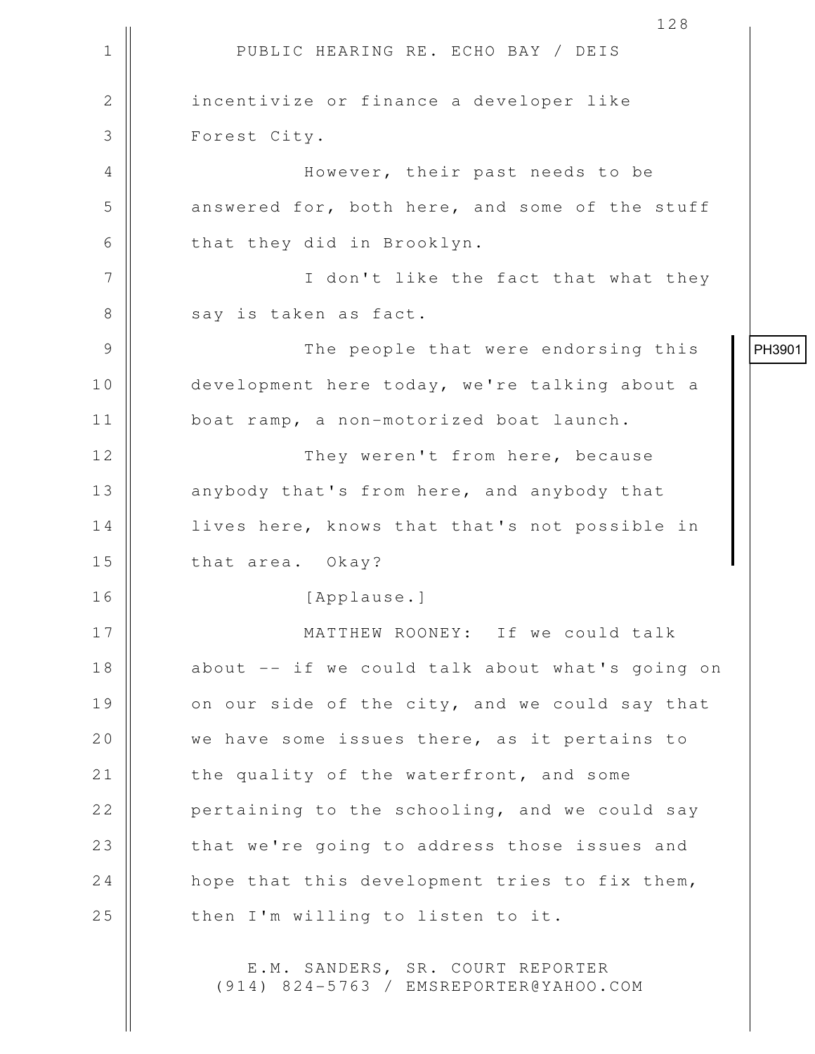|               | 128                                                                        |        |
|---------------|----------------------------------------------------------------------------|--------|
| 1             | PUBLIC HEARING RE. ECHO BAY / DEIS                                         |        |
| $\mathbf{2}$  | incentivize or finance a developer like                                    |        |
| 3             | Forest City.                                                               |        |
| 4             | However, their past needs to be                                            |        |
| 5             | answered for, both here, and some of the stuff                             |        |
| 6             | that they did in Brooklyn.                                                 |        |
| 7             | I don't like the fact that what they                                       |        |
| $8\,$         | say is taken as fact.                                                      |        |
| $\mathcal{G}$ | The people that were endorsing this                                        | PH3901 |
| 10            | development here today, we're talking about a                              |        |
| 11            | boat ramp, a non-motorized boat launch.                                    |        |
| 12            | They weren't from here, because                                            |        |
| 13            | anybody that's from here, and anybody that                                 |        |
| 14            | lives here, knows that that's not possible in                              |        |
| 15            | that area. Okay?                                                           |        |
| 16            | [Applause.]                                                                |        |
| 17            | MATTHEW ROONEY: If we could talk                                           |        |
| 18            | about -- if we could talk about what's going on                            |        |
| 19            | on our side of the city, and we could say that                             |        |
| 20            | we have some issues there, as it pertains to                               |        |
| 21            | the quality of the waterfront, and some                                    |        |
| 22            | pertaining to the schooling, and we could say                              |        |
| 23            | that we're going to address those issues and                               |        |
| 24            | hope that this development tries to fix them,                              |        |
| 25            | then I'm willing to listen to it.                                          |        |
|               | E.M. SANDERS, SR. COURT REPORTER<br>(914) 824-5763 / EMSREPORTER@YAHOO.COM |        |

 $\mathbf{\mathcal{L}}$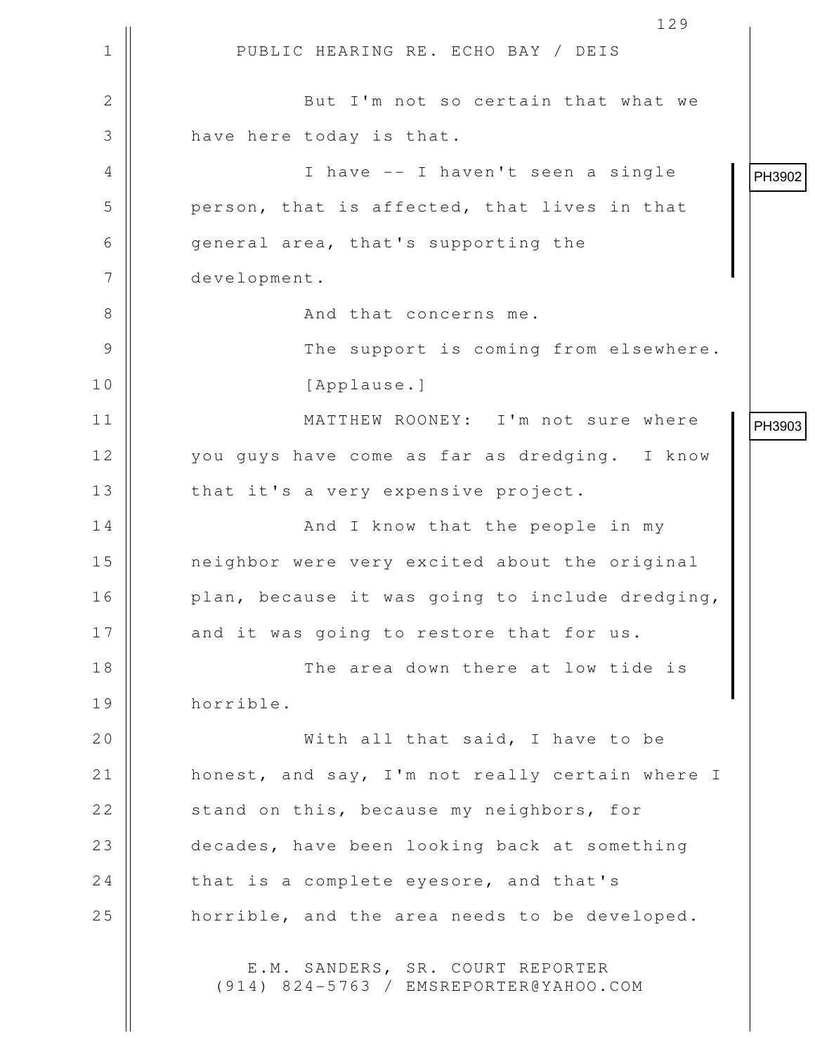1 || PUBLIC HEARING RE. ECHO BAY / DEIS 129 2 || But I'm not so certain that what we 3 || have here today is that. 4 I have -- I haven't seen a single  $5$  || person, that is affected, that lives in that 6 || general area, that's supporting the 7 development. 8 And that concerns me. 9 The support is coming from elsewhere. 10 || [Applause.] 11 MATTHEW ROONEY: I'm not sure where 12 || you guys have come as far as dredging. I know 13 | that it's a very expensive project. 14 || And I know that the people in my 15 neighbor were very excited about the original 16 | plan, because it was going to include dredging, 17 || and it was going to restore that for us. 18 The area down there at low tide is 19 horrible. 20 || With all that said, I have to be 21 | honest, and say, I'm not really certain where I 22 | stand on this, because my neighbors, for 23 decades, have been looking back at something 24  $\parallel$  that is a complete eyesore, and that's 25 | horrible, and the area needs to be developed. E.M. SANDERS, SR. COURT REPORTER (914) 824-5763 / EMSREPORTER@YAHOO.COM PH3902 PH3903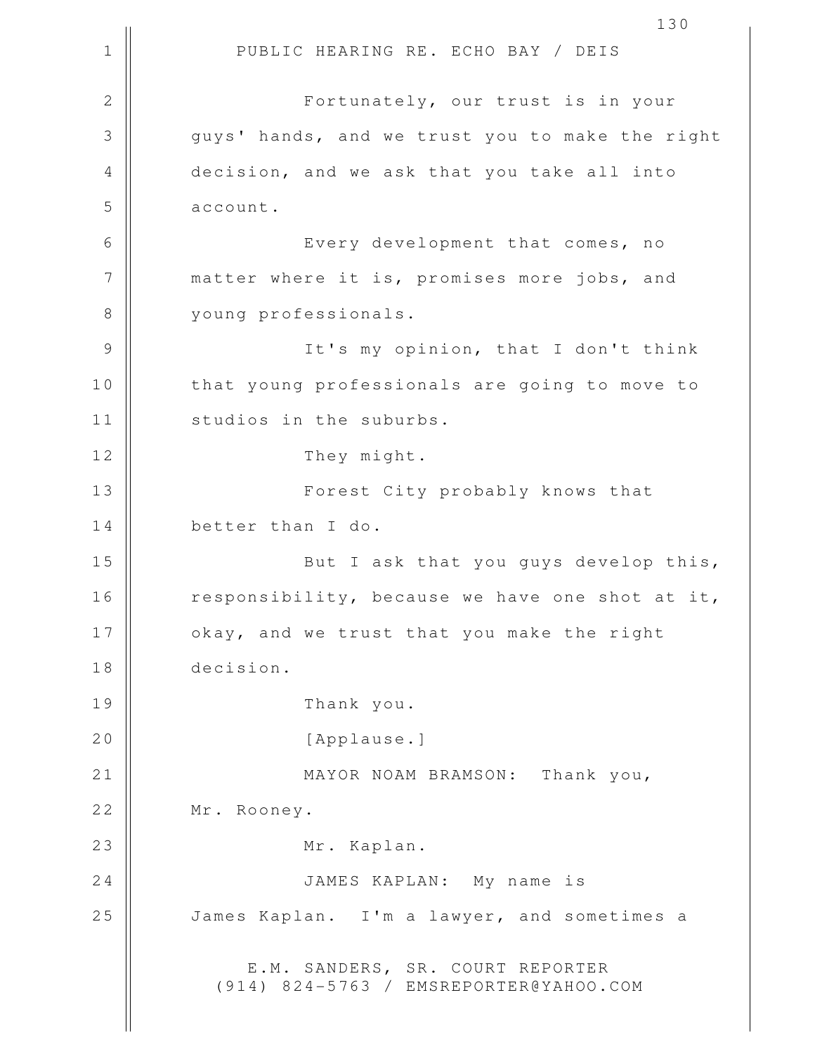1 || PUBLIC HEARING RE. ECHO BAY / DEIS 130 2 || Fortunately, our trust is in your 3 guys' hands, and we trust you to make the right 4 decision, and we ask that you take all into  $5 \parallel$  account. 6 || Every development that comes, no 7 || matter where it is, promises more jobs, and 8 || voung professionals. 9 || It's my opinion, that I don't think 10 || that young professionals are going to move to 11 | studios in the suburbs. 12 | They might. 13 || Forest City probably knows that 14 better than I do. 15 || But I ask that you guys develop this, 16 || responsibility, because we have one shot at it, 17 || okay, and we trust that you make the right 18 decision. 19 Thank you. 20 | [Applause.] 21 || MAYOR NOAM BRAMSON: Thank you, 22 | Mr. Rooney. 23 || Mr. Kaplan. 24 JAMES KAPLAN: My name is 25 | James Kaplan. I'm a lawyer, and sometimes a E.M. SANDERS, SR. COURT REPORTER (914) 824-5763 / EMSREPORTER@YAHOO.COM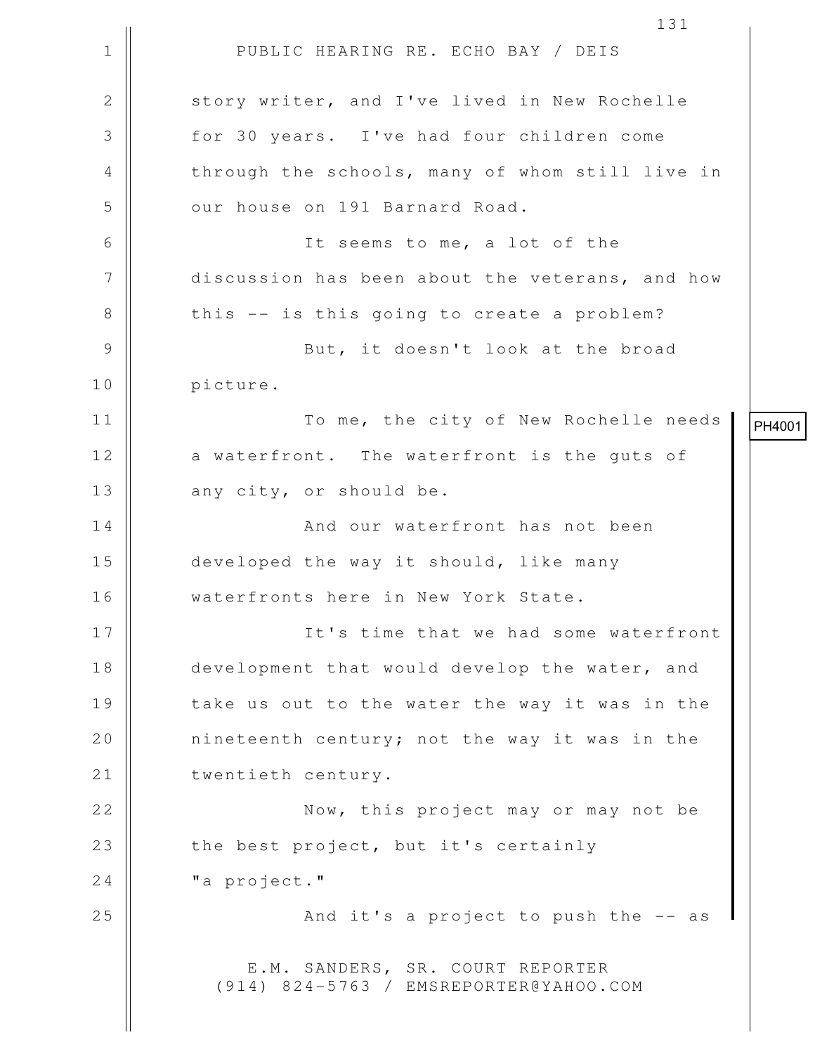1 || PUBLIC HEARING RE. ECHO BAY / DEIS 131 2 | story writer, and I've lived in New Rochelle 3 for 30 years. I've had four children come 4 || through the schools, many of whom still live in 5 || our house on 191 Barnard Road. 6 It seems to me, a lot of the 7 discussion has been about the veterans, and how  $8 \parallel$  this -- is this going to create a problem? 9 || But, it doesn't look at the broad 10 | picture. 11 To me, the city of New Rochelle needs 12 a waterfront. The waterfront is the quts of 13 || any city, or should be. 14 || And our waterfront has not been 15 | developed the way it should, like many 16 waterfronts here in New York State. 17 || It's time that we had some waterfront 18 development that would develop the water, and 19 || take us out to the water the way it was in the 20 || nineteenth century; not the way it was in the 21 || twentieth century. 22 || **Now, this project may or may not be** 23 || the best project, but it's certainly 24 | "a project." 25  $\parallel$  25 And it's a project to push the  $-$  as E.M. SANDERS, SR. COURT REPORTER (914) 824-5763 / EMSREPORTER@YAHOO.COM PH4001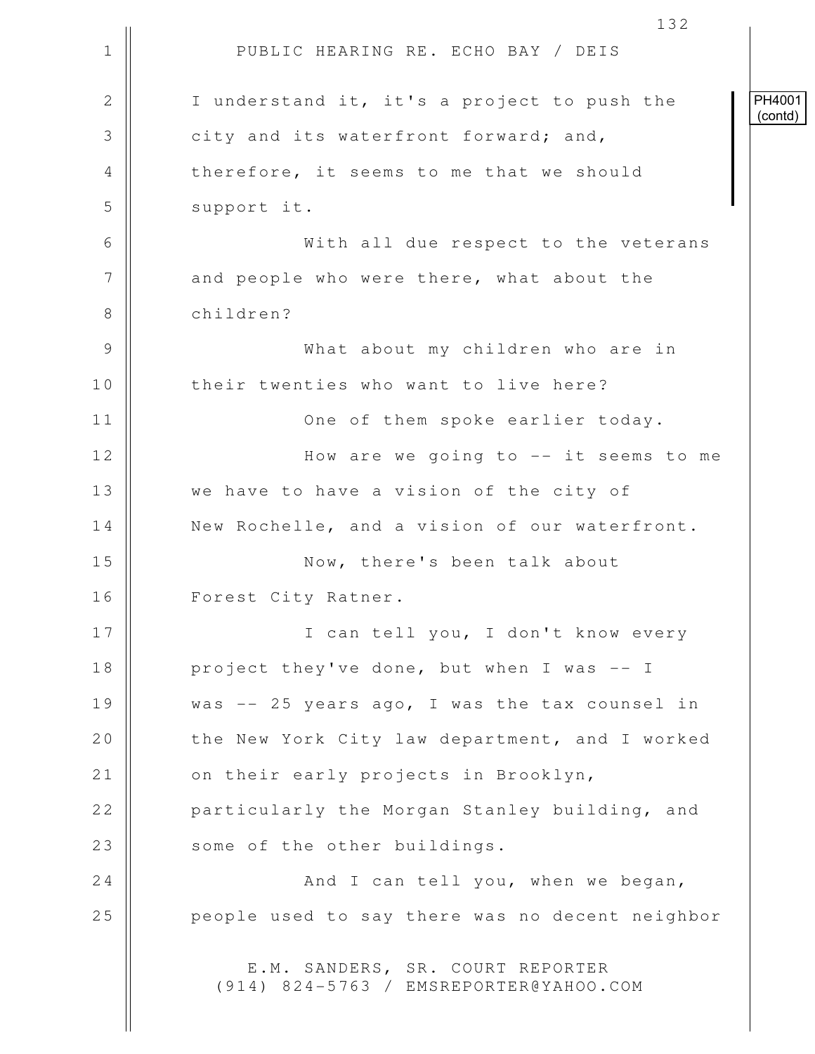|              | 132                                                                        |  |
|--------------|----------------------------------------------------------------------------|--|
| $\mathbf 1$  | PUBLIC HEARING RE. ECHO BAY / DEIS                                         |  |
| $\mathbf{2}$ | I understand it, it's a project to push the                                |  |
| 3            | city and its waterfront forward; and,                                      |  |
| 4            | therefore, it seems to me that we should                                   |  |
| 5            | support it.                                                                |  |
| 6            | With all due respect to the veterans                                       |  |
| 7            | and people who were there, what about the                                  |  |
| 8            | children?                                                                  |  |
| 9            | What about my children who are in                                          |  |
| 10           | their twenties who want to live here?                                      |  |
| 11           | One of them spoke earlier today.                                           |  |
| 12           | How are we going to $--$ it seems to me                                    |  |
| 13           | we have to have a vision of the city of                                    |  |
| 14           | New Rochelle, and a vision of our waterfront.                              |  |
| 15           | Now, there's been talk about                                               |  |
| 16           | Forest City Ratner.                                                        |  |
| 17           | I can tell you, I don't know every                                         |  |
| 18           | project they've done, but when I was -- I                                  |  |
| 19           | was -- 25 years ago, I was the tax counsel in                              |  |
| 20           | the New York City law department, and I worked                             |  |
| 21           | on their early projects in Brooklyn,                                       |  |
| 22           | particularly the Morgan Stanley building, and                              |  |
| 23           | some of the other buildings.                                               |  |
| 24           | And I can tell you, when we began,                                         |  |
| 25           | people used to say there was no decent neighbor                            |  |
|              | E.M. SANDERS, SR. COURT REPORTER<br>(914) 824-5763 / EMSREPORTER@YAHOO.COM |  |

PH4001 (contd)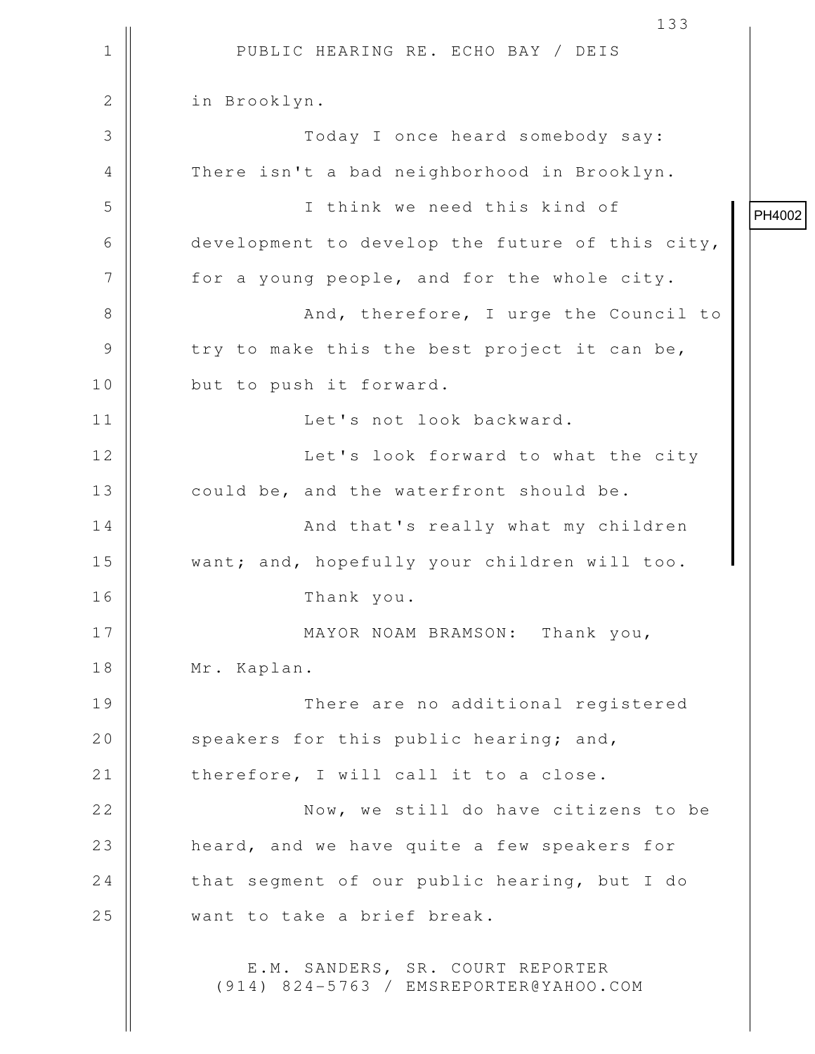1 || PUBLIC HEARING RE. ECHO BAY / DEIS 133 2 | in Brooklyn. 3 Today I once heard somebody say: 4 There isn't a bad neighborhood in Brooklyn. 5 I think we need this kind of 6 || development to develop the future of this city, 7 || for a young people, and for the whole city. 8 || And, therefore, I urge the Council to  $9 \parallel$  try to make this the best project it can be, 10 || but to push it forward. 11 Let's not look backward. 12 || Let's look forward to what the city 13 || could be, and the waterfront should be. 14 And that's really what my children 15 || want; and, hopefully your children will too. 16 Thank you. 17 || MAYOR NOAM BRAMSON: Thank you, 18 || Mr. Kaplan. 19 || There are no additional registered 20  $\parallel$  speakers for this public hearing; and,  $21$  | therefore, I will call it to a close. 22 || **Now, we still do have citizens to be** 23 || heard, and we have quite a few speakers for 24  $\parallel$  that segment of our public hearing, but I do 25 Want to take a brief break. E.M. SANDERS, SR. COURT REPORTER (914) 824-5763 / EMSREPORTER@YAHOO.COM PH4002